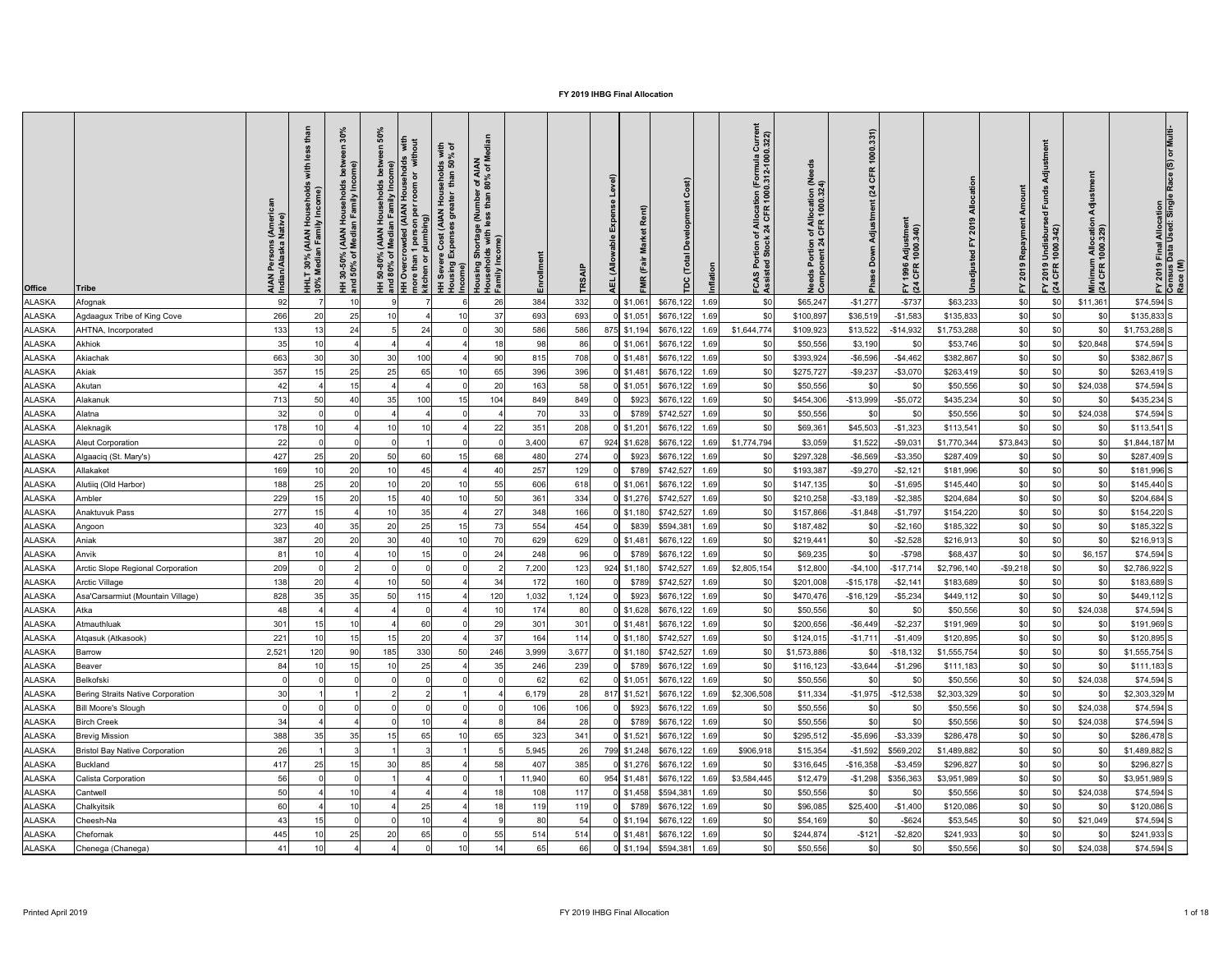| న్<br>$\circ$<br>with<br>% of<br>with<br>r of AIAN<br>80% of M<br>8 m<br>$\bar{\bullet}$<br>sehol<br>than<br>$\overline{\sigma}$<br>rrowded (AIAN House<br>n 1 person per room c<br>r plumbing)<br>ehold<br>Income)<br>Hou<br>mber<br>than<br>st (AIAN<br>Housing Shortage (Nun<br>Households with less th<br>Family Income)<br>ნ<br>ა<br>Persons (Amer<br>n/Alaska Native)<br>호드<br>(AIAN Ho<br>In Family<br><b>AIAN</b><br>Media<br>ost (وہ مہ<br>Income)<br>Income)<br>Over.<br>re than 1<br>chen or pl<br>ঁচ $\overline{a}$<br>ঁ০<br>30%<br>ledia<br>នួ<br>$30 - 50$<br>$-50\%$<br>AIAN<br>Indiar<br>more<br>kitch<br>$\frac{1}{2}$<br><u> 王 훈</u><br>$\overline{\Xi}$ $\overline{\mathcal{S}}$<br><b>王 흥</b><br><b>Office</b><br><b>Tribe</b> | $\widehat{a}$<br>Rent)<br><b>Irket</b><br>Σ<br>ੌਂਕ<br>(Allo<br>$\overline{5}$<br>Ε<br>TR <sub>S</sub><br>$\Omega$<br>띧 | Curre<br>0.322)<br>ttion (Formula )<br>1000.312-1000<br>beg<br>n of Allocation (Ne<br>4 CFR 1000.324)<br>of Allocat<br>k 24 CFR<br>Portion<br>onent 24<br>ິສະ<br>Needs<br>Compo<br>S<br>A<br>ပို့ ဖွီ | 1000.331)<br>CFR<br>(24)<br>Adjustment<br>Adjustmer<br>1000.340)<br>Down<br>1996<br>CFR<br>$\frac{1}{2}$<br>$F\overline{2}$ | 놊                        | 'ਰ<br>짇<br>등<br>$\overline{e}$<br>Minimum Allocatio<br>(24 CFR 1000.329)<br>′ 2019 Undisburs<br>1 CFR 1000.342)<br>$F \times 24$ | Multi<br>FY 2019 Final Allocation<br>Census Data Used: Single<br>Race (M) |
|----------------------------------------------------------------------------------------------------------------------------------------------------------------------------------------------------------------------------------------------------------------------------------------------------------------------------------------------------------------------------------------------------------------------------------------------------------------------------------------------------------------------------------------------------------------------------------------------------------------------------------------------------------------------------------------------------------------------------------------------------|------------------------------------------------------------------------------------------------------------------------|-------------------------------------------------------------------------------------------------------------------------------------------------------------------------------------------------------|-----------------------------------------------------------------------------------------------------------------------------|--------------------------|----------------------------------------------------------------------------------------------------------------------------------|---------------------------------------------------------------------------|
| 92<br>ALASKA<br>26<br>10<br>Afognak                                                                                                                                                                                                                                                                                                                                                                                                                                                                                                                                                                                                                                                                                                                | 332<br>384<br>\$676,122<br>$0$ \$1,061<br>1.69                                                                         | \$65,247<br>\$0                                                                                                                                                                                       | $-$ \$737<br>$-$1,277$                                                                                                      | \$0<br>\$63,233          | \$11,361<br>\$0                                                                                                                  | $$74,594$ S                                                               |
| 266<br>25<br>ALASKA<br>Agdaagux Tribe of King Cove<br>20<br>37                                                                                                                                                                                                                                                                                                                                                                                                                                                                                                                                                                                                                                                                                     | 693<br>693<br>\$676,122<br>1.69<br>$0$ \$1,051                                                                         | \$0<br>\$100,897                                                                                                                                                                                      | $-$1,583$<br>\$36,519                                                                                                       | \$0<br>\$135,833         | \$0                                                                                                                              | $$135,833$ S                                                              |
| 133<br><b>ALASKA</b><br>30<br>AHTNA, Incorporated<br>24<br>24                                                                                                                                                                                                                                                                                                                                                                                                                                                                                                                                                                                                                                                                                      | 586<br>586<br>\$676,122<br>1.69<br>875 \$1,194                                                                         | \$1,644,774<br>\$109,923                                                                                                                                                                              | \$13,522<br>$-$ \$14,932                                                                                                    | \$0<br>\$1,753,288       | \$0<br>\$0                                                                                                                       | $$1,753,288$ S                                                            |
| 35<br>ALASKA<br><b>Akhiok</b>                                                                                                                                                                                                                                                                                                                                                                                                                                                                                                                                                                                                                                                                                                                      | 98<br>\$676,122<br>86<br>$0$ \$1,061<br>1.69                                                                           | \$50,556<br>\$0                                                                                                                                                                                       | \$3,190                                                                                                                     | \$0<br>\$53,746          | \$20,848<br>\$0                                                                                                                  | $$74,594$ S                                                               |
| 663<br>ALASKA<br>30<br>30<br>100<br>90<br>Akiachak<br>30                                                                                                                                                                                                                                                                                                                                                                                                                                                                                                                                                                                                                                                                                           | \$676,122<br>708<br>$0$ \$1,481<br>1.69<br>815                                                                         | \$393,924<br>\$0                                                                                                                                                                                      | $-$4,462$<br>$-$ \$6,596                                                                                                    | \$0<br>\$382,867         | \$0<br>\$0                                                                                                                       | \$382,867 S                                                               |
| 357<br>25<br>25<br>ALASKA<br>65<br>65<br>Akiak                                                                                                                                                                                                                                                                                                                                                                                                                                                                                                                                                                                                                                                                                                     | 396<br>396<br>\$676,122<br>$0$ \$1,481<br>1.69                                                                         | \$0<br>\$275,727                                                                                                                                                                                      | $-$9,237$<br>$- $3,070$                                                                                                     | \$0<br>\$263,419         | \$0<br>\$0                                                                                                                       | $$263,419$ S                                                              |
| 15<br>20<br>ALASKA<br>42<br>Akutan                                                                                                                                                                                                                                                                                                                                                                                                                                                                                                                                                                                                                                                                                                                 | 58<br>\$676,122<br>163<br>$0$ \$1,051<br>1.69                                                                          | \$0<br>\$50,556                                                                                                                                                                                       | \$0<br>\$0                                                                                                                  | \$0<br>\$50,556          | \$24,038                                                                                                                         | $$74,594$ S                                                               |
| ALASKA<br>713<br>35<br>40<br>100<br>104<br>15<br>Alakanuk                                                                                                                                                                                                                                                                                                                                                                                                                                                                                                                                                                                                                                                                                          | \$676,122<br>849<br>\$923<br>849<br>1.69                                                                               | \$454,306<br>\$0                                                                                                                                                                                      | $-$13,999$<br>$-$5,072$                                                                                                     | \$0<br>\$435,234         | \$0<br>\$0                                                                                                                       | $$435,234$ S                                                              |
| 32<br>ALASKA<br>Alatna                                                                                                                                                                                                                                                                                                                                                                                                                                                                                                                                                                                                                                                                                                                             | 70<br>33<br>\$789<br>\$742,527<br>1.69                                                                                 | \$0<br>\$50,556                                                                                                                                                                                       | \$0<br>\$0                                                                                                                  | \$0<br>\$50,556          | \$24,038<br>\$0                                                                                                                  | $$74,594$ S                                                               |
| 178<br><b>ALASKA</b><br>22<br>10<br>Aleknagik                                                                                                                                                                                                                                                                                                                                                                                                                                                                                                                                                                                                                                                                                                      | 208<br>351<br>$0$ \$1,201<br>\$676,122<br>1.69                                                                         | \$0<br>\$69,36                                                                                                                                                                                        | $-$1,323$<br>\$45,503                                                                                                       | \$0<br>\$113,541         | \$0                                                                                                                              | $$113,541$ S                                                              |
| 22<br>ALASKA<br><b>Aleut Corporation</b>                                                                                                                                                                                                                                                                                                                                                                                                                                                                                                                                                                                                                                                                                                           | \$676,122<br>3,400<br>67<br>924 \$1,628<br>1.69                                                                        | \$1,774,794<br>\$3,059                                                                                                                                                                                | \$1,522<br>$-$9,03$                                                                                                         | \$1,770,344<br>\$73,843  | \$0                                                                                                                              | $$1,844,187$ M                                                            |
| 427<br>ALASKA<br>50<br>Algaaciq (St. Mary's)<br>20                                                                                                                                                                                                                                                                                                                                                                                                                                                                                                                                                                                                                                                                                                 | 274<br>\$923<br>\$676,122<br>480<br>1.69                                                                               | \$297,328                                                                                                                                                                                             | $-$6,569$<br>$-$ \$3,350                                                                                                    | \$287,409<br>\$0         | \$0                                                                                                                              | \$287,409 S                                                               |
| <b>ALASKA</b><br>169<br>Allakaket<br>20                                                                                                                                                                                                                                                                                                                                                                                                                                                                                                                                                                                                                                                                                                            | 257<br>129<br>\$789<br>\$742,527<br>1.69                                                                               | \$193,387                                                                                                                                                                                             | $-$9,270$<br>$-$2,121$                                                                                                      | \$181,996<br>\$0         | \$0                                                                                                                              | \$181,996 S                                                               |
| 188<br>20<br>20<br><b>ALASKA</b><br>Alutiiq (Old Harbor)<br>55                                                                                                                                                                                                                                                                                                                                                                                                                                                                                                                                                                                                                                                                                     | 618<br>606<br>$0$ \$1,061<br>\$676,122<br>1.69                                                                         | \$147,135                                                                                                                                                                                             | $-$1,695$<br>\$0                                                                                                            | \$0<br>\$145,440         | \$0                                                                                                                              | $$145,440$ S                                                              |
| 229<br>20<br>50<br><b>ALASKA</b><br>Ambler                                                                                                                                                                                                                                                                                                                                                                                                                                                                                                                                                                                                                                                                                                         | 334<br>361<br>$0$ \$1,276<br>\$742,527<br>1.69                                                                         | \$210,258                                                                                                                                                                                             | $-$2,385$<br>$- $3,189$                                                                                                     | \$C<br>\$204,684         | \$0                                                                                                                              | \$204,684 S                                                               |
| 277<br>35<br><b>ALASKA</b><br><b>Anaktuvuk Pass</b><br>27                                                                                                                                                                                                                                                                                                                                                                                                                                                                                                                                                                                                                                                                                          | 348<br>166<br>\$742,527<br>$0$ \$1,180<br>1.69                                                                         | \$157,866                                                                                                                                                                                             | $-$1,848$<br>$-$1,797$                                                                                                      | \$C<br>\$154,220         | \$0<br>\$0                                                                                                                       | \$154,220 S                                                               |
| 323<br><b>ALASKA</b><br>35<br>20<br>25<br>Angoon                                                                                                                                                                                                                                                                                                                                                                                                                                                                                                                                                                                                                                                                                                   | 554<br>\$594,381<br>454<br>\$839<br>1.69                                                                               | \$187,482                                                                                                                                                                                             | $-$ \$2,160<br>\$0                                                                                                          | \$C<br>\$185,322         | \$0<br>\$0                                                                                                                       | $$185,322$ S                                                              |
| 387<br>30<br><b>ALASKA</b><br>20<br>Aniak                                                                                                                                                                                                                                                                                                                                                                                                                                                                                                                                                                                                                                                                                                          | 629<br>629<br>\$676,122<br>1.69<br>0 \$1,481                                                                           | \$219,44                                                                                                                                                                                              | $-$ \$2,528<br>\$0                                                                                                          | \$C<br>\$216,913         | \$0                                                                                                                              | $$216,913$ S                                                              |
| <b>ALASKA</b><br>Anvik<br>8 <sup>′</sup><br>24                                                                                                                                                                                                                                                                                                                                                                                                                                                                                                                                                                                                                                                                                                     | 248<br>96<br>1.69<br>\$789<br>\$676,122                                                                                | \$0<br>\$69,235                                                                                                                                                                                       | \$0<br>$- $798$                                                                                                             | \$0<br>\$68,437          | \$6,157<br>\$0                                                                                                                   | $$74,594$ S                                                               |
| 209<br><b>ALASKA</b><br>Arctic Slope Regional Corporation                                                                                                                                                                                                                                                                                                                                                                                                                                                                                                                                                                                                                                                                                          | 7,200<br>123<br>\$742,527<br>1.69<br>924<br>\$1,180                                                                    | \$2,805,154<br>\$12,800                                                                                                                                                                               | $-$17,714$<br>$-$4,100$                                                                                                     | $-$9,218$<br>\$2,796,140 | \$ <sub>0</sub>                                                                                                                  | \$2,786,922 S                                                             |
| 138<br>5 <sub>0</sub><br><b>ALASKA</b><br><b>Arctic Village</b><br>34                                                                                                                                                                                                                                                                                                                                                                                                                                                                                                                                                                                                                                                                              | 160<br>172<br>\$789<br>\$742,527<br>1.69                                                                               | \$201,008                                                                                                                                                                                             | $-$15,178$<br>$-$2,141$                                                                                                     | \$C<br>\$183,689         | \$0<br>\$0                                                                                                                       | \$183,689 S                                                               |
| 828<br>50<br>115<br>120<br><b>ALASKA</b><br>Asa'Carsarmiut (Mountain Village)                                                                                                                                                                                                                                                                                                                                                                                                                                                                                                                                                                                                                                                                      | 1,124<br>1,032<br>\$923<br>\$676,122<br>1.69                                                                           | \$470,476                                                                                                                                                                                             | $-$5,234$<br>$-$16,129$                                                                                                     | \$C<br>\$449,112         | \$0                                                                                                                              | $$449,112$ S                                                              |
| 48<br><b>ALASKA</b><br>Atka                                                                                                                                                                                                                                                                                                                                                                                                                                                                                                                                                                                                                                                                                                                        | 80<br>\$676,122<br>174<br>$0$ \$1,628<br>1.69                                                                          | \$50,556                                                                                                                                                                                              | \$0                                                                                                                         | \$0<br>\$50,556          | \$24,038                                                                                                                         | $$74,594$ S                                                               |
| 301<br>60<br>29<br><b>ALASKA</b><br>1 <sup>1</sup><br>Atmauthluak                                                                                                                                                                                                                                                                                                                                                                                                                                                                                                                                                                                                                                                                                  | 301<br>301<br>\$676,122<br>$0$ \$1,481<br>1.69                                                                         | \$200,656                                                                                                                                                                                             | $-$2,237$<br>$-$6,449$                                                                                                      | \$0<br>\$191,969         | \$0<br>\$0                                                                                                                       | \$191,969 S                                                               |
| 221<br>15<br>20<br>37<br><b>ALASKA</b><br>Atgasuk (Atkasook)<br>15                                                                                                                                                                                                                                                                                                                                                                                                                                                                                                                                                                                                                                                                                 | 164<br>114<br>$0$ \$1,180<br>\$742,527<br>1.69                                                                         | \$124,015                                                                                                                                                                                             | $-$1,409$<br>$-$1,71'$                                                                                                      | \$C<br>\$120,895         | \$0<br>\$0                                                                                                                       | $$120,895$ S                                                              |
| 2,52'<br>90<br>185<br>330<br>246<br><b>ALASKA</b><br>120<br>50<br><b>Barrow</b>                                                                                                                                                                                                                                                                                                                                                                                                                                                                                                                                                                                                                                                                    | 3,999<br>3,677<br>$0$ \$1,180<br>\$742,527<br>1.69                                                                     | \$1,573,886                                                                                                                                                                                           | $-$18,132$<br>\$C                                                                                                           | \$C<br>\$1,555,754       | \$ <sub>0</sub><br>\$0                                                                                                           | $$1,555,754$ S                                                            |
| 84<br>25<br><b>ALASKA</b><br>35<br><b>Beaver</b>                                                                                                                                                                                                                                                                                                                                                                                                                                                                                                                                                                                                                                                                                                   | 239<br>246<br>\$789<br>\$676,122<br>1.69                                                                               | \$116,123                                                                                                                                                                                             | $-$1,296$<br>$- $3,644$                                                                                                     | \$C<br>\$111,183         | \$0<br>\$0                                                                                                                       | $$111,183$ S                                                              |
| <b>ALASKA</b><br>Belkofski                                                                                                                                                                                                                                                                                                                                                                                                                                                                                                                                                                                                                                                                                                                         | 62<br>62<br>\$676,122<br>1.69<br>$0$ \$1,051                                                                           | \$50,556<br>\$0                                                                                                                                                                                       | \$0                                                                                                                         | \$0<br>\$50,556          | \$24,038                                                                                                                         | $$74,594$ S                                                               |
| 30<br><b>ALASKA</b><br>Bering Straits Native Corporation                                                                                                                                                                                                                                                                                                                                                                                                                                                                                                                                                                                                                                                                                           | 28<br>6,179<br>817<br>\$1,521<br>\$676,122<br>1.69                                                                     | \$11,334<br>\$2,306,508                                                                                                                                                                               | $-$12,538$<br>$-$1,975$                                                                                                     | \$0<br>\$2,303,329       | \$ <sub>0</sub>                                                                                                                  | \$2,303,329 M                                                             |
| <b>ALASKA</b><br><b>Bill Moore's Slough</b>                                                                                                                                                                                                                                                                                                                                                                                                                                                                                                                                                                                                                                                                                                        | 106<br>\$923<br>106<br>\$676,122<br>1.69                                                                               | \$50,556                                                                                                                                                                                              | \$0                                                                                                                         | \$0<br>\$50,556          | \$24,038                                                                                                                         | $$74,594$ S                                                               |
| 34<br><b>Birch Creek</b><br><b>ALASKA</b>                                                                                                                                                                                                                                                                                                                                                                                                                                                                                                                                                                                                                                                                                                          | 28<br>84<br>\$789<br>\$676,122<br>1.69                                                                                 | \$50,556                                                                                                                                                                                              | \$0                                                                                                                         | \$C<br>\$50,556          | \$24,038                                                                                                                         | $$74,594$ S                                                               |
| 388<br>35<br><b>ALASKA</b><br><b>Brevig Mission</b>                                                                                                                                                                                                                                                                                                                                                                                                                                                                                                                                                                                                                                                                                                | 323<br>341<br>\$676,122<br>1.69<br>0 \$1,521                                                                           | \$295,512                                                                                                                                                                                             | $- $3,339$<br>$-$5,696$                                                                                                     | \$C<br>\$286,478         | \$0                                                                                                                              | \$286,478 S                                                               |
| 26<br><b>ALASKA</b><br><b>Bristol Bay Native Corporation</b>                                                                                                                                                                                                                                                                                                                                                                                                                                                                                                                                                                                                                                                                                       | 26<br>\$676,122<br>5,945<br>\$1,248<br>799<br>1.69                                                                     | \$906,918<br>\$15,354                                                                                                                                                                                 | \$569,202<br>$-$1,592$                                                                                                      | \$C<br>\$1,489,882       | \$ <sub>0</sub>                                                                                                                  | \$1,489,882S                                                              |
| <b>ALASKA</b><br>417<br>30<br>85<br>Buckland<br>58<br>25                                                                                                                                                                                                                                                                                                                                                                                                                                                                                                                                                                                                                                                                                           | 385<br>\$676,122<br>407<br>1.69<br>$0$ \$1,276                                                                         | \$<br>\$316,645                                                                                                                                                                                       | $-$3,459$<br>$-$16,358$                                                                                                     | \$296,827<br>\$C         | \$0<br>\$0                                                                                                                       | \$296,827 S                                                               |
| 56<br><b>ALASKA</b><br><b>Calista Corporation</b>                                                                                                                                                                                                                                                                                                                                                                                                                                                                                                                                                                                                                                                                                                  | 11,940<br>60<br>954 \$1,481<br>\$676,122<br>1.69                                                                       | \$3,584,445<br>\$12,479                                                                                                                                                                               | $-$1,298$<br>\$356,363                                                                                                      | \$0<br>\$3,951,989       | \$0<br>\$0                                                                                                                       | \$3,951,989 S                                                             |
| 50<br><b>ALASKA</b><br>Cantwell                                                                                                                                                                                                                                                                                                                                                                                                                                                                                                                                                                                                                                                                                                                    | 117<br>\$594,38'<br>1.69<br>108<br>0 \$1,458                                                                           | \$50,556<br>-\$C                                                                                                                                                                                      | \$0                                                                                                                         | \$0<br>\$50,556          | \$24,038                                                                                                                         | $$74,594$ S                                                               |
| 25<br><b>ALASKA</b><br>60<br>Chalkyitsik                                                                                                                                                                                                                                                                                                                                                                                                                                                                                                                                                                                                                                                                                                           | 1.69<br>119<br>\$789<br>\$676,122<br>119                                                                               | \$96,085                                                                                                                                                                                              | \$25,400<br>$-$1,400$                                                                                                       | \$0<br>\$120,086         | \$ <sub>0</sub>                                                                                                                  | \$120,086 S                                                               |
| ALASKA Cheesh-Na<br>43<br>$\overline{A}$<br>. . J                                                                                                                                                                                                                                                                                                                                                                                                                                                                                                                                                                                                                                                                                                  | 80<br>$0$ \$1,194 \$676,122 1.69<br>54<br>ັບບ<br>◡┭                                                                    | \$54,169<br>ΨΨ                                                                                                                                                                                        | $-$ \$624<br>\$0                                                                                                            | \$0<br>\$53,545          | ድ∩<br>\$21,049<br>ັ⊽ບ                                                                                                            | $$74,594$ S                                                               |
| 25<br>20<br>445<br>65<br>55<br>ALASKA<br>Chefornak                                                                                                                                                                                                                                                                                                                                                                                                                                                                                                                                                                                                                                                                                                 | $0$ \$1,481 \$676,122 1.69<br>514<br>514                                                                               | \$0<br>\$244,874                                                                                                                                                                                      | $-$ \$2,820<br>$-$ \$121                                                                                                    | \$0<br>\$241,933         | \$0<br>\$0                                                                                                                       | $$241,933$ S                                                              |
| ALASKA<br>Chenega (Chanega)<br>41<br>10 <sub>l</sub>                                                                                                                                                                                                                                                                                                                                                                                                                                                                                                                                                                                                                                                                                               | $0$ \$1,194 \$594,381 1.69<br>65                                                                                       | \$0<br>\$50,556                                                                                                                                                                                       | \$0                                                                                                                         | \$0<br>\$50,556          | \$24,038<br>\$0                                                                                                                  | $$74,594$ S                                                               |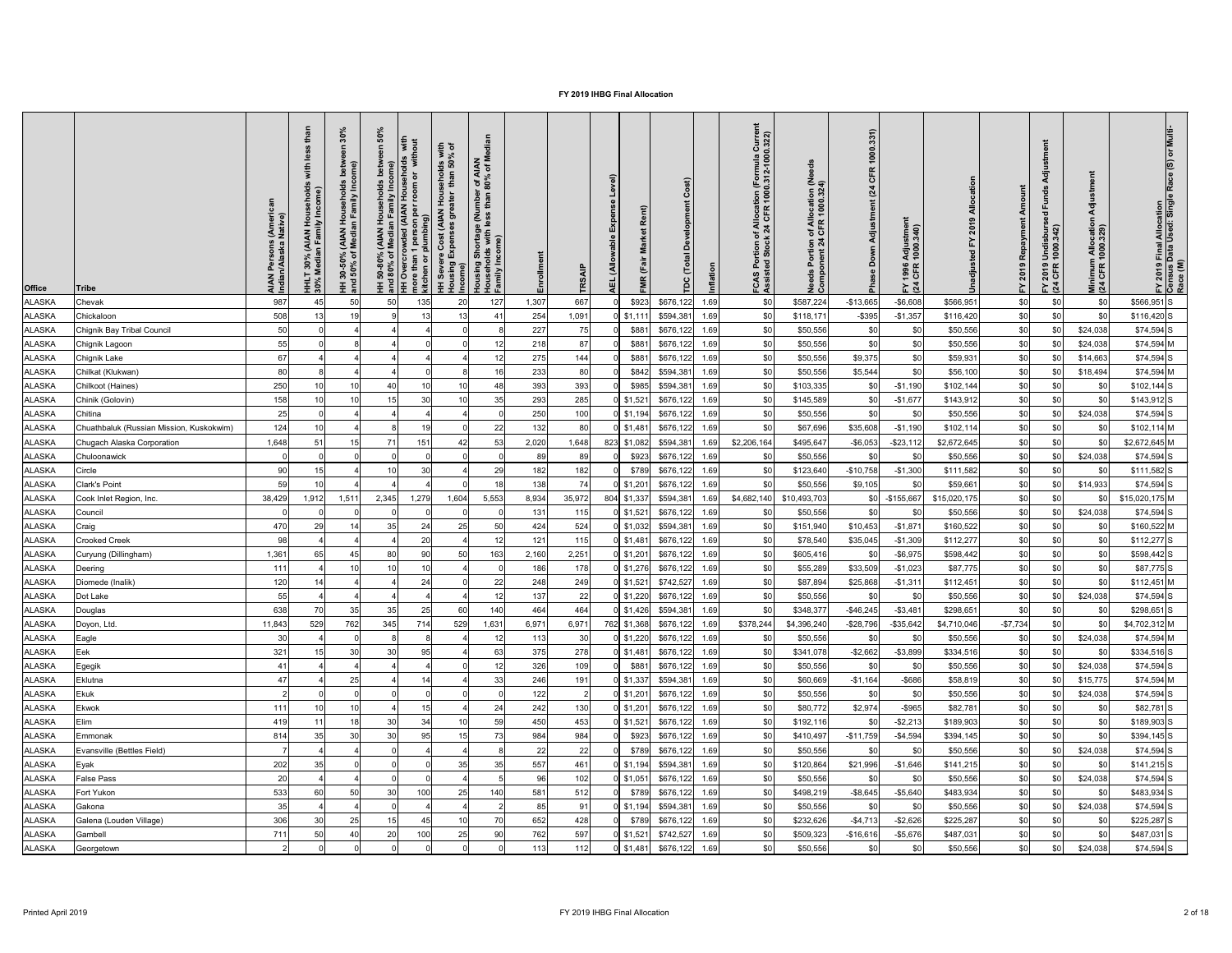| $-$ \$6,608<br>\$0<br>987<br>667<br>\$0<br>\$587,224<br>\$0<br>\$566,951 S<br><b>ALASKA</b><br>50<br>50<br>135<br>20<br>127<br>\$923<br>\$676,122<br>$-$13,665$<br>\$566,951<br>\$0<br>1,307<br>1.69<br>Chevak<br>\$0<br>508<br>1,091<br>\$594,381<br>\$0<br><b>ALASKA</b><br>254<br>\$0<br>$-$ \$395<br>$-$1,357$<br>$$116,420$ S<br>19<br>$0$ \$1,111<br>1.69<br>\$118,17<br>\$116,420<br>\$0<br>Chickaloon<br>50<br>\$0<br>227<br>$$74,594$ S<br><b>ALASKA</b><br>75<br>\$676,122<br>\$0<br>\$24,038<br>\$881<br>1.69<br>\$0<br>\$50,556<br>\$50,556<br>\$0<br>Chignik Bay Tribal Council<br>\$0<br>55<br>\$0<br>\$0<br>\$74,594 M<br>ALASKA<br>218<br>87<br>\$881<br>\$676,122<br>\$50,556<br>\$24,038<br>1.69<br>\$0<br>\$50,556<br>\$0<br>\$0<br>Chignik Lagoon<br>\$0<br>67<br>\$14,663<br>$$74,594$ S<br><b>ALASKA</b><br>275<br>144<br>\$881<br>\$676,122<br>\$0<br>\$50,556<br>\$9,375<br>\$59,931<br>\$0<br>Chignik Lake<br>1.69<br>\$0<br>80<br>80<br>\$0<br>16<br>233<br>\$842<br>\$594,381<br>\$18,494<br>$$74,594$ M<br><b>ALASKA</b><br>\$0<br>\$50,556<br>\$5,544<br>\$0<br>\$56,100<br>Chilkat (Klukwan)<br>1.69<br>250<br>48<br>393<br>393<br>\$0<br>$$102,144$ S<br>\$985<br>\$594,381<br>$-$1,190$<br>\$0<br><b>ALASKA</b><br>40<br>\$ <sub>C</sub><br>\$103,335<br>\$0<br>\$102,144<br>\$0<br>Chilkoot (Haines)<br>1.69<br>285<br>158<br>30<br>35<br>293<br>\$676,122<br>\$0<br>\$0<br>$$143,912$ S<br><b>ALASKA</b><br>$0$ \$1,521<br>$-$1,67$<br>\$143,912<br>\$0<br>Chinik (Golovin)<br>\$0<br>\$145,589<br>\$0<br>1.69<br>25<br>\$0<br><b>ALASKA</b><br>250<br>100<br>\$676,122<br>\$0<br>\$50,556<br>\$24,038<br>$$74,594$ S<br>Chitina<br>$0$ \$1,194<br>\$0<br>\$50,556<br>\$0<br><b>\$C</b><br>1.69<br>124<br>22<br>\$0<br>$$102,114$ M<br><b>ALASKA</b><br>19<br>132<br>80<br>\$676,122<br>\$0<br>\$67,696<br>\$35,608<br>$-$1,190$<br>\$102,114<br>\$0<br>Chuathbaluk (Russian Mission, Kuskokwim)<br>$0$ \$1,481<br>1.69<br>\$0<br>\$0<br>\$ <sub>0</sub><br>1,648<br>15<br>71<br>151<br>\$2,672,645 M<br><b>ALASKA</b><br>53<br>2,020<br>1,648<br>823 \$1,082<br>\$594,381<br>\$2,206,164<br>\$495,647<br>$-$ \$6,053<br>$-$ \$23,112<br>\$2,672,645<br>\$0<br>Chugach Alaska Corporation<br>42<br>1.69<br>\$0<br>ALASKA<br>89<br>\$923<br>\$24,038<br>$$74,594$ S<br>\$676,122<br>\$50,556<br>\$0<br>\$50,556<br>89<br>1.69<br>Chuloonawick<br>$$111,582$ S<br><b>ALASKA</b><br>\$789<br>\$676,122 1.69<br>\$123,640<br>$-$1,300$<br>\$0<br>Circle<br>90<br>29<br>182<br>$-$10,758$<br>\$111,582<br>\$0<br>182<br>Clark's Point<br>\$50,556<br>\$0<br>\$14,933<br>$$74,594$ S<br><b>ALASKA</b><br>59<br>138<br>74<br>$0$ \$1,201<br>\$676,122<br>\$59,661<br>\$9,105<br>1.69<br>804 \$1,337<br>\$0<br>$$15,020,175$ M<br>Cook Inlet Region, Inc.<br>38,429<br>1,279<br>5,553<br>8,934<br>35,972<br>\$594,381<br>\$4,682,140<br>$-$155,667$<br>\$15,020,175<br><b>ALASKA</b><br>1,912<br>1,511<br>2,345<br>1,604<br>\$10,493,703<br>\$ <sub>0</sub><br>1.69<br>\$676,122<br>\$0<br>\$24,038<br>$$74,594$ S<br>ALASKA<br>115<br>\$50,556<br>$0$ \$1,521<br>\$50,556<br>131<br>1.69<br>\$0<br>Council<br>ALASKA<br>\$160,522<br>\$0<br>$$160,522$ M<br>470<br>35<br>25<br>50<br>524<br>$0$ \$1,032<br>\$594,381<br>\$151,940<br>\$10,453<br>$-$1,87'$<br>\$0<br>\$0<br>Craig<br>24<br>424<br>1.69<br>\$ <sub>C</sub><br>14<br>$-$1,309$<br><b>Crooked Creek</b><br>115<br>\$676,122<br>\$35,045<br>\$112,277<br>\$0<br>\$0<br>$$112,277$ S<br><b>ALASKA</b><br>98<br>20<br>121<br>$0$ \$1,481<br>1.69<br>\$78,540<br>$-$ \$6,975<br>1,361<br>163<br>2,251<br>$0$ \$1,201<br>\$676,122 1.69<br>\$598,442<br>\$0<br>\$0<br>\$598,442 S<br><b>ALASKA</b><br>80<br>90<br>50<br>2,160<br>\$0<br>\$605,416<br>\$0<br>\$0<br>Curyung (Dillingham)<br>\$0<br>$-$1,023$<br>\$87,775<br>\$0<br>$$87,775$ S<br><b>IALASKA</b><br>111<br>178<br>$0$ \$1,276<br>\$676,122 1.69<br>\$55,289<br>\$33,509<br>186<br>Deering<br>\$0<br>\$0<br>120<br>22<br>$$112,451$ M<br><b>ALASKA</b><br>24<br>248<br>$0$ \$1,521<br>\$742,527<br>\$87,894<br>\$25,868<br>$-$1,31'$<br>\$112,451<br>Diomede (Inalik)<br>249<br>1.69<br>\$0<br>55<br>$0$ \$1,220<br>\$676,122<br>\$24,038<br>$$74,594$ S<br><b>ALASKA</b><br>22<br>\$50,556<br>\$50,556<br>Dot Lake<br>137<br>1.69<br>\$0<br>140<br>638<br>35<br>25<br>$0$ \$1,426<br>\$594,381<br>$-$46,245$<br>$- $3,48$<br>\$298,651<br>\$0<br>$$298,651$ S<br><b>ALASKA</b><br>35<br>60<br>464<br>464<br>\$348,37<br>\$0<br>\$0<br>1.69<br>\$0<br>Douglas<br>$-$7,734$<br>762<br>345<br>714<br>\$378,244<br>$-$28,796$<br>$-$ \$35,642<br>\$4,710,046<br>\$ <sub>0</sub><br>$$4,702,312$ M<br>11,843<br>529<br>529<br>1,631<br>6,971<br>6,971<br>762 \$1,368<br>\$676,122<br>\$4,396,240<br><b>ALASKA</b><br>Doyon, Ltd.<br>1.69<br>30<br>\$676,122<br>\$50,556<br>\$24,038<br>$$74,594$ M<br>ALASKA<br>30<br>$0$ \$1,220<br>\$50,556<br>\$0<br>\$0<br>Eagle<br>113<br>1.69<br>321<br>278<br>$-$ \$2,662<br>$- $3,899$<br>\$0<br><b>ALASKA</b><br>30<br>30<br>95<br>63<br>375<br>\$341,078<br>\$334,516<br>\$0<br>$$334,516$ S<br>Eek<br>$0$ \$1,481<br>\$676,122 1.69<br>\$0<br>\$0<br>326<br>109<br>\$24,038<br>$$74,594$ S<br><b>ALASKA</b><br>41<br>\$676,122 1.69<br>\$50,556<br>\$0<br>\$50,556<br>Egegik<br>\$881<br>\$0<br>25<br>33<br>$-$ \$686<br>\$0<br><b>ALASKA</b><br>47<br>246<br>191<br>\$15,775<br>$$74,594$ M<br>$0$ \$1,337<br>\$594,381 1.69<br>\$0<br>\$60,669<br>$-$1,164$<br>\$58,819<br>Eklutna<br>\$0<br>\$50,556<br>\$24,038<br>$$74,594$ S<br><b>ALASKA</b><br>122<br>\$50,556<br>\$0<br>\$676,122 1.69<br>Ekuk<br>$0$ \$1,201<br>\$0<br>\$0<br>\$0<br>ALASKA<br>111<br>130<br>\$80,772<br>\$2,974<br>$-$ \$965<br>\$82,781<br>\$82,781S<br>24<br>242<br>$0$ \$1,201<br>\$676,122 1.69<br>10<br>Ekwok<br>\$0<br>419<br>450<br>453<br>$0$ \$1,521<br>\$676,122<br>$-$ \$2,213<br>\$189,903<br>\$0<br>\$189,903 S<br><b>ALASKA</b><br>30<br>34<br>59<br>\$192,116<br>Elim<br>\$0<br>1.69<br>\$0<br>30<br>95<br>984<br>$-$4,594$<br>\$0<br>ALASKA<br>814<br>30<br>984<br>\$923<br>\$676,122<br>\$0<br>$$394,145$ S<br>\$410,49<br>$-$11,759$<br>\$394,145<br>Emmonak<br>1.69<br>$22 \,$<br>\$676,122<br>\$0<br>\$24,038<br>$$74,594$ S<br><b>ALASKA</b><br>Evansville (Bettles Field)<br>22<br>\$789<br>\$50,556<br>\$50,556<br>\$0<br>1.69<br>ALASKA<br>202<br>\$21,996<br>$-$1,646$<br>\$0<br>\$0<br>$$141,215$ S<br>Eyak<br>35<br>35<br>35<br>557<br>461<br>\$594,381<br>1.69<br>\$120,864<br>\$141,215<br>\$0<br>$0$ \$1,194<br>\$ <sub>C</sub><br>20<br>102<br>\$676,122<br>\$50,556<br>\$0<br>\$24,038<br>$$74,594$ S<br><b>ALASKA</b><br><b>False Pass</b><br>96<br>$0$ \$1,051<br>1.69<br>\$50,556<br>\$0<br><b>ALASKA</b><br>533<br>140<br>581<br>\$676,122 1.69<br>$- $5,640$<br>\$0<br>\$483,934 S<br>Fort Yukon<br>50<br>30<br>100<br>25<br>512<br>\$789<br>\$0<br>\$498,219<br>$-$ \$8,645<br>\$483,934<br>\$0<br>\$0<br>35<br>\$0<br>\$24,038<br>$$74,594$ S<br><b>ALASKA</b><br>85<br>\$594,381<br>1.69<br>\$50,556<br>\$50,556<br>$0$ \$1,194<br>\$0<br>91<br>Gakona<br>306<br>0 \$789 \$676,122 1.69<br>\$0<br>25<br>428<br>\$232,626<br>\$225,287<br>⊸ ⊾<br>$$225,287$ S<br>ALASKA Galena (Louden Village)<br>15<br>652<br>$-$4,713$<br>$-$ \$2,626<br>ፍሰ<br>45<br>10<br>vvv<br>ັບບ<br>−∪  <br><b>1 V L</b><br>ັ⊽ບ∣<br>ູບ<br>ູ∾ບ∣<br>\$0<br>711<br>20<br>100<br>90<br>$0$ \$1,521 \$742,527 1.69<br>\$0<br>$-$ \$5,676<br>\$0<br>\$0<br><b>ALASKA</b><br>40<br>25<br>762<br>597<br>\$509,323<br>$-$ \$16,616<br>\$487,031<br>$$487,031$ S<br>50<br>Gambell<br>\$0<br>$0$ \$1,481 \$676,122 1.69<br>$$74,594$ S<br>113<br>$112$<br>\$24,038<br><b>ALASKA</b><br>\$0<br>\$50,556<br>\$0<br>\$0<br>\$50,556<br>\$0<br>Georgetown | <b>Office</b> | <b>Tribe</b> | AIAN Persons (Ameri<br>Indian/Alaska Native) | sehold <del>:</del><br>ncome)<br>ily Ind<br>ily In<br>AIAN<br>an Fami<br>30%<br>Media<br><b>HHLT</b><br>30% M | 30%<br>ome)<br>amily In<br>$rac{5}{2}$ $rac{1}{2}$<br>(AIAN<br>Media<br>వి శ<br>$150\%$<br><b>Dure</b> | <b>SO</b><br>े $\overline{5}$ , | <b>Jut</b><br>$\overline{\sigma}$<br>room<br>per<br>MIA) babw<br>plumbing)<br><b>Be</b> | with<br>% of<br><b>8 8</b><br>iohol<br>than<br>Hour<br>ater<br>st (AIAN<br>ត<br>ome)<br>$\mathbf{c}$ | r of AIAN<br>80% of M<br>mber<br>than<br>Shortage (Nui<br>blds with less t<br>me)<br>ily Incor<br>sing | TR <sub>S</sub> | Level)<br>Expense<br>able<br>(Allo<br>ΤEΥ | Rent)<br>Σ | $\widehat{\mathbf{r}}$<br>$\circ$<br>o | Ë<br>Currel<br>0.322)<br>of Allocation (Formula<br>k 24 CFR 1000.312-100<br>tion<br>Sto<br>FCAS<br>Assist | eed<br>n of Allocation (Ne<br>1 CFR 1000.324)<br>Portion<br>onent 24<br>eds<br>မီ ပိ | 1000.331)<br>CFR<br>(24)<br>Adjustment<br>Down<br><b>Pha</b> | ゠<br>Adjustmer<br>1000.340)<br>1996<br>CFR<br>$E \tilde{q}$ | Amount<br>2019 Repayment | 'ਰ<br>$\overline{e}$<br>FY 2019 Undisbur<br>(24 CFR 1000.342) | $\frac{1}{2}$<br>Minimum Allocation<br>(24 CFR 1000.329) | Multi<br>FY 2019 Final Allocation<br>Census Data Used: Single<br>Race (M) |
|------------------------------------------------------------------------------------------------------------------------------------------------------------------------------------------------------------------------------------------------------------------------------------------------------------------------------------------------------------------------------------------------------------------------------------------------------------------------------------------------------------------------------------------------------------------------------------------------------------------------------------------------------------------------------------------------------------------------------------------------------------------------------------------------------------------------------------------------------------------------------------------------------------------------------------------------------------------------------------------------------------------------------------------------------------------------------------------------------------------------------------------------------------------------------------------------------------------------------------------------------------------------------------------------------------------------------------------------------------------------------------------------------------------------------------------------------------------------------------------------------------------------------------------------------------------------------------------------------------------------------------------------------------------------------------------------------------------------------------------------------------------------------------------------------------------------------------------------------------------------------------------------------------------------------------------------------------------------------------------------------------------------------------------------------------------------------------------------------------------------------------------------------------------------------------------------------------------------------------------------------------------------------------------------------------------------------------------------------------------------------------------------------------------------------------------------------------------------------------------------------------------------------------------------------------------------------------------------------------------------------------------------------------------------------------------------------------------------------------------------------------------------------------------------------------------------------------------------------------------------------------------------------------------------------------------------------------------------------------------------------------------------------------------------------------------------------------------------------------------------------------------------------------------------------------------------------------------------------------------------------------------------------------------------------------------------------------------------------------------------------------------------------------------------------------------------------------------------------------------------------------------------------------------------------------------------------------------------------------------------------------------------------------------------------------------------------------------------------------------------------------------------------------------------------------------------------------------------------------------------------------------------------------------------------------------------------------------------------------------------------------------------------------------------------------------------------------------------------------------------------------------------------------------------------------------------------------------------------------------------------------------------------------------------------------------------------------------------------------------------------------------------------------------------------------------------------------------------------------------------------------------------------------------------------------------------------------------------------------------------------------------------------------------------------------------------------------------------------------------------------------------------------------------------------------------------------------------------------------------------------------------------------------------------------------------------------------------------------------------------------------------------------------------------------------------------------------------------------------------------------------------------------------------------------------------------------------------------------------------------------------------------------------------------------------------------------------------------------------------------------------------------------------------------------------------------------------------------------------------------------------------------------------------------------------------------------------------------------------------------------------------------------------------------------------------------------------------------------------------------------------------------------------------------------------------------------------------------------------------------------------------------------------------------------------------------------------------------------------------------------------------------------------------------------------------------------------------------------------------------------------------------------------------------------------------------------------------------------------------------------------------------------------------------------------------------------------------------------------------------------------------------------------------------------------------------------------------------------------------------------------------------------------------------------------------------------------------------------------------------------------------------------------------------------------------------------------------------------------------------------------------------------------------------------------------------------------------------------------------------------------------------------------------------------------------------------------------------------------------------------------------------------------------------------------------------------------------------------------------------------------------------------------------------------------------------------------------------------------------------------------------------------------------------------------------------------------------------------------------------------------------------------------------------------------------------------------------------------------------------------------------------------------------------------------------------------------------------------------------------------------------------------------------------------------------------------------------------------|---------------|--------------|----------------------------------------------|---------------------------------------------------------------------------------------------------------------|--------------------------------------------------------------------------------------------------------|---------------------------------|-----------------------------------------------------------------------------------------|------------------------------------------------------------------------------------------------------|--------------------------------------------------------------------------------------------------------|-----------------|-------------------------------------------|------------|----------------------------------------|-----------------------------------------------------------------------------------------------------------|--------------------------------------------------------------------------------------|--------------------------------------------------------------|-------------------------------------------------------------|--------------------------|---------------------------------------------------------------|----------------------------------------------------------|---------------------------------------------------------------------------|
|                                                                                                                                                                                                                                                                                                                                                                                                                                                                                                                                                                                                                                                                                                                                                                                                                                                                                                                                                                                                                                                                                                                                                                                                                                                                                                                                                                                                                                                                                                                                                                                                                                                                                                                                                                                                                                                                                                                                                                                                                                                                                                                                                                                                                                                                                                                                                                                                                                                                                                                                                                                                                                                                                                                                                                                                                                                                                                                                                                                                                                                                                                                                                                                                                                                                                                                                                                                                                                                                                                                                                                                                                                                                                                                                                                                                                                                                                                                                                                                                                                                                                                                                                                                                                                                                                                                                                                                                                                                                                                                                                                                                                                                                                                                                                                                                                                                                                                                                                                                                                                                                                                                                                                                                                                                                                                                                                                                                                                                                                                                                                                                                                                                                                                                                                                                                                                                                                                                                                                                                                                                                                                                                                                                                                                                                                                                                                                                                                                                                                                                                                                                                                                                                                                                                                                                                                                                                                                                                                                                                                                                                                                                                                                                                                                                                                                                                                                                                                                                                                                                                                                                                                                                                                                                              |               |              |                                              |                                                                                                               |                                                                                                        |                                 |                                                                                         |                                                                                                      |                                                                                                        |                 |                                           |            |                                        |                                                                                                           |                                                                                      |                                                              |                                                             |                          |                                                               |                                                          |                                                                           |
|                                                                                                                                                                                                                                                                                                                                                                                                                                                                                                                                                                                                                                                                                                                                                                                                                                                                                                                                                                                                                                                                                                                                                                                                                                                                                                                                                                                                                                                                                                                                                                                                                                                                                                                                                                                                                                                                                                                                                                                                                                                                                                                                                                                                                                                                                                                                                                                                                                                                                                                                                                                                                                                                                                                                                                                                                                                                                                                                                                                                                                                                                                                                                                                                                                                                                                                                                                                                                                                                                                                                                                                                                                                                                                                                                                                                                                                                                                                                                                                                                                                                                                                                                                                                                                                                                                                                                                                                                                                                                                                                                                                                                                                                                                                                                                                                                                                                                                                                                                                                                                                                                                                                                                                                                                                                                                                                                                                                                                                                                                                                                                                                                                                                                                                                                                                                                                                                                                                                                                                                                                                                                                                                                                                                                                                                                                                                                                                                                                                                                                                                                                                                                                                                                                                                                                                                                                                                                                                                                                                                                                                                                                                                                                                                                                                                                                                                                                                                                                                                                                                                                                                                                                                                                                                              |               |              |                                              |                                                                                                               |                                                                                                        |                                 |                                                                                         |                                                                                                      |                                                                                                        |                 |                                           |            |                                        |                                                                                                           |                                                                                      |                                                              |                                                             |                          |                                                               |                                                          |                                                                           |
|                                                                                                                                                                                                                                                                                                                                                                                                                                                                                                                                                                                                                                                                                                                                                                                                                                                                                                                                                                                                                                                                                                                                                                                                                                                                                                                                                                                                                                                                                                                                                                                                                                                                                                                                                                                                                                                                                                                                                                                                                                                                                                                                                                                                                                                                                                                                                                                                                                                                                                                                                                                                                                                                                                                                                                                                                                                                                                                                                                                                                                                                                                                                                                                                                                                                                                                                                                                                                                                                                                                                                                                                                                                                                                                                                                                                                                                                                                                                                                                                                                                                                                                                                                                                                                                                                                                                                                                                                                                                                                                                                                                                                                                                                                                                                                                                                                                                                                                                                                                                                                                                                                                                                                                                                                                                                                                                                                                                                                                                                                                                                                                                                                                                                                                                                                                                                                                                                                                                                                                                                                                                                                                                                                                                                                                                                                                                                                                                                                                                                                                                                                                                                                                                                                                                                                                                                                                                                                                                                                                                                                                                                                                                                                                                                                                                                                                                                                                                                                                                                                                                                                                                                                                                                                                              |               |              |                                              |                                                                                                               |                                                                                                        |                                 |                                                                                         |                                                                                                      |                                                                                                        |                 |                                           |            |                                        |                                                                                                           |                                                                                      |                                                              |                                                             |                          |                                                               |                                                          |                                                                           |
|                                                                                                                                                                                                                                                                                                                                                                                                                                                                                                                                                                                                                                                                                                                                                                                                                                                                                                                                                                                                                                                                                                                                                                                                                                                                                                                                                                                                                                                                                                                                                                                                                                                                                                                                                                                                                                                                                                                                                                                                                                                                                                                                                                                                                                                                                                                                                                                                                                                                                                                                                                                                                                                                                                                                                                                                                                                                                                                                                                                                                                                                                                                                                                                                                                                                                                                                                                                                                                                                                                                                                                                                                                                                                                                                                                                                                                                                                                                                                                                                                                                                                                                                                                                                                                                                                                                                                                                                                                                                                                                                                                                                                                                                                                                                                                                                                                                                                                                                                                                                                                                                                                                                                                                                                                                                                                                                                                                                                                                                                                                                                                                                                                                                                                                                                                                                                                                                                                                                                                                                                                                                                                                                                                                                                                                                                                                                                                                                                                                                                                                                                                                                                                                                                                                                                                                                                                                                                                                                                                                                                                                                                                                                                                                                                                                                                                                                                                                                                                                                                                                                                                                                                                                                                                                              |               |              |                                              |                                                                                                               |                                                                                                        |                                 |                                                                                         |                                                                                                      |                                                                                                        |                 |                                           |            |                                        |                                                                                                           |                                                                                      |                                                              |                                                             |                          |                                                               |                                                          |                                                                           |
|                                                                                                                                                                                                                                                                                                                                                                                                                                                                                                                                                                                                                                                                                                                                                                                                                                                                                                                                                                                                                                                                                                                                                                                                                                                                                                                                                                                                                                                                                                                                                                                                                                                                                                                                                                                                                                                                                                                                                                                                                                                                                                                                                                                                                                                                                                                                                                                                                                                                                                                                                                                                                                                                                                                                                                                                                                                                                                                                                                                                                                                                                                                                                                                                                                                                                                                                                                                                                                                                                                                                                                                                                                                                                                                                                                                                                                                                                                                                                                                                                                                                                                                                                                                                                                                                                                                                                                                                                                                                                                                                                                                                                                                                                                                                                                                                                                                                                                                                                                                                                                                                                                                                                                                                                                                                                                                                                                                                                                                                                                                                                                                                                                                                                                                                                                                                                                                                                                                                                                                                                                                                                                                                                                                                                                                                                                                                                                                                                                                                                                                                                                                                                                                                                                                                                                                                                                                                                                                                                                                                                                                                                                                                                                                                                                                                                                                                                                                                                                                                                                                                                                                                                                                                                                                              |               |              |                                              |                                                                                                               |                                                                                                        |                                 |                                                                                         |                                                                                                      |                                                                                                        |                 |                                           |            |                                        |                                                                                                           |                                                                                      |                                                              |                                                             |                          |                                                               |                                                          |                                                                           |
|                                                                                                                                                                                                                                                                                                                                                                                                                                                                                                                                                                                                                                                                                                                                                                                                                                                                                                                                                                                                                                                                                                                                                                                                                                                                                                                                                                                                                                                                                                                                                                                                                                                                                                                                                                                                                                                                                                                                                                                                                                                                                                                                                                                                                                                                                                                                                                                                                                                                                                                                                                                                                                                                                                                                                                                                                                                                                                                                                                                                                                                                                                                                                                                                                                                                                                                                                                                                                                                                                                                                                                                                                                                                                                                                                                                                                                                                                                                                                                                                                                                                                                                                                                                                                                                                                                                                                                                                                                                                                                                                                                                                                                                                                                                                                                                                                                                                                                                                                                                                                                                                                                                                                                                                                                                                                                                                                                                                                                                                                                                                                                                                                                                                                                                                                                                                                                                                                                                                                                                                                                                                                                                                                                                                                                                                                                                                                                                                                                                                                                                                                                                                                                                                                                                                                                                                                                                                                                                                                                                                                                                                                                                                                                                                                                                                                                                                                                                                                                                                                                                                                                                                                                                                                                                              |               |              |                                              |                                                                                                               |                                                                                                        |                                 |                                                                                         |                                                                                                      |                                                                                                        |                 |                                           |            |                                        |                                                                                                           |                                                                                      |                                                              |                                                             |                          |                                                               |                                                          |                                                                           |
|                                                                                                                                                                                                                                                                                                                                                                                                                                                                                                                                                                                                                                                                                                                                                                                                                                                                                                                                                                                                                                                                                                                                                                                                                                                                                                                                                                                                                                                                                                                                                                                                                                                                                                                                                                                                                                                                                                                                                                                                                                                                                                                                                                                                                                                                                                                                                                                                                                                                                                                                                                                                                                                                                                                                                                                                                                                                                                                                                                                                                                                                                                                                                                                                                                                                                                                                                                                                                                                                                                                                                                                                                                                                                                                                                                                                                                                                                                                                                                                                                                                                                                                                                                                                                                                                                                                                                                                                                                                                                                                                                                                                                                                                                                                                                                                                                                                                                                                                                                                                                                                                                                                                                                                                                                                                                                                                                                                                                                                                                                                                                                                                                                                                                                                                                                                                                                                                                                                                                                                                                                                                                                                                                                                                                                                                                                                                                                                                                                                                                                                                                                                                                                                                                                                                                                                                                                                                                                                                                                                                                                                                                                                                                                                                                                                                                                                                                                                                                                                                                                                                                                                                                                                                                                                              |               |              |                                              |                                                                                                               |                                                                                                        |                                 |                                                                                         |                                                                                                      |                                                                                                        |                 |                                           |            |                                        |                                                                                                           |                                                                                      |                                                              |                                                             |                          |                                                               |                                                          |                                                                           |
|                                                                                                                                                                                                                                                                                                                                                                                                                                                                                                                                                                                                                                                                                                                                                                                                                                                                                                                                                                                                                                                                                                                                                                                                                                                                                                                                                                                                                                                                                                                                                                                                                                                                                                                                                                                                                                                                                                                                                                                                                                                                                                                                                                                                                                                                                                                                                                                                                                                                                                                                                                                                                                                                                                                                                                                                                                                                                                                                                                                                                                                                                                                                                                                                                                                                                                                                                                                                                                                                                                                                                                                                                                                                                                                                                                                                                                                                                                                                                                                                                                                                                                                                                                                                                                                                                                                                                                                                                                                                                                                                                                                                                                                                                                                                                                                                                                                                                                                                                                                                                                                                                                                                                                                                                                                                                                                                                                                                                                                                                                                                                                                                                                                                                                                                                                                                                                                                                                                                                                                                                                                                                                                                                                                                                                                                                                                                                                                                                                                                                                                                                                                                                                                                                                                                                                                                                                                                                                                                                                                                                                                                                                                                                                                                                                                                                                                                                                                                                                                                                                                                                                                                                                                                                                                              |               |              |                                              |                                                                                                               |                                                                                                        |                                 |                                                                                         |                                                                                                      |                                                                                                        |                 |                                           |            |                                        |                                                                                                           |                                                                                      |                                                              |                                                             |                          |                                                               |                                                          |                                                                           |
|                                                                                                                                                                                                                                                                                                                                                                                                                                                                                                                                                                                                                                                                                                                                                                                                                                                                                                                                                                                                                                                                                                                                                                                                                                                                                                                                                                                                                                                                                                                                                                                                                                                                                                                                                                                                                                                                                                                                                                                                                                                                                                                                                                                                                                                                                                                                                                                                                                                                                                                                                                                                                                                                                                                                                                                                                                                                                                                                                                                                                                                                                                                                                                                                                                                                                                                                                                                                                                                                                                                                                                                                                                                                                                                                                                                                                                                                                                                                                                                                                                                                                                                                                                                                                                                                                                                                                                                                                                                                                                                                                                                                                                                                                                                                                                                                                                                                                                                                                                                                                                                                                                                                                                                                                                                                                                                                                                                                                                                                                                                                                                                                                                                                                                                                                                                                                                                                                                                                                                                                                                                                                                                                                                                                                                                                                                                                                                                                                                                                                                                                                                                                                                                                                                                                                                                                                                                                                                                                                                                                                                                                                                                                                                                                                                                                                                                                                                                                                                                                                                                                                                                                                                                                                                                              |               |              |                                              |                                                                                                               |                                                                                                        |                                 |                                                                                         |                                                                                                      |                                                                                                        |                 |                                           |            |                                        |                                                                                                           |                                                                                      |                                                              |                                                             |                          |                                                               |                                                          |                                                                           |
|                                                                                                                                                                                                                                                                                                                                                                                                                                                                                                                                                                                                                                                                                                                                                                                                                                                                                                                                                                                                                                                                                                                                                                                                                                                                                                                                                                                                                                                                                                                                                                                                                                                                                                                                                                                                                                                                                                                                                                                                                                                                                                                                                                                                                                                                                                                                                                                                                                                                                                                                                                                                                                                                                                                                                                                                                                                                                                                                                                                                                                                                                                                                                                                                                                                                                                                                                                                                                                                                                                                                                                                                                                                                                                                                                                                                                                                                                                                                                                                                                                                                                                                                                                                                                                                                                                                                                                                                                                                                                                                                                                                                                                                                                                                                                                                                                                                                                                                                                                                                                                                                                                                                                                                                                                                                                                                                                                                                                                                                                                                                                                                                                                                                                                                                                                                                                                                                                                                                                                                                                                                                                                                                                                                                                                                                                                                                                                                                                                                                                                                                                                                                                                                                                                                                                                                                                                                                                                                                                                                                                                                                                                                                                                                                                                                                                                                                                                                                                                                                                                                                                                                                                                                                                                                              |               |              |                                              |                                                                                                               |                                                                                                        |                                 |                                                                                         |                                                                                                      |                                                                                                        |                 |                                           |            |                                        |                                                                                                           |                                                                                      |                                                              |                                                             |                          |                                                               |                                                          |                                                                           |
|                                                                                                                                                                                                                                                                                                                                                                                                                                                                                                                                                                                                                                                                                                                                                                                                                                                                                                                                                                                                                                                                                                                                                                                                                                                                                                                                                                                                                                                                                                                                                                                                                                                                                                                                                                                                                                                                                                                                                                                                                                                                                                                                                                                                                                                                                                                                                                                                                                                                                                                                                                                                                                                                                                                                                                                                                                                                                                                                                                                                                                                                                                                                                                                                                                                                                                                                                                                                                                                                                                                                                                                                                                                                                                                                                                                                                                                                                                                                                                                                                                                                                                                                                                                                                                                                                                                                                                                                                                                                                                                                                                                                                                                                                                                                                                                                                                                                                                                                                                                                                                                                                                                                                                                                                                                                                                                                                                                                                                                                                                                                                                                                                                                                                                                                                                                                                                                                                                                                                                                                                                                                                                                                                                                                                                                                                                                                                                                                                                                                                                                                                                                                                                                                                                                                                                                                                                                                                                                                                                                                                                                                                                                                                                                                                                                                                                                                                                                                                                                                                                                                                                                                                                                                                                                              |               |              |                                              |                                                                                                               |                                                                                                        |                                 |                                                                                         |                                                                                                      |                                                                                                        |                 |                                           |            |                                        |                                                                                                           |                                                                                      |                                                              |                                                             |                          |                                                               |                                                          |                                                                           |
|                                                                                                                                                                                                                                                                                                                                                                                                                                                                                                                                                                                                                                                                                                                                                                                                                                                                                                                                                                                                                                                                                                                                                                                                                                                                                                                                                                                                                                                                                                                                                                                                                                                                                                                                                                                                                                                                                                                                                                                                                                                                                                                                                                                                                                                                                                                                                                                                                                                                                                                                                                                                                                                                                                                                                                                                                                                                                                                                                                                                                                                                                                                                                                                                                                                                                                                                                                                                                                                                                                                                                                                                                                                                                                                                                                                                                                                                                                                                                                                                                                                                                                                                                                                                                                                                                                                                                                                                                                                                                                                                                                                                                                                                                                                                                                                                                                                                                                                                                                                                                                                                                                                                                                                                                                                                                                                                                                                                                                                                                                                                                                                                                                                                                                                                                                                                                                                                                                                                                                                                                                                                                                                                                                                                                                                                                                                                                                                                                                                                                                                                                                                                                                                                                                                                                                                                                                                                                                                                                                                                                                                                                                                                                                                                                                                                                                                                                                                                                                                                                                                                                                                                                                                                                                                              |               |              |                                              |                                                                                                               |                                                                                                        |                                 |                                                                                         |                                                                                                      |                                                                                                        |                 |                                           |            |                                        |                                                                                                           |                                                                                      |                                                              |                                                             |                          |                                                               |                                                          |                                                                           |
|                                                                                                                                                                                                                                                                                                                                                                                                                                                                                                                                                                                                                                                                                                                                                                                                                                                                                                                                                                                                                                                                                                                                                                                                                                                                                                                                                                                                                                                                                                                                                                                                                                                                                                                                                                                                                                                                                                                                                                                                                                                                                                                                                                                                                                                                                                                                                                                                                                                                                                                                                                                                                                                                                                                                                                                                                                                                                                                                                                                                                                                                                                                                                                                                                                                                                                                                                                                                                                                                                                                                                                                                                                                                                                                                                                                                                                                                                                                                                                                                                                                                                                                                                                                                                                                                                                                                                                                                                                                                                                                                                                                                                                                                                                                                                                                                                                                                                                                                                                                                                                                                                                                                                                                                                                                                                                                                                                                                                                                                                                                                                                                                                                                                                                                                                                                                                                                                                                                                                                                                                                                                                                                                                                                                                                                                                                                                                                                                                                                                                                                                                                                                                                                                                                                                                                                                                                                                                                                                                                                                                                                                                                                                                                                                                                                                                                                                                                                                                                                                                                                                                                                                                                                                                                                              |               |              |                                              |                                                                                                               |                                                                                                        |                                 |                                                                                         |                                                                                                      |                                                                                                        |                 |                                           |            |                                        |                                                                                                           |                                                                                      |                                                              |                                                             |                          |                                                               |                                                          |                                                                           |
|                                                                                                                                                                                                                                                                                                                                                                                                                                                                                                                                                                                                                                                                                                                                                                                                                                                                                                                                                                                                                                                                                                                                                                                                                                                                                                                                                                                                                                                                                                                                                                                                                                                                                                                                                                                                                                                                                                                                                                                                                                                                                                                                                                                                                                                                                                                                                                                                                                                                                                                                                                                                                                                                                                                                                                                                                                                                                                                                                                                                                                                                                                                                                                                                                                                                                                                                                                                                                                                                                                                                                                                                                                                                                                                                                                                                                                                                                                                                                                                                                                                                                                                                                                                                                                                                                                                                                                                                                                                                                                                                                                                                                                                                                                                                                                                                                                                                                                                                                                                                                                                                                                                                                                                                                                                                                                                                                                                                                                                                                                                                                                                                                                                                                                                                                                                                                                                                                                                                                                                                                                                                                                                                                                                                                                                                                                                                                                                                                                                                                                                                                                                                                                                                                                                                                                                                                                                                                                                                                                                                                                                                                                                                                                                                                                                                                                                                                                                                                                                                                                                                                                                                                                                                                                                              |               |              |                                              |                                                                                                               |                                                                                                        |                                 |                                                                                         |                                                                                                      |                                                                                                        |                 |                                           |            |                                        |                                                                                                           |                                                                                      |                                                              |                                                             |                          |                                                               |                                                          |                                                                           |
|                                                                                                                                                                                                                                                                                                                                                                                                                                                                                                                                                                                                                                                                                                                                                                                                                                                                                                                                                                                                                                                                                                                                                                                                                                                                                                                                                                                                                                                                                                                                                                                                                                                                                                                                                                                                                                                                                                                                                                                                                                                                                                                                                                                                                                                                                                                                                                                                                                                                                                                                                                                                                                                                                                                                                                                                                                                                                                                                                                                                                                                                                                                                                                                                                                                                                                                                                                                                                                                                                                                                                                                                                                                                                                                                                                                                                                                                                                                                                                                                                                                                                                                                                                                                                                                                                                                                                                                                                                                                                                                                                                                                                                                                                                                                                                                                                                                                                                                                                                                                                                                                                                                                                                                                                                                                                                                                                                                                                                                                                                                                                                                                                                                                                                                                                                                                                                                                                                                                                                                                                                                                                                                                                                                                                                                                                                                                                                                                                                                                                                                                                                                                                                                                                                                                                                                                                                                                                                                                                                                                                                                                                                                                                                                                                                                                                                                                                                                                                                                                                                                                                                                                                                                                                                                              |               |              |                                              |                                                                                                               |                                                                                                        |                                 |                                                                                         |                                                                                                      |                                                                                                        |                 |                                           |            |                                        |                                                                                                           |                                                                                      |                                                              |                                                             |                          |                                                               |                                                          |                                                                           |
|                                                                                                                                                                                                                                                                                                                                                                                                                                                                                                                                                                                                                                                                                                                                                                                                                                                                                                                                                                                                                                                                                                                                                                                                                                                                                                                                                                                                                                                                                                                                                                                                                                                                                                                                                                                                                                                                                                                                                                                                                                                                                                                                                                                                                                                                                                                                                                                                                                                                                                                                                                                                                                                                                                                                                                                                                                                                                                                                                                                                                                                                                                                                                                                                                                                                                                                                                                                                                                                                                                                                                                                                                                                                                                                                                                                                                                                                                                                                                                                                                                                                                                                                                                                                                                                                                                                                                                                                                                                                                                                                                                                                                                                                                                                                                                                                                                                                                                                                                                                                                                                                                                                                                                                                                                                                                                                                                                                                                                                                                                                                                                                                                                                                                                                                                                                                                                                                                                                                                                                                                                                                                                                                                                                                                                                                                                                                                                                                                                                                                                                                                                                                                                                                                                                                                                                                                                                                                                                                                                                                                                                                                                                                                                                                                                                                                                                                                                                                                                                                                                                                                                                                                                                                                                                              |               |              |                                              |                                                                                                               |                                                                                                        |                                 |                                                                                         |                                                                                                      |                                                                                                        |                 |                                           |            |                                        |                                                                                                           |                                                                                      |                                                              |                                                             |                          |                                                               |                                                          |                                                                           |
|                                                                                                                                                                                                                                                                                                                                                                                                                                                                                                                                                                                                                                                                                                                                                                                                                                                                                                                                                                                                                                                                                                                                                                                                                                                                                                                                                                                                                                                                                                                                                                                                                                                                                                                                                                                                                                                                                                                                                                                                                                                                                                                                                                                                                                                                                                                                                                                                                                                                                                                                                                                                                                                                                                                                                                                                                                                                                                                                                                                                                                                                                                                                                                                                                                                                                                                                                                                                                                                                                                                                                                                                                                                                                                                                                                                                                                                                                                                                                                                                                                                                                                                                                                                                                                                                                                                                                                                                                                                                                                                                                                                                                                                                                                                                                                                                                                                                                                                                                                                                                                                                                                                                                                                                                                                                                                                                                                                                                                                                                                                                                                                                                                                                                                                                                                                                                                                                                                                                                                                                                                                                                                                                                                                                                                                                                                                                                                                                                                                                                                                                                                                                                                                                                                                                                                                                                                                                                                                                                                                                                                                                                                                                                                                                                                                                                                                                                                                                                                                                                                                                                                                                                                                                                                                              |               |              |                                              |                                                                                                               |                                                                                                        |                                 |                                                                                         |                                                                                                      |                                                                                                        |                 |                                           |            |                                        |                                                                                                           |                                                                                      |                                                              |                                                             |                          |                                                               |                                                          |                                                                           |
|                                                                                                                                                                                                                                                                                                                                                                                                                                                                                                                                                                                                                                                                                                                                                                                                                                                                                                                                                                                                                                                                                                                                                                                                                                                                                                                                                                                                                                                                                                                                                                                                                                                                                                                                                                                                                                                                                                                                                                                                                                                                                                                                                                                                                                                                                                                                                                                                                                                                                                                                                                                                                                                                                                                                                                                                                                                                                                                                                                                                                                                                                                                                                                                                                                                                                                                                                                                                                                                                                                                                                                                                                                                                                                                                                                                                                                                                                                                                                                                                                                                                                                                                                                                                                                                                                                                                                                                                                                                                                                                                                                                                                                                                                                                                                                                                                                                                                                                                                                                                                                                                                                                                                                                                                                                                                                                                                                                                                                                                                                                                                                                                                                                                                                                                                                                                                                                                                                                                                                                                                                                                                                                                                                                                                                                                                                                                                                                                                                                                                                                                                                                                                                                                                                                                                                                                                                                                                                                                                                                                                                                                                                                                                                                                                                                                                                                                                                                                                                                                                                                                                                                                                                                                                                                              |               |              |                                              |                                                                                                               |                                                                                                        |                                 |                                                                                         |                                                                                                      |                                                                                                        |                 |                                           |            |                                        |                                                                                                           |                                                                                      |                                                              |                                                             |                          |                                                               |                                                          |                                                                           |
|                                                                                                                                                                                                                                                                                                                                                                                                                                                                                                                                                                                                                                                                                                                                                                                                                                                                                                                                                                                                                                                                                                                                                                                                                                                                                                                                                                                                                                                                                                                                                                                                                                                                                                                                                                                                                                                                                                                                                                                                                                                                                                                                                                                                                                                                                                                                                                                                                                                                                                                                                                                                                                                                                                                                                                                                                                                                                                                                                                                                                                                                                                                                                                                                                                                                                                                                                                                                                                                                                                                                                                                                                                                                                                                                                                                                                                                                                                                                                                                                                                                                                                                                                                                                                                                                                                                                                                                                                                                                                                                                                                                                                                                                                                                                                                                                                                                                                                                                                                                                                                                                                                                                                                                                                                                                                                                                                                                                                                                                                                                                                                                                                                                                                                                                                                                                                                                                                                                                                                                                                                                                                                                                                                                                                                                                                                                                                                                                                                                                                                                                                                                                                                                                                                                                                                                                                                                                                                                                                                                                                                                                                                                                                                                                                                                                                                                                                                                                                                                                                                                                                                                                                                                                                                                              |               |              |                                              |                                                                                                               |                                                                                                        |                                 |                                                                                         |                                                                                                      |                                                                                                        |                 |                                           |            |                                        |                                                                                                           |                                                                                      |                                                              |                                                             |                          |                                                               |                                                          |                                                                           |
|                                                                                                                                                                                                                                                                                                                                                                                                                                                                                                                                                                                                                                                                                                                                                                                                                                                                                                                                                                                                                                                                                                                                                                                                                                                                                                                                                                                                                                                                                                                                                                                                                                                                                                                                                                                                                                                                                                                                                                                                                                                                                                                                                                                                                                                                                                                                                                                                                                                                                                                                                                                                                                                                                                                                                                                                                                                                                                                                                                                                                                                                                                                                                                                                                                                                                                                                                                                                                                                                                                                                                                                                                                                                                                                                                                                                                                                                                                                                                                                                                                                                                                                                                                                                                                                                                                                                                                                                                                                                                                                                                                                                                                                                                                                                                                                                                                                                                                                                                                                                                                                                                                                                                                                                                                                                                                                                                                                                                                                                                                                                                                                                                                                                                                                                                                                                                                                                                                                                                                                                                                                                                                                                                                                                                                                                                                                                                                                                                                                                                                                                                                                                                                                                                                                                                                                                                                                                                                                                                                                                                                                                                                                                                                                                                                                                                                                                                                                                                                                                                                                                                                                                                                                                                                                              |               |              |                                              |                                                                                                               |                                                                                                        |                                 |                                                                                         |                                                                                                      |                                                                                                        |                 |                                           |            |                                        |                                                                                                           |                                                                                      |                                                              |                                                             |                          |                                                               |                                                          |                                                                           |
|                                                                                                                                                                                                                                                                                                                                                                                                                                                                                                                                                                                                                                                                                                                                                                                                                                                                                                                                                                                                                                                                                                                                                                                                                                                                                                                                                                                                                                                                                                                                                                                                                                                                                                                                                                                                                                                                                                                                                                                                                                                                                                                                                                                                                                                                                                                                                                                                                                                                                                                                                                                                                                                                                                                                                                                                                                                                                                                                                                                                                                                                                                                                                                                                                                                                                                                                                                                                                                                                                                                                                                                                                                                                                                                                                                                                                                                                                                                                                                                                                                                                                                                                                                                                                                                                                                                                                                                                                                                                                                                                                                                                                                                                                                                                                                                                                                                                                                                                                                                                                                                                                                                                                                                                                                                                                                                                                                                                                                                                                                                                                                                                                                                                                                                                                                                                                                                                                                                                                                                                                                                                                                                                                                                                                                                                                                                                                                                                                                                                                                                                                                                                                                                                                                                                                                                                                                                                                                                                                                                                                                                                                                                                                                                                                                                                                                                                                                                                                                                                                                                                                                                                                                                                                                                              |               |              |                                              |                                                                                                               |                                                                                                        |                                 |                                                                                         |                                                                                                      |                                                                                                        |                 |                                           |            |                                        |                                                                                                           |                                                                                      |                                                              |                                                             |                          |                                                               |                                                          |                                                                           |
|                                                                                                                                                                                                                                                                                                                                                                                                                                                                                                                                                                                                                                                                                                                                                                                                                                                                                                                                                                                                                                                                                                                                                                                                                                                                                                                                                                                                                                                                                                                                                                                                                                                                                                                                                                                                                                                                                                                                                                                                                                                                                                                                                                                                                                                                                                                                                                                                                                                                                                                                                                                                                                                                                                                                                                                                                                                                                                                                                                                                                                                                                                                                                                                                                                                                                                                                                                                                                                                                                                                                                                                                                                                                                                                                                                                                                                                                                                                                                                                                                                                                                                                                                                                                                                                                                                                                                                                                                                                                                                                                                                                                                                                                                                                                                                                                                                                                                                                                                                                                                                                                                                                                                                                                                                                                                                                                                                                                                                                                                                                                                                                                                                                                                                                                                                                                                                                                                                                                                                                                                                                                                                                                                                                                                                                                                                                                                                                                                                                                                                                                                                                                                                                                                                                                                                                                                                                                                                                                                                                                                                                                                                                                                                                                                                                                                                                                                                                                                                                                                                                                                                                                                                                                                                                              |               |              |                                              |                                                                                                               |                                                                                                        |                                 |                                                                                         |                                                                                                      |                                                                                                        |                 |                                           |            |                                        |                                                                                                           |                                                                                      |                                                              |                                                             |                          |                                                               |                                                          |                                                                           |
|                                                                                                                                                                                                                                                                                                                                                                                                                                                                                                                                                                                                                                                                                                                                                                                                                                                                                                                                                                                                                                                                                                                                                                                                                                                                                                                                                                                                                                                                                                                                                                                                                                                                                                                                                                                                                                                                                                                                                                                                                                                                                                                                                                                                                                                                                                                                                                                                                                                                                                                                                                                                                                                                                                                                                                                                                                                                                                                                                                                                                                                                                                                                                                                                                                                                                                                                                                                                                                                                                                                                                                                                                                                                                                                                                                                                                                                                                                                                                                                                                                                                                                                                                                                                                                                                                                                                                                                                                                                                                                                                                                                                                                                                                                                                                                                                                                                                                                                                                                                                                                                                                                                                                                                                                                                                                                                                                                                                                                                                                                                                                                                                                                                                                                                                                                                                                                                                                                                                                                                                                                                                                                                                                                                                                                                                                                                                                                                                                                                                                                                                                                                                                                                                                                                                                                                                                                                                                                                                                                                                                                                                                                                                                                                                                                                                                                                                                                                                                                                                                                                                                                                                                                                                                                                              |               |              |                                              |                                                                                                               |                                                                                                        |                                 |                                                                                         |                                                                                                      |                                                                                                        |                 |                                           |            |                                        |                                                                                                           |                                                                                      |                                                              |                                                             |                          |                                                               |                                                          |                                                                           |
|                                                                                                                                                                                                                                                                                                                                                                                                                                                                                                                                                                                                                                                                                                                                                                                                                                                                                                                                                                                                                                                                                                                                                                                                                                                                                                                                                                                                                                                                                                                                                                                                                                                                                                                                                                                                                                                                                                                                                                                                                                                                                                                                                                                                                                                                                                                                                                                                                                                                                                                                                                                                                                                                                                                                                                                                                                                                                                                                                                                                                                                                                                                                                                                                                                                                                                                                                                                                                                                                                                                                                                                                                                                                                                                                                                                                                                                                                                                                                                                                                                                                                                                                                                                                                                                                                                                                                                                                                                                                                                                                                                                                                                                                                                                                                                                                                                                                                                                                                                                                                                                                                                                                                                                                                                                                                                                                                                                                                                                                                                                                                                                                                                                                                                                                                                                                                                                                                                                                                                                                                                                                                                                                                                                                                                                                                                                                                                                                                                                                                                                                                                                                                                                                                                                                                                                                                                                                                                                                                                                                                                                                                                                                                                                                                                                                                                                                                                                                                                                                                                                                                                                                                                                                                                                              |               |              |                                              |                                                                                                               |                                                                                                        |                                 |                                                                                         |                                                                                                      |                                                                                                        |                 |                                           |            |                                        |                                                                                                           |                                                                                      |                                                              |                                                             |                          |                                                               |                                                          |                                                                           |
|                                                                                                                                                                                                                                                                                                                                                                                                                                                                                                                                                                                                                                                                                                                                                                                                                                                                                                                                                                                                                                                                                                                                                                                                                                                                                                                                                                                                                                                                                                                                                                                                                                                                                                                                                                                                                                                                                                                                                                                                                                                                                                                                                                                                                                                                                                                                                                                                                                                                                                                                                                                                                                                                                                                                                                                                                                                                                                                                                                                                                                                                                                                                                                                                                                                                                                                                                                                                                                                                                                                                                                                                                                                                                                                                                                                                                                                                                                                                                                                                                                                                                                                                                                                                                                                                                                                                                                                                                                                                                                                                                                                                                                                                                                                                                                                                                                                                                                                                                                                                                                                                                                                                                                                                                                                                                                                                                                                                                                                                                                                                                                                                                                                                                                                                                                                                                                                                                                                                                                                                                                                                                                                                                                                                                                                                                                                                                                                                                                                                                                                                                                                                                                                                                                                                                                                                                                                                                                                                                                                                                                                                                                                                                                                                                                                                                                                                                                                                                                                                                                                                                                                                                                                                                                                              |               |              |                                              |                                                                                                               |                                                                                                        |                                 |                                                                                         |                                                                                                      |                                                                                                        |                 |                                           |            |                                        |                                                                                                           |                                                                                      |                                                              |                                                             |                          |                                                               |                                                          |                                                                           |
|                                                                                                                                                                                                                                                                                                                                                                                                                                                                                                                                                                                                                                                                                                                                                                                                                                                                                                                                                                                                                                                                                                                                                                                                                                                                                                                                                                                                                                                                                                                                                                                                                                                                                                                                                                                                                                                                                                                                                                                                                                                                                                                                                                                                                                                                                                                                                                                                                                                                                                                                                                                                                                                                                                                                                                                                                                                                                                                                                                                                                                                                                                                                                                                                                                                                                                                                                                                                                                                                                                                                                                                                                                                                                                                                                                                                                                                                                                                                                                                                                                                                                                                                                                                                                                                                                                                                                                                                                                                                                                                                                                                                                                                                                                                                                                                                                                                                                                                                                                                                                                                                                                                                                                                                                                                                                                                                                                                                                                                                                                                                                                                                                                                                                                                                                                                                                                                                                                                                                                                                                                                                                                                                                                                                                                                                                                                                                                                                                                                                                                                                                                                                                                                                                                                                                                                                                                                                                                                                                                                                                                                                                                                                                                                                                                                                                                                                                                                                                                                                                                                                                                                                                                                                                                                              |               |              |                                              |                                                                                                               |                                                                                                        |                                 |                                                                                         |                                                                                                      |                                                                                                        |                 |                                           |            |                                        |                                                                                                           |                                                                                      |                                                              |                                                             |                          |                                                               |                                                          |                                                                           |
|                                                                                                                                                                                                                                                                                                                                                                                                                                                                                                                                                                                                                                                                                                                                                                                                                                                                                                                                                                                                                                                                                                                                                                                                                                                                                                                                                                                                                                                                                                                                                                                                                                                                                                                                                                                                                                                                                                                                                                                                                                                                                                                                                                                                                                                                                                                                                                                                                                                                                                                                                                                                                                                                                                                                                                                                                                                                                                                                                                                                                                                                                                                                                                                                                                                                                                                                                                                                                                                                                                                                                                                                                                                                                                                                                                                                                                                                                                                                                                                                                                                                                                                                                                                                                                                                                                                                                                                                                                                                                                                                                                                                                                                                                                                                                                                                                                                                                                                                                                                                                                                                                                                                                                                                                                                                                                                                                                                                                                                                                                                                                                                                                                                                                                                                                                                                                                                                                                                                                                                                                                                                                                                                                                                                                                                                                                                                                                                                                                                                                                                                                                                                                                                                                                                                                                                                                                                                                                                                                                                                                                                                                                                                                                                                                                                                                                                                                                                                                                                                                                                                                                                                                                                                                                                              |               |              |                                              |                                                                                                               |                                                                                                        |                                 |                                                                                         |                                                                                                      |                                                                                                        |                 |                                           |            |                                        |                                                                                                           |                                                                                      |                                                              |                                                             |                          |                                                               |                                                          |                                                                           |
|                                                                                                                                                                                                                                                                                                                                                                                                                                                                                                                                                                                                                                                                                                                                                                                                                                                                                                                                                                                                                                                                                                                                                                                                                                                                                                                                                                                                                                                                                                                                                                                                                                                                                                                                                                                                                                                                                                                                                                                                                                                                                                                                                                                                                                                                                                                                                                                                                                                                                                                                                                                                                                                                                                                                                                                                                                                                                                                                                                                                                                                                                                                                                                                                                                                                                                                                                                                                                                                                                                                                                                                                                                                                                                                                                                                                                                                                                                                                                                                                                                                                                                                                                                                                                                                                                                                                                                                                                                                                                                                                                                                                                                                                                                                                                                                                                                                                                                                                                                                                                                                                                                                                                                                                                                                                                                                                                                                                                                                                                                                                                                                                                                                                                                                                                                                                                                                                                                                                                                                                                                                                                                                                                                                                                                                                                                                                                                                                                                                                                                                                                                                                                                                                                                                                                                                                                                                                                                                                                                                                                                                                                                                                                                                                                                                                                                                                                                                                                                                                                                                                                                                                                                                                                                                              |               |              |                                              |                                                                                                               |                                                                                                        |                                 |                                                                                         |                                                                                                      |                                                                                                        |                 |                                           |            |                                        |                                                                                                           |                                                                                      |                                                              |                                                             |                          |                                                               |                                                          |                                                                           |
|                                                                                                                                                                                                                                                                                                                                                                                                                                                                                                                                                                                                                                                                                                                                                                                                                                                                                                                                                                                                                                                                                                                                                                                                                                                                                                                                                                                                                                                                                                                                                                                                                                                                                                                                                                                                                                                                                                                                                                                                                                                                                                                                                                                                                                                                                                                                                                                                                                                                                                                                                                                                                                                                                                                                                                                                                                                                                                                                                                                                                                                                                                                                                                                                                                                                                                                                                                                                                                                                                                                                                                                                                                                                                                                                                                                                                                                                                                                                                                                                                                                                                                                                                                                                                                                                                                                                                                                                                                                                                                                                                                                                                                                                                                                                                                                                                                                                                                                                                                                                                                                                                                                                                                                                                                                                                                                                                                                                                                                                                                                                                                                                                                                                                                                                                                                                                                                                                                                                                                                                                                                                                                                                                                                                                                                                                                                                                                                                                                                                                                                                                                                                                                                                                                                                                                                                                                                                                                                                                                                                                                                                                                                                                                                                                                                                                                                                                                                                                                                                                                                                                                                                                                                                                                                              |               |              |                                              |                                                                                                               |                                                                                                        |                                 |                                                                                         |                                                                                                      |                                                                                                        |                 |                                           |            |                                        |                                                                                                           |                                                                                      |                                                              |                                                             |                          |                                                               |                                                          |                                                                           |
|                                                                                                                                                                                                                                                                                                                                                                                                                                                                                                                                                                                                                                                                                                                                                                                                                                                                                                                                                                                                                                                                                                                                                                                                                                                                                                                                                                                                                                                                                                                                                                                                                                                                                                                                                                                                                                                                                                                                                                                                                                                                                                                                                                                                                                                                                                                                                                                                                                                                                                                                                                                                                                                                                                                                                                                                                                                                                                                                                                                                                                                                                                                                                                                                                                                                                                                                                                                                                                                                                                                                                                                                                                                                                                                                                                                                                                                                                                                                                                                                                                                                                                                                                                                                                                                                                                                                                                                                                                                                                                                                                                                                                                                                                                                                                                                                                                                                                                                                                                                                                                                                                                                                                                                                                                                                                                                                                                                                                                                                                                                                                                                                                                                                                                                                                                                                                                                                                                                                                                                                                                                                                                                                                                                                                                                                                                                                                                                                                                                                                                                                                                                                                                                                                                                                                                                                                                                                                                                                                                                                                                                                                                                                                                                                                                                                                                                                                                                                                                                                                                                                                                                                                                                                                                                              |               |              |                                              |                                                                                                               |                                                                                                        |                                 |                                                                                         |                                                                                                      |                                                                                                        |                 |                                           |            |                                        |                                                                                                           |                                                                                      |                                                              |                                                             |                          |                                                               |                                                          |                                                                           |
|                                                                                                                                                                                                                                                                                                                                                                                                                                                                                                                                                                                                                                                                                                                                                                                                                                                                                                                                                                                                                                                                                                                                                                                                                                                                                                                                                                                                                                                                                                                                                                                                                                                                                                                                                                                                                                                                                                                                                                                                                                                                                                                                                                                                                                                                                                                                                                                                                                                                                                                                                                                                                                                                                                                                                                                                                                                                                                                                                                                                                                                                                                                                                                                                                                                                                                                                                                                                                                                                                                                                                                                                                                                                                                                                                                                                                                                                                                                                                                                                                                                                                                                                                                                                                                                                                                                                                                                                                                                                                                                                                                                                                                                                                                                                                                                                                                                                                                                                                                                                                                                                                                                                                                                                                                                                                                                                                                                                                                                                                                                                                                                                                                                                                                                                                                                                                                                                                                                                                                                                                                                                                                                                                                                                                                                                                                                                                                                                                                                                                                                                                                                                                                                                                                                                                                                                                                                                                                                                                                                                                                                                                                                                                                                                                                                                                                                                                                                                                                                                                                                                                                                                                                                                                                                              |               |              |                                              |                                                                                                               |                                                                                                        |                                 |                                                                                         |                                                                                                      |                                                                                                        |                 |                                           |            |                                        |                                                                                                           |                                                                                      |                                                              |                                                             |                          |                                                               |                                                          |                                                                           |
|                                                                                                                                                                                                                                                                                                                                                                                                                                                                                                                                                                                                                                                                                                                                                                                                                                                                                                                                                                                                                                                                                                                                                                                                                                                                                                                                                                                                                                                                                                                                                                                                                                                                                                                                                                                                                                                                                                                                                                                                                                                                                                                                                                                                                                                                                                                                                                                                                                                                                                                                                                                                                                                                                                                                                                                                                                                                                                                                                                                                                                                                                                                                                                                                                                                                                                                                                                                                                                                                                                                                                                                                                                                                                                                                                                                                                                                                                                                                                                                                                                                                                                                                                                                                                                                                                                                                                                                                                                                                                                                                                                                                                                                                                                                                                                                                                                                                                                                                                                                                                                                                                                                                                                                                                                                                                                                                                                                                                                                                                                                                                                                                                                                                                                                                                                                                                                                                                                                                                                                                                                                                                                                                                                                                                                                                                                                                                                                                                                                                                                                                                                                                                                                                                                                                                                                                                                                                                                                                                                                                                                                                                                                                                                                                                                                                                                                                                                                                                                                                                                                                                                                                                                                                                                                              |               |              |                                              |                                                                                                               |                                                                                                        |                                 |                                                                                         |                                                                                                      |                                                                                                        |                 |                                           |            |                                        |                                                                                                           |                                                                                      |                                                              |                                                             |                          |                                                               |                                                          |                                                                           |
|                                                                                                                                                                                                                                                                                                                                                                                                                                                                                                                                                                                                                                                                                                                                                                                                                                                                                                                                                                                                                                                                                                                                                                                                                                                                                                                                                                                                                                                                                                                                                                                                                                                                                                                                                                                                                                                                                                                                                                                                                                                                                                                                                                                                                                                                                                                                                                                                                                                                                                                                                                                                                                                                                                                                                                                                                                                                                                                                                                                                                                                                                                                                                                                                                                                                                                                                                                                                                                                                                                                                                                                                                                                                                                                                                                                                                                                                                                                                                                                                                                                                                                                                                                                                                                                                                                                                                                                                                                                                                                                                                                                                                                                                                                                                                                                                                                                                                                                                                                                                                                                                                                                                                                                                                                                                                                                                                                                                                                                                                                                                                                                                                                                                                                                                                                                                                                                                                                                                                                                                                                                                                                                                                                                                                                                                                                                                                                                                                                                                                                                                                                                                                                                                                                                                                                                                                                                                                                                                                                                                                                                                                                                                                                                                                                                                                                                                                                                                                                                                                                                                                                                                                                                                                                                              |               |              |                                              |                                                                                                               |                                                                                                        |                                 |                                                                                         |                                                                                                      |                                                                                                        |                 |                                           |            |                                        |                                                                                                           |                                                                                      |                                                              |                                                             |                          |                                                               |                                                          |                                                                           |
|                                                                                                                                                                                                                                                                                                                                                                                                                                                                                                                                                                                                                                                                                                                                                                                                                                                                                                                                                                                                                                                                                                                                                                                                                                                                                                                                                                                                                                                                                                                                                                                                                                                                                                                                                                                                                                                                                                                                                                                                                                                                                                                                                                                                                                                                                                                                                                                                                                                                                                                                                                                                                                                                                                                                                                                                                                                                                                                                                                                                                                                                                                                                                                                                                                                                                                                                                                                                                                                                                                                                                                                                                                                                                                                                                                                                                                                                                                                                                                                                                                                                                                                                                                                                                                                                                                                                                                                                                                                                                                                                                                                                                                                                                                                                                                                                                                                                                                                                                                                                                                                                                                                                                                                                                                                                                                                                                                                                                                                                                                                                                                                                                                                                                                                                                                                                                                                                                                                                                                                                                                                                                                                                                                                                                                                                                                                                                                                                                                                                                                                                                                                                                                                                                                                                                                                                                                                                                                                                                                                                                                                                                                                                                                                                                                                                                                                                                                                                                                                                                                                                                                                                                                                                                                                              |               |              |                                              |                                                                                                               |                                                                                                        |                                 |                                                                                         |                                                                                                      |                                                                                                        |                 |                                           |            |                                        |                                                                                                           |                                                                                      |                                                              |                                                             |                          |                                                               |                                                          |                                                                           |
|                                                                                                                                                                                                                                                                                                                                                                                                                                                                                                                                                                                                                                                                                                                                                                                                                                                                                                                                                                                                                                                                                                                                                                                                                                                                                                                                                                                                                                                                                                                                                                                                                                                                                                                                                                                                                                                                                                                                                                                                                                                                                                                                                                                                                                                                                                                                                                                                                                                                                                                                                                                                                                                                                                                                                                                                                                                                                                                                                                                                                                                                                                                                                                                                                                                                                                                                                                                                                                                                                                                                                                                                                                                                                                                                                                                                                                                                                                                                                                                                                                                                                                                                                                                                                                                                                                                                                                                                                                                                                                                                                                                                                                                                                                                                                                                                                                                                                                                                                                                                                                                                                                                                                                                                                                                                                                                                                                                                                                                                                                                                                                                                                                                                                                                                                                                                                                                                                                                                                                                                                                                                                                                                                                                                                                                                                                                                                                                                                                                                                                                                                                                                                                                                                                                                                                                                                                                                                                                                                                                                                                                                                                                                                                                                                                                                                                                                                                                                                                                                                                                                                                                                                                                                                                                              |               |              |                                              |                                                                                                               |                                                                                                        |                                 |                                                                                         |                                                                                                      |                                                                                                        |                 |                                           |            |                                        |                                                                                                           |                                                                                      |                                                              |                                                             |                          |                                                               |                                                          |                                                                           |
|                                                                                                                                                                                                                                                                                                                                                                                                                                                                                                                                                                                                                                                                                                                                                                                                                                                                                                                                                                                                                                                                                                                                                                                                                                                                                                                                                                                                                                                                                                                                                                                                                                                                                                                                                                                                                                                                                                                                                                                                                                                                                                                                                                                                                                                                                                                                                                                                                                                                                                                                                                                                                                                                                                                                                                                                                                                                                                                                                                                                                                                                                                                                                                                                                                                                                                                                                                                                                                                                                                                                                                                                                                                                                                                                                                                                                                                                                                                                                                                                                                                                                                                                                                                                                                                                                                                                                                                                                                                                                                                                                                                                                                                                                                                                                                                                                                                                                                                                                                                                                                                                                                                                                                                                                                                                                                                                                                                                                                                                                                                                                                                                                                                                                                                                                                                                                                                                                                                                                                                                                                                                                                                                                                                                                                                                                                                                                                                                                                                                                                                                                                                                                                                                                                                                                                                                                                                                                                                                                                                                                                                                                                                                                                                                                                                                                                                                                                                                                                                                                                                                                                                                                                                                                                                              |               |              |                                              |                                                                                                               |                                                                                                        |                                 |                                                                                         |                                                                                                      |                                                                                                        |                 |                                           |            |                                        |                                                                                                           |                                                                                      |                                                              |                                                             |                          |                                                               |                                                          |                                                                           |
|                                                                                                                                                                                                                                                                                                                                                                                                                                                                                                                                                                                                                                                                                                                                                                                                                                                                                                                                                                                                                                                                                                                                                                                                                                                                                                                                                                                                                                                                                                                                                                                                                                                                                                                                                                                                                                                                                                                                                                                                                                                                                                                                                                                                                                                                                                                                                                                                                                                                                                                                                                                                                                                                                                                                                                                                                                                                                                                                                                                                                                                                                                                                                                                                                                                                                                                                                                                                                                                                                                                                                                                                                                                                                                                                                                                                                                                                                                                                                                                                                                                                                                                                                                                                                                                                                                                                                                                                                                                                                                                                                                                                                                                                                                                                                                                                                                                                                                                                                                                                                                                                                                                                                                                                                                                                                                                                                                                                                                                                                                                                                                                                                                                                                                                                                                                                                                                                                                                                                                                                                                                                                                                                                                                                                                                                                                                                                                                                                                                                                                                                                                                                                                                                                                                                                                                                                                                                                                                                                                                                                                                                                                                                                                                                                                                                                                                                                                                                                                                                                                                                                                                                                                                                                                                              |               |              |                                              |                                                                                                               |                                                                                                        |                                 |                                                                                         |                                                                                                      |                                                                                                        |                 |                                           |            |                                        |                                                                                                           |                                                                                      |                                                              |                                                             |                          |                                                               |                                                          |                                                                           |
|                                                                                                                                                                                                                                                                                                                                                                                                                                                                                                                                                                                                                                                                                                                                                                                                                                                                                                                                                                                                                                                                                                                                                                                                                                                                                                                                                                                                                                                                                                                                                                                                                                                                                                                                                                                                                                                                                                                                                                                                                                                                                                                                                                                                                                                                                                                                                                                                                                                                                                                                                                                                                                                                                                                                                                                                                                                                                                                                                                                                                                                                                                                                                                                                                                                                                                                                                                                                                                                                                                                                                                                                                                                                                                                                                                                                                                                                                                                                                                                                                                                                                                                                                                                                                                                                                                                                                                                                                                                                                                                                                                                                                                                                                                                                                                                                                                                                                                                                                                                                                                                                                                                                                                                                                                                                                                                                                                                                                                                                                                                                                                                                                                                                                                                                                                                                                                                                                                                                                                                                                                                                                                                                                                                                                                                                                                                                                                                                                                                                                                                                                                                                                                                                                                                                                                                                                                                                                                                                                                                                                                                                                                                                                                                                                                                                                                                                                                                                                                                                                                                                                                                                                                                                                                                              |               |              |                                              |                                                                                                               |                                                                                                        |                                 |                                                                                         |                                                                                                      |                                                                                                        |                 |                                           |            |                                        |                                                                                                           |                                                                                      |                                                              |                                                             |                          |                                                               |                                                          |                                                                           |
|                                                                                                                                                                                                                                                                                                                                                                                                                                                                                                                                                                                                                                                                                                                                                                                                                                                                                                                                                                                                                                                                                                                                                                                                                                                                                                                                                                                                                                                                                                                                                                                                                                                                                                                                                                                                                                                                                                                                                                                                                                                                                                                                                                                                                                                                                                                                                                                                                                                                                                                                                                                                                                                                                                                                                                                                                                                                                                                                                                                                                                                                                                                                                                                                                                                                                                                                                                                                                                                                                                                                                                                                                                                                                                                                                                                                                                                                                                                                                                                                                                                                                                                                                                                                                                                                                                                                                                                                                                                                                                                                                                                                                                                                                                                                                                                                                                                                                                                                                                                                                                                                                                                                                                                                                                                                                                                                                                                                                                                                                                                                                                                                                                                                                                                                                                                                                                                                                                                                                                                                                                                                                                                                                                                                                                                                                                                                                                                                                                                                                                                                                                                                                                                                                                                                                                                                                                                                                                                                                                                                                                                                                                                                                                                                                                                                                                                                                                                                                                                                                                                                                                                                                                                                                                                              |               |              |                                              |                                                                                                               |                                                                                                        |                                 |                                                                                         |                                                                                                      |                                                                                                        |                 |                                           |            |                                        |                                                                                                           |                                                                                      |                                                              |                                                             |                          |                                                               |                                                          |                                                                           |
|                                                                                                                                                                                                                                                                                                                                                                                                                                                                                                                                                                                                                                                                                                                                                                                                                                                                                                                                                                                                                                                                                                                                                                                                                                                                                                                                                                                                                                                                                                                                                                                                                                                                                                                                                                                                                                                                                                                                                                                                                                                                                                                                                                                                                                                                                                                                                                                                                                                                                                                                                                                                                                                                                                                                                                                                                                                                                                                                                                                                                                                                                                                                                                                                                                                                                                                                                                                                                                                                                                                                                                                                                                                                                                                                                                                                                                                                                                                                                                                                                                                                                                                                                                                                                                                                                                                                                                                                                                                                                                                                                                                                                                                                                                                                                                                                                                                                                                                                                                                                                                                                                                                                                                                                                                                                                                                                                                                                                                                                                                                                                                                                                                                                                                                                                                                                                                                                                                                                                                                                                                                                                                                                                                                                                                                                                                                                                                                                                                                                                                                                                                                                                                                                                                                                                                                                                                                                                                                                                                                                                                                                                                                                                                                                                                                                                                                                                                                                                                                                                                                                                                                                                                                                                                                              |               |              |                                              |                                                                                                               |                                                                                                        |                                 |                                                                                         |                                                                                                      |                                                                                                        |                 |                                           |            |                                        |                                                                                                           |                                                                                      |                                                              |                                                             |                          |                                                               |                                                          |                                                                           |
|                                                                                                                                                                                                                                                                                                                                                                                                                                                                                                                                                                                                                                                                                                                                                                                                                                                                                                                                                                                                                                                                                                                                                                                                                                                                                                                                                                                                                                                                                                                                                                                                                                                                                                                                                                                                                                                                                                                                                                                                                                                                                                                                                                                                                                                                                                                                                                                                                                                                                                                                                                                                                                                                                                                                                                                                                                                                                                                                                                                                                                                                                                                                                                                                                                                                                                                                                                                                                                                                                                                                                                                                                                                                                                                                                                                                                                                                                                                                                                                                                                                                                                                                                                                                                                                                                                                                                                                                                                                                                                                                                                                                                                                                                                                                                                                                                                                                                                                                                                                                                                                                                                                                                                                                                                                                                                                                                                                                                                                                                                                                                                                                                                                                                                                                                                                                                                                                                                                                                                                                                                                                                                                                                                                                                                                                                                                                                                                                                                                                                                                                                                                                                                                                                                                                                                                                                                                                                                                                                                                                                                                                                                                                                                                                                                                                                                                                                                                                                                                                                                                                                                                                                                                                                                                              |               |              |                                              |                                                                                                               |                                                                                                        |                                 |                                                                                         |                                                                                                      |                                                                                                        |                 |                                           |            |                                        |                                                                                                           |                                                                                      |                                                              |                                                             |                          |                                                               |                                                          |                                                                           |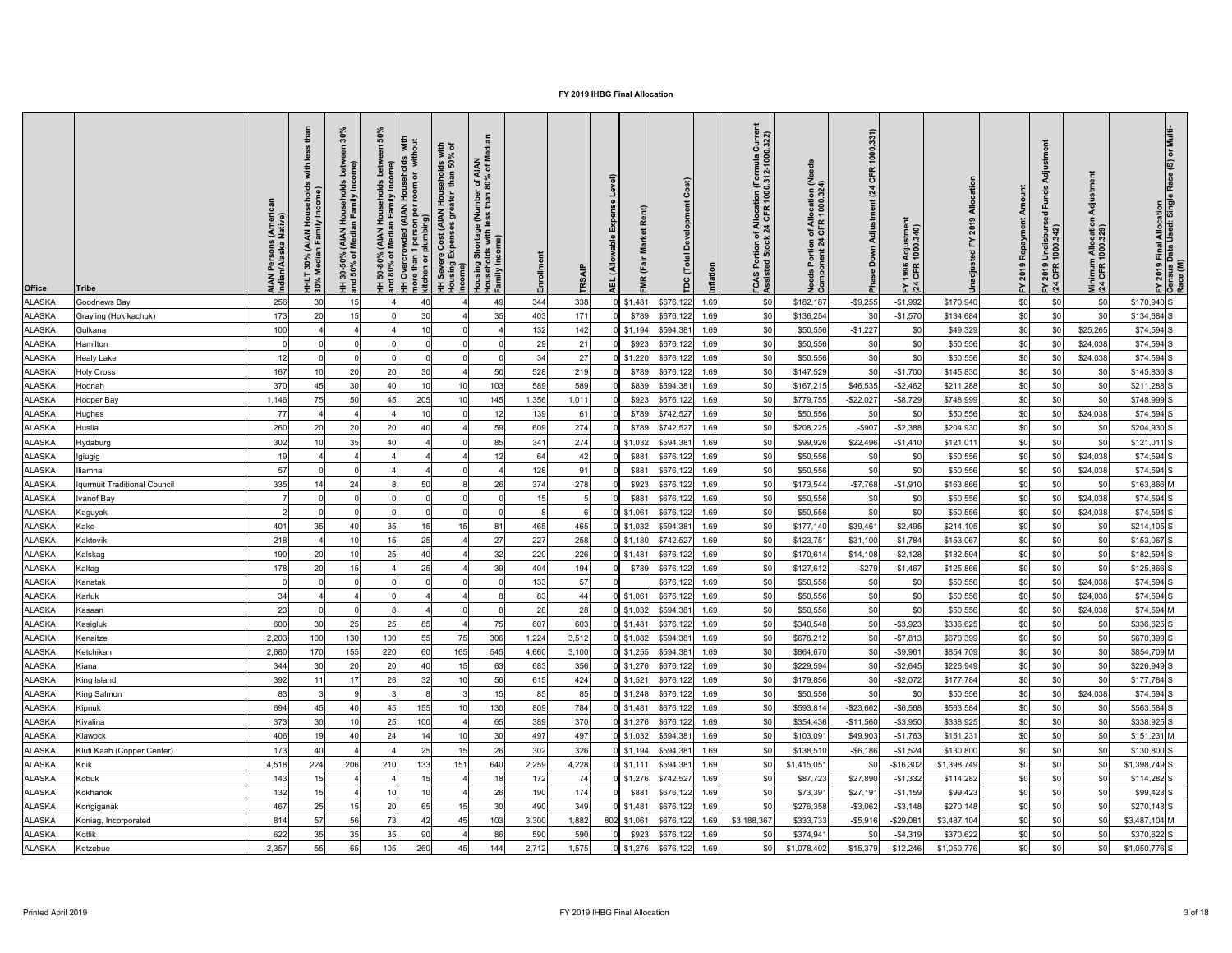| <b>Office</b> | <b>Tribe</b>                 | AIAN Persons (Ameri<br>Indian/Alaska Native) | ouseholds<br>'Income)<br>. 30% (AIAN Hous<br>Median Family Ino<br><b>HHLT</b><br>30% M | $\delta$<br>ome)<br>mily Inco<br>Hou:<br>In Fa<br>(AIAN)<br>Media<br>$\geqslant 5$<br>င္စ<br>HH 30-50<br>and 50% | <b>SO</b> | out<br>with<br>$\overline{a}$<br>$\overline{\sigma}$<br>more<br>kitch<br>$rac{2}{5}$ $\equiv$ | with<br>% of<br>seholds<br>than 50°<br>Housing Expenses greater<br>  Housing Expenses greater<br>  Income) | r of AIAN<br>80% of M<br>Housing Shortage (Number<br>Households with less than 8<br>Family Income) | 띧     | <b>TRSAIP</b> | $\widehat{e}$<br>⊐<br>nse<br>Expe<br>(Allo<br><b>AEL</b> | Rent)<br>arket<br>Σ<br>ιів<br>۴<br>œ | $\widehat{\mathbf{r}}$<br>$ \vec{C} $<br>$\Omega$ | t<br>of Allocation (Formula Curre<br>k 24 CFR 1000.312-1000.322)<br>rtion<br>Stoc<br>FCAS<br>Assist | eeds<br>Needs Portion of Allocation (N<br>Component 24 CFR 1000.324) | 1000.331)<br>CFR<br>(24)<br>Adjustment<br>Down<br>Pha | <u>ដ</u><br>Adjustmer<br>: 1000.340)<br>1996<br>CFR<br>$E \times 4$ |             | Amount<br>2019 Repayment<br>노 | 'ਰ<br>und<br>ட<br>$\overline{e}$<br>FY 2019 Undisbur<br>(24 CFR 1000.342) | Adju<br>Minimum Allocation<br>(24 CFR 1000.329) | Multi<br>$\widehat{\mathbf{S}}$<br>FY 2019 Final Allocation<br>Census Data Used: Single<br>Race (M) |
|---------------|------------------------------|----------------------------------------------|----------------------------------------------------------------------------------------|------------------------------------------------------------------------------------------------------------------|-----------|-----------------------------------------------------------------------------------------------|------------------------------------------------------------------------------------------------------------|----------------------------------------------------------------------------------------------------|-------|---------------|----------------------------------------------------------|--------------------------------------|---------------------------------------------------|-----------------------------------------------------------------------------------------------------|----------------------------------------------------------------------|-------------------------------------------------------|---------------------------------------------------------------------|-------------|-------------------------------|---------------------------------------------------------------------------|-------------------------------------------------|-----------------------------------------------------------------------------------------------------|
| ALASKA        | Goodnews Bay                 | 256                                          | 30                                                                                     | 15                                                                                                               |           | -40                                                                                           |                                                                                                            |                                                                                                    | 344   | 338           |                                                          | $0$ \$1,481                          | \$676,122<br>1.69                                 | \$0                                                                                                 | \$182,187                                                            | $-$ \$9,255                                           | $-$1,992$                                                           | \$170,940   | \$0                           | \$0                                                                       | \$0                                             | $$170,940$ S                                                                                        |
| ALASKA        | Grayling (Hokikachuk)        | 173                                          |                                                                                        |                                                                                                                  |           | 30                                                                                            |                                                                                                            | 35                                                                                                 | 403   | 171           |                                                          | \$789                                | \$676,122<br>1.69                                 | \$0                                                                                                 | \$136,254                                                            | \$0                                                   | $-$1,570$                                                           | \$134,684   | $\$0$                         | \$0                                                                       | \$0                                             | $$134,684$ S                                                                                        |
| <b>ALASKA</b> | Gulkana                      | 100                                          |                                                                                        |                                                                                                                  |           | 10                                                                                            |                                                                                                            |                                                                                                    | 132   | 142           |                                                          | $0$ \$1,194                          | \$594,381<br>1.69                                 | \$0                                                                                                 | \$50,556                                                             | $-$1,227$                                             | \$0                                                                 | \$49,329    | \$0                           | \$0                                                                       | \$25,265                                        | $$74,594$ S                                                                                         |
| ALASKA        | Hamilton                     |                                              |                                                                                        |                                                                                                                  |           |                                                                                               |                                                                                                            |                                                                                                    | 29    | 21            |                                                          | \$923                                | \$676,122<br>1.69                                 | \$0                                                                                                 | \$50,556                                                             | \$0                                                   | \$0                                                                 | \$50,556    | \$0                           | \$0                                                                       | \$24,038                                        | $$74,594$ S                                                                                         |
| ALASKA        | <b>Healy Lake</b>            | 12                                           |                                                                                        |                                                                                                                  |           |                                                                                               |                                                                                                            |                                                                                                    | 34    | 27            |                                                          | $0$ \$1,220                          | \$676,122<br>1.69                                 | \$0                                                                                                 | \$50,556                                                             | \$0                                                   | \$0                                                                 | \$50,556    | \$0                           | \$ <sub>0</sub>                                                           | \$24,038                                        | $$74,594$ S                                                                                         |
| ALASKA        | <b>Holy Cross</b>            | 167                                          |                                                                                        | 20                                                                                                               | 20        | 30                                                                                            |                                                                                                            | 50                                                                                                 | 528   | 219           |                                                          | \$789                                | \$676,122<br>1.69                                 | \$0                                                                                                 | \$147,529                                                            | \$0                                                   | $-$1,700$                                                           | \$145,830   | \$0                           |                                                                           | \$0                                             | $$145,830$ S                                                                                        |
| ALASKA        | Hoonah                       | 370                                          |                                                                                        | 30                                                                                                               | 40        |                                                                                               |                                                                                                            | 103                                                                                                | 589   | 589           |                                                          | \$839                                | \$594,381<br>1.69                                 | \$C                                                                                                 | \$167,215                                                            | \$46,535                                              | $-$2,462$                                                           | \$211,288   | \$0                           | \$0                                                                       | \$0                                             | $$211,288$ S                                                                                        |
| ALASKA        | Hooper Bay                   | 1,146                                        |                                                                                        | 50                                                                                                               | 45        | 205                                                                                           |                                                                                                            | 145                                                                                                | 1,356 | 1,011         |                                                          | \$923                                | \$676,122<br>1.69                                 | \$0                                                                                                 | \$779,755                                                            | $-$ \$22,027                                          | $-$ \$8,729                                                         | \$748,999   | \$0                           | \$0                                                                       | \$0                                             | \$748,999 S                                                                                         |
| ALASKA        | Hughes                       | 77                                           |                                                                                        |                                                                                                                  |           | 10                                                                                            |                                                                                                            | 12                                                                                                 | 139   | 61            |                                                          | \$789                                | \$742,527<br>1.69                                 | \$0                                                                                                 | \$50,556                                                             | \$0                                                   | \$0                                                                 | \$50,556    | \$0                           | \$0                                                                       | \$24,038                                        | $$74,594$ S                                                                                         |
| <b>ALASKA</b> | Huslia                       | 260                                          | <b>20</b>                                                                              | 20                                                                                                               | 20        | -40                                                                                           |                                                                                                            | 59                                                                                                 | 609   | 274           |                                                          | \$789                                | \$742,527<br>1.69                                 | \$0                                                                                                 | \$208,225                                                            | $-$ \$907                                             | $-$2,388$                                                           | \$204,930   | \$0                           |                                                                           | \$0                                             | $$204,930$ S                                                                                        |
| ALASKA        | Hydaburg                     | 302                                          |                                                                                        | 35                                                                                                               | 40        |                                                                                               |                                                                                                            | 85                                                                                                 | 341   | 274           |                                                          | 0 \$1,032                            | \$594,381<br>1.69                                 | \$0                                                                                                 | \$99,926                                                             | \$22,496                                              | $-$1,410$                                                           | \$121,011   | \$0                           |                                                                           | \$0                                             | $$121,011$ S                                                                                        |
| ALASKA        | Igiugig                      | 19                                           |                                                                                        |                                                                                                                  |           |                                                                                               |                                                                                                            |                                                                                                    | 64    |               |                                                          | \$881                                | \$676,122<br>1.69                                 | \$0                                                                                                 | \$50,556                                                             | \$0                                                   |                                                                     | \$50,556    | \$0                           |                                                                           | \$24,038                                        | $$74,594$ S                                                                                         |
| <b>ALASKA</b> | lliamna                      | 57                                           |                                                                                        |                                                                                                                  |           |                                                                                               |                                                                                                            |                                                                                                    | 128   | -91           |                                                          | \$881                                | \$676,122 1.69                                    |                                                                                                     | \$50,556                                                             | \$0                                                   | \$0                                                                 | \$50,556    | \$0                           |                                                                           | \$24,038                                        | $$74,594$ S                                                                                         |
| <b>ALASKA</b> | Iqurmuit Traditional Council | 335                                          |                                                                                        | 2 <sup>2</sup>                                                                                                   |           | 50                                                                                            |                                                                                                            | 26                                                                                                 | 374   | 278           |                                                          | \$923                                | \$676,122<br>1.69                                 |                                                                                                     | \$173,544                                                            | $-$7,768$                                             | $-$1,910$                                                           | \$163,866   | \$0                           | \$0                                                                       | \$0                                             | $$163,866$ M                                                                                        |
| <b>ALASKA</b> | Ivanof Bay                   |                                              |                                                                                        |                                                                                                                  |           |                                                                                               |                                                                                                            |                                                                                                    |       |               |                                                          | \$881                                | \$676,122<br>1.69                                 |                                                                                                     | \$50,556                                                             | \$0                                                   |                                                                     | \$50,556    | \$0                           |                                                                           | \$24,038                                        | $$74,594$ S                                                                                         |
| <b>ALASKA</b> |                              |                                              |                                                                                        |                                                                                                                  |           |                                                                                               |                                                                                                            |                                                                                                    |       |               |                                                          | $0$ \$1,061                          | \$676,122<br>1.69                                 |                                                                                                     | \$50,556                                                             | \$0                                                   |                                                                     | \$50,556    | \$0                           |                                                                           | \$24,038                                        | $$74,594$ S                                                                                         |
| <b>ALASKA</b> | Kaguyak<br>Kake              | 401                                          | 35                                                                                     | 4(                                                                                                               | 35        |                                                                                               |                                                                                                            | 8.                                                                                                 | 465   | 465           |                                                          | $0$ \$1,032                          | \$594,381<br>1.69                                 | \$C                                                                                                 | \$177,140                                                            | \$39,461                                              | $-$2,495$                                                           | \$214,105   | \$0                           | \$0                                                                       | \$0                                             | $$214,105$ S                                                                                        |
| <b>ALASKA</b> | Kaktovik                     | 218                                          |                                                                                        |                                                                                                                  |           | 25                                                                                            |                                                                                                            | 27                                                                                                 | 227   | 258           |                                                          | $0$ \$1,180                          | \$742,527<br>1.69                                 | \$0                                                                                                 | \$123,75                                                             | \$31,100                                              | $-$1,784$                                                           | \$153,067   | \$0                           |                                                                           | \$0                                             | $$153,067$ S                                                                                        |
|               |                              |                                              |                                                                                        |                                                                                                                  |           |                                                                                               |                                                                                                            |                                                                                                    |       |               |                                                          |                                      |                                                   |                                                                                                     |                                                                      |                                                       |                                                                     |             |                               |                                                                           |                                                 |                                                                                                     |
| <b>ALASKA</b> | Kalskag                      | 190                                          |                                                                                        |                                                                                                                  | 25        |                                                                                               |                                                                                                            | 32                                                                                                 | 220   | 226           |                                                          | $0$ \$1,481                          | \$676,122 1.69                                    | \$0                                                                                                 | \$170,614                                                            | \$14,108                                              | $-$2,128$                                                           | \$182,594   | \$0                           | \$0                                                                       | \$0                                             | $$182,594$ S                                                                                        |
| <b>ALASKA</b> | Kaltag                       | 178                                          |                                                                                        |                                                                                                                  |           | 25                                                                                            |                                                                                                            |                                                                                                    | 404   | 194           |                                                          | \$789                                | \$676,122<br>1.69                                 | -\$C                                                                                                | \$127,612                                                            | $-$ \$279                                             | $-$1,467$                                                           | \$125,866   | \$0                           | \$0                                                                       | \$0                                             | $$125,866$ S                                                                                        |
| <b>ALASKA</b> | Kanatak                      |                                              |                                                                                        |                                                                                                                  |           |                                                                                               |                                                                                                            |                                                                                                    | 133   | 57            |                                                          |                                      | \$676,122<br>1.69                                 | \$0                                                                                                 | \$50,556                                                             | \$0                                                   |                                                                     | \$50,556    | \$0                           |                                                                           | \$24,038                                        | $$74,594$ S                                                                                         |
| <b>ALASKA</b> | Karluk                       | 34                                           |                                                                                        |                                                                                                                  |           |                                                                                               |                                                                                                            |                                                                                                    | 83    | 44            |                                                          | $0$ \$1,061                          | \$676,122<br>1.69                                 |                                                                                                     | \$50,556                                                             | \$0                                                   |                                                                     | \$50,556    | \$0                           |                                                                           | \$24,038                                        | $$74,594$ S                                                                                         |
| <b>ALASKA</b> | Kasaan                       | 23                                           |                                                                                        |                                                                                                                  |           |                                                                                               |                                                                                                            |                                                                                                    | 28    | 28            |                                                          | $0$ \$1,032                          | \$594,381<br>1.69                                 |                                                                                                     | \$50,556                                                             | \$0                                                   |                                                                     | \$50,556    | \$0                           |                                                                           | \$24,038                                        | $$74,594$ M                                                                                         |
| <b>ALASKA</b> | Kasigluk                     | 600                                          |                                                                                        | 25                                                                                                               | 25        | 85                                                                                            |                                                                                                            | 75                                                                                                 | 607   | 603           |                                                          | $0$ \$1,481                          | \$676,122<br>1.69                                 |                                                                                                     | \$340,548                                                            | \$0                                                   | $- $3,923$                                                          | \$336,625   | \$0                           |                                                                           | \$0                                             | \$336,625 S                                                                                         |
| <b>ALASKA</b> | Kenaitze                     | 2,203                                        | 100                                                                                    | 130                                                                                                              | 100       | 55                                                                                            | 75                                                                                                         | 306                                                                                                | 1,224 | 3,512         |                                                          | $0$ \$1,082                          | \$594,381<br>1.69                                 |                                                                                                     | \$678,212                                                            | \$0                                                   | $- $7,813$                                                          | \$670,399   | \$0                           | \$0                                                                       | \$0                                             | \$670,399 S                                                                                         |
| <b>ALASKA</b> | Ketchikan                    | 2,680                                        |                                                                                        | 155                                                                                                              | 220       | 60                                                                                            | 165                                                                                                        | 545                                                                                                | 4,660 | 3,100         |                                                          | $0$ \$1,255                          | \$594,381<br>1.69                                 |                                                                                                     | \$864,670                                                            | \$0                                                   | $-$9,96$                                                            | \$854,709   | \$C                           | \$0                                                                       | \$0                                             | \$854,709 M                                                                                         |
| <b>ALASKA</b> | Kiana                        | 344                                          |                                                                                        | 20                                                                                                               | 20        |                                                                                               |                                                                                                            | 63                                                                                                 | 683   | 356           |                                                          | $0$ \$1,276                          | \$676,122<br>1.69                                 |                                                                                                     | \$229,594                                                            | \$0                                                   | $-$2,645$                                                           | \$226,949   | \$C                           | \$0                                                                       | \$0                                             | \$226,949 S                                                                                         |
| <b>ALASKA</b> | King Island                  | 392                                          |                                                                                        | 17                                                                                                               | 28        | 32                                                                                            |                                                                                                            | 56                                                                                                 | 615   | 424           |                                                          | $0$ \$1,521                          | \$676,122 1.69                                    |                                                                                                     | \$179,856                                                            | \$0                                                   | $-$2,072$                                                           | \$177,784   | \$0                           | \$0                                                                       | \$0                                             | $$177,784$ S                                                                                        |
| <b>ALASKA</b> | King Salmon                  | 83                                           |                                                                                        |                                                                                                                  |           |                                                                                               |                                                                                                            |                                                                                                    | 85    | 85            |                                                          | $0$ \$1,248                          | \$676,122<br>1.69                                 |                                                                                                     | \$50,556                                                             | \$0                                                   | \$0                                                                 | \$50,556    | \$0                           |                                                                           | \$24,038                                        | $$74,594$ S                                                                                         |
| <b>ALASKA</b> | Kipnuk                       | 694                                          |                                                                                        | 4(                                                                                                               | 45        | 155                                                                                           |                                                                                                            | 130                                                                                                | 809   | 784           |                                                          | $0$ \$1,481                          | \$676,122<br>1.69                                 |                                                                                                     | \$593,814                                                            | $-$ \$23,662                                          | $-$ \$6,568                                                         | \$563,584   | \$0                           |                                                                           | \$0                                             | \$563,584 S                                                                                         |
| <b>ALASKA</b> | Kivalina                     | 373                                          |                                                                                        |                                                                                                                  | 25        | 100                                                                                           |                                                                                                            |                                                                                                    | 389   | 370           |                                                          | $0$ \$1,276                          | \$676,122<br>1.69                                 |                                                                                                     | \$354,436                                                            | $-$11,560$                                            | $- $3,950$                                                          | \$338,925   | \$C                           |                                                                           | \$0                                             | \$338,925 S                                                                                         |
| <b>ALASKA</b> | Klawock                      | 406                                          |                                                                                        |                                                                                                                  | 24        |                                                                                               |                                                                                                            | 30                                                                                                 | 497   | 497           |                                                          | $0$ \$1,032                          | \$594,381<br>1.69                                 |                                                                                                     | \$103,09                                                             | \$49,903                                              | $-$1,763$                                                           | \$151,231   | \$0                           |                                                                           | \$0                                             | $$151,231$ M                                                                                        |
| <b>ALASKA</b> | Kluti Kaah (Copper Center)   | 173                                          |                                                                                        |                                                                                                                  |           | 25                                                                                            |                                                                                                            | 26                                                                                                 | 302   | 326           |                                                          | $0$ \$1,194                          | \$594,381<br>1.69                                 |                                                                                                     | \$138,510                                                            | $-$6,186$                                             | $-$1,524$                                                           | \$130,800   | \$0                           | \$0                                                                       | \$0                                             | \$130,800 S                                                                                         |
| <b>ALASKA</b> | Knik                         | 4,518                                        | 224                                                                                    | 206                                                                                                              | 210       | 133                                                                                           | 151                                                                                                        | 640                                                                                                | 2,259 | 4,228         |                                                          | $0$ \$1,111                          | \$594,381<br>1.69                                 |                                                                                                     | \$1,415,05                                                           | \$0                                                   | $-$16,302$                                                          | \$1,398,749 | \$0                           | \$0                                                                       | \$ <sub>0</sub>                                 | $$1,398,749$ S                                                                                      |
| <b>ALASKA</b> | Kobuk                        | 143                                          |                                                                                        |                                                                                                                  |           | 15                                                                                            |                                                                                                            |                                                                                                    | 172   | 74            |                                                          | $0$ \$1,276                          | \$742,527<br>1.69                                 |                                                                                                     | \$87,723                                                             | \$27,890                                              | $-$1,332$                                                           | \$114,282   | \$0                           | \$0                                                                       | \$0                                             | $$114,282$ S                                                                                        |
| <b>ALASKA</b> | Kokhanok                     | 132                                          |                                                                                        |                                                                                                                  |           | 10                                                                                            |                                                                                                            | 26                                                                                                 | 190   | 174           |                                                          | \$881                                | \$676,122 1.69                                    | \$0                                                                                                 | \$73,39                                                              | \$27,19                                               | $-$1,159$                                                           | \$99,423    | \$0                           | \$0                                                                       | \$0                                             | $$99,423$ S                                                                                         |
| <b>ALASKA</b> | Kongiganak                   | 467                                          |                                                                                        |                                                                                                                  | 20        | 65                                                                                            |                                                                                                            |                                                                                                    | 490   | 349           |                                                          | $0$ \$1,481                          | \$676,122<br>1.69                                 |                                                                                                     | \$276,358                                                            | $- $3,062$                                            | $- $3,148$                                                          | \$270,148   | \$0                           |                                                                           |                                                 | $$270,148$ S                                                                                        |
| ALASKA        | Koniag, Incorporated         | 814                                          | <u>، ن</u>                                                                             | 56                                                                                                               | 73        | 42                                                                                            | 45                                                                                                         | 103                                                                                                | 3,300 | 1,882         |                                                          |                                      |                                                   | $802$ \$1,061 \$676,122 1.69 \$3,188,367                                                            | \$333,733                                                            |                                                       | $-$ \$5,916 $-$ \$29,081                                            | \$3,487,104 | \$0                           | $\mathbf{C}$<br>ູບ                                                        | ፍሰ<br>ΨΥΙ                                       | \$3,487,104 M                                                                                       |
| <b>ALASKA</b> | Kotlik                       | 622                                          | 35                                                                                     | 35                                                                                                               | 35        | 90                                                                                            |                                                                                                            | 86                                                                                                 | 590   | 590           |                                                          |                                      |                                                   | \$0                                                                                                 | \$374,941                                                            | \$0                                                   | $-$ \$4,319                                                         | \$370,622   | \$0                           | \$0                                                                       | \$0                                             | $$370,622$ S                                                                                        |
| <b>ALASKA</b> | Kotzebue                     | 2,357                                        | 55                                                                                     | 65                                                                                                               | 105       | 260                                                                                           | 45                                                                                                         | 144                                                                                                | 2,712 | 1,575         |                                                          |                                      | $0$ \$1,276 \$676,122 1.69                        | \$0                                                                                                 | \$1,078,402                                                          | $-$ \$15,379                                          | $-$ \$12,246                                                        | \$1,050,776 | \$0                           | \$0                                                                       | \$0                                             | $$1,050,776$ S                                                                                      |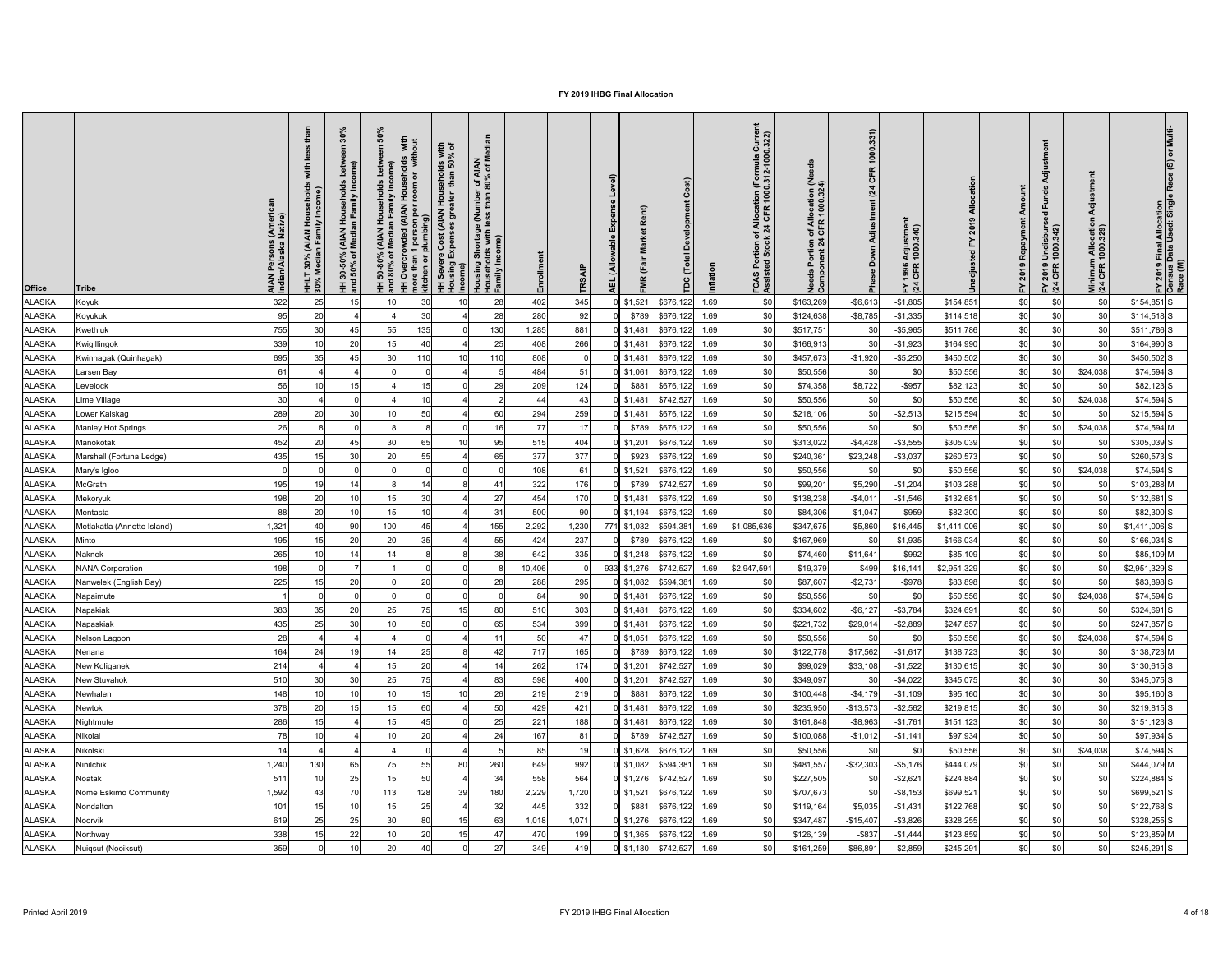| <b>Office</b>  | <b>Tribe</b>                | AIAN Persons (Ameri<br>Indian/Alaska Native) | ehold<br>Income)<br>(AIAN Ho<br>an Family<br>30%<br>ledia<br>$\overline{1}$ $\frac{5}{2}$ | న్<br>$\circ$<br>mily Inc<br>$rac{\overline{a}}{\overline{b}}$ $rac{\overline{a}}{\overline{b}}$<br><b>AIAN</b><br>Media<br>ঁ০<br>င္စ<br>$30 - 50$<br>$-50\%$<br><b>王 흥</b> | $\overline{2}$<br>of Median Family Incc<br>rowded (AIAN House<br>11 person per room c<br>r plumbing)<br>50-80%<br>80% of<br>$rac{8}{6}$ $\equiv$ | with<br>% of<br>with<br>8 g<br>seholo<br>than<br>$\overline{\sigma}$<br>Hou<br>st (AIAN<br>ნ<br>ა<br>Overci<br>re than 1<br>chen or pl<br>more<br>kitch<br><u> 王 훈</u> | r of AIAN<br>80% of M<br>Housing Shortage (Number<br>Households with less than 8<br>Family Income)<br>) ost.<br>Income Expense<br>Income | 띧      | TRS.           | $\widehat{e}$<br>Rent)<br>arket<br>Σ<br>irā<br>(Allo<br>と<br>$\alpha$ | $\overline{5}$<br>$\Omega$ | tion (Formula Curre<br>1000.312-1000.322)<br>of Allocat<br>:k 24 CFR<br>es<br>Sp<br>FCAS<br>Assist | eed<br>n of Allocation (Ne<br>4 CFR 1000.324)<br>Needs Portion<br>Component 24 | 1000.331)<br>CFR<br>(24)<br>Adjustment<br>Down<br>$\frac{1}{2}$ | Ξ.<br>Adjustmer<br>1000.340)<br>1996<br>CFR<br>$F\overline{2}$ |             | 2019 Repayment<br>놊 | 'ਰ<br>P2<br>$\overline{e}$<br>FY 2019 Undisbur<br>(24 CFR 1000.342) | 등<br>Minimum Allocatio<br>(24 CFR 1000.329) | Multi<br>FY 2019 Final Allocation<br>Census Data Used: Single<br>Race (M) |
|----------------|-----------------------------|----------------------------------------------|-------------------------------------------------------------------------------------------|-----------------------------------------------------------------------------------------------------------------------------------------------------------------------------|--------------------------------------------------------------------------------------------------------------------------------------------------|------------------------------------------------------------------------------------------------------------------------------------------------------------------------|------------------------------------------------------------------------------------------------------------------------------------------|--------|----------------|-----------------------------------------------------------------------|----------------------------|----------------------------------------------------------------------------------------------------|--------------------------------------------------------------------------------|-----------------------------------------------------------------|----------------------------------------------------------------|-------------|---------------------|---------------------------------------------------------------------|---------------------------------------------|---------------------------------------------------------------------------|
| ALASKA         | Koyuk                       | 322                                          | 25                                                                                        | 15                                                                                                                                                                          |                                                                                                                                                  | 30                                                                                                                                                                     | 28<br>10                                                                                                                                 | 402    | 345            | $0$ \$1,521                                                           | \$676,122<br>1.69          | \$0                                                                                                | \$163,269                                                                      | $-$ \$6,613                                                     | $-$1,805$                                                      | \$154,851   | \$0                 | \$0                                                                 | $\$0$                                       | $$154,851$ S                                                              |
| ALASKA         | Koyukuk                     | 95                                           | 20                                                                                        |                                                                                                                                                                             |                                                                                                                                                  | 30                                                                                                                                                                     | 28                                                                                                                                       | 280    | 92             | \$789                                                                 | 1.69<br>\$676,122          | \$0                                                                                                | \$124,638                                                                      | $-$ \$8,785                                                     | $-$1,335$                                                      | \$114,518   | \$0                 | \$0                                                                 | \$0                                         | $$114,518$ S                                                              |
| <b>ALASKA</b>  | Kwethluk                    | 755                                          | 30                                                                                        |                                                                                                                                                                             | 55                                                                                                                                               | 135                                                                                                                                                                    | 130                                                                                                                                      | 1,285  | 881            | $0$ \$1,481                                                           | \$676,122<br>1.69          | \$0                                                                                                | \$517,751                                                                      | \$0                                                             | $-$ \$5,965                                                    | \$511,786   | \$0                 | \$0                                                                 | \$0                                         | \$511,786 S                                                               |
| ALASKA         | Kwigillingok                | 339                                          |                                                                                           | 20                                                                                                                                                                          |                                                                                                                                                  |                                                                                                                                                                        | 25                                                                                                                                       | 408    | 266            | $0$ \$1,481                                                           | \$676,122<br>1.69          | \$0                                                                                                | \$166,913                                                                      | \$0                                                             | $-$1,923$                                                      | \$164,990   | \$0                 | \$0                                                                 | \$0                                         | $$164,990$ S                                                              |
| ALASKA         | Kwinhagak (Quinhagak)       | 695                                          | 35                                                                                        | 45                                                                                                                                                                          | 30                                                                                                                                               | 110                                                                                                                                                                    | 110                                                                                                                                      | 808    |                | $0$ \$1,481                                                           | \$676,122<br>1.69          | \$0                                                                                                | \$457,673                                                                      | $-$1,920$                                                       | $- $5,250$                                                     | \$450,502   | \$0                 | \$0                                                                 | \$0                                         | $$450,502$ S                                                              |
| ALASKA         | Larsen Bay                  | 61                                           |                                                                                           |                                                                                                                                                                             |                                                                                                                                                  |                                                                                                                                                                        |                                                                                                                                          | 484    | 51             | $0$ \$1,061                                                           | \$676,122<br>1.69          | \$0                                                                                                | \$50,556                                                                       | \$0                                                             | \$0                                                            | \$50,556    | \$0                 |                                                                     | \$24,038                                    | $$74,594$ S                                                               |
| ALASKA         | Levelock                    | 56                                           |                                                                                           |                                                                                                                                                                             |                                                                                                                                                  |                                                                                                                                                                        | 29                                                                                                                                       | 209    | 124            | \$881                                                                 | \$676,122<br>1.69          | \$0                                                                                                | \$74,358                                                                       | \$8,722                                                         | $-$ \$957                                                      | \$82,123    | \$0                 | \$0                                                                 | \$0                                         | $$82,123$ S                                                               |
| ALASKA         | Lime Village                | 30                                           |                                                                                           |                                                                                                                                                                             |                                                                                                                                                  |                                                                                                                                                                        |                                                                                                                                          | 44     | -43            | $0$ \$1,481                                                           | \$742,527<br>1.69          | \$0                                                                                                | \$50,556                                                                       | \$0                                                             | \$0                                                            | \$50,556    | \$0                 |                                                                     | \$24,038                                    | $$74,594$ S                                                               |
| <b>ALASKA</b>  | Lower Kalskag               | 289                                          | 20                                                                                        | 30                                                                                                                                                                          | 10                                                                                                                                               | 50                                                                                                                                                                     | 60                                                                                                                                       | 294    | 259            | $0$ \$1,481                                                           | \$676,122<br>1.69          | \$0                                                                                                | \$218,106                                                                      | \$0                                                             | $-$2,513$                                                      | \$215,594   | \$0                 | \$0                                                                 | \$0                                         | $$215,594$ S                                                              |
| <b>ALASKA</b>  | <b>Manley Hot Springs</b>   | 26                                           |                                                                                           |                                                                                                                                                                             |                                                                                                                                                  |                                                                                                                                                                        | 16                                                                                                                                       | 77     |                | \$789                                                                 | \$676,122<br>1.69          | \$0                                                                                                | \$50,556                                                                       | \$0                                                             | \$0                                                            | \$50,556    | \$0                 |                                                                     | \$24,038                                    | $$74,594$ M                                                               |
| ALASKA         | Manokotak                   | 452                                          | 20                                                                                        | 45                                                                                                                                                                          | 30                                                                                                                                               | 65                                                                                                                                                                     | 10<br>95                                                                                                                                 | 515    | 404            | $0$ \$1,201                                                           | \$676,122<br>1.69          |                                                                                                    | \$313,022                                                                      | $-$4,428$                                                       | $-$ \$3,555                                                    | \$305,039   | \$0                 |                                                                     | \$0                                         | $$305,039$ S                                                              |
| ALASKA         | Marshall (Fortuna Ledge)    | 435                                          |                                                                                           | 30                                                                                                                                                                          | 20                                                                                                                                               | 55                                                                                                                                                                     | 65                                                                                                                                       | 377    | 377            | \$923                                                                 | \$676,122<br>1.69          |                                                                                                    | \$240,36                                                                       | \$23,248                                                        | $- $3,037$                                                     | \$260,573   | \$0                 |                                                                     | \$0                                         | $$260,573$ S                                                              |
| <b>ALASKA</b>  | Mary's Igloo                |                                              |                                                                                           |                                                                                                                                                                             |                                                                                                                                                  |                                                                                                                                                                        |                                                                                                                                          | 108    | -61            | $0$ \$1,521                                                           | \$676,122<br>1.69          |                                                                                                    | \$50,556                                                                       | \$0                                                             | \$0                                                            | \$50,556    | \$0                 |                                                                     | \$24,038                                    | $$74,594$ S                                                               |
| <b>ALASKA</b>  | <b>McGrath</b>              | 195                                          |                                                                                           |                                                                                                                                                                             |                                                                                                                                                  |                                                                                                                                                                        |                                                                                                                                          | 322    | 176            | \$789                                                                 | \$742,527<br>1.69          |                                                                                                    | \$99,20                                                                        | \$5,290                                                         | $-$1,204$                                                      | \$103,288   | \$0                 |                                                                     | \$0                                         | $$103,288$ M                                                              |
| <b>ALASKA</b>  | Mekoryuk                    | 198                                          |                                                                                           |                                                                                                                                                                             |                                                                                                                                                  | 3 <sub>0</sub>                                                                                                                                                         | 27                                                                                                                                       | 454    | 170            | $0$ \$1,481                                                           | \$676,122<br>1.69          |                                                                                                    | \$138,238                                                                      | $-$4,01'$                                                       | $-$1,546$                                                      | \$132,681   | \$0                 |                                                                     | \$0                                         | $$132,681$ S                                                              |
| <b>ALASKA</b>  | Mentasta                    | 88                                           | 20                                                                                        |                                                                                                                                                                             |                                                                                                                                                  |                                                                                                                                                                        | 31                                                                                                                                       | 500    | 90             | $0$ \$1,194                                                           | \$676,122<br>1.69          |                                                                                                    | \$84,306                                                                       | $-$1,047$                                                       | $-$ \$959                                                      | \$82,300    | \$C                 | \$0                                                                 | \$0                                         | \$82,300 S                                                                |
| <b>ALASKA</b>  | Metlakatla (Annette Island) | 1,321                                        |                                                                                           | 90                                                                                                                                                                          | 100                                                                                                                                              |                                                                                                                                                                        | 155                                                                                                                                      | 2,292  | 1,230          | 771 \$1,032                                                           | \$594,381<br>1.69          | \$1,085,636                                                                                        | \$347,675                                                                      | $- $5,860$                                                      | $-$16,445$                                                     | \$1,411,006 | \$C                 | \$0                                                                 | \$ <sub>0</sub>                             | $$1,411,006$ S                                                            |
| ALASKA         | Minto                       | 195                                          |                                                                                           | 20                                                                                                                                                                          | 20                                                                                                                                               | 35                                                                                                                                                                     | 55                                                                                                                                       | 424    | 237            | \$789                                                                 | \$676,122<br>1.69          |                                                                                                    | \$167,969                                                                      | \$0                                                             | $-$1,935$                                                      | \$166,034   | \$C                 | \$0                                                                 | \$0                                         | $$166,034$ S                                                              |
| <b>ALASKA</b>  | <b>Naknek</b>               | 265                                          |                                                                                           |                                                                                                                                                                             | 14                                                                                                                                               |                                                                                                                                                                        | 38                                                                                                                                       | 642    | 335            | $0$ \$1,248                                                           | 1.69<br>\$676,122          | \$0                                                                                                | \$74,460                                                                       | \$11,641                                                        | $-$ \$992                                                      | \$85,109    | \$C                 | \$0                                                                 | \$0                                         | \$85,109 M                                                                |
| <b>ALASKA</b>  | <b>NANA Corporation</b>     | 198                                          |                                                                                           |                                                                                                                                                                             |                                                                                                                                                  |                                                                                                                                                                        |                                                                                                                                          | 10,406 |                | 933 \$1,276                                                           | \$742,527<br>1.69          | \$2,947,59                                                                                         | \$19,379                                                                       | \$499                                                           | $-$16,141$                                                     | \$2,951,329 | \$C                 | \$0                                                                 | \$ <sub>0</sub>                             | $$2,951,329$ S                                                            |
| <b>ALASKA</b>  | Nanwelek (English Bay)      | 225                                          |                                                                                           | 20                                                                                                                                                                          |                                                                                                                                                  | 20                                                                                                                                                                     |                                                                                                                                          | 288    | 295            | 0 \$1,082                                                             | \$594,381<br>1.69          |                                                                                                    | \$87,607                                                                       | $-$2,731$                                                       | $-$ \$978                                                      | \$83,898    | \$C                 | \$0                                                                 | \$0                                         | $$83,898$ S                                                               |
| <b>ALASKA</b>  | Napaimute                   |                                              |                                                                                           |                                                                                                                                                                             |                                                                                                                                                  |                                                                                                                                                                        |                                                                                                                                          | 84     | 9 <sub>0</sub> | $0$ \$1,481                                                           | \$676,122<br>1.69          |                                                                                                    | \$50,556                                                                       | \$0                                                             |                                                                | \$50,556    | \$C                 |                                                                     | \$24,038                                    | $$74,594$ S                                                               |
| <b>ALASKA</b>  | Napakiak                    | 383                                          |                                                                                           | 20                                                                                                                                                                          | 25                                                                                                                                               |                                                                                                                                                                        | 80<br>15                                                                                                                                 | 510    | 303            | $0$ \$1,481                                                           | \$676,122<br>1.69          |                                                                                                    | \$334,602                                                                      | $-$ \$6,127                                                     | $- $3,784$                                                     | \$324,691   | \$0                 |                                                                     | \$0                                         | $$324,691$ S                                                              |
| <b>ALASKA</b>  | Napaskiak                   | 435                                          |                                                                                           | 30                                                                                                                                                                          |                                                                                                                                                  | 50                                                                                                                                                                     | 65                                                                                                                                       | 534    | 399            | $0$ \$1,481                                                           | \$676,122<br>1.69          |                                                                                                    | \$221,732                                                                      | \$29,014                                                        | $-$2,889$                                                      | \$247,857   | \$0                 | \$0                                                                 | \$0                                         | $$247,857$ S                                                              |
| <b>ALASKA</b>  | Nelson Lagoon               | 28                                           |                                                                                           |                                                                                                                                                                             |                                                                                                                                                  |                                                                                                                                                                        |                                                                                                                                          | 50     | -47            | $0$ \$1,051                                                           | \$676,122<br>1.69          |                                                                                                    | \$50,556                                                                       | \$0                                                             | \$0                                                            | \$50,556    | \$C                 | \$0                                                                 | \$24,038                                    | $$74,594$ S                                                               |
| <b>ALASKA</b>  | Nenana                      | 164                                          |                                                                                           |                                                                                                                                                                             | 14                                                                                                                                               | 25                                                                                                                                                                     |                                                                                                                                          | 717    | 165            | \$789                                                                 | \$676,122<br>1.69          | \$0                                                                                                | \$122,778                                                                      | \$17,562                                                        | $-$1,617$                                                      | \$138,723   | \$C                 | \$0                                                                 | \$0                                         | $$138,723$ M                                                              |
| <b>ALASKA</b>  | New Koliganek               | 214                                          |                                                                                           |                                                                                                                                                                             | 15                                                                                                                                               | 20                                                                                                                                                                     |                                                                                                                                          | 262    | 174            | $0$ \$1,201                                                           | \$742,527<br>1.69          |                                                                                                    | \$99,029                                                                       | \$33,108                                                        | $-$1,522$                                                      | \$130,615   | \$C                 | \$0                                                                 | \$0                                         | $$130,615$ S                                                              |
| <b>ALASKA</b>  | New Stuyahok                | 510                                          |                                                                                           | 30                                                                                                                                                                          | 25                                                                                                                                               |                                                                                                                                                                        | 83                                                                                                                                       | 598    | 400            | $0$ \$1,201                                                           | \$742,527<br>1.69          |                                                                                                    | \$349,097                                                                      | \$0                                                             | $-$4,022$                                                      | \$345,075   | \$0                 | \$0                                                                 | \$0                                         | $$345,075$ S                                                              |
| <b>ALASKA</b>  | Newhalen                    | 148                                          |                                                                                           | 1 <sup>C</sup>                                                                                                                                                              |                                                                                                                                                  |                                                                                                                                                                        | 26                                                                                                                                       | 219    | 219            | \$881                                                                 | \$676,122<br>1.69          |                                                                                                    | \$100,448                                                                      | $-$4,179$                                                       | $-$1,109$                                                      | \$95,160    | \$0                 |                                                                     | \$0                                         | $$95,160$ S                                                               |
| <b>ALASKA</b>  | Newtok                      | 378                                          |                                                                                           |                                                                                                                                                                             |                                                                                                                                                  | 60                                                                                                                                                                     | 50                                                                                                                                       | 429    | 421            | $0$ \$1,481                                                           | \$676,122<br>1.69          |                                                                                                    | \$235,950                                                                      | $-$ \$13,573                                                    | $-$2,562$                                                      | \$219,815   | \$0                 | \$0                                                                 | \$0                                         | $$219,815$ S                                                              |
| <b>ALASKA</b>  | Nightmute                   | 286                                          |                                                                                           |                                                                                                                                                                             |                                                                                                                                                  |                                                                                                                                                                        | 25                                                                                                                                       | 221    | 188            | $0$ \$1,481                                                           | \$676,122<br>1.69          |                                                                                                    | \$161,848                                                                      | $-$ \$8,963                                                     | $-$1,761$                                                      | \$151,123   | \$C                 |                                                                     | \$0                                         | $$151,123$ S                                                              |
| ALASKA         | Nikolai                     | 78                                           |                                                                                           |                                                                                                                                                                             |                                                                                                                                                  | 20                                                                                                                                                                     | 24                                                                                                                                       | 167    | 81             | \$789                                                                 | \$742,527<br>1.69          |                                                                                                    | \$100,088                                                                      | $-$1,012$                                                       | $-$1,141$                                                      | \$97,934    | \$0                 | \$0                                                                 | \$0                                         | $$97,934$ S                                                               |
| <b>ALASKA</b>  | Nikolski                    |                                              |                                                                                           |                                                                                                                                                                             |                                                                                                                                                  |                                                                                                                                                                        |                                                                                                                                          | 85     |                | $0$ \$1,628                                                           | \$676,122<br>1.69          |                                                                                                    | \$50,556                                                                       | \$0                                                             |                                                                | \$50,556    | \$C                 |                                                                     | \$24,038                                    | $$74,594$ S                                                               |
| <b>ALASKA</b>  | Ninilchik                   | 1,240                                        | 130                                                                                       | 65                                                                                                                                                                          | 75                                                                                                                                               | 55                                                                                                                                                                     | 80<br>260                                                                                                                                | 649    | 992            | $0$ \$1,082                                                           | \$594,381<br>1.69          | \$0                                                                                                | \$481,557                                                                      | $-$ \$32,303                                                    | $- $5,176$                                                     | \$444,079   | \$0                 | \$0                                                                 | \$0                                         | \$444,079 M                                                               |
| <b>ALASKA</b>  | Noatak                      | 511                                          |                                                                                           | 25                                                                                                                                                                          | 15                                                                                                                                               | 50                                                                                                                                                                     | 34                                                                                                                                       | 558    | 564            | $0$ \$1,276                                                           | \$742,527<br>1.69          |                                                                                                    | \$227,505                                                                      | \$0                                                             | $-$ \$2,621                                                    | \$224,884   | \$0                 | \$0                                                                 | \$0                                         | $$224,884$ S                                                              |
| <b>ALASKA</b>  | Nome Eskimo Community       | 1,592                                        |                                                                                           | 70                                                                                                                                                                          | 113                                                                                                                                              | 128                                                                                                                                                                    | 39<br>180                                                                                                                                | 2,229  | 1,720          | $0$ \$1,521                                                           | \$676,122<br>1.69          | \$0                                                                                                | \$707,673                                                                      | \$0                                                             | $-$ \$8,153                                                    | \$699,521   | \$0                 | \$0                                                                 | \$0                                         | $$699,521$ S                                                              |
| <b>ALASKA</b>  | Nondalton                   | 101                                          |                                                                                           |                                                                                                                                                                             |                                                                                                                                                  | 25                                                                                                                                                                     |                                                                                                                                          | 445    | 332            | \$881                                                                 | 1.69<br>\$676,122          |                                                                                                    | \$119,164                                                                      | \$5,035                                                         | $-$1,431$                                                      | \$122,768   | \$0                 |                                                                     | \$0                                         | $$122,768$ S                                                              |
| ALASKA Noorvik |                             | 619                                          | 25<br>ี่∠ี                                                                                | 25                                                                                                                                                                          | 30                                                                                                                                               | 80<br>ິບບ                                                                                                                                                              | 15<br>62<br>ັບບ                                                                                                                          | 1,018  | 1,071          |                                                                       | 0 \$1,276 \$676,122 1.69   | ູ∾∨∣                                                                                               | \$347,487                                                                      | $-$15,407$                                                      | $-$ \$3,826                                                    | \$328,255   | \$0                 | $\mathbf{C}$<br>ູ∾∨                                                 | ፍሰ<br>ັ⊽ບ∣                                  | \$328,255 S                                                               |
| ALASKA         | Northway                    | 338                                          |                                                                                           | 22                                                                                                                                                                          | 10                                                                                                                                               | 20                                                                                                                                                                     | 15<br>47                                                                                                                                 | 470    | 199            |                                                                       | 0 \$1,365 \$676,122 1.69   | \$0                                                                                                | \$126,139                                                                      | $-$ \$837                                                       | $-$1,444$                                                      | \$123,859   | \$0                 | \$0                                                                 | \$0                                         | \$123,859 M                                                               |
| <b>ALASKA</b>  | Nuiqsut (Nooiksut)          | 359                                          |                                                                                           | 10                                                                                                                                                                          | 20                                                                                                                                               | 40                                                                                                                                                                     | 27                                                                                                                                       | 349    | 419            |                                                                       | $0$ \$1,180 \$742,527 1.69 | \$0                                                                                                | \$161,259                                                                      | \$86,891                                                        | $-$ \$2,859                                                    | \$245,291   | \$0                 | \$0                                                                 | \$0                                         | $$245,291$ S                                                              |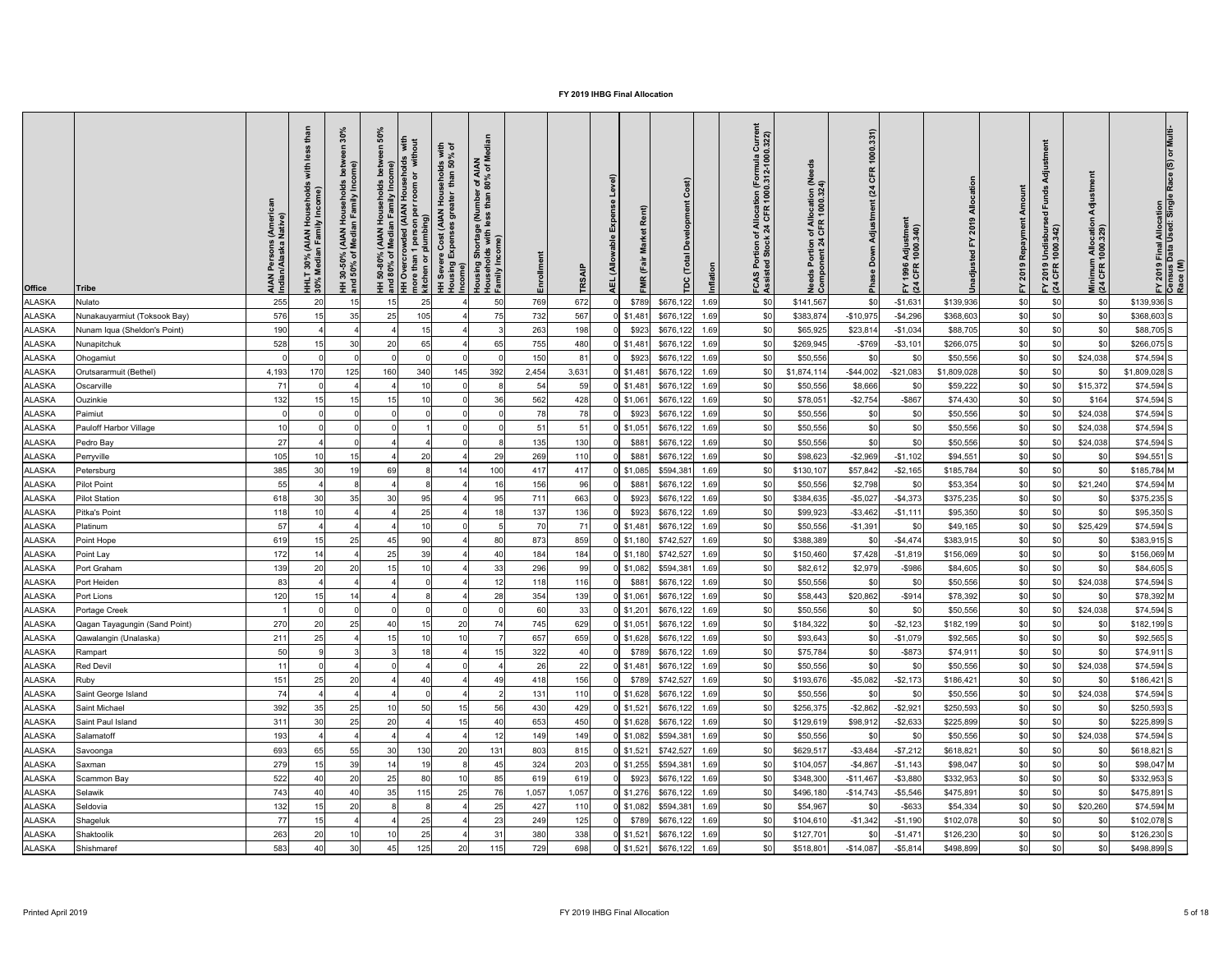| <b>Office</b> | <b>Tribe</b>                  | AIAN Persons (Ameri<br>Indian/Alaska Native) | ousehold:<br><sup>-</sup> Income)<br><b>UOH</b><br>: 30% (AIAN Ho<br>Median Family I<br><b>HHLT</b><br>30% M | $\bullet$<br>mily In<br>훈일<br>(AIAN<br>Media<br>$\frac{1}{6}$<br>$30 - 50$<br>$150%$<br>Ξ Ξ | <u>ငွ</u><br>ঁচ $\vert$<br>80% | out<br>with<br>$\overline{\sigma}$<br>room<br>person per i<br>lumbing)<br>Cost (AIAN<br><b>WHA</b><br>Med (AIAN<br>Over<br>re than 1<br>:hen or p<br>more<br>kitch<br>IŦ. | with<br>% of<br>8 g<br>sehole<br>than<br>Hou<br>ater<br>ნ<br>ა<br>) st:<br>Income( Expense<br>Income | r of AIAN<br>80% of M<br>ig Shortage (Number<br>holds with less than {<br>Housing Shortag<br>Households with<br>Family Income) | 띧     | <b>TRSAIP</b> | $\widehat{e}$<br>ᆜ<br>nse<br>Expe<br>(Allo<br><b>AEL</b> | Rent)<br><b>Irket</b><br>Σ<br>ー<br>あ<br>۴<br>œ | $\widehat{\mathbf{r}}$<br>$\overline{5}$<br>$\Omega$ | Curre<br>0.322)<br>of Allocation (Formula<br>k 24 CFR 1000.312-100<br>$\frac{5}{5}$ $\frac{6}{5}$<br>FCAS<br>Assist | eed<br>Needs Portion of Allocation (N<br>Component 24 CFR 1000.324) | 1000.331)<br>CFR<br>(24)<br>Adjustment<br>Down<br>Pha | Ξ.<br>Adjustmer<br>1000.340)<br>1996<br>CFR<br>$F \times 4$ |             | Amount<br>2019 Repayment<br>놊 | 'ਰ<br>ğun<br>$\overline{e}$<br>FY 2019 Undisbur<br>(24 CFR 1000.342) | 등<br>Minimum Allocatio<br>(24 CFR 1000.329) | Multi<br>FY 2019 Final Allocation<br>Census Data Used: Single<br>Race (M) |
|---------------|-------------------------------|----------------------------------------------|--------------------------------------------------------------------------------------------------------------|---------------------------------------------------------------------------------------------|--------------------------------|---------------------------------------------------------------------------------------------------------------------------------------------------------------------------|------------------------------------------------------------------------------------------------------|--------------------------------------------------------------------------------------------------------------------------------|-------|---------------|----------------------------------------------------------|------------------------------------------------|------------------------------------------------------|---------------------------------------------------------------------------------------------------------------------|---------------------------------------------------------------------|-------------------------------------------------------|-------------------------------------------------------------|-------------|-------------------------------|----------------------------------------------------------------------|---------------------------------------------|---------------------------------------------------------------------------|
| ALASKA        | Nulato                        | 255                                          | 20                                                                                                           | 15                                                                                          | 15                             | 25                                                                                                                                                                        |                                                                                                      | 50                                                                                                                             | 769   | 672           |                                                          | \$789                                          | \$676,122<br>1.69                                    | \$0                                                                                                                 | \$141,567                                                           | \$0                                                   | $-$1,631$                                                   | \$139,936   | \$0                           | \$0                                                                  | \$0                                         | $$139,936$ S                                                              |
| ALASKA        | Nunakauyarmiut (Toksook Bay)  | 576                                          |                                                                                                              | 35                                                                                          | 25                             | 105                                                                                                                                                                       |                                                                                                      |                                                                                                                                | 732   | 567           |                                                          | $0$ \$1,481                                    | \$676,122<br>1.69                                    | \$0                                                                                                                 | \$383,874                                                           | $-$10,975$                                            | $-$4,296$                                                   | \$368,603   | \$0                           | \$0                                                                  | \$0                                         | \$368,603 S                                                               |
| ALASKA        | Nunam Iqua (Sheldon's Point)  | 190                                          |                                                                                                              |                                                                                             |                                | 15                                                                                                                                                                        |                                                                                                      |                                                                                                                                | 263   | 198           |                                                          | \$923                                          | \$676,122<br>1.69                                    | \$0                                                                                                                 | \$65,925                                                            | \$23,814                                              | $-$1,034$                                                   | \$88,705    | \$0                           | \$0                                                                  | \$0                                         | $$88,705$ S                                                               |
| <b>ALASKA</b> | Nunapitchuk                   | 528                                          |                                                                                                              | 30                                                                                          | 20                             | 65                                                                                                                                                                        |                                                                                                      |                                                                                                                                | 755   | 480           |                                                          | $0$ \$1,481                                    | \$676,122<br>1.69                                    | \$0                                                                                                                 | \$269,945                                                           | $- $769$                                              | $- $3,101$                                                  | \$266,075   | \$0                           | \$0                                                                  | \$0                                         | $$266,075$ S                                                              |
| <b>ALASKA</b> | Ohogamiut                     |                                              |                                                                                                              |                                                                                             |                                |                                                                                                                                                                           |                                                                                                      |                                                                                                                                | 150   | 81            |                                                          | \$923                                          | \$676,122<br>1.69                                    | \$0                                                                                                                 | \$50,556                                                            | \$0                                                   | \$0                                                         | \$50,556    | \$0                           | \$0                                                                  | \$24,038                                    | $$74,594$ S                                                               |
| <b>ALASKA</b> | Orutsararmuit (Bethel)        | 4,193                                        |                                                                                                              | 125                                                                                         | 160                            | 340                                                                                                                                                                       | 145                                                                                                  | 392                                                                                                                            | 2,454 | 3,631         |                                                          | $0$ \$1,481                                    | \$676,122<br>1.69                                    |                                                                                                                     | \$1,874,114                                                         | $-$44,002$                                            | $-$ \$21,083                                                | \$1,809,028 | \$0                           | \$0                                                                  | \$0                                         | $$1,809,028$ S                                                            |
| ALASKA        | Oscarville                    | 71                                           |                                                                                                              |                                                                                             |                                |                                                                                                                                                                           |                                                                                                      |                                                                                                                                | 54    | 59            |                                                          | $0$ \$1,481                                    | \$676,122<br>1.69                                    |                                                                                                                     | \$50,556                                                            | \$8,666                                               | \$0                                                         | \$59,222    | \$0                           | \$0                                                                  | \$15,372                                    | $$74,594$ S                                                               |
| <b>ALASKA</b> | Ouzinkie                      | 132                                          |                                                                                                              | 15                                                                                          | 15                             | 10                                                                                                                                                                        |                                                                                                      | 36                                                                                                                             | 562   | 428           |                                                          | $0$ \$1,061                                    | \$676,122<br>1.69                                    | \$0                                                                                                                 | \$78,05                                                             | $-$2,754$                                             | $-$ \$867                                                   | \$74,430    | \$0                           | \$0                                                                  | \$164                                       | $$74,594$ S                                                               |
| <b>ALASKA</b> | Paimiut                       |                                              |                                                                                                              |                                                                                             |                                |                                                                                                                                                                           |                                                                                                      |                                                                                                                                | 78    | 78            |                                                          | \$923                                          | \$676,122<br>1.69                                    | \$0                                                                                                                 | \$50,556                                                            | \$0                                                   | \$0                                                         | \$50,556    | \$0                           | \$0                                                                  | \$24,038                                    | $$74,594$ S                                                               |
| <b>ALASKA</b> | <b>Pauloff Harbor Village</b> | 10                                           |                                                                                                              |                                                                                             |                                |                                                                                                                                                                           |                                                                                                      |                                                                                                                                | 51    | 51            |                                                          | $0$ \$1,051                                    | \$676,122<br>1.69                                    | \$0                                                                                                                 | \$50,556                                                            | \$0                                                   | \$0                                                         | \$50,556    | \$0                           | -\$C                                                                 | \$24,038                                    | $$74,594$ S                                                               |
| ALASKA        | Pedro Bay                     | 27                                           |                                                                                                              |                                                                                             |                                |                                                                                                                                                                           |                                                                                                      |                                                                                                                                | 135   | 130           |                                                          | \$881                                          | \$676,122<br>1.69                                    | \$0                                                                                                                 | \$50,556                                                            | \$0                                                   | \$0                                                         | \$50,556    | \$0                           |                                                                      | \$24,038                                    | $$74,594$ S                                                               |
| ALASKA        | Perryville                    | 105                                          |                                                                                                              | 15                                                                                          |                                | 20                                                                                                                                                                        |                                                                                                      | 29                                                                                                                             | 269   | 110           |                                                          | \$881                                          | \$676,122<br>1.69                                    |                                                                                                                     | \$98,623                                                            | $-$2,969$                                             | $-$1,102$                                                   | \$94,551    | \$0                           |                                                                      | \$0                                         | $$94,551$ S                                                               |
| <b>ALASKA</b> | Petersburg                    | 385                                          | 30 <sup>1</sup>                                                                                              |                                                                                             | 69                             |                                                                                                                                                                           | 14                                                                                                   | 100                                                                                                                            | 417   | 417           |                                                          | $0$ \$1,085                                    | \$594,381<br>1.69                                    |                                                                                                                     | \$130,107                                                           | \$57,842                                              | $-$2,165$                                                   | \$185,784   | \$0                           |                                                                      | \$0                                         | $$185,784$ M                                                              |
| <b>ALASKA</b> | <b>Pilot Point</b>            | 55                                           |                                                                                                              |                                                                                             |                                |                                                                                                                                                                           |                                                                                                      |                                                                                                                                | 156   | 96            |                                                          | \$881                                          | \$676,122<br>1.69                                    |                                                                                                                     | \$50,556                                                            | \$2,798                                               |                                                             | \$53,354    | \$0                           |                                                                      | \$21,240                                    | \$74,594 M                                                                |
| <b>ALASKA</b> | <b>Pilot Station</b>          | 618                                          |                                                                                                              | 35                                                                                          | 30                             | 95                                                                                                                                                                        |                                                                                                      | 95                                                                                                                             | 711   | 663           |                                                          | \$923                                          | \$676,122<br>1.69                                    |                                                                                                                     | \$384,635                                                           | $-$5,027$                                             | $-$4,373$                                                   | \$375,235   | \$0                           |                                                                      | \$0                                         | $$375,235$ S                                                              |
| ALASKA        | Pitka's Point                 | 118                                          |                                                                                                              |                                                                                             |                                | 25                                                                                                                                                                        |                                                                                                      |                                                                                                                                | 137   | 136           |                                                          | \$923                                          | \$676,122<br>1.69                                    |                                                                                                                     | \$99,923                                                            | $-$ \$3,462                                           | $-$1,111$                                                   | \$95,350    | \$0                           | \$0                                                                  | \$0                                         | $$95,350$ S                                                               |
| <b>ALASKA</b> | Platinum                      | 57                                           |                                                                                                              |                                                                                             |                                |                                                                                                                                                                           |                                                                                                      |                                                                                                                                | 70    | 71            |                                                          | $0$ \$1,481                                    | \$676,122<br>1.69                                    | \$C                                                                                                                 | \$50,556                                                            | $-$1,391$                                             | \$0                                                         | \$49,165    | \$0                           |                                                                      | \$25,429                                    | $$74,594$ S                                                               |
| <b>ALASKA</b> | Point Hope                    | 619                                          |                                                                                                              | 25                                                                                          | 45                             | 90                                                                                                                                                                        |                                                                                                      | 80                                                                                                                             | 873   | 859           |                                                          | $0$ \$1,180                                    | \$742,527<br>1.69                                    | \$0                                                                                                                 | \$388,389                                                           | \$0                                                   | $-$4,474$                                                   | \$383,915   | \$0                           |                                                                      | \$0                                         | $$383,915$ S                                                              |
| <b>ALASKA</b> | Point Lay                     | 172                                          |                                                                                                              |                                                                                             | 25                             | 39                                                                                                                                                                        |                                                                                                      |                                                                                                                                | 184   | 184           |                                                          | $0$ \$1,180                                    | \$742,527<br>1.69                                    | \$0                                                                                                                 | \$150,460                                                           | \$7,428                                               | $-$1,819$                                                   | \$156,069   | \$0                           | \$0                                                                  | \$0                                         | \$156,069 M                                                               |
| <b>ALASKA</b> | Port Graham                   | 139                                          |                                                                                                              | 20                                                                                          |                                | 1 <sup>1</sup>                                                                                                                                                            |                                                                                                      | 33                                                                                                                             | 296   | 99            |                                                          | $0$ \$1,082                                    | \$594,381<br>1.69                                    | \$0                                                                                                                 | \$82,612                                                            | \$2,979                                               | $-$ \$986                                                   | \$84,605    | \$0                           | \$0                                                                  | \$0                                         | \$84,605 S                                                                |
| <b>ALASKA</b> | Port Heiden                   | 83                                           |                                                                                                              |                                                                                             |                                |                                                                                                                                                                           |                                                                                                      |                                                                                                                                | 118   | 116           |                                                          | \$881                                          | \$676,122<br>1.69                                    | \$0                                                                                                                 | \$50,556                                                            | \$0                                                   | \$0                                                         | \$50,556    | \$0                           |                                                                      | \$24,038                                    | $$74,594$ S                                                               |
| <b>ALASKA</b> | Port Lions                    | 120                                          |                                                                                                              |                                                                                             |                                |                                                                                                                                                                           |                                                                                                      |                                                                                                                                | 354   | 139           |                                                          | 0   \$1,061                                    | \$676,122<br>1.69                                    |                                                                                                                     | \$58,443                                                            | \$20,862                                              | $-$ \$914                                                   | \$78,392    | \$0                           |                                                                      | \$0                                         | $$78,392$ M                                                               |
| <b>ALASKA</b> | Portage Creek                 |                                              |                                                                                                              |                                                                                             |                                |                                                                                                                                                                           |                                                                                                      |                                                                                                                                | 60    | 33            |                                                          | $0$ \$1,201                                    | \$676,122<br>1.69                                    |                                                                                                                     | \$50,556                                                            | \$0                                                   | \$0                                                         | \$50,556    | \$0                           |                                                                      | \$24,038                                    | $$74,594$ S                                                               |
| <b>ALASKA</b> | Qagan Tayagungin (Sand Point) | 270                                          |                                                                                                              | 25                                                                                          | 40                             | 15                                                                                                                                                                        | 20                                                                                                   |                                                                                                                                | 745   | 629           |                                                          | $0$ \$1,051                                    | \$676,122<br>1.69                                    |                                                                                                                     | \$184,322                                                           | \$0                                                   | $- $2,123$                                                  | \$182,199   | \$0                           | \$0                                                                  | \$0                                         | $$182,199$ S                                                              |
| <b>ALASKA</b> | Qawalangin (Unalaska)         | 211                                          | 25                                                                                                           |                                                                                             | 15                             | 10                                                                                                                                                                        |                                                                                                      |                                                                                                                                | 657   | 659           |                                                          | $0$ \$1,628                                    | \$676,122<br>1.69                                    | -\$C                                                                                                                | \$93,643                                                            | \$0                                                   | $-$1,079$                                                   | \$92,565    | \$0                           | \$0                                                                  | \$0                                         | \$92,565 S                                                                |
| <b>ALASKA</b> | Rampart                       | 50                                           |                                                                                                              |                                                                                             |                                | 18                                                                                                                                                                        |                                                                                                      |                                                                                                                                | 322   |               |                                                          | \$789                                          | \$676,122<br>1.69                                    | \$0                                                                                                                 | \$75,784                                                            | \$0                                                   | $-$ \$873                                                   | \$74,911    | \$0                           | \$0                                                                  | \$0                                         | $$74,911$ S                                                               |
| <b>ALASKA</b> | Red Devil                     |                                              |                                                                                                              |                                                                                             |                                |                                                                                                                                                                           |                                                                                                      |                                                                                                                                | 26    | 22            |                                                          | $0$ \$1,481                                    | \$676,122<br>1.69                                    |                                                                                                                     | \$50,556                                                            | \$0                                                   | \$0                                                         | \$50,556    | \$0                           |                                                                      | \$24,038                                    | $$74,594$ S                                                               |
| <b>ALASKA</b> | Ruby                          | 151                                          |                                                                                                              | 20                                                                                          |                                |                                                                                                                                                                           |                                                                                                      |                                                                                                                                | 418   | 156           |                                                          | \$789                                          | \$742,527<br>1.69                                    | \$C                                                                                                                 | \$193,676                                                           | $-$5,082$                                             | $-$2,173$                                                   | \$186,421   | \$0                           | \$0                                                                  | \$0                                         | $$186,421$ S                                                              |
| <b>ALASKA</b> | Saint George Island           | 74                                           |                                                                                                              |                                                                                             |                                |                                                                                                                                                                           |                                                                                                      |                                                                                                                                | 131   | 110           |                                                          | $0$ \$1,628                                    | \$676,122<br>1.69                                    |                                                                                                                     | \$50,556                                                            | \$0                                                   | \$0                                                         | \$50,556    | \$0                           |                                                                      | \$24,038                                    | $$74,594$ S                                                               |
| <b>ALASKA</b> | Saint Michael                 | 392                                          |                                                                                                              | 25                                                                                          |                                | 50                                                                                                                                                                        |                                                                                                      | 56                                                                                                                             | 430   | 429           |                                                          | $0$ \$1,521                                    | \$676,122<br>1.69                                    |                                                                                                                     | \$256,375                                                           | $-$2,862$                                             | $-$2,921$                                                   | \$250,593   | \$0                           | \$0                                                                  | \$0                                         | $$250,593$ S                                                              |
| <b>ALASKA</b> | Saint Paul Island             | 311                                          |                                                                                                              | 25                                                                                          | 20                             |                                                                                                                                                                           |                                                                                                      |                                                                                                                                | 653   | 450           |                                                          | $0$ \$1,628                                    | \$676,122<br>1.69                                    |                                                                                                                     | \$129,619                                                           | \$98,912                                              | $-$ \$2,633                                                 | \$225,899   | \$0                           |                                                                      | \$0                                         | \$225,899 S                                                               |
| <b>ALASKA</b> | Salamatoff                    | 193                                          |                                                                                                              |                                                                                             |                                |                                                                                                                                                                           |                                                                                                      |                                                                                                                                | 149   | 149           |                                                          | $0$ \$1,082                                    | \$594,381<br>1.69                                    |                                                                                                                     | \$50,556                                                            | \$0                                                   |                                                             | \$50,556    | \$0                           |                                                                      | \$24,038                                    | $$74,594$ S                                                               |
| <b>ALASKA</b> | Savoonga                      | 693                                          |                                                                                                              | 55                                                                                          | 30                             | 130                                                                                                                                                                       | 20                                                                                                   | 131                                                                                                                            | 803   | 815           |                                                          | $0$ \$1,521                                    | \$742,527<br>1.69                                    | \$C                                                                                                                 | \$629,51                                                            | $-$ \$3,484                                           | $- $7,212$                                                  | \$618,821   | \$0                           |                                                                      | \$0                                         | \$618,821S                                                                |
| <b>ALASKA</b> | Saxman                        | 279                                          |                                                                                                              | 39                                                                                          | 14                             | 19                                                                                                                                                                        |                                                                                                      |                                                                                                                                | 324   | 203           |                                                          | $0$ \$1,255                                    | \$594,381<br>1.69                                    | \$0                                                                                                                 | \$104,057                                                           | $-$4,867$                                             | $-$1,143$                                                   | \$98,047    | \$0                           | \$0                                                                  | \$0                                         | \$98,047 M                                                                |
| <b>ALASKA</b> | Scammon Bay                   | 522                                          |                                                                                                              | 20                                                                                          | 25                             | 80                                                                                                                                                                        |                                                                                                      | 85                                                                                                                             | 619   | 619           |                                                          | \$923                                          | \$676,122<br>1.69                                    | \$0                                                                                                                 | \$348,300                                                           | $-$11,467$                                            | $- $3,880$                                                  | \$332,953   | \$0                           | \$0                                                                  | \$0                                         | \$332,953 S                                                               |
| <b>ALASKA</b> | Selawik                       | 743                                          |                                                                                                              | 4(                                                                                          | 35                             | 115                                                                                                                                                                       | 25                                                                                                   | 76                                                                                                                             | 1,057 | 1,057         |                                                          | $0$ \$1,276                                    | \$676,122<br>1.69                                    | \$0                                                                                                                 | \$496,180                                                           | $-$14,743$                                            | $-$5,546$                                                   | \$475,891   | \$0                           | \$0                                                                  | \$0                                         | $$475,891$ S                                                              |
| <b>ALASKA</b> | Seldovia                      | 132                                          |                                                                                                              | 2 <sup>0</sup>                                                                              |                                |                                                                                                                                                                           |                                                                                                      |                                                                                                                                | 427   | 110           |                                                          | $0 \mid $1,082$                                | \$594,381<br>1.69                                    |                                                                                                                     | \$54,967                                                            | \$0                                                   | $-$ \$633                                                   | \$54,334    | \$0                           |                                                                      | \$20,260                                    | $$74,594$ M                                                               |
| ALASKA        | Shageluk                      | 77                                           |                                                                                                              |                                                                                             |                                | ク斥                                                                                                                                                                        |                                                                                                      | າາ                                                                                                                             | 249   | 125           |                                                          |                                                | $0$ \$789 \$676,122 1.69                             |                                                                                                                     | \$104,610                                                           | $-$ \$1,342                                           | $-$1,190$                                                   | \$102,078   | \$0                           |                                                                      | ፍሰ                                          | $$102,078$ S                                                              |
| ALASKA        | Shaktoolik                    | 263                                          | ו טו                                                                                                         | 10                                                                                          | 10                             | ້<br>25                                                                                                                                                                   |                                                                                                      | ∠∪<br>31                                                                                                                       | 380   | 338           |                                                          |                                                | 0 \$1,521 \$676,122 1.69                             | ູບປ<br>\$0                                                                                                          | \$127,701                                                           | \$0                                                   | $-$ \$1,471                                                 | \$126,230   | \$0                           | ູ∾∨∣<br>\$0                                                          | ັ⊽ບ∣<br>\$0                                 | $$126,230$ S                                                              |
| <b>ALASKA</b> | Shishmaref                    | 583                                          |                                                                                                              | 30                                                                                          | 45                             | 125                                                                                                                                                                       | 20                                                                                                   | 115                                                                                                                            | 729   | 698           |                                                          |                                                | $0$ \$1,521 \$676,122 1.69                           | \$0                                                                                                                 | \$518,801                                                           | $-$14,087$                                            | $-$ \$5,814                                                 | \$498,899   | \$0                           | \$0                                                                  | \$0                                         | $$498,899$ S                                                              |
|               |                               |                                              |                                                                                                              |                                                                                             |                                |                                                                                                                                                                           |                                                                                                      |                                                                                                                                |       |               |                                                          |                                                |                                                      |                                                                                                                     |                                                                     |                                                       |                                                             |             |                               |                                                                      |                                             |                                                                           |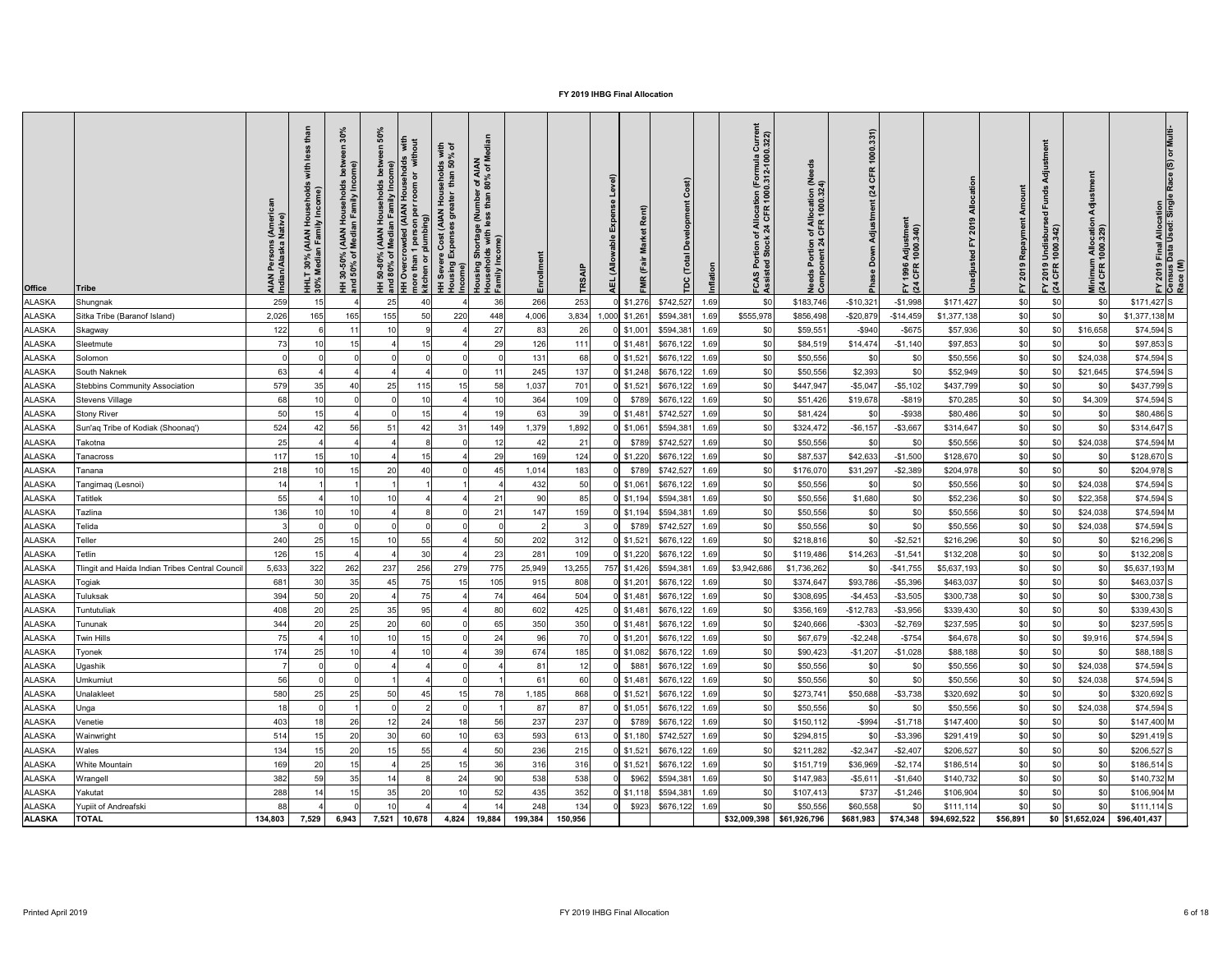| <b>Office</b>                  | <b>Tribe</b>                                   | rsons (Ameri<br>laska Native)<br>ב<br>ה≱<br>ר<br>AIAN<br>Indiar | ehold<br>Income)<br>(AIAN Ho<br>In Family<br>30%<br>ledia<br>$\overline{\Xi}$ $\stackrel{\sim}{\mathbf{S}}$ | $\circ$<br>로 드<br><b>AIAN</b><br>Media<br>ঁ০<br>នួ<br>$30 - 50$<br>$-50\%$<br><u> 王 흥</u> | င္ဟ<br>with<br>$\bar{\circ}$<br>$\overline{5}$<br>room<br>rowded (AIAN I<br>1 person per r<br>1 plumbing)<br>$\sigma$<br>e than<br>hen or <sub>l</sub><br>more<br>kitch<br>IŦ. | with<br>% of<br><b>8 8</b><br>sehol<br>than<br>Hou<br>st (AIAN<br>ნ<br>ა<br>ost ( <br> Income <br> Income <br><u> 王 훈</u> | r of AIAN<br>80% of M<br>Housing Shortage (Nur<br>Households with less t<br>Family Income) | 띧      | TR <sub>S</sub> | $\widehat{a}$<br>Rent)<br>Expe<br>arket<br>Σ<br>irā<br>(Allo<br>۴<br>$\alpha$<br>핒 | $\overline{\circ}$ l<br>$\Omega$ |              | Curre<br>0.322)<br>ition (Formula<br>.1000.312-1000<br>of Allocat<br>k 24 CFR<br>ຸ ອິສ<br>S<br>A<br><u>ር</u> ጀ | eed<br>n of Allocation (Ne<br>1 CFR 1000.324)<br>ntion<br>nt 24<br>gp<br>Nee<br>Con | 1000.331)<br><b>CFR</b><br>(24)<br>Adjustment<br>Down<br>$\frac{1}{2}$ | Ξ.<br>Adjustmer<br>1000.340)<br>1996<br>CFR<br>$F\overline{a}$ |                       | 2019<br>놊  | 'ਰ<br>짇<br>$\overline{e}$<br>′ 2019 Undisburs<br>1 CFR 1000.342)<br>$F \times 4$ | 등<br>Minimum Allocatio<br>(24 CFR 1000.329) | <b>Multi</b><br>FY 2019 Final Allocation<br>Census Data Used: Single<br>Race (M)                                             |
|--------------------------------|------------------------------------------------|-----------------------------------------------------------------|-------------------------------------------------------------------------------------------------------------|-------------------------------------------------------------------------------------------|--------------------------------------------------------------------------------------------------------------------------------------------------------------------------------|---------------------------------------------------------------------------------------------------------------------------|--------------------------------------------------------------------------------------------|--------|-----------------|------------------------------------------------------------------------------------|----------------------------------|--------------|----------------------------------------------------------------------------------------------------------------|-------------------------------------------------------------------------------------|------------------------------------------------------------------------|----------------------------------------------------------------|-----------------------|------------|----------------------------------------------------------------------------------|---------------------------------------------|------------------------------------------------------------------------------------------------------------------------------|
| ALASKA                         | Shungnak                                       | 259                                                             |                                                                                                             |                                                                                           | 25                                                                                                                                                                             |                                                                                                                           | 36                                                                                         | 266    | 253             | $0$ \$1,276                                                                        | \$742,527                        | 1.69         | \$0                                                                                                            | \$183,746                                                                           | $-$10,321$                                                             | $-$1,998$                                                      | \$171,427             | \$0        | \$0                                                                              | \$0                                         | $$171,427$ S                                                                                                                 |
| <b>ALASKA</b>                  | Sitka Tribe (Baranof Island)                   | 2,026                                                           | 165                                                                                                         | 165                                                                                       | 155<br>50                                                                                                                                                                      | 220                                                                                                                       | 448                                                                                        | 4,006  | 3,834           | 1,000 \$1,261                                                                      | \$594,381                        | 1.69         | \$555,978                                                                                                      | \$856,498                                                                           | $-$20,879$                                                             | $-$14,459$                                                     | \$1,377,138           | \$0        | \$0                                                                              | \$0                                         | $$1,377,138$ M                                                                                                               |
| <b>ALASKA</b>                  | Skagway                                        | 122                                                             |                                                                                                             | 11                                                                                        | 10                                                                                                                                                                             |                                                                                                                           | 27                                                                                         | 83     | 26              | $0$ \$1,001                                                                        | \$594,381                        | 1.69         | \$0                                                                                                            | \$59,551                                                                            | $-$ \$940                                                              | $-$ \$675                                                      | \$57,936              | \$0        | \$0                                                                              | \$16,658                                    | $$74,594$ S                                                                                                                  |
| <b>ALASKA</b>                  | Sleetmute                                      | 73                                                              |                                                                                                             | 15                                                                                        | 15                                                                                                                                                                             |                                                                                                                           | 29                                                                                         | 126    | 111             | $0$   \$1,481                                                                      | \$676,122                        | 1.69         | \$0                                                                                                            | \$84,519                                                                            | \$14,474                                                               | $-$1,140$                                                      | \$97,853              | \$0        | \$0                                                                              | \$0                                         | $$97,853$ S                                                                                                                  |
| <b>ALASKA</b>                  | Solomon                                        |                                                                 |                                                                                                             |                                                                                           |                                                                                                                                                                                |                                                                                                                           |                                                                                            | 131    | 68              | $0$ \$1,521                                                                        | \$676,122                        | 1.69         | \$0                                                                                                            | \$50,556                                                                            | \$0                                                                    | \$0                                                            | \$50,556              | \$0        | \$0                                                                              | \$24,038                                    | $$74,594$ S                                                                                                                  |
| <b>ALASKA</b>                  | South Naknek                                   | 63                                                              |                                                                                                             |                                                                                           |                                                                                                                                                                                |                                                                                                                           |                                                                                            | 245    | 137             | $0$ \$1,248                                                                        | \$676,122                        | 1.69         | \$0                                                                                                            | \$50,556                                                                            | \$2,393                                                                |                                                                | \$52,949              | \$0        |                                                                                  | \$21,645                                    | $$74,594$ S                                                                                                                  |
| <b>ALASKA</b>                  | <b>Stebbins Community Association</b>          | 579                                                             |                                                                                                             | 40                                                                                        | 25<br>115                                                                                                                                                                      | 15                                                                                                                        | 58                                                                                         | 1,037  | 701             | $0$ \$1,521                                                                        | \$676,122                        | 1.69         |                                                                                                                | \$447,947                                                                           | $-$ \$5,047                                                            | $-$ \$5,102                                                    | \$437,799             | \$0        | \$0                                                                              | \$0                                         | \$437,799 S                                                                                                                  |
| ALASKA                         | <b>Stevens Village</b>                         | 68                                                              |                                                                                                             |                                                                                           |                                                                                                                                                                                |                                                                                                                           |                                                                                            | 364    | 109             | \$789                                                                              | \$676,122                        | 1.69         | \$0                                                                                                            | \$51,426                                                                            | \$19,678                                                               | $-$ \$819                                                      | \$70,285              | \$0        | \$0                                                                              | \$4,309                                     | $$74,594$ S                                                                                                                  |
| <b>ALASKA</b>                  | <b>Stony River</b>                             | 50                                                              | 15                                                                                                          |                                                                                           | 15                                                                                                                                                                             |                                                                                                                           | 19 <sup>l</sup>                                                                            | 63     | 39              | $0$ \$1,481                                                                        | \$742,527                        | 1.69         | \$0                                                                                                            | \$81,424                                                                            | \$0                                                                    | $-$ \$938                                                      | \$80,486              | \$0        | \$0 <sub>l</sub>                                                                 | \$0                                         | \$80,486 S                                                                                                                   |
| <b>ALASKA</b>                  | Sun'aq Tribe of Kodiak (Shoonaq')              | 524                                                             |                                                                                                             | 56                                                                                        | 51<br>-42                                                                                                                                                                      | 31                                                                                                                        | 149                                                                                        | 1,379  | 1,892           | $0$ \$1,061                                                                        | \$594,381                        | 1.69         | \$0                                                                                                            | \$324,472                                                                           | $-$ \$6,157                                                            | $-$3,667$                                                      | \$314,647             | \$0        | \$0 <sub>l</sub>                                                                 | \$0                                         | $$314,647$ S                                                                                                                 |
| <b>ALASKA</b>                  | Takotna                                        | 25                                                              |                                                                                                             |                                                                                           |                                                                                                                                                                                |                                                                                                                           | 12                                                                                         | 42     | 21              | \$789                                                                              | \$742,527                        | 1.69         | \$0                                                                                                            | \$50,556                                                                            | \$0                                                                    | \$0                                                            | \$50,556              | \$0        | \$0                                                                              | \$24,038                                    | $$74,594$ M                                                                                                                  |
| <b>ALASKA</b>                  | Tanacross                                      | 117                                                             |                                                                                                             |                                                                                           |                                                                                                                                                                                |                                                                                                                           | 29                                                                                         | 169    | 124             | $0$ \$1,220                                                                        | \$676,122                        | 1.69         |                                                                                                                | \$87,537                                                                            | \$42,633                                                               | $-$1,500$                                                      | \$128,670             | \$0        |                                                                                  | \$0                                         | \$128,670 S                                                                                                                  |
| <b>ALASKA</b>                  | Tanana                                         | 218                                                             |                                                                                                             |                                                                                           | 20                                                                                                                                                                             |                                                                                                                           | 45                                                                                         | 1,014  | 183             | \$789                                                                              | \$742,527                        | 1.69         |                                                                                                                | \$176,070                                                                           | \$31,297                                                               | $-$2,389$                                                      | \$204,978             | \$0        |                                                                                  | \$0                                         | $$204,978$ S                                                                                                                 |
| <b>ALASKA</b>                  | Tangirnaq (Lesnoi)                             |                                                                 |                                                                                                             |                                                                                           |                                                                                                                                                                                |                                                                                                                           |                                                                                            | 432    | 50              | $0$ \$1,061                                                                        | \$676,122                        | 1.69         |                                                                                                                | \$50,556                                                                            | \$0                                                                    |                                                                | \$50,556              | \$0        |                                                                                  | \$24,038                                    | $$74,594$ S                                                                                                                  |
| <b>ALASKA</b>                  | <b>Tatitlek</b>                                | 55                                                              |                                                                                                             |                                                                                           |                                                                                                                                                                                |                                                                                                                           | 21                                                                                         | 90     | 85              | $0$ \$1,194                                                                        | \$594,381                        | 1.69         |                                                                                                                | \$50,556                                                                            | \$1,680                                                                |                                                                | \$52,236              | \$0        |                                                                                  | \$22,358                                    | $$74,594$ S                                                                                                                  |
| <b>ALASKA</b>                  | <b>Tazlina</b>                                 | 136                                                             |                                                                                                             |                                                                                           |                                                                                                                                                                                |                                                                                                                           | 21                                                                                         | 147    | 159             | $0$ \$1,194                                                                        | \$594,381                        | 1.69         |                                                                                                                | \$50,556<br>\$50,556                                                                | \$0                                                                    |                                                                | \$50,556              | \$0        |                                                                                  | \$24,038                                    | \$74,594 M                                                                                                                   |
| ALASKA                         | Telida<br>Teller                               | 240                                                             |                                                                                                             |                                                                                           | 55                                                                                                                                                                             |                                                                                                                           | 50                                                                                         | 202    | 312             | \$789<br>$0$ \$1,521                                                               | \$742,527<br>\$676,122           | 1.69<br>1.69 | \$0                                                                                                            | \$218,816                                                                           | \$0<br>\$0                                                             | $-$ \$2,52 $\cdot$                                             | \$50,556<br>\$216,296 | \$0<br>\$0 |                                                                                  | \$24,038<br>\$0                             | $$74,594$ S<br>\$216,296 S                                                                                                   |
| <b>ALASKA</b><br><b>ALASKA</b> | <b>Tetlin</b>                                  | 126                                                             | 25                                                                                                          |                                                                                           | 30                                                                                                                                                                             |                                                                                                                           | 23                                                                                         | 281    | 109             | $0$ \$1,220                                                                        |                                  | 1.69         | \$0                                                                                                            |                                                                                     | \$14,263                                                               | $-$1,54'$                                                      | \$132,208             | \$0        |                                                                                  | \$0                                         | $$132,208$ S                                                                                                                 |
| <b>ALASKA</b>                  | Tlingit and Haida Indian Tribes Central Counci | 5,633                                                           | 322                                                                                                         | 262                                                                                       | 256<br>237                                                                                                                                                                     | 279                                                                                                                       | 775                                                                                        | 25,949 | 13,255          | 757 \$1,426                                                                        | \$676,122<br>\$594,381           | 1.69         | \$3,942,686                                                                                                    | \$119,486<br>\$1,736,262                                                            | \$C                                                                    | $-$41,755$                                                     | \$5,637,193           | \$C        | \$0                                                                              | \$ <sub>0</sub>                             | \$5,637,193 M                                                                                                                |
| <b>ALASKA</b>                  | Togiak                                         | 681                                                             |                                                                                                             | 35                                                                                        | 45                                                                                                                                                                             | 15                                                                                                                        | 105                                                                                        | 915    | 808             | $0$ \$1,201                                                                        | \$676,122                        | 1.69         |                                                                                                                | \$374,647                                                                           | \$93,786                                                               | $- $5,396$                                                     | \$463,037             | \$C        | \$0                                                                              | \$0                                         | \$463,037 S                                                                                                                  |
| ALASKA                         | Tuluksak                                       | 394                                                             |                                                                                                             | 20                                                                                        |                                                                                                                                                                                |                                                                                                                           |                                                                                            | 464    | 504             | $0$ \$1,481                                                                        | \$676,122                        | 1.69         |                                                                                                                | \$308,695                                                                           | $-$4,453$                                                              | $- $3,505$                                                     | \$300,738             | \$C        |                                                                                  | \$0                                         | $$300,738$ S                                                                                                                 |
| <b>ALASKA</b>                  | Tuntutuliak                                    | 408                                                             |                                                                                                             | 25                                                                                        | 35<br>95                                                                                                                                                                       |                                                                                                                           | 80                                                                                         | 602    | 425             | $0$ \$1,481                                                                        | \$676,122                        | 1.69         |                                                                                                                | \$356,169                                                                           | $-$12,783$                                                             | $- $3,956$                                                     | \$339,430             | \$0        |                                                                                  | \$0                                         | \$339,430 S                                                                                                                  |
| <b>ALASKA</b>                  | Tununak                                        | 344                                                             |                                                                                                             | 25                                                                                        | 20<br>60                                                                                                                                                                       |                                                                                                                           | 65                                                                                         | 350    | 350             | $0$ \$1,481                                                                        | \$676,122                        | 1.69         |                                                                                                                | \$240,666                                                                           | $-$ \$303                                                              | $-$2,769$                                                      | \$237,595             | \$0        | \$0                                                                              | \$0                                         | $$237,595$ S                                                                                                                 |
| <b>ALASKA</b>                  | <b>Twin Hills</b>                              | 75                                                              |                                                                                                             | 10                                                                                        | 15                                                                                                                                                                             |                                                                                                                           | 24                                                                                         | 96     | 70              | $0$ \$1,201                                                                        | \$676,122                        | 1.69         |                                                                                                                | \$67,679                                                                            | $-$2,248$                                                              | $-$ \$754                                                      | \$64,678              | \$0        |                                                                                  | \$9,916                                     | $$74,594$ S                                                                                                                  |
| <b>ALASKA</b>                  | <b>Tyonek</b>                                  | 174                                                             |                                                                                                             |                                                                                           |                                                                                                                                                                                |                                                                                                                           | 39                                                                                         | 674    | 185             | $0$ \$1,082                                                                        | \$676,122                        | 1.69         | <b>SC</b>                                                                                                      | \$90,423                                                                            | $-$1,207$                                                              | $-$1,028$                                                      | \$88,188              | \$C        | \$0                                                                              | \$0                                         | \$88,188 S                                                                                                                   |
| <b>ALASKA</b>                  | Ugashik                                        |                                                                 |                                                                                                             |                                                                                           |                                                                                                                                                                                |                                                                                                                           |                                                                                            | 81     |                 | \$881                                                                              | \$676,122                        | 1.69         |                                                                                                                | \$50,556                                                                            | \$0                                                                    |                                                                | \$50,556              | \$C        |                                                                                  | \$24,038                                    | $$74,594$ S                                                                                                                  |
| <b>ALASKA</b>                  | Umkumiut                                       | 56                                                              |                                                                                                             |                                                                                           |                                                                                                                                                                                |                                                                                                                           |                                                                                            | 61     | 60              | $0$ \$1,481                                                                        | \$676,122                        | 1.69         |                                                                                                                | \$50,556                                                                            | \$0                                                                    |                                                                | \$50,556              | \$0        |                                                                                  | \$24,038                                    | $$74,594$ S                                                                                                                  |
| <b>ALASKA</b>                  | Unalakleet                                     | 580                                                             |                                                                                                             | 25                                                                                        | 50                                                                                                                                                                             | 15                                                                                                                        | 78                                                                                         | 1,185  | 868             | $0$ \$1,521                                                                        | \$676,122                        | 1.69         |                                                                                                                | \$273,74                                                                            | \$50,688                                                               | $- $3,738$                                                     | \$320,692             | \$C        | \$0                                                                              | \$0                                         | \$320,692 S                                                                                                                  |
| <b>ALASKA</b>                  | Unga                                           | 18                                                              |                                                                                                             |                                                                                           |                                                                                                                                                                                |                                                                                                                           |                                                                                            | 87     | -87             | $0$ \$1,051                                                                        | \$676,122                        | 1.69         |                                                                                                                | \$50,556                                                                            | \$0                                                                    |                                                                | \$50,556              | \$C        |                                                                                  | \$24,038                                    | $$74,594$ S                                                                                                                  |
| <b>ALASKA</b>                  | Venetie                                        | 403                                                             |                                                                                                             | 26                                                                                        | 24                                                                                                                                                                             | 18                                                                                                                        | 56                                                                                         | 237    | 237             | \$789                                                                              | \$676,122                        | 1.69         |                                                                                                                | \$150,112                                                                           | $-$ \$994                                                              | $-$1,718$                                                      | \$147,400             | \$C        |                                                                                  | \$0                                         | $$147,400$ M                                                                                                                 |
| <b>ALASKA</b>                  | Wainwright                                     | 514                                                             |                                                                                                             | 20                                                                                        | 30                                                                                                                                                                             |                                                                                                                           |                                                                                            | 593    | 613             | $0$ \$1,180                                                                        | \$742,527                        | 1.69         |                                                                                                                | \$294,815                                                                           | \$0                                                                    | $- $3,396$                                                     | \$291,419             | \$C        |                                                                                  | \$0                                         | $$291,419$ S                                                                                                                 |
| <b>ALASKA</b>                  | Wales                                          | 134                                                             |                                                                                                             | 20                                                                                        | 55                                                                                                                                                                             |                                                                                                                           | 50                                                                                         | 236    | 215             | $0$ \$1,521                                                                        | \$676,122                        | 1.69         |                                                                                                                | \$211,282                                                                           | $-$2,347$                                                              | $-$2,407$                                                      | \$206,527             | \$C        |                                                                                  | \$0                                         | \$206,527 S                                                                                                                  |
| <b>ALASKA</b>                  | White Mountain                                 | 169                                                             | 20                                                                                                          | 15                                                                                        | 25                                                                                                                                                                             | 15                                                                                                                        | 36                                                                                         | 316    | 316             | $0$ \$1,521                                                                        | \$676,122                        | 1.69         |                                                                                                                | \$151,719                                                                           | \$36,969                                                               | $-$2,174$                                                      | \$186,514             | \$0        | \$0                                                                              | \$0                                         | $$186,514$ S                                                                                                                 |
| <b>ALASKA</b>                  | Wrangell                                       | 382                                                             |                                                                                                             | 35                                                                                        | 14                                                                                                                                                                             | 24                                                                                                                        | 90                                                                                         | 538    | 538             | \$962                                                                              | \$594,381                        | 1.69         |                                                                                                                | \$147,983                                                                           | $- $5,61$                                                              | $-$1,640$                                                      | \$140,732             | \$0        | \$0                                                                              | \$0                                         | $$140,732$ M                                                                                                                 |
| <b>ALASKA</b>                  | Yakutat                                        | 288                                                             |                                                                                                             | 15                                                                                        | 35<br>20                                                                                                                                                                       |                                                                                                                           | 52                                                                                         | 435    | 352             | $0$ \$1,118                                                                        | \$594,381                        | 1.69         | \$0                                                                                                            | \$107,413                                                                           | \$737                                                                  | $-$1,246$                                                      | \$106,904             | \$0        | \$0                                                                              | \$0                                         | $$106,904$ M                                                                                                                 |
| <b>ALASKA</b>                  | Yupiit of Andreafski                           | 88                                                              |                                                                                                             |                                                                                           |                                                                                                                                                                                |                                                                                                                           |                                                                                            | 248    | 134             | \$923                                                                              | \$676,122                        | 1.69         |                                                                                                                | \$50,556                                                                            | \$60,558                                                               |                                                                | \$111,114             | \$C        |                                                                                  |                                             | $$111,114$ S                                                                                                                 |
| ALASKA                         | <b>TOTAL</b>                                   |                                                                 |                                                                                                             |                                                                                           |                                                                                                                                                                                |                                                                                                                           |                                                                                            |        |                 |                                                                                    |                                  |              |                                                                                                                |                                                                                     |                                                                        |                                                                |                       |            |                                                                                  |                                             | $\frac{1}{2}$ \$32,009,398   \$61,926,796   \$681,983   \$74,348   \$94,692,522   \$56,891   \$0  \$1,652,024   \$96,401,437 |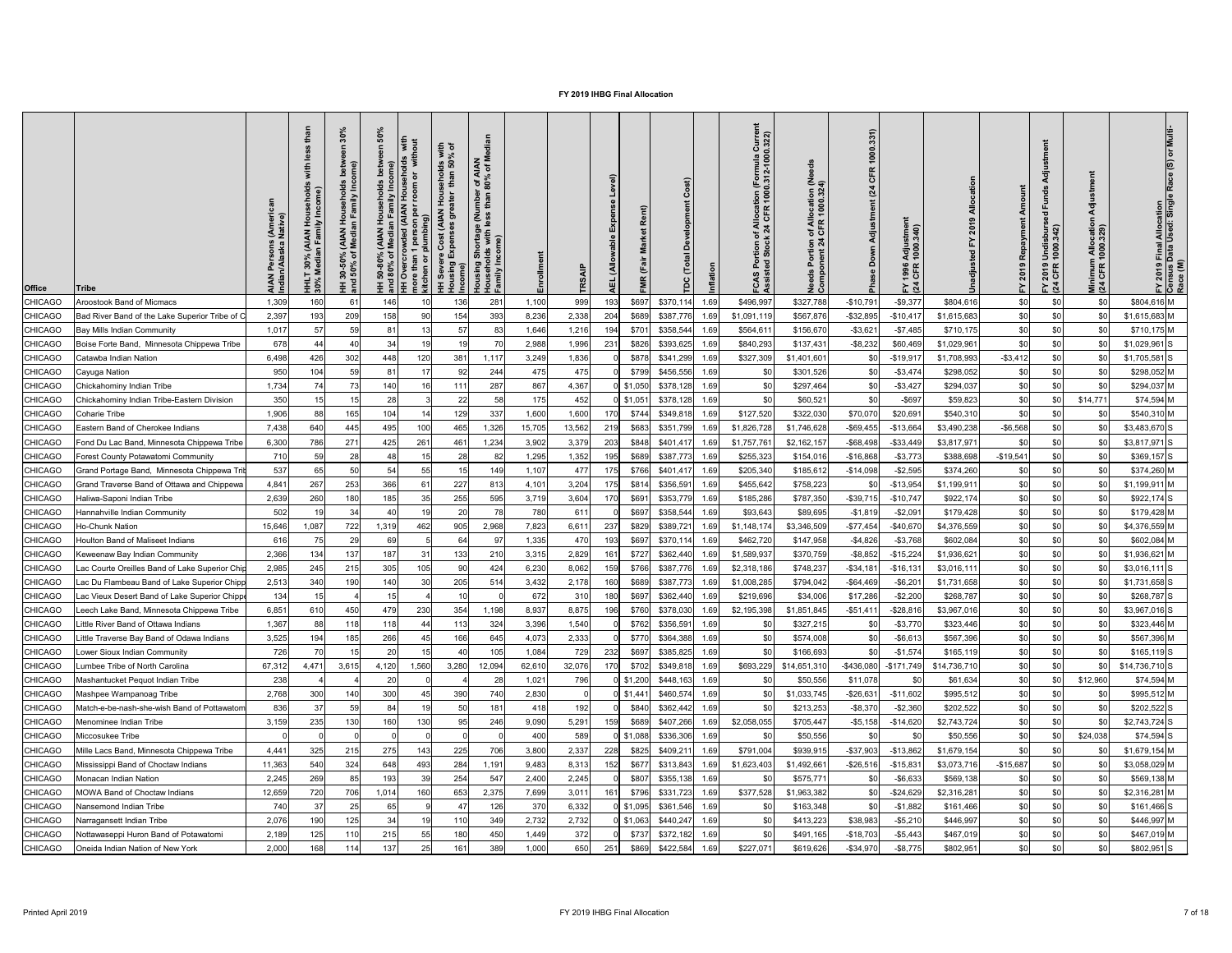| <b>Office</b>  | <b>Tribe</b>                                   | AIAN<br>Indiar | 드<br>(AIAN<br>In Fami<br>30%<br>ledia<br>$\overline{1}$ $\overline{8}$ | $\circ$<br>$\vec{a}$<br>₹Σ<br>ঁ০<br>$30 - 8$<br>Ŧ. | $\frac{1}{\sigma}$ | with<br>ehol<br>room<br>$\epsilon$<br><b>Be</b><br>noi<br>Kitc | with<br>% of<br><b>IAN</b><br>of M<br><b>8 Sp</b><br>. of A<br>80%<br>Ĕ<br>៑<br>e (N.<br><b>ortage</b><br>with<br>င္တ<br>sing<br>Income)<br>우 | 로 필             |                 | <b>TRS</b> | $\breve{\mathbf{z}}$     | Rent) |                            | iurre<br>322)<br>rmula<br>2-100<br>Allo<br>CF<br>ပ | of Allocation (Ne<br>  CFR 1000.324)<br><u>စီ</u> ပိ | 1000.331)<br>CFR<br>(24)<br>Adjustment<br>å | Adjustmeı<br>1000.340)<br>1996<br>CFR<br>$F\overline{a}$ |              |             | $\overline{g}$<br>Undisburs<br>1000.342)<br>2019<br>CFR<br>$F \times 4$ | Minimum Allocatio<br>(24 CFR 1000.329) | <b>Il Allocation</b><br>I Used: Singli<br>Final<br>Data l<br>FY 2019 I<br>Census I<br>Race (M) |
|----------------|------------------------------------------------|----------------|------------------------------------------------------------------------|----------------------------------------------------|--------------------|----------------------------------------------------------------|-----------------------------------------------------------------------------------------------------------------------------------------------|-----------------|-----------------|------------|--------------------------|-------|----------------------------|----------------------------------------------------|------------------------------------------------------|---------------------------------------------|----------------------------------------------------------|--------------|-------------|-------------------------------------------------------------------------|----------------------------------------|------------------------------------------------------------------------------------------------|
| CHICAGO        | <b>Aroostook Band of Micmacs</b>               | 1,309          | 160                                                                    | -6                                                 | 146                |                                                                | 136                                                                                                                                           | 281             | 1,100           | 999        | 193                      | \$697 | \$370,114<br>1.69          | \$496,997                                          | \$327,788                                            | $-$10,791$                                  | $-$ \$9,377                                              | \$804,616    | \$0         | \$0                                                                     | \$0                                    | \$804,616 M                                                                                    |
| <b>CHICAGO</b> | Bad River Band of the Lake Superior Tribe of C | 2,397          | 193                                                                    | 209                                                | 158                |                                                                | 154                                                                                                                                           | 393             | 8,236           | 2,338      | 204<br>\$689             |       | \$387,776<br>1.69          | \$1,091,119                                        | \$567,876                                            | $-$ \$32,895                                | $-$10,417$                                               | \$1,615,683  | \$0         |                                                                         | \$0                                    | $$1,615,683$ M                                                                                 |
| <b>CHICAGO</b> | Bay Mills Indian Community                     | 1,017          |                                                                        | 59                                                 | 81                 |                                                                | 57                                                                                                                                            | 83              | 1,646           | 1,216      | 194                      | \$701 | \$358,544<br>1.69          | \$564,611                                          | \$156,670                                            | $-$ \$3,621                                 | $-$7,485$                                                | \$710, 175   | \$C         | \$0                                                                     | \$0                                    | \$710,175 M                                                                                    |
| <b>CHICAGO</b> | Boise Forte Band, Minnesota Chippewa Tribe     | 678            |                                                                        | 40                                                 | 34                 |                                                                |                                                                                                                                               |                 | 2,988           | 1,996      | 231<br>\$826             |       | \$393,625<br>1.69          | \$840,293                                          | \$137,431                                            | $-$ \$8,232                                 | \$60,469                                                 | \$1,029,961  | \$0         | \$0                                                                     | \$0                                    | $$1,029,961$ S                                                                                 |
| <b>CHICAGO</b> | Catawba Indian Nation                          | 6,498          | 426                                                                    | 302                                                | 448                | 120                                                            | 381                                                                                                                                           | 1,117           | 3,249           | 1,836      | \$878                    |       | \$341,299<br>1.69          | \$327,309                                          | \$1,401,60'                                          | \$0                                         | $-$19,917$                                               | \$1,708,993  | $-$ \$3,412 | \$0                                                                     | \$0                                    | $$1,705,581$ S                                                                                 |
| <b>CHICAGO</b> | Cayuga Nation                                  | 950            | 104                                                                    | 59                                                 | 81                 |                                                                | 92                                                                                                                                            | 244             | 475             | 475        | \$799                    |       | \$456,556<br>1.69          |                                                    | \$301,526                                            | \$0                                         | $- $3,474$                                               | \$298,052    | \$C         | \$0                                                                     | \$0                                    | \$298,052 M                                                                                    |
| <b>CHICAGO</b> | Chickahominy Indian Tribe                      | 1,734          |                                                                        | 73                                                 | 140                |                                                                | 111                                                                                                                                           | 287             | 867             | 4,367      | $0$ \$1,050              |       | \$378,128<br>1.69          |                                                    | \$297,464                                            | \$0                                         | $-$ \$3,427                                              | \$294,037    | \$0         | \$0                                                                     | \$0                                    | \$294,037 M                                                                                    |
| <b>CHICAGO</b> | Chickahominy Indian Tribe-Eastern Division     | 350            | 15                                                                     | 15                                                 | 28                 |                                                                | 22                                                                                                                                            | 58              | 175             | 452        | $0$ \$1,051              |       | \$378,128<br>1.69          |                                                    | \$60,521                                             | \$0                                         | $-$ \$697                                                | \$59,823     | \$0         |                                                                         | \$14,771                               | $$74,594$ M                                                                                    |
| <b>CHICAGO</b> | Coharie Tribe                                  | 1,906          | 88                                                                     | 165                                                | 104                |                                                                | 129                                                                                                                                           | 337             | 1,600           | 1,600      | 170<br>\$744             |       | \$349,81<br>1.69           | \$127,520                                          | \$322,030                                            | \$70,070                                    | \$20,691                                                 | \$540,310    | \$0         | <b>\$01</b>                                                             | \$0                                    | \$540,310 M                                                                                    |
| <b>CHICAGO</b> | Eastern Band of Cherokee Indians               | 7,438          | 640                                                                    | 445                                                | 495                | 100                                                            | 465                                                                                                                                           | 1,326           | 15,705          | 13,562     | \$683<br>219             |       | \$351,799<br>1.69          | \$1,826,728                                        | \$1,746,628                                          | $-$ \$69,455                                | $-$13,664$                                               | \$3,490,238  | $-$ \$6,568 |                                                                         | \$0                                    | \$3,483,670 S                                                                                  |
| <b>CHICAGO</b> | Fond Du Lac Band, Minnesota Chippewa Tribe     | 6,300          | 786                                                                    | 271                                                | 425                | 261                                                            | 461                                                                                                                                           | 1,234           | 3,902           | 3,379      | 203<br>\$848             |       | \$401,417<br>1.69          | \$1,757,76                                         | \$2,162,157                                          | $-$ \$68,498                                | $-$ \$33,449                                             | \$3,817,971  | \$C         |                                                                         | \$0                                    | $$3,817,971$ S                                                                                 |
| <b>CHICAGO</b> | <b>Forest County Potawatomi Community</b>      | 710            |                                                                        | 28                                                 | 48                 |                                                                | 28                                                                                                                                            | 82              | 1,295           | 1,352      |                          | \$689 | \$387,773<br>1.69          | \$255,323                                          | \$154,016                                            | $-$16,868$                                  | $- $3,773$                                               | \$388,698    | $-$19,541$  |                                                                         | \$0                                    | $$369,157$ S                                                                                   |
| <b>CHICAGO</b> | Grand Portage Band, Minnesota Chippewa Tr      | 537            |                                                                        | 50                                                 | 54                 | 55                                                             | 15                                                                                                                                            | 149             | 1,107           | 477        | \$766                    |       | \$401,41<br>1.69           | \$205,340                                          | \$185,612                                            | $-$14,098$                                  | $-$2,595$                                                | \$374,260    | \$0         |                                                                         | \$0                                    | \$374,260 M                                                                                    |
| <b>CHICAGO</b> | Grand Traverse Band of Ottawa and Chippewa     | 4,84'          | 267                                                                    | 253                                                | 366                | -6                                                             | 227                                                                                                                                           | 813             | 4,101           | 3,204      | \$814                    |       | \$356,59<br>1.69           | \$455,642                                          | \$758,223                                            | \$C                                         | $-$13,954$                                               | \$1,199,91   | \$C         |                                                                         | \$0                                    | $$1,199,911$ M                                                                                 |
| <b>CHICAGO</b> | Haliwa-Saponi Indian Tribe                     | 2,639          | 260                                                                    | 180                                                | 185                | 35                                                             | 255                                                                                                                                           | 595             | 3,719           | 3,604      | 170<br>\$691             |       | \$353,77<br>1.69           | \$185,286                                          | \$787,350                                            | $-$39,715$                                  | $-$10,747$                                               | \$922,174    | \$C         | \$0                                                                     | \$0                                    | $$922,174$ S                                                                                   |
| <b>CHICAGO</b> | Hannahville Indian Community                   | 502            |                                                                        | 34                                                 | 40                 |                                                                | 20                                                                                                                                            | 78              | 780             | 611        | \$697                    |       | \$358,54<br>1.69           | \$93,643                                           | \$89,695                                             | $-$1,819$                                   | $-$2,09$                                                 | \$179,428    | \$C         |                                                                         | \$0                                    | $$179,428$ M                                                                                   |
| <b>CHICAGO</b> | <b>Ho-Chunk Nation</b>                         | 15,646         | 1,087                                                                  | 722                                                | 1,319              | 462                                                            | 905                                                                                                                                           | 2,968           | 7,823           | 6,61'      | 237<br>\$829             |       | \$389,72<br>1.69           | \$1,148,174                                        | \$3,346,509                                          | $-$77,454$                                  | $-$40,67$                                                | \$4,376,559  | \$C         |                                                                         | \$ <sub>0</sub>                        | \$4,376,559 M                                                                                  |
| <b>CHICAGO</b> | <b>Houlton Band of Maliseet Indians</b>        | 616            |                                                                        | 29                                                 | 69                 |                                                                | 64                                                                                                                                            |                 | 1,335           | 470        | \$697<br>193             |       | \$370,11<br>1.69           | \$462,720                                          | \$147,958                                            | $-$4,826$                                   | $- $3,768$                                               | \$602,084    | \$C         |                                                                         | \$0                                    | \$602,084 M                                                                                    |
| <b>CHICAGO</b> | Keweenaw Bay Indian Community                  | 2,366          | 134                                                                    | 137                                                | 187                | 31                                                             | 133                                                                                                                                           | 210             | 3,315           | 2,829      | 16 <sup>′</sup><br>\$727 |       | \$362,44<br>1.69           | \$1,589,937                                        | \$370,759                                            | $-$ \$8,852                                 | $-$15,224$                                               | \$1,936,621  | \$C         | \$0                                                                     | \$ <sub>0</sub>                        | \$1,936,621 M                                                                                  |
| <b>CHICAGO</b> | Lac Courte Oreilles Band of Lake Superior Chi  | 2,985          | 245                                                                    | 215                                                | 305                | 105                                                            | 90                                                                                                                                            | 424             | 6,230           | 8,062      | 159<br>\$766             |       | \$387,776<br>1.69          | \$2,318,186                                        | \$748,237                                            | $-$ \$34,18                                 | $-$16,131$                                               | \$3,016,111  | \$C         |                                                                         | \$ <sub>0</sub>                        | $$3,016,111$ S                                                                                 |
| <b>CHICAGO</b> | Lac Du Flambeau Band of Lake Superior Chipp    | 2,513          | 340                                                                    | 190                                                | 140                | 3 <sub>0</sub>                                                 | 205                                                                                                                                           | 51 <sub>4</sub> | 3,432           | 2,178      | 160<br>\$689             |       | \$387,77<br>1.69           | \$1,008,28                                         | \$794,042                                            | $-$64,469$                                  | $-$ \$6,20                                               | \$1,731,658  | \$C         | \$0                                                                     | \$ <sub>0</sub>                        | $$1,731,658$ S                                                                                 |
| <b>CHICAGO</b> | Lac Vieux Desert Band of Lake Superior Chipp   | 134            |                                                                        |                                                    |                    |                                                                |                                                                                                                                               |                 | 672             | <b>310</b> | 180<br>\$697             |       | \$362,44<br>1.69           | \$219,696                                          | \$34,006                                             | \$17,286                                    | $-$2,200$                                                | \$268,787    | \$C         |                                                                         | \$0                                    | \$268,787 S                                                                                    |
| <b>CHICAGO</b> | Leech Lake Band, Minnesota Chippewa Tribe      | 6,851          | 610                                                                    | 450                                                | 479                | 230                                                            | 354                                                                                                                                           | ,198            | 8,937           | 8,875      | \$760                    |       | \$378,030<br>1.69          | \$2,195,398                                        | \$1,851,845                                          | $-$ \$51,41                                 | $-$28,816$                                               | \$3,967,016  | \$C         |                                                                         | \$ <sub>0</sub>                        | $$3,967,016$ S                                                                                 |
| <b>CHICAGO</b> | Little River Band of Ottawa Indians            | 1,367          |                                                                        | 118                                                | 118                |                                                                | 113                                                                                                                                           | 324             | 3,396           | 1,540      | \$762                    |       | \$356,59<br>1.69           |                                                    | \$327,215                                            | \$0                                         | $-$3,770$                                                | \$323,446    | \$C         |                                                                         | \$0                                    | \$323,446 M                                                                                    |
| <b>CHICAGO</b> | ittle Traverse Bay Band of Odawa Indians       | 3,525          | 194                                                                    | 185                                                | 266                |                                                                | 166                                                                                                                                           | 645             | 4,073           | 2,333      | \$770                    |       | \$364,388<br>1.69          |                                                    | \$574,008                                            | \$0                                         | $-$ \$6,613                                              | \$567,396    | \$C         | \$0                                                                     | \$0                                    | \$567,396 M                                                                                    |
| <b>CHICAGO</b> | ower Sioux Indian Community                    | 726            |                                                                        | 15                                                 | 20                 | 15                                                             |                                                                                                                                               | 105             | 1,084           | 729        | 232<br>\$697             |       | \$385,825<br>1.69          |                                                    | \$166,693                                            | \$0                                         | $-$1,574$                                                | \$165,119    | \$C         |                                                                         | \$0                                    | $$165, 119$ S                                                                                  |
| <b>CHICAGO</b> | umbee Tribe of North Carolina                  | 67,312         | 4,47                                                                   | 3,61                                               | 4,120              | 1,560                                                          | 3,280                                                                                                                                         | 12,094          | 62,61           | 32,076     | 170<br>\$702             |       | \$349,81<br>1.69           | \$693,22                                           | \$14,651,310                                         | $-$436,080$                                 | $-$171,749$                                              | \$14,736,710 | \$C         | -\$0                                                                    | \$ <sub>6</sub>                        | $$14,736,710$ S                                                                                |
| <b>CHICAGO</b> | Mashantucket Pequot Indian Tribe               | 238            |                                                                        |                                                    | 20                 |                                                                |                                                                                                                                               | 28              | 1,021           | 796        | $0$ \$1,200              |       | \$448,163<br>1.69          |                                                    | \$50,556                                             | \$11,078                                    |                                                          | \$61,634     | \$C         |                                                                         | \$12,960                               | \$74,594 M                                                                                     |
| <b>CHICAGO</b> | Mashpee Wampanoag Tribe                        | 2,768          | 300                                                                    | 140                                                | 300                |                                                                | 390                                                                                                                                           | 740             | 2,830           |            | $0$ \$1,441              |       | \$460,57<br>1.69           |                                                    | \$1,033,745                                          | $-$ \$26,63                                 | $-$11,602$                                               | \$995,512    | \$C         |                                                                         | \$ <sub>0</sub>                        | \$995,512 M                                                                                    |
| <b>CHICAGO</b> | Match-e-be-nash-she-wish Band of Pottawaton    | 836            |                                                                        | 59                                                 | 84                 |                                                                | 50                                                                                                                                            | 181             | 418             | 192        | \$840                    |       | \$362,442<br>1.69          |                                                    | \$213,253                                            | $-$ \$8,370                                 | $-$2,360$                                                | \$202,522    | \$C         |                                                                         | \$0                                    | \$202,522 S                                                                                    |
| <b>CHICAGO</b> | Menominee Indian Tribe                         | 3,159          | 235                                                                    | 130                                                | 160                | 130                                                            |                                                                                                                                               | 246             | 9,090           | 5,291      | \$689                    |       | \$407,26<br>1.69           | \$2,058,055                                        | \$705,44                                             | $- $5,158$                                  | $-$14,620$                                               | \$2,743,724  | \$C         |                                                                         | \$ <sub>0</sub>                        | $$2,743,724$ S                                                                                 |
| <b>CHICAGO</b> | Miccosukee Tribe                               |                |                                                                        |                                                    |                    |                                                                |                                                                                                                                               |                 | 40 <sub>C</sub> | 589        | $\frac{1}{2}$ \$1,088    |       | \$336,306<br>1.69          |                                                    | \$50,556                                             | \$0                                         |                                                          | \$50,556     | \$C         |                                                                         | \$24,038                               | $$74,594$ S                                                                                    |
| <b>CHICAGO</b> | Mille Lacs Band, Minnesota Chippewa Tribe      | 4,44'          | 325                                                                    | 215                                                | 275                | 143                                                            | 225                                                                                                                                           | 706             | 3,800           | 2,337      | 228<br>\$825             |       | \$409,21<br>1.69           | \$791,004                                          | \$939,915                                            | $-$37,903$                                  | $-$13,86$                                                | \$1,679,154  | \$C         |                                                                         | \$ <sub>0</sub>                        | \$1,679,154 M                                                                                  |
| <b>CHICAGO</b> | Mississippi Band of Choctaw Indians            | 11,363         | 540                                                                    | 324                                                | 648                | 493                                                            | 284                                                                                                                                           | ,191            | 9,483           | 8,313      | 152<br>\$677             |       | \$313,843<br>1.69          | \$1,623,40                                         | \$1,492,66                                           | $-$26,516$                                  | $-$15,83'$                                               | \$3,073,716  | $-$15,687$  |                                                                         | \$ <sub>0</sub>                        | \$3,058,029 M                                                                                  |
| <b>CHICAGO</b> | Monacan Indian Nation                          | 2,245          | 269                                                                    | 85                                                 | 193                | 39                                                             | 254                                                                                                                                           | 547             | 2,400           | 2,245      | \$807                    |       | \$355,13<br>1.69           |                                                    | \$575,77                                             | \$C                                         | $-$ \$6,633                                              | \$569,138    | \$C         |                                                                         | \$0                                    | \$569,138 M                                                                                    |
| <b>CHICAGO</b> | <b>MOWA Band of Choctaw Indians</b>            | 12,659         | 720                                                                    | 706                                                | 1,014              | 160                                                            | 653                                                                                                                                           | 2,375           | 7,699           | 3,011      | 161<br>\$796             |       | \$331,723<br>1.69          | \$377,528                                          | \$1,963,382                                          |                                             | $-$24,629$                                               | \$2,316,281  | \$C         |                                                                         | \$ <sub>0</sub>                        | \$2,316,281 M                                                                                  |
| <b>CHICAGO</b> | Nansemond Indian Tribe                         | 740            |                                                                        |                                                    | 65                 |                                                                |                                                                                                                                               | 126             | 370             | 6,332      | $0$ \$1,095              |       | \$361,546<br>1.69          |                                                    | \$163,348                                            |                                             | $-$1,882$                                                | \$161,466    | \$C         |                                                                         |                                        | $$161,466$ S                                                                                   |
| <b>CHICAGO</b> | Narragansett Indian Tribe                      | 2,076          | 190                                                                    | 125<br>∣∠J                                         | 34<br>ັ∪−          |                                                                |                                                                                                                                               | 310<br>ັບ⊤ບ     | 2,732           | 2,732      |                          |       | $0$ \$1,063 \$440,247 1.69 | ΨΨ                                                 | \$413,223                                            | \$38,983                                    | $-$ \$5,210                                              | \$446,997    | ፍሰ<br>ΨΨ    | ັ⊽ບ∣                                                                    | ፍሰ<br>ΨΨΙ                              | \$446,997 M                                                                                    |
| <b>CHICAGO</b> | Nottawaseppi Huron Band of Potawatomi          | 2,189          | 125                                                                    | 110                                                | 215                | 55                                                             | 180                                                                                                                                           | 450             | 1,449           | 372        |                          |       | $$737$ $$372,182$ 1.69     | \$0                                                | \$491,165                                            | $-$18,703$                                  | $-$5,443$                                                | \$467,019    | \$0         |                                                                         | \$0                                    | \$467,019 M                                                                                    |
| <b>CHICAGO</b> | Oneida Indian Nation of New York               | 2,000          | 168                                                                    | 114                                                | 137                | 25                                                             | 161                                                                                                                                           | 389             | 1,000           | 650        | 251                      |       | $$869$ $$422,584$<br>1.69  | \$227,071                                          | \$619,626                                            | $-$34,970$                                  | $-$ \$8,775                                              | \$802,951    | \$0         |                                                                         | \$0                                    | \$802,951 S                                                                                    |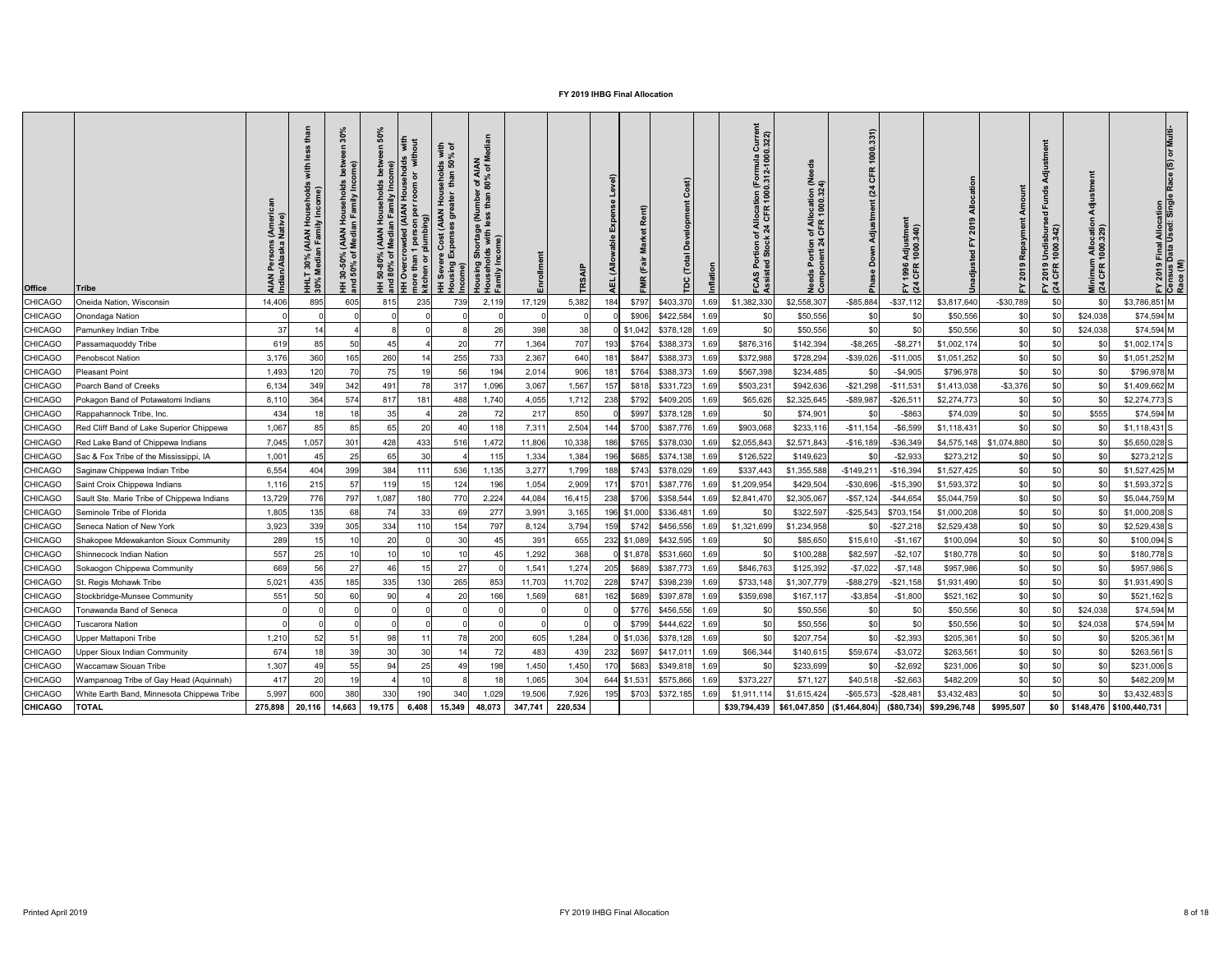| <b>Office</b>  | <b>Tribe</b>                               | AIAN Persons (Amer<br>Indian/Alaska Native) | ehold<br>come:<br>nl vii<br>iiv In<br>AIAN<br>an Fami<br>30%<br>Media<br><b>HHLT</b><br>30% M | 30%<br>ome)<br>mily<br>$rac{5}{2}$ $rac{1}{2}$<br>(AIAN<br>Media<br>ని స<br>$30 - 50^{\circ}$<br>50% | <u>ငွ</u><br>ঁ০ | room  | with<br>% of<br><b>9 8</b><br>ehol<br>흕<br><b>Hou</b><br>of ar | <b>IAN</b><br>of M<br>r of A<br>80%<br>mbei<br>than<br>rtage (Nu<br>with less<br>န္တ<br>guis |         | TR <sub>S</sub> | evel)<br>(Allo<br>刯 | Rent)       |                  |      | Currel<br>0.322)<br>ation (Formula<br>१ 1000.312-1000<br>of Allocat<br>:k 24 CFR<br>ပ္ပ | n of Allocation (Ne<br>1 CFR 1000.324)<br>$5\frac{4}{1}$<br><b>DE</b><br>D | 1000.331)<br>CFR<br>(24)<br>Adjustme<br>Down | ั⊏<br>Adjustmeı<br>1000.340)<br>1996<br>CFR<br>$E\overline{a}$ |              |                          | ය<br>ම<br>′ 2019 Undisburs<br>1 CFR 1000.342)<br>$F \times 3$ | ᇹ<br>Minimum Allocatio<br>(24 CFR 1000.329) | <b>TEIN</b><br>) Final Allocation<br>Data Used: Single<br>FY 2019 F<br>Census D<br>Race (M)<br>$rac{2019}{\sqrt{15}}$ |
|----------------|--------------------------------------------|---------------------------------------------|-----------------------------------------------------------------------------------------------|------------------------------------------------------------------------------------------------------|-----------------|-------|----------------------------------------------------------------|----------------------------------------------------------------------------------------------|---------|-----------------|---------------------|-------------|------------------|------|-----------------------------------------------------------------------------------------|----------------------------------------------------------------------------|----------------------------------------------|----------------------------------------------------------------|--------------|--------------------------|---------------------------------------------------------------|---------------------------------------------|-----------------------------------------------------------------------------------------------------------------------|
| <b>CHICAGO</b> | Oneida Nation, Wisconsin                   | 14,406                                      | 895                                                                                           | 605                                                                                                  | 815             | 235   | 739                                                            | 2,119                                                                                        | 17,129  | 5,382           | 184                 | \$797       | \$403,370        | 1.69 | \$1,382,330                                                                             | \$2,558,307                                                                | $-$ \$85,884                                 | $-$ \$37,112                                                   | \$3,817,640  | $-$30,789$               | \$0                                                           | \$0                                         | \$3,786,851 M                                                                                                         |
| <b>CHICAGO</b> | Onondaga Nation                            |                                             |                                                                                               |                                                                                                      |                 |       |                                                                |                                                                                              |         |                 |                     | \$906       | \$422,584        | 1.69 | \$0                                                                                     | \$50,556                                                                   | \$0                                          | \$0                                                            | \$50,556     | \$0                      | \$0                                                           | \$24,038                                    | $$74,594$ M                                                                                                           |
| <b>CHICAGO</b> | Pamunkey Indian Tribe                      | 37                                          |                                                                                               |                                                                                                      |                 |       |                                                                | 26                                                                                           | 398     | 38              |                     | $0$ \$1,042 | \$378,128        | 1.69 | \$ <sub>C</sub>                                                                         | \$50,556                                                                   | \$0                                          | \$0                                                            | \$50,556     | \$0                      | \$0                                                           | \$24,038                                    | $$74,594$ M                                                                                                           |
| <b>CHICAGO</b> | Passamaquoddy Tribe                        | 619                                         |                                                                                               | 50                                                                                                   |                 |       | 20                                                             | 77                                                                                           | 1,364   | 707             | 193                 | \$764       | \$388,373        | 1.69 | \$876,316                                                                               | \$142,394                                                                  | $-$ \$8,265                                  | $-$ \$8,27                                                     | \$1,002,174  | \$0                      |                                                               | \$0                                         | $$1,002,174$ S                                                                                                        |
| <b>CHICAGO</b> | <b>Penobscot Nation</b>                    | 3,176                                       | 360                                                                                           | 165                                                                                                  | 260             |       | 255                                                            | 733                                                                                          | 2,367   | 640             | 181                 | \$847       | \$388,373        | 1.69 | \$372,988                                                                               | \$728,294                                                                  | $-$ \$39,026                                 | $-$11,005$                                                     | \$1,051,252  | \$0                      | \$0                                                           | \$0                                         | $$1,051,252$ M                                                                                                        |
| <b>CHICAGO</b> | <b>Pleasant Point</b>                      | 1,493                                       | 120                                                                                           | 70                                                                                                   | 75              |       | 56                                                             | 194                                                                                          | 2,014   | 906             | 181                 | \$764       | \$388,373        | 1.69 | \$567,398                                                                               | \$234,485                                                                  | \$0                                          | $-$4,905$                                                      | \$796,978    | \$0                      | \$0                                                           | \$0                                         | \$796,978 M                                                                                                           |
| <b>CHICAGO</b> | Poarch Band of Creeks                      | 6,134                                       | 349                                                                                           | 342                                                                                                  | 491             | 78    | 317                                                            | 1,096                                                                                        | 3,067   | 1,567           | 157                 | \$818       | \$331,723        | 1.69 | \$503,231                                                                               | \$942,636                                                                  | $-$21,298$                                   | $-$ \$11,53 $\degree$                                          | \$1,413,038  | $- $3,376$               |                                                               | \$0                                         | $$1,409,662$ M                                                                                                        |
| <b>CHICAGO</b> | Pokagon Band of Potawatomi Indians         | 8,110                                       | 364                                                                                           | 574                                                                                                  | 817             | 181   | 488                                                            | 1,740                                                                                        | 4,055   | 1,712           | 238                 | \$792       | \$409,205        | 1.69 | \$65,626                                                                                | \$2,325,645                                                                | $-$ \$89,987                                 | $-$ \$26,51                                                    | \$2,274,773  | \$0                      | \$0                                                           | \$0                                         | $$2,274,773$ S                                                                                                        |
| <b>CHICAGO</b> | Rappahannock Tribe, Inc.                   | 434                                         |                                                                                               | 18                                                                                                   | 35              |       | 28                                                             | 72                                                                                           | 217     | 850             |                     | \$997       | \$378,128        | 1.69 | \$0                                                                                     | \$74,90                                                                    | \$0                                          | $-$ \$863                                                      | \$74,039     | \$0                      | \$0                                                           | \$555                                       | $$74,594$ M                                                                                                           |
| <b>CHICAGO</b> | Red Cliff Band of Lake Superior Chippewa   | 1,067                                       | 85                                                                                            | 85                                                                                                   | 65              | 20    | 40                                                             | 118                                                                                          | 7,311   | 2,504           | 144                 | \$700       | \$387,776        | 1.69 | \$903,068                                                                               | \$233,116                                                                  | $-$11,154$                                   | $-$ \$6,599                                                    | \$1,118,431  | \$0                      | \$0                                                           | \$0                                         | $$1,118,431$ S                                                                                                        |
| <b>CHICAGO</b> | Red Lake Band of Chippewa Indians          | 7,045                                       | 1,057                                                                                         | 301                                                                                                  | 428             | 433   | 516                                                            | 1,472                                                                                        | 11,806  | 10,338          | 186                 | \$765       | \$378,030        | 1.6  | \$2,055,843                                                                             | \$2,571,843                                                                | $-$16,189$                                   | $-$36,349$                                                     |              | $$4,575,148$ \$1,074,880 |                                                               | \$0                                         | $$5,650,028$ S                                                                                                        |
| <b>CHICAGO</b> | Sac & Fox Tribe of the Mississippi, IA     | 1,001                                       |                                                                                               | 25                                                                                                   | 65              |       |                                                                | 115                                                                                          | 1,334   | 1,384           |                     | \$685       | \$374,138        |      | \$126,522                                                                               | \$149,623                                                                  | \$0                                          | $-$2,933$                                                      | \$273,212    | \$0                      |                                                               | \$0                                         | $$273,212$ S                                                                                                          |
| <b>CHICAGO</b> | Saginaw Chippewa Indian Tribe              | 6,554                                       | 404                                                                                           | 399                                                                                                  | 384             | 111   | 536                                                            | 1,135                                                                                        | 3,277   | 1,799           | 188                 | \$743       | \$378,029        | 1.69 | \$337,443                                                                               | \$1,355,588                                                                | $-$ \$149,21                                 | $-$ \$16,394                                                   | \$1,527,425  | \$0                      |                                                               | \$0                                         | $$1,527,425$ M                                                                                                        |
| <b>CHICAGO</b> | Saint Croix Chippewa Indians               | 1,116                                       | 215                                                                                           | 57                                                                                                   | 119             | 15    | 124                                                            | 196                                                                                          | 1,054   | 2,909           | 171                 | \$701       | \$387,776        | 1.69 | \$1,209,954                                                                             | \$429,504                                                                  | $-$30,696$                                   | $-$15,390$                                                     | \$1,593,372  | \$0                      |                                                               | \$0                                         | $$1,593,372$ S                                                                                                        |
| <b>CHICAGO</b> | Sault Ste. Marie Tribe of Chippewa Indians | 13,729                                      | 776                                                                                           | 797                                                                                                  | 1,087           | 180   | 770                                                            | 2,224                                                                                        | 44,084  | 16,415          | 238                 | \$706       | \$358,544<br>1.6 |      | \$2,841,470                                                                             | \$2,305,067                                                                | $-$57,124$                                   | $-$ \$44,654                                                   | \$5,044,759  | \$0                      |                                                               | \$0                                         | \$5,044,759 M                                                                                                         |
| <b>CHICAGO</b> | Seminole Tribe of Florida                  | 1,805                                       | 135                                                                                           | 68                                                                                                   | 74              | 33    | 69                                                             | 277                                                                                          | 3,991   | 3,165           | 196                 | \$1,000     | \$336,481        | 1.69 |                                                                                         | \$322,597                                                                  | $-$ \$25,543                                 | \$703,154                                                      | \$1,000,208  | \$0                      | \$0                                                           | \$ <sub>0</sub>                             | $$1,000,208$ S                                                                                                        |
| <b>CHICAGO</b> | Seneca Nation of New York                  | 3,923                                       | 339                                                                                           | 305                                                                                                  | 334             | 110   | 154                                                            | 797                                                                                          | 8,124   | 3,794           | 159                 | \$742       | \$456,556        | 1.69 | \$1,321,699                                                                             | \$1,234,958                                                                | \$0                                          | $-$ \$27,218                                                   | \$2,529,438  | \$0                      | \$0                                                           | \$0                                         | $$2,529,438$ S                                                                                                        |
| <b>CHICAGO</b> | Shakopee Mdewakanton Sioux Community       | 289                                         |                                                                                               |                                                                                                      | 20              |       | 30                                                             |                                                                                              | 391     | 655             |                     | 232 \$1,089 | \$432,595        | 1.69 |                                                                                         | \$85,650                                                                   | \$15,610                                     | $-$1,167$                                                      | \$100,094    | \$0                      | \$0                                                           | \$0                                         | $$100,094$ S                                                                                                          |
| <b>CHICAGO</b> | Shinnecock Indian Nation                   | 557                                         |                                                                                               |                                                                                                      |                 |       |                                                                |                                                                                              | 1,292   | 368             |                     | $0$ \$1,878 | \$531,660        | 1.69 | \$0                                                                                     | \$100,288                                                                  | \$82,597                                     | $-$2,107$                                                      | \$180,778    | \$0                      | \$0                                                           | \$0                                         | $$180,778$ S                                                                                                          |
| <b>CHICAGO</b> | Sokaogon Chippewa Community                | 669                                         |                                                                                               | 27                                                                                                   | 46              |       | 27                                                             |                                                                                              | 1,541   | 1,274           | 205                 | \$689       | \$387,773        | 1.69 | \$846,763                                                                               | \$125,392                                                                  | $-$7,022$                                    | $- $7,148$                                                     | \$957,986    | \$0                      |                                                               | \$0                                         | \$957,986 S                                                                                                           |
| <b>CHICAGO</b> | St. Regis Mohawk Tribe                     | 5,021                                       | 435                                                                                           | 185                                                                                                  | 335             | 130   | 265                                                            | 853                                                                                          | 11,703  | 11,702          | 228                 | \$747       | \$398,239        | 1.69 | \$733,148                                                                               | \$1,307,779                                                                | $-$ \$88,279                                 | $-$ \$21,158                                                   | \$1,931,490  | \$0                      |                                                               | \$ <sub>0</sub>                             | $$1,931,490$ S                                                                                                        |
| <b>CHICAGO</b> | Stockbridge-Munsee Community               | 551                                         |                                                                                               | 60                                                                                                   | 90              |       | 20                                                             | 166                                                                                          | 1,569   | 681             | 162                 | \$689       | \$397,878        | 1.69 | \$359,698                                                                               | \$167,117                                                                  | $- $3,854$                                   | $-$1,800$                                                      | \$521,162    | \$0                      | \$0                                                           | \$0                                         | $$521,162$ S                                                                                                          |
| <b>CHICAGO</b> | Tonawanda Band of Seneca                   |                                             |                                                                                               |                                                                                                      |                 |       |                                                                |                                                                                              |         |                 |                     | \$776       | \$456,556        | 1.69 | \$0                                                                                     | \$50,556                                                                   | \$0                                          | \$0                                                            | \$50,556     | \$0                      | \$ <sub>6</sub>                                               | \$24,038                                    | $$74,594$ M                                                                                                           |
| <b>CHICAGO</b> | Tuscarora Nation                           |                                             |                                                                                               |                                                                                                      |                 |       |                                                                |                                                                                              |         |                 |                     | \$799       | \$444,622        | 1.69 |                                                                                         | \$50,556                                                                   | \$0                                          |                                                                | \$50,556     | \$0                      |                                                               | \$24,038                                    | $$74,594$ M                                                                                                           |
| <b>CHICAGO</b> | Upper Mattaponi Tribe                      | 1,210                                       |                                                                                               | 5 <sup>1</sup>                                                                                       | 98              |       | 78                                                             | 200                                                                                          | 605     | 1,284           |                     | $0$ \$1,036 | \$378,128        | 1.69 |                                                                                         | \$207,754                                                                  | \$0                                          | $-$2,393$                                                      | \$205,361    | \$0                      |                                                               | \$0                                         | $$205,361$ M                                                                                                          |
| <b>CHICAGO</b> | <b>Upper Sioux Indian Community</b>        | 674                                         |                                                                                               | 39                                                                                                   | 30              | 30    |                                                                | 72                                                                                           | 483     | 439             | 232                 | \$697       | \$417,011        | 1.69 | \$66,344                                                                                | \$140,615                                                                  | \$59,674                                     | $-$ \$3,072                                                    | \$263,561    | \$0                      | \$0                                                           | \$0                                         | $$263,561$ S                                                                                                          |
| <b>CHICAGO</b> | Waccamaw Siouan Tribe                      | 1,307                                       |                                                                                               | 55                                                                                                   | 94              | 25    |                                                                | 198                                                                                          | 1,450   | 1,450           | 170                 | \$683       | \$349,818        | 1.69 |                                                                                         | \$233,699                                                                  | \$0                                          | $-$2,692$                                                      | \$231,006    | \$0                      | \$0                                                           | \$0                                         | $$231,006$ S                                                                                                          |
| <b>CHICAGO</b> | Wampanoag Tribe of Gay Head (Aquinnah)     | 417                                         |                                                                                               | 19                                                                                                   |                 | 10    |                                                                | 18                                                                                           | 1,065   | 304             | 644                 | \$1,531     | \$575,866        | 1.69 | \$373,227                                                                               | \$71,127                                                                   | \$40,518                                     | $-$2,663$                                                      | \$482,209    | \$0                      |                                                               | \$0                                         | \$482,209 M                                                                                                           |
| <b>CHICAGO</b> | White Earth Band, Minnesota Chippewa Tribe | 5,997                                       | 600                                                                                           | 380                                                                                                  | 330             | 190   | 340                                                            | 1,029                                                                                        | 19,506  | 7,926           | 195                 | \$703       | \$372,185        | 1.69 | \$1,911,114                                                                             | \$1,615,424                                                                | $-$ \$65,573                                 | $-$ \$28,48                                                    | \$3,432,483  | \$C                      |                                                               | \$ <sub>0</sub>                             | $$3,432,483$ S                                                                                                        |
| <b>CHICAGO</b> | <b>TOTAL</b>                               | 275,898                                     | 20,116                                                                                        | 14,663                                                                                               | 19,175          | 6,408 | 15,349                                                         | 48,073                                                                                       | 347,741 | 220,534         |                     |             |                  |      | \$39,794,439                                                                            |                                                                            | $\mid$ \$61,047,850 $\mid$ (\$1,464,804)     | (\$80,734)                                                     | \$99,296,748 | \$995,507                | \$0                                                           |                                             |                                                                                                                       |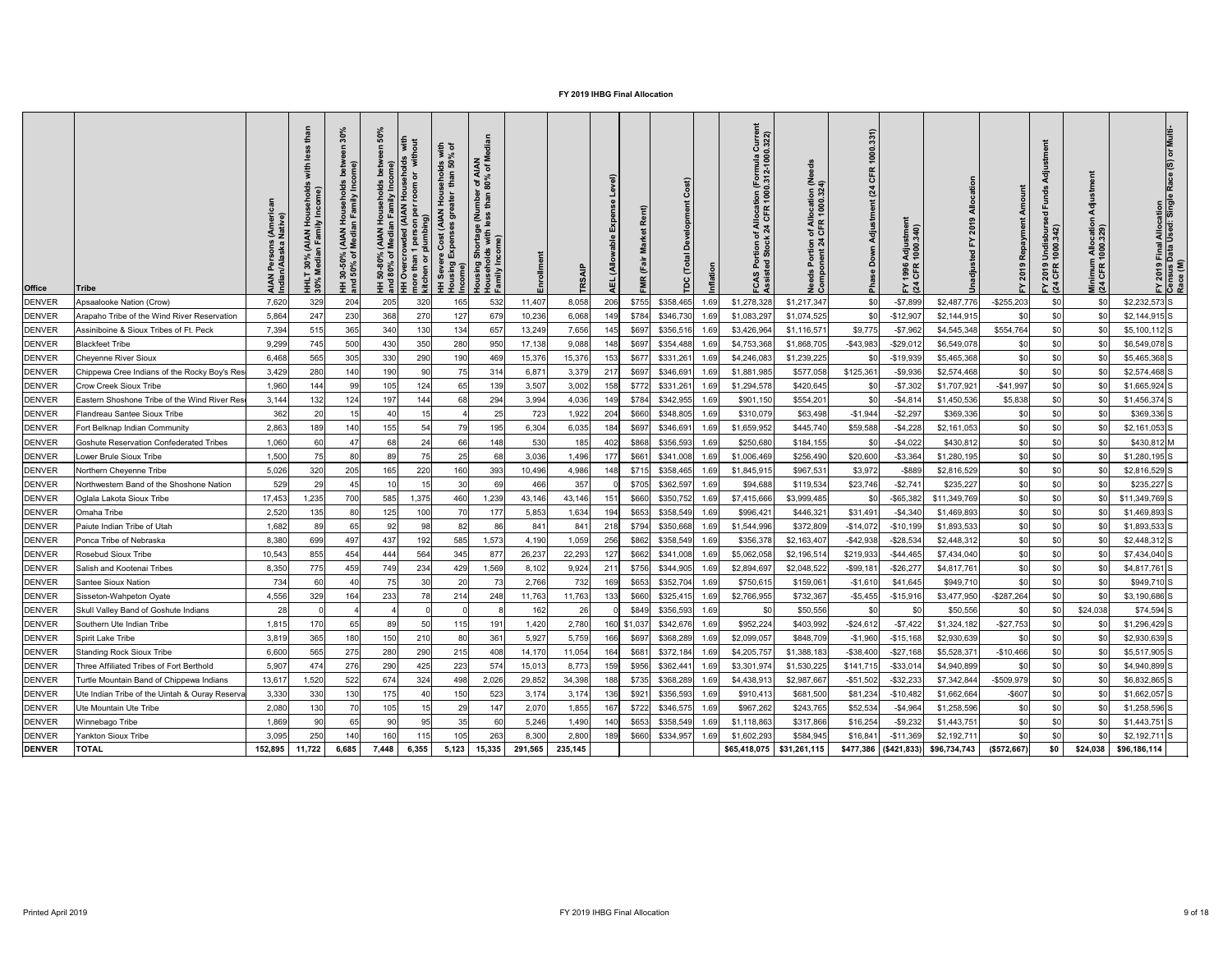| <b>Office</b> | Tribe                                          | AIAN Persons (Ameri<br>Indian/Alaska Native) | (AIAN<br>In Fami<br>30%<br><sup>1</sup> edia<br><b>HHLT</b><br>30% M | $\overline{\mathbf{S}}$<br>ome)<br>mily<br>$\circ$ $\mathsf{L}$<br><b>AIAI<br/>Medi</b><br>ঁ০<br>30-50<br>50% |       | <b>AIAN</b> | $\frac{1}{2}$ $\frac{1}{2}$<br>$rac{9}{5}$<br>ehol<br>than<br>$\frac{5}{10}$ | r of AIAN<br>80% of M<br>mbel<br>than<br>rtage (Nu<br>with less 1<br><u>ທ</u><br>puis |         | <b>TRS</b> | evel)<br>(Allo<br>可 |             |           |      | Currel<br>0.322)<br>rmula<br>12-100<br>$(Fe)$<br>0.31<br>tion<br>100<br>of Alloca<br>k 24 CFF<br>$\mathbf C$ | ∩of Allocation (Ne<br>↓CFR 1000.324)<br>မီ ပိ | 331)<br>000<br>$\overline{\phantom{0}}$<br>CFR<br>(24)<br>å<br>운 | Ξ.<br>Adjustmeı<br>1000.340)<br>1996<br>CFR<br>$\sum \alpha$ |              |               | sbur<br>.342)<br>Undis<br>1000<br>2019<br>CFR<br>$E \overline{a}$ | 릉<br>Minimum Allocatio<br>(24 CFR 1000.329) | ation<br>Singl<br><b>I Alloca</b><br>Used:<br>Final<br>Data l<br>FY 2019 I<br>Census D<br>Race (M) |
|---------------|------------------------------------------------|----------------------------------------------|----------------------------------------------------------------------|---------------------------------------------------------------------------------------------------------------|-------|-------------|------------------------------------------------------------------------------|---------------------------------------------------------------------------------------|---------|------------|---------------------|-------------|-----------|------|--------------------------------------------------------------------------------------------------------------|-----------------------------------------------|------------------------------------------------------------------|--------------------------------------------------------------|--------------|---------------|-------------------------------------------------------------------|---------------------------------------------|----------------------------------------------------------------------------------------------------|
| DENVER        | Apsaalooke Nation (Crow)                       | 7,620                                        | 329                                                                  | 204                                                                                                           | 205   | 320         | 165                                                                          | 532                                                                                   | 11,407  | 8,058      | 206                 | \$755       | \$358,465 | 1.69 | \$1,278,328                                                                                                  | \$1,217,347                                   | \$0                                                              | $- $7,899$                                                   | \$2,487,776  | $-$ \$255,203 | \$0                                                               | \$0                                         | $$2,232,573$ S                                                                                     |
| DENVER        | Arapaho Tribe of the Wind River Reservation    | 5,864                                        | 247                                                                  | 230                                                                                                           | 368   | 270         | 127                                                                          | 679                                                                                   | 10,236  | 6,068      | 149                 | \$784       | \$346,730 | 1.6  | \$1,083,297                                                                                                  | \$1,074,525                                   | \$0                                                              | $-$12,907$                                                   | \$2,144,915  | \$0           |                                                                   | \$0                                         | $$2,144,915$ S                                                                                     |
| <b>DENVER</b> | Assiniboine & Sioux Tribes of Ft. Peck         | 7,394                                        | 515                                                                  | 365                                                                                                           | 340   | 130         | 134                                                                          | 657                                                                                   | 13,249  | 7,656      | 145                 | \$697       | \$356,516 | 1.69 | \$3,426,964                                                                                                  | \$1,116,571                                   | \$9,775                                                          | $- $7,962$                                                   | \$4,545,348  | \$554,764     |                                                                   | \$0                                         | $$5,100,112$ S                                                                                     |
| <b>DENVER</b> | <b>Blackfeet Tribe</b>                         | 9,299                                        | 745                                                                  | 500                                                                                                           | 430   | 350         | 280                                                                          | 950                                                                                   | 17,138  | 9,088      | 148                 | \$697       | \$354,488 |      | \$4,753,368                                                                                                  | \$1,868,705                                   | $-$43,983$                                                       | $-$29,012$                                                   | \$6,549,078  | \$0           |                                                                   | \$0                                         | \$6,549,078 S                                                                                      |
| <b>DENVER</b> | <b>Cheyenne River Sioux</b>                    | 6,468                                        | 565                                                                  | 305                                                                                                           | 330   | 290         | 190                                                                          | 469                                                                                   | 15,376  | 15,376     | 153                 | \$677       | \$331,261 | 1.6  | \$4,246,083                                                                                                  | \$1,239,225                                   |                                                                  | $-$19,939$                                                   | \$5,465,368  | \$0           |                                                                   | \$0                                         | $$5,465,368$ S                                                                                     |
| DENVER        | Chippewa Cree Indians of the Rocky Boy's Res   | 3,429                                        | 280                                                                  | 140                                                                                                           | 190   | 90          |                                                                              | 314                                                                                   | 6,871   | 3,379      | 217                 | \$697       | \$346,691 | 1.6  | \$1,881,985                                                                                                  | \$577,058                                     | \$125,361                                                        | $-$9,936$                                                    | \$2,574,468  | \$0           | \$0                                                               | \$0                                         | $$2,574,468$ S                                                                                     |
| <b>DENVER</b> | <b>Crow Creek Sioux Tribe</b>                  | 1,960                                        | 144                                                                  | 99                                                                                                            | 105   | 124         | 65                                                                           | 139                                                                                   | 3,507   | 3,002      | 158                 | \$772       | \$331,261 | 1.6  | \$1,294,578                                                                                                  | \$420,645                                     | \$0                                                              | $-$7,302$                                                    | \$1,707,921  | $-$41,997$    |                                                                   | \$0                                         | $$1,665,924$ S                                                                                     |
| DENVER        | Eastern Shoshone Tribe of the Wind River Res   | 3,144                                        | 132                                                                  | 124                                                                                                           | 197   | 144         | 68                                                                           | 294                                                                                   | 3,994   | 4,036      | 149                 | \$784       | \$342,955 |      | \$901,150                                                                                                    | \$554,20                                      | \$0                                                              | $-$4,814$                                                    | \$1,450,536  | \$5,838       |                                                                   | \$0                                         | $$1,456,374$ S                                                                                     |
| <b>DENVER</b> | Flandreau Santee Sioux Tribe                   | 362                                          |                                                                      | 15                                                                                                            | 40    | 15          |                                                                              | 25                                                                                    | 723     | 1,922      | 204                 | \$660       | \$348,805 | 1.6  | \$310,079                                                                                                    | \$63,498                                      | $-$1,944$                                                        | $-$2,297$                                                    | \$369,336    | \$0           | \$0                                                               | \$0                                         | \$369,336 S                                                                                        |
| <b>DENVER</b> | Fort Belknap Indian Community                  | 2,863                                        | 189                                                                  | 140                                                                                                           | 155   | 54          | 79                                                                           | 195                                                                                   | 6,304   | 6,035      | 184                 | \$697       | \$346,691 | 1.69 | \$1,659,952                                                                                                  | \$445,740                                     | \$59,588                                                         | $-$4,228$                                                    | \$2,161,053  | \$0           |                                                                   | \$0                                         | $$2,161,053$ S                                                                                     |
| <b>DENVER</b> | <b>Goshute Reservation Confederated Tribes</b> | 1,060                                        | 60                                                                   | 47                                                                                                            | 68    | 24          | 66                                                                           | 148                                                                                   | 530     | 185        | 402                 | \$868       | \$356,593 | 1.69 | \$250,680                                                                                                    | \$184,155                                     | \$0                                                              | $-$4,022$                                                    | \$430,812    | \$0           |                                                                   | \$0                                         | \$430,812 M                                                                                        |
| DENVER        | Lower Brule Sioux Tribe                        | 1,500                                        |                                                                      | 80                                                                                                            | 89    |             |                                                                              | 68                                                                                    | 3,036   | 1,496      | 177                 | \$661       | \$341,008 |      | \$1,006,469                                                                                                  | \$256,490                                     | \$20,600                                                         | $-$ \$3,364                                                  | \$1,280,195  | \$0           |                                                                   | \$0                                         | $$1,280,195$ S                                                                                     |
| <b>DENVER</b> | Northern Cheyenne Tribe                        | 5,026                                        | 320                                                                  | 205                                                                                                           | 165   | 220         | 160                                                                          | 393                                                                                   | 10,496  | 4,986      |                     | \$715       | \$358,465 | 1.69 | \$1,845,915                                                                                                  | \$967,531                                     | \$3,972                                                          | $-$ \$889                                                    | \$2,816,529  | \$0           |                                                                   | \$0                                         | $$2,816,529$ S                                                                                     |
| <b>DENVER</b> | Northwestern Band of the Shoshone Nation       | 529                                          | 29                                                                   | 45                                                                                                            |       | 15          | 30                                                                           | 69                                                                                    | 466     | 357        |                     | \$705       | \$362,597 | 1.69 | \$94,688                                                                                                     | \$119,534                                     | \$23,746                                                         | $-$ \$2,74 $\cdot$                                           | \$235,227    | \$0           |                                                                   | \$0                                         | $$235,227$ S                                                                                       |
| <b>DENVER</b> | Oglala Lakota Sioux Tribe                      | 17,453                                       | 1,235                                                                | 700                                                                                                           | 585   | 1,375       | 460                                                                          | 1,239                                                                                 | 43,146  | 43,146     | 151                 | \$660       | \$350,752 | 1.6  | \$7,415,666                                                                                                  | \$3,999,485                                   | \$0                                                              | $-$ \$65,382                                                 | \$11,349,769 | \$0           |                                                                   | \$0                                         | $$11,349,769$ S                                                                                    |
| <b>DENVER</b> | Omaha Tribe                                    | 2,520                                        | 135                                                                  | 80                                                                                                            | 125   | 100         |                                                                              | 177                                                                                   | 5,853   | 1,634      | 194                 | \$653       | \$358,549 | 1.6  | \$996,421                                                                                                    | \$446,32                                      | \$31,491                                                         | $-$4,340$                                                    | \$1,469,893  | \$0           | \$0                                                               | \$0                                         | $$1,469,893$ S                                                                                     |
| <b>DENVER</b> | Paiute Indian Tribe of Utah                    | 1,682                                        | 89                                                                   | 65                                                                                                            | 92    | 98          | 82                                                                           | 86                                                                                    | 841     | 841        | 218                 | \$794       | \$350,668 | 1.6  | \$1,544,996                                                                                                  | \$372,809                                     | $-$14,072$                                                       | $-$10,199$                                                   | \$1,893,533  | \$0           | \$0                                                               | \$ <sub>0</sub>                             | $$1,893,533$ S                                                                                     |
| <b>DENVER</b> | Ponca Tribe of Nebraska                        | 8,380                                        | 699                                                                  | 497                                                                                                           | 437   | 192         | 585                                                                          | 1,573                                                                                 | 4,190   | 1,059      | 256                 | \$862       | \$358,549 | 1.69 | \$356,378                                                                                                    | \$2,163,407                                   | $-$42,938$                                                       | $-$ \$28,534                                                 | \$2,448,312  | \$0           |                                                                   | \$0                                         | $$2,448,312$ S                                                                                     |
| <b>DENVER</b> | Rosebud Sioux Tribe                            | 10,543                                       | 855                                                                  | 454                                                                                                           | 444   | 564         | 345                                                                          | 877                                                                                   | 26,237  | 22,293     | 127                 | \$662       | \$341,008 | 1.6  | \$5,062,058                                                                                                  | \$2,196,51                                    | \$219,933                                                        | $-$44,465$                                                   | \$7,434,040  | \$0           | \$0                                                               | \$ <sub>0</sub>                             | $$7,434,040$ S                                                                                     |
| DENVER        | Salish and Kootenai Tribes                     | 8,350                                        | 775                                                                  | 459                                                                                                           | 749   | 234         | 429                                                                          | 1,569                                                                                 | 8,102   | 9,924      | 211                 | \$756       | \$344,905 | 1.6  | \$2,894,697                                                                                                  | \$2,048,522                                   | $-$ \$99,18                                                      | $-$26,277$                                                   | \$4,817,761  | \$0           |                                                                   | \$0                                         | $$4,817,761$ S                                                                                     |
| <b>DENVER</b> | Santee Sioux Nation                            | 734                                          |                                                                      | 40                                                                                                            | 75    | 30          | 20                                                                           | 73                                                                                    | 2,766   | 732        | 169                 | \$653       | \$352,704 | 1.6  | \$750,615                                                                                                    | \$159,06                                      | $-$1,610$                                                        | \$41,645                                                     | \$949,710    | \$0           | \$0                                                               | \$0                                         | $$949,710$ S                                                                                       |
| <b>DENVER</b> | Sisseton-Wahpeton Oyate                        | 4,556                                        | 329                                                                  | 164                                                                                                           | 233   | 78          | 214                                                                          | 248                                                                                   | 11,763  | 11,763     | 133                 | \$660       | \$325,415 | 1.69 | \$2,766,955                                                                                                  | \$732,367                                     | $-$ \$5,455                                                      | $-$ \$15,916                                                 | \$3,477,950  | $-$287,264$   |                                                                   | \$ <sub>0</sub>                             | $$3,190,686$ S                                                                                     |
| <b>DENVER</b> | Skull Valley Band of Goshute Indians           | 28                                           |                                                                      |                                                                                                               |       |             |                                                                              |                                                                                       | 162     | 26         |                     | \$849       | \$356,593 | 1.69 | \$C                                                                                                          | \$50,556                                      | \$0                                                              | \$0                                                          | \$50,556     | \$0           |                                                                   | \$24,038                                    | $$74,594$ S                                                                                        |
| <b>DENVER</b> | Southern Ute Indian Tribe                      | 1,815                                        | 170                                                                  | 65                                                                                                            | 89    | 50          |                                                                              | 191                                                                                   | 1,420   | 2,780      |                     | 160 \$1,037 | \$342,676 | 1.69 | \$952,224                                                                                                    | \$403,992                                     | $-$24,612$                                                       | $-$7,422$                                                    | \$1,324,182  | $-$ \$27,753  | \$0                                                               | \$ <sub>0</sub>                             | $$1,296,429$ S                                                                                     |
| <b>DENVER</b> | Spirit Lake Tribe                              | 3,819                                        | 365                                                                  | 180                                                                                                           | 150   | 210         | 80                                                                           | 361                                                                                   | 5,927   | 5,759      | 166                 | \$697       | \$368,289 |      | \$2,099,057                                                                                                  | \$848,709                                     | $-$1,960$                                                        | $-$15,168$                                                   | \$2,930,639  | \$C           | \$0                                                               | \$ <sub>0</sub>                             | $$2,930,639$ S                                                                                     |
| <b>DENVER</b> | Standing Rock Sioux Tribe                      | 6,600                                        | 565                                                                  | 275                                                                                                           | 280   | 290         | 215                                                                          | 408                                                                                   | 14,170  | 11,054     | 164                 | \$681       | \$372,184 | 1.6  | \$4,205,757                                                                                                  | \$1,388,183                                   | $-$ \$38,400                                                     | $-$ \$27,168                                                 | \$5,528,371  | $-$10,466$    | \$0                                                               | \$0                                         | $$5,517,905$ S                                                                                     |
| <b>DENVER</b> | Three Affiliated Tribes of Fort Berthold       | 5,907                                        | 474                                                                  | 276                                                                                                           | 290   | 425         | 223                                                                          | 574                                                                                   | 15,013  | 8,773      | 159                 | \$956       | \$362,441 | 1.6  | \$3,301,974                                                                                                  | \$1,530,225                                   | \$141,715                                                        | $-$ \$33,014                                                 | \$4,940,899  | \$C           | \$0                                                               | \$0                                         | $$4,940,899$ S                                                                                     |
| <b>DENVER</b> | Turtle Mountain Band of Chippewa Indians       | 13,617                                       | 1,520                                                                | 522                                                                                                           | 674   | 324         | 498                                                                          | 2,026                                                                                 | 29,852  | 34,398     | 188                 | \$735       | \$368,289 | 1.69 | \$4,438,913                                                                                                  | \$2,987,667                                   | $-$ \$51,502                                                     | $-$ \$32,233                                                 | \$7,342,844  | $-$509,979$   |                                                                   | \$0                                         | $$6,832,865$ S                                                                                     |
| <b>DENVER</b> | Ute Indian Tribe of the Uintah & Ouray Reserva | 3,330                                        | 330                                                                  | 130                                                                                                           | 175   |             | 150                                                                          | 523                                                                                   | 3,174   | 3,174      | 136                 | \$921       | \$356,593 | 1.6  | \$910,413                                                                                                    | \$681,500                                     | \$81,234                                                         | $-$10,482$                                                   | \$1,662,664  | $-$ \$607     |                                                                   | \$0                                         | $$1,662,057$ S                                                                                     |
| <b>DENVER</b> | Ute Mountain Ute Tribe                         | 2,080                                        | 130                                                                  | 70                                                                                                            | 105   | 15          | 29                                                                           | 147                                                                                   | 2,070   | 1,855      | 167                 | \$722       | \$346,575 | 1.69 | \$967,262                                                                                                    | \$243,765                                     | \$52,534                                                         | $-$4,964$                                                    | \$1,258,596  | \$0           | \$0                                                               | \$0                                         | $$1,258,596$ S                                                                                     |
| <b>DENVER</b> | Winnebago Tribe                                | 1,869                                        | 90                                                                   | 65                                                                                                            | 90    | 95          | 35                                                                           | 60                                                                                    | 5,246   | 1,490      | 140                 | \$653       | \$358,549 | 1 F  | \$1,118,863                                                                                                  | \$317,866                                     | \$16,254                                                         | $-$9,232$                                                    | \$1,443,751  | \$0           |                                                                   | \$0                                         | $$1,443,751$ S                                                                                     |
| <b>DENVER</b> | <b>Yankton Sioux Tribe</b>                     | 3,095                                        | 250                                                                  | 140                                                                                                           | 160   | 115         |                                                                              | 263                                                                                   | 8,300   | 2,800      | 189                 | \$660       | \$334,957 | 1.6  | \$1,602,293                                                                                                  | \$584,945                                     | \$16,841                                                         | $-$11,369$                                                   | \$2,192,711  | \$0           |                                                                   | \$ <sub>0</sub>                             | $$2,192,711$ S                                                                                     |
| <b>DENVER</b> | <b>TOTAL</b>                                   | 152,895                                      | 11,722                                                               | 6,685                                                                                                         | 7,448 | 6,355       | 5,123                                                                        | 15,335                                                                                | 291,565 | 235,145    |                     |             |           |      | \$65,418,075                                                                                                 | \$31,261,115                                  | \$477,386                                                        | (\$421,833)                                                  | \$96,734,743 | (\$572,667)   | \$0                                                               | \$24,038                                    | \$96,186,114                                                                                       |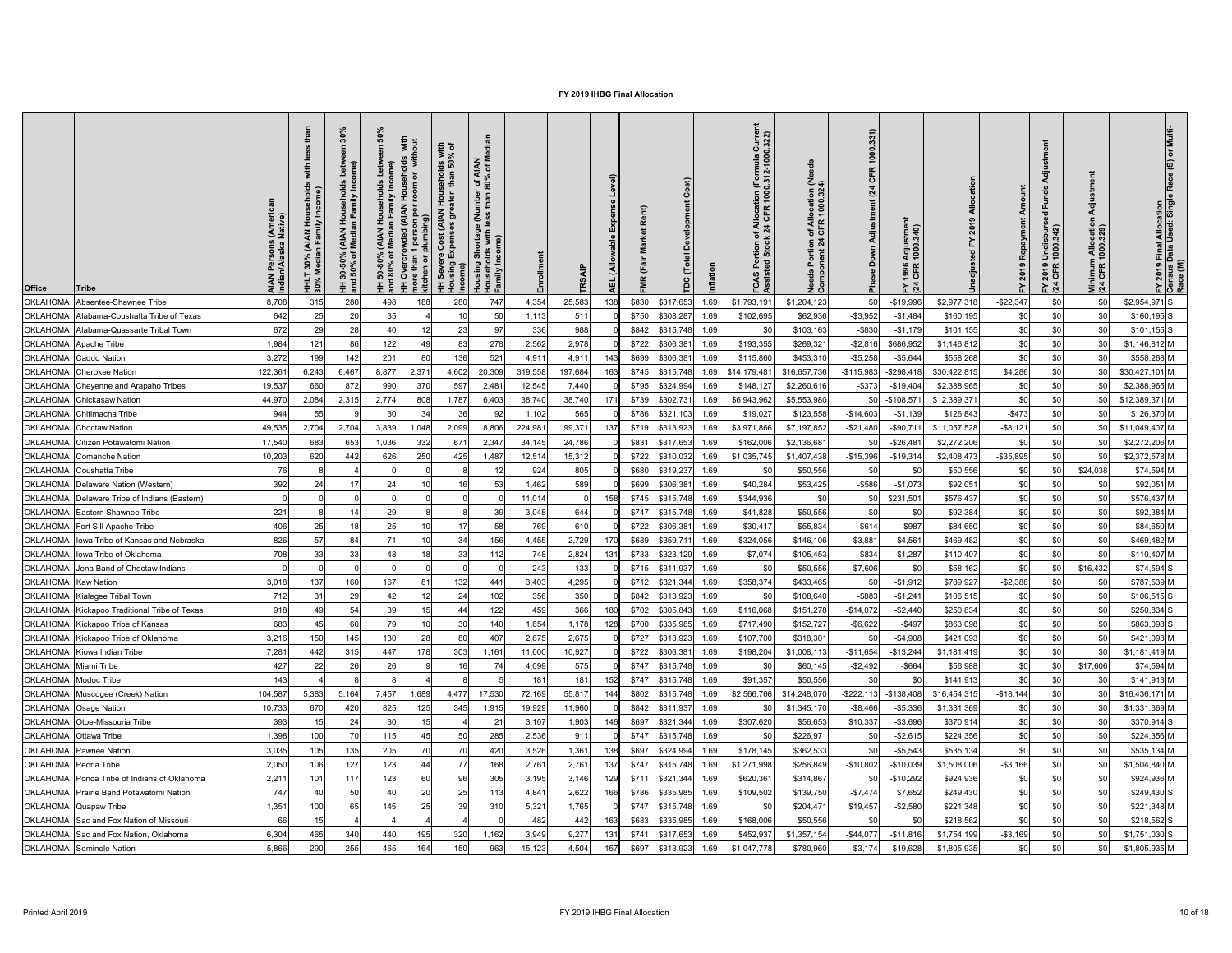| <b>Office</b><br><b>Tribe</b>                       | <b>AIAN</b><br>Indian | $\mathbf{E}$<br>30%<br>ledia<br>$\overline{\Xi}$ $\frac{8}{5}$ | 그 ㄷ<br>$\vec{a}$<br>₹Σ<br>ঁ০<br>$30 - 50$<br>$-50\%$<br>王 흥 | $\sigma$ | with<br>room<br>person per 1<br>lumbing)<br>mor<br>kitcl | with<br>% of<br><b>8 Sp</b><br>ehol<br>than<br>Hou<br><b>AIAN</b><br>້ວ<br>$\sigma$<br>Income) | r of AIAN<br>80% of M<br>e (Nu<br>sing Shortage<br>seholds with I<br>ilv Income)<br>Housing<br>로 절 |           | <b>TRS</b> | $\tilde{\bar{\mathbf{z}}}$ | Rent) |                          |      | Curre<br>0.322)<br>rmula<br>2-100<br>Alo<br>4 Ci<br>$\mathbf c$ | of Allocation (Ne<br>  CFR 1000.324)<br>$5\frac{a}{b}$<br>ਠ<br>Nee<br>Con | 1000.331)<br>CFR<br>(24)<br>djustment<br>å<br>eka<br>La | Adjustmer<br>1000.340)<br>1996<br>CFR<br>$E \overline{a}$ |              |              | Undisburs<br>1000.342)<br>2019<br>CFR<br>$F \times 4$ | Minimum Allocatio<br>(24 CFR 1000.329) | l Final Allocation<br>Data Used: Single<br>FY 2019 I<br>Census I<br>Race (M) |
|-----------------------------------------------------|-----------------------|----------------------------------------------------------------|-------------------------------------------------------------|----------|----------------------------------------------------------|------------------------------------------------------------------------------------------------|----------------------------------------------------------------------------------------------------|-----------|------------|----------------------------|-------|--------------------------|------|-----------------------------------------------------------------|---------------------------------------------------------------------------|---------------------------------------------------------|-----------------------------------------------------------|--------------|--------------|-------------------------------------------------------|----------------------------------------|------------------------------------------------------------------------------|
| <b>OKLAHOMA</b><br>Absentee-Shawnee Tribe           | 8,708                 | 315                                                            | 280                                                         | 498      | 188                                                      | 280                                                                                            | 747                                                                                                | 4,354     | 25,583     | 138                        | \$830 | \$317,653                | 1.69 | \$1,793,191                                                     | \$1,204,123                                                               | \$0                                                     | $-$19,996$                                                | \$2,977,318  | $-$ \$22,347 | \$0                                                   | \$0                                    | $$2,954,971$ S                                                               |
| OKLAHOMA Alabama-Coushatta Tribe of Texas           | 642                   | 25                                                             | 20                                                          | 35       |                                                          |                                                                                                | 50                                                                                                 | 1,113     | 511        |                            | \$750 | \$308,287                | 1.69 | \$102,695                                                       | \$62,936                                                                  | $-$ \$3,952                                             | $-$1,484$                                                 | \$160, 195   | \$0          | \$0                                                   | \$0                                    | $$160, 195$ S                                                                |
| OKLAHOMA Alabama-Quassarte Tribal Town              | 672                   | 29                                                             | 28                                                          | 40       |                                                          | 23                                                                                             | 97                                                                                                 | 336       | 988        |                            | \$842 | \$315,748                | 1.69 | <b>SC</b>                                                       | \$103,163                                                                 | -\$830                                                  | $-$1,179$                                                 | \$101,155    | \$0          | \$0                                                   | \$0                                    | $$101,155$ S                                                                 |
| <b>OKLAHOMA</b> Apache Tribe                        | 1,984                 | 121                                                            | 86                                                          | 122      |                                                          | 83                                                                                             | 278                                                                                                | 2,562     | 2,978      |                            | \$722 | \$306,38                 | 1.69 | \$193,355                                                       | \$269,321                                                                 | $-$ \$2,816                                             | \$686,952                                                 | \$1,146,812  | \$C          | \$0                                                   | \$0                                    | $$1,146,812$ M                                                               |
| <b>OKLAHOMA</b> Caddo Nation                        | 3,272                 | 199                                                            | 142                                                         | 201      |                                                          | 136                                                                                            | 521                                                                                                | 4,911     | 4,911      | 143                        | \$699 | \$306,38                 | 1.69 | \$115,860                                                       | \$453,310                                                                 | $-$5,258$                                               | $-$5,644$                                                 | \$558,268    | \$0          | \$0                                                   | \$0                                    | \$558,268 M                                                                  |
| OKLAHOMA Cherokee Nation                            | 122,361               | 6,243                                                          | 6,467                                                       | 8,877    | 2,371                                                    | 4,602                                                                                          | 20,309                                                                                             | 319,558   | 197,684    |                            | \$745 | \$315,748                | 1.69 | \$14,179,48                                                     | \$16,657,736                                                              | $-$115,983$                                             | $-$ \$298,418                                             | \$30,422,815 | \$4,286      |                                                       | \$0                                    | $$30,427,101$ M                                                              |
| OKLAHOMA Cheyenne and Arapaho Tribes                | 19,537                | 660                                                            | 872                                                         | 990      | 370                                                      | 597                                                                                            | 2,481                                                                                              | 12,545    | 7,440      |                            | \$795 | \$324,994                | 1.69 | \$148,127                                                       | \$2,260,616                                                               | $-$ \$373                                               | -\$19,404                                                 | \$2,388,965  | \$C          |                                                       | \$0                                    | \$2,388,965 M                                                                |
| <b>OKLAHOMA</b> Chickasaw Nation                    | 44,970                | 2,084                                                          | 2,315                                                       | 2,774    | 808                                                      | 1,787                                                                                          | 6,403                                                                                              | 38,740    | 38,740     | 171                        | \$739 | \$302,73'                | 1.69 | \$6,943,962                                                     | \$5,553,980                                                               | \$0 <sub>1</sub>                                        | $-$108,57$                                                | \$12,389,371 | \$0          |                                                       | \$0                                    | $$12,389,371$ M                                                              |
| <b>OKLAHOMA</b> Chitimacha Tribe                    | 944                   | 55                                                             |                                                             | 30       | 34                                                       | 36                                                                                             | 92 <sub>l</sub>                                                                                    | 1,102     | 565        |                            | \$786 | \$321,103                | 1.69 | \$19,027                                                        | \$123,558                                                                 | $-$14,603$                                              | $-$1,139$                                                 | \$126,843    | $-$473$      | \$0 <sub>l</sub>                                      | \$0                                    | \$126,370 M                                                                  |
| <b>OKLAHOMA</b> Choctaw Nation                      | 49,535                | 2,704                                                          | 2,704                                                       | 3,839    | 1,048                                                    | 2,099                                                                                          | 8,806                                                                                              | 224,981   | 99,37'     | 137                        | \$719 | \$313,923                | 1.69 | \$3,971,866                                                     | \$7,197,852                                                               | $-$21,480$                                              | $-$90,711$                                                | \$11,057,528 | $-$ \$8,121  |                                                       | \$0                                    | \$11,049,407 M                                                               |
| <b>OKLAHOMA</b> Citizen Potawatomi Nation           | 17,540                | 683                                                            | 653                                                         | 1,036    | 332                                                      | 671                                                                                            | 2,347                                                                                              | 34,145    | 24,786     |                            | \$831 | \$317,653                | 1.69 | \$162,00                                                        | \$2,136,68                                                                | \$0                                                     | $-$ \$26,48 $\degree$                                     | \$2,272,206  | \$C          |                                                       | \$0                                    | \$2,272,206 M                                                                |
| <b>OKLAHOMA</b> Comanche Nation                     | 10,203                | 620                                                            | 442                                                         | 626      | 250                                                      | 425                                                                                            | 1,487                                                                                              | 12,514    | 15,312     |                            | \$722 | \$310,032                | 1.69 | \$1,035,745                                                     | \$1,407,438                                                               | $-$15,396$                                              | $-$ \$19,314                                              | \$2,408,473  | $-$ \$35,895 |                                                       | \$0 <sub>1</sub>                       | \$2,372,578 M                                                                |
| OKLAHOMA Coushatta Tribe                            | 76                    |                                                                |                                                             |          |                                                          |                                                                                                |                                                                                                    | 924       | 805        |                            | \$680 | \$319,237                | 1.69 | <b>SC</b>                                                       | \$50,556                                                                  | \$0                                                     | \$0                                                       | \$50,556     | \$0          |                                                       | \$24,038                               | \$74,594 M                                                                   |
| <b>OKLAHOMA</b> Delaware Nation (Western)           | 392                   |                                                                |                                                             | 24       |                                                          |                                                                                                | 53                                                                                                 | 1,462     | 589        |                            | \$699 | \$306,38                 | 1.69 | \$40,284                                                        | \$53,425                                                                  | $-$ \$586                                               | $-$1,073$                                                 | \$92,051     | \$C          |                                                       | \$0                                    | \$92,051 M                                                                   |
| <b>OKLAHOMA</b> Delaware Tribe of Indians (Eastern) |                       |                                                                |                                                             |          |                                                          |                                                                                                |                                                                                                    | 11,014    |            | 158                        | \$745 | \$315,748                | 1.69 | \$344,936                                                       | \$0                                                                       | \$C                                                     | \$231,50'                                                 | \$576,437    | \$C          |                                                       | \$0                                    | \$576,437 M                                                                  |
| OKLAHOMA Eastern Shawnee Tribe                      | 221                   |                                                                |                                                             | 29       |                                                          |                                                                                                | 39                                                                                                 | 3,048     | 644        |                            | \$747 | \$315,748                | 1.69 | \$41,828                                                        | \$50,556                                                                  | \$0                                                     |                                                           | \$92,384     | \$C          |                                                       | \$0                                    | \$92,384 M                                                                   |
| OKLAHOMA   Fort Sill Apache Tribe                   | 406                   |                                                                | 18                                                          | 25       |                                                          | 17                                                                                             | 58                                                                                                 | 769       | 610        |                            | \$722 | \$306,381                | 1.69 | \$30,41                                                         | \$55,834                                                                  | $-$ \$614                                               | $-$ \$987                                                 | \$84,650     | \$C          | \$0                                                   | \$0                                    | \$84,650 M                                                                   |
| OKLAHOMA   lowa Tribe of Kansas and Nebraska        | 826                   |                                                                | 84                                                          | 71       |                                                          | 34                                                                                             | 156                                                                                                | 4,455     | 2,729      | 170                        | \$689 | \$359,71                 | 1.69 | \$324,056                                                       | \$146,106                                                                 | \$3,88                                                  | $-$4,56'$                                                 | \$469,482    | \$C          |                                                       | \$0                                    | \$469,482 M                                                                  |
| OKLAHOMA lowa Tribe of Oklahoma                     | 708                   |                                                                | 33                                                          | 48       |                                                          | 33                                                                                             | 112                                                                                                | 748       | 2,824      | 131                        | \$733 | \$323,129                | 1.69 | \$7,074                                                         | \$105,453                                                                 | $-$ \$834                                               | $-$1,287$                                                 | \$110,407    | \$C          | \$0                                                   | \$0                                    | \$110,407 M                                                                  |
| <b>OKLAHOMA</b> Jena Band of Choctaw Indians        |                       |                                                                |                                                             |          |                                                          |                                                                                                |                                                                                                    | 243       | 133        |                            | \$715 | \$311,937                | 1.69 |                                                                 | \$50,556                                                                  | \$7,606                                                 |                                                           | \$58,162     | \$C          |                                                       | \$16,432                               | $$74,594$ S                                                                  |
| OKLAHOMA Kaw Nation                                 | 3,018                 | 137                                                            | 160                                                         | 167      |                                                          | 132                                                                                            | 441                                                                                                | 3,403     | 4,295      |                            | \$712 | \$321,344                | 1.69 | \$358,374                                                       | \$433,465                                                                 | \$C                                                     | $-$1,912$                                                 | \$789,927    | $-$ \$2,388  | \$0                                                   | \$0                                    | \$787,539 M                                                                  |
| <b>OKLAHOMA</b> Kialegee Tribal Town                | 712                   |                                                                | 29                                                          | 42       |                                                          | 24                                                                                             | 102                                                                                                | 356       | 350        |                            | \$842 | \$313,923                | 1.69 |                                                                 | \$108,640                                                                 | $-$ \$883                                               | $-$1,241$                                                 | \$106,515    | \$C          |                                                       | \$0                                    | $$106,515$ S                                                                 |
| OKLAHOMA Kickapoo Traditional Tribe of Texas        | 918                   |                                                                | 54                                                          | 39       |                                                          | 44                                                                                             | 122                                                                                                | 459       | 366        | 180                        | \$702 | \$305,843                | 1.69 | \$116,068                                                       | \$151,278                                                                 | $-$14,072$                                              | $-$2,440$                                                 | \$250,834    | \$C          |                                                       | \$0                                    | $$250,834$ S                                                                 |
| <b>OKLAHOMA</b> Kickapoo Tribe of Kansas            | 683                   |                                                                | 60                                                          | 79       |                                                          | 30                                                                                             | 140                                                                                                | 1,654     | 1,178      | 128                        | \$700 | \$335,985                | 1.69 | \$717,490                                                       | \$152,727                                                                 | $-$ \$6,622                                             | $-$ \$497                                                 | \$863,098    | \$C          | \$0                                                   | \$0                                    | \$863,098 S                                                                  |
| OKLAHOMA Kickapoo Tribe of Oklahoma                 | 3,216                 | 150                                                            | 145 <sub>1</sub>                                            | 130      | 28                                                       | 80                                                                                             | 407                                                                                                | 2,675     | 2,675      |                            | \$727 | \$313,923                | 1.69 | \$107,700                                                       | \$318,30                                                                  | \$0                                                     | $-$4,908$                                                 | \$421,093    | \$C          | \$0                                                   | \$0                                    | \$421,093 M                                                                  |
| <b>OKLAHOMA</b> Kiowa Indian Tribe                  | 7,28'                 | 442                                                            | 315                                                         | 447      | 178                                                      | 303                                                                                            | 1,161                                                                                              | 11,000    | 10,927     |                            | \$722 | \$306,381                | 1.69 | \$198,204                                                       | \$1,008,113                                                               | $-$11,654$                                              | $-$13,244$                                                | \$1,181,419  | \$C          | \$0                                                   | \$ <sub>0</sub>                        | $$1,181,419$ M                                                               |
| OKLAHOMA Miami Tribe                                | 427                   |                                                                | 26                                                          | 26       |                                                          |                                                                                                |                                                                                                    | 4,099     | 575        |                            | \$747 | \$315,748                | 1.69 |                                                                 | \$60,145                                                                  | $-$2,492$                                               | $-$ \$664                                                 | \$56,988     | \$C          |                                                       | \$17,606                               | \$74,594 M                                                                   |
| <b>OKLAHOMA</b> Modoc Tribe                         | 143                   |                                                                |                                                             |          |                                                          |                                                                                                |                                                                                                    | 181       | 181        | 152                        | \$747 | \$315,748                | 1.69 | \$91,35                                                         | \$50,556                                                                  | \$0                                                     |                                                           | \$141,913    | \$C          |                                                       | \$0                                    | $$141,913$ M                                                                 |
| OKLAHOMA Muscogee (Creek) Nation                    | 104,587               | 5,383                                                          | 5,164                                                       | 7,457    | 1,689                                                    | 4,477                                                                                          | 17,530                                                                                             | 72,169    | 55,817     | 144                        | \$802 | \$315,748                | 1.69 | \$2,566,76                                                      | \$14,248,07                                                               | $-$ \$222,113                                           | $-$138,408$                                               | \$16,454,315 | $-$18,144$   |                                                       | \$0                                    | $$16,436,171$ M                                                              |
| <b>OKLAHOMA Osage Nation</b>                        | 10,733                | 670                                                            | 420                                                         | 825      | 125                                                      | 345                                                                                            | 1,915                                                                                              | 19,929    | 11,960     |                            | \$842 | \$311,937                | 1.69 |                                                                 | \$1,345,170                                                               | $-$ \$8,466                                             | $-$5,336$                                                 | \$1,331,369  | \$C          | \$0                                                   | \$0                                    | $$1,331,369$ M                                                               |
| OKLAHOMA Otoe-Missouria Tribe                       | 393                   |                                                                | 2 <sup>2</sup>                                              | 30       |                                                          |                                                                                                |                                                                                                    | 3,107     | 1,903      | 146                        | \$697 | \$321,344                | 1.69 | \$307,620                                                       | \$56,653                                                                  | \$10,337                                                | $- $3,696$                                                | \$370,914    | \$C          |                                                       | \$0                                    | $$370,914$ S                                                                 |
| OKLAHOMA Ottawa Tribe                               | 1,398                 | 100                                                            | 70                                                          | 115      |                                                          |                                                                                                | 285                                                                                                | 2,536     | 911        |                            | \$747 | \$315,748                | 1.69 |                                                                 | \$226,97                                                                  | \$0                                                     | $-$2,615$                                                 | \$224,356    | \$C          |                                                       | \$0                                    | \$224,356 M                                                                  |
| OKLAHOMA   Pawnee Nation                            | 3,035                 | 105                                                            | 135                                                         | 205      |                                                          |                                                                                                | 420                                                                                                | 3,526     | 1,361      | 138                        | \$697 | \$324,994                | 1.69 | \$178,145                                                       | \$362,533                                                                 | \$0                                                     | $-$5,543$                                                 | \$535,134    | \$C          |                                                       | \$0                                    | $$535,134$ M                                                                 |
| OKLAHOMA Peoria Tribe                               | 2,050                 | 106                                                            | 127                                                         | 123      |                                                          | 77                                                                                             | 168                                                                                                | 2,761     | 2,761      | 137                        | \$747 | \$315,748                | 1.69 | \$1,271,998                                                     | \$256,849                                                                 | $-$10,802$                                              | $-$10,039$                                                | \$1,508,006  | $- $3,166$   | \$0                                                   | \$ <sub>0</sub>                        | $$1,504,840$ M                                                               |
| <b>OKLAHOMA</b> Ponca Tribe of Indians of Oklahoma  | 2,21'                 | 101                                                            | 117                                                         | 123      | 60                                                       | 96                                                                                             | 305                                                                                                | 3,195     | 3,146      | 129                        | \$711 | \$321,344                | 1.69 | \$620,36                                                        | \$314,867                                                                 |                                                         | $-$10,292$                                                | \$924,936    | \$C          |                                                       | \$0                                    | \$924,936 M                                                                  |
| <b>OKLAHOMA</b> Prairie Band Potawatomi Nation      | 747                   |                                                                | 50                                                          | 40       | 20                                                       | 25                                                                                             | 113                                                                                                | 4,841     | 2,622      | 166                        | \$786 | \$335,985                | 1.69 | \$109,502                                                       | \$139,750                                                                 | $-$7,474$                                               | \$7,652                                                   | \$249,430    | \$C          | \$0                                                   | \$0                                    | $$249,430$ S                                                                 |
| OKLAHOMA Quapaw Tribe                               | 1,351                 | 100                                                            |                                                             | 145      | 25                                                       | 39                                                                                             | 310                                                                                                | 5,321     | 1,765      |                            | \$747 | \$315,748                | 1.69 |                                                                 | \$204,47                                                                  | \$19,457                                                | $-$ \$2,580                                               | \$221,348    | \$C          |                                                       |                                        | \$221,348 M                                                                  |
| OKLAHOMA Sac and Fox Nation of Missouri             | 66                    | . . U I                                                        |                                                             |          |                                                          |                                                                                                |                                                                                                    | 482<br>−™ | 442        |                            |       | 163 \$683 \$335,985 1.69 |      | \$168,006                                                       | \$50,556                                                                  | ፍ∩l<br>ັ⊽ບ                                              | ΨΥΙ                                                       | \$218,562    | ፍሰ<br>ັ⊽ບ    | ⊸ ⊾<br>ູ∾∨∣                                           | ፍሰ<br>ΨΨΙ                              | $$218,562$ S                                                                 |
| OKLAHOMA Sac and Fox Nation, Oklahoma               | 6,304                 | 465                                                            | 340                                                         | 440      | 195                                                      | 320                                                                                            | 1,162                                                                                              | 3,949     | 9,277      | 131                        |       | \$741 \$317,653          | 1.69 | \$452,937                                                       | \$1,357,154                                                               | $-$44,077$                                              | $-$ \$11,816                                              | \$1,754,199  | $- $3,169$   | \$0                                                   | \$0                                    | $$1,751,030$ S                                                               |
| <b>OKLAHOMA</b> Seminole Nation                     | 5,866                 | 290                                                            | 255                                                         | 465      | 164                                                      | 150                                                                                            | 963                                                                                                | 15,123    | 4,504      | 157                        |       | \$697 \$313,923          | 1.69 | \$1,047,778                                                     | \$780,960                                                                 | $-$ \$3,174                                             | $-$ \$19,628                                              | \$1,805,935  | \$0          | \$0                                                   | \$0                                    | \$1,805,935 M                                                                |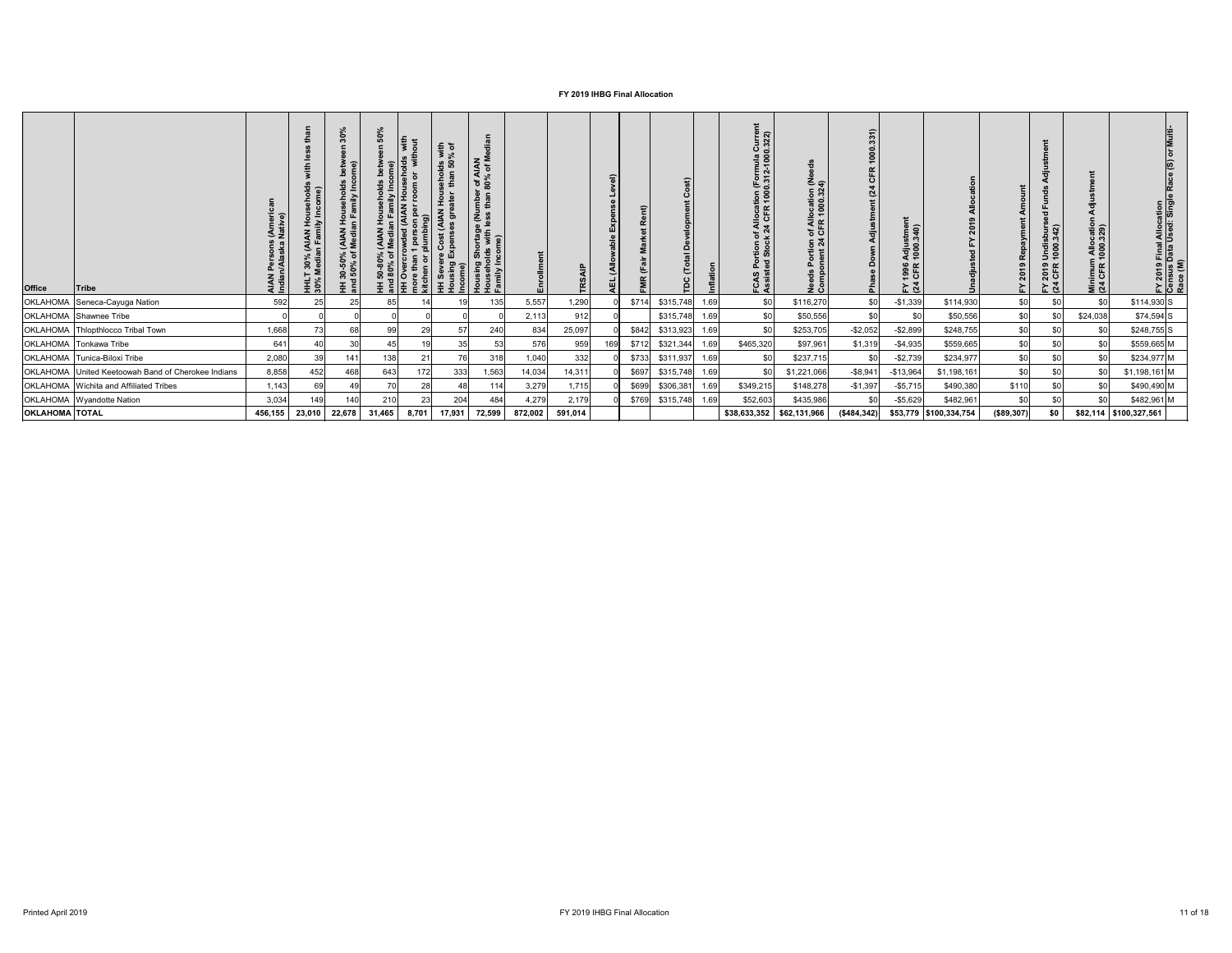| <b>Office</b>         | <b>Tribe</b>                              | AIAN Persons (Ameri<br>Indian/Alaska Native) | ehold:<br>:ome)<br>HHLT 30% (AIAN Hou<br>30% Median Family In | 30%<br>ome)<br>Households<br>In Family Inc<br><b>D% (AIAN<br/>of Media</b><br>HH 30-50°<br>and 50% o | <u>င်္</u> ဂ<br>Media)<br>ళ 'ర<br>80% | $\exists$<br><b>NAIA) pap</b><br>1 person<br>plumbing | $\frac{1}{2}$ $\frac{1}{2}$<br>seholds w<br>than 50%<br>$\frac{1}{2}$<br>KN<br>$\overline{5}$<br>re S<br>Exp | r of AIAN<br>80% of Mo<br><b>Imbel</b><br>than<br>ortage (Nu<br>with less <sub>1</sub><br>me)<br>Sho<br>Jds<br>sing<br>이 로<br>그<br>모르 | 띹       | TRSAIP  | Level)<br>Expense<br>able<br>(Allow<br>AEL | $\hat{E}$<br>œ | €<br>$\overline{c}$<br>ě |      | of Allocation (Formula Current<br>k 24 CFR 1000.312-1000.322)<br>FCAS<br>A | n of Allocation (Ne<br>4 CFR 1000.324)<br>Portion<br>onent 24<br>Needs<br>Compo | 331)<br>000<br>$\overline{\phantom{0}}$<br>$\alpha$<br><br>5<br>stme<br>Adju<br>Down<br>Pha | Adjustment<br>1000.340)<br>1996<br>CFR<br>$F \times 3$ |                        | Amount<br>2019 Repayment | $\overline{6}$<br>FY 2019 Undisburs<br>(24 CFR 1000.342) | 름<br>Minimum Allocation<br>(24 CFR 1000.329) | ΙĒ<br>FY 2019 Final Allocation<br>Census Data Used: Single I<br>Race (M) |
|-----------------------|-------------------------------------------|----------------------------------------------|---------------------------------------------------------------|------------------------------------------------------------------------------------------------------|---------------------------------------|-------------------------------------------------------|--------------------------------------------------------------------------------------------------------------|---------------------------------------------------------------------------------------------------------------------------------------|---------|---------|--------------------------------------------|----------------|--------------------------|------|----------------------------------------------------------------------------|---------------------------------------------------------------------------------|---------------------------------------------------------------------------------------------|--------------------------------------------------------|------------------------|--------------------------|----------------------------------------------------------|----------------------------------------------|--------------------------------------------------------------------------|
| <b>OKLAHOMA</b>       | Seneca-Cayuga Nation                      | 592                                          | 25                                                            | 25                                                                                                   | 85                                    |                                                       |                                                                                                              | 135                                                                                                                                   | 5,557   | 1,290   |                                            | \$714          | \$315,748                | 1.69 | \$0                                                                        | \$116,270                                                                       | \$0                                                                                         | $-$1,339$                                              | \$114,930              | \$0                      | \$0                                                      | \$0                                          | $$114,930$ S                                                             |
|                       | OKLAHOMA Shawnee Tribe                    |                                              |                                                               |                                                                                                      |                                       |                                                       |                                                                                                              |                                                                                                                                       | 2,113   | 912     |                                            |                | \$315,748                | 1.69 | \$0                                                                        | \$50,556                                                                        | \$0                                                                                         | \$0                                                    | \$50,556               | \$0                      |                                                          | \$24,038                                     | $$74,594$ S                                                              |
|                       | OKLAHOMA   Thlopthlocco Tribal Town       | 1,668                                        |                                                               | 68                                                                                                   | 99                                    | 29                                                    | 57                                                                                                           | 240                                                                                                                                   | 834     | 25,097  |                                            | \$842          | \$313,923                | 1.69 | \$0                                                                        | \$253,705                                                                       | $-$2,052$                                                                                   | $-$2,899$                                              | \$248,755              | \$0                      |                                                          | \$0                                          | $$248,755$ S                                                             |
|                       | <b>OKLAHOMA</b> Tonkawa Tribe             | 641                                          |                                                               | 30                                                                                                   | 45                                    |                                                       | 35                                                                                                           | 53                                                                                                                                    | 576     | 959     | 169                                        | \$712          | \$321,344                | 1.69 | \$465,320                                                                  | \$97,961                                                                        | \$1,319                                                                                     | $-$ \$4,935                                            | \$559,665              | \$0                      |                                                          | \$0                                          | \$559,665 M                                                              |
|                       | OKLAHOMA Tunica-Biloxi Tribe              | 2,080                                        | 39                                                            | 141                                                                                                  | 138                                   | 2 <sup>1</sup>                                        | 76I                                                                                                          | 318                                                                                                                                   | 1,040   | 332     |                                            | \$733          | \$311,937                | 1.69 | <b>\$0</b>                                                                 | \$237,715                                                                       | \$0                                                                                         | $-$2,739$                                              | \$234,977              | \$0                      | \$0                                                      | \$0                                          | \$234,977 M                                                              |
| <b>OKLAHOMA</b>       | United Keetoowah Band of Cherokee Indians | 8,858                                        | 452                                                           | 468                                                                                                  | 643                                   | 172                                                   | 333                                                                                                          | 1,563                                                                                                                                 | 14,034  | 14,311  |                                            | \$697          | \$315,748                | 1.69 | \$0                                                                        | \$1,221,066                                                                     | $-$ \$8,941                                                                                 | $-$13,964$                                             | \$1,198,161            | \$0                      | \$0                                                      | \$0                                          | $$1,198,161$ M                                                           |
|                       | OKLAHOMA Wichita and Affiliated Tribes    | 1,143                                        | 69                                                            | 49                                                                                                   | 70                                    | 28                                                    |                                                                                                              | 114                                                                                                                                   | 3,279   | 1,715   |                                            | \$699          | \$306,381                | 1.69 | \$349,215                                                                  | \$148,278                                                                       | $-$1,397$                                                                                   | $-$ \$5,715                                            | \$490,380              | \$110                    |                                                          | \$0                                          | \$490,490 M                                                              |
|                       | OKLAHOMA Wyandotte Nation                 | 3,034                                        | 149                                                           | 140                                                                                                  | 210                                   | 23                                                    | 204                                                                                                          | 484                                                                                                                                   | 4,279   | 2,179   |                                            | \$769          | \$315,748                | 1.69 | \$52,603                                                                   | \$435,986                                                                       | \$0                                                                                         | $-$5,629$                                              | \$482,961              | \$0                      |                                                          | \$0                                          | $$482,961$ M                                                             |
| <b>OKLAHOMA TOTAL</b> |                                           | 456,155                                      | 23,010                                                        | 22,678                                                                                               | 31,465                                | 8,701                                                 | 17,931                                                                                                       | 72,599                                                                                                                                | 872,002 | 591,014 |                                            |                |                          |      | \$38,633,352                                                               | \$62,131,966                                                                    | (\$484,342)                                                                                 |                                                        | \$53,779 \$100,334,754 | (\$89,307)               | \$0                                                      |                                              | \$82,114   \$100,327,561                                                 |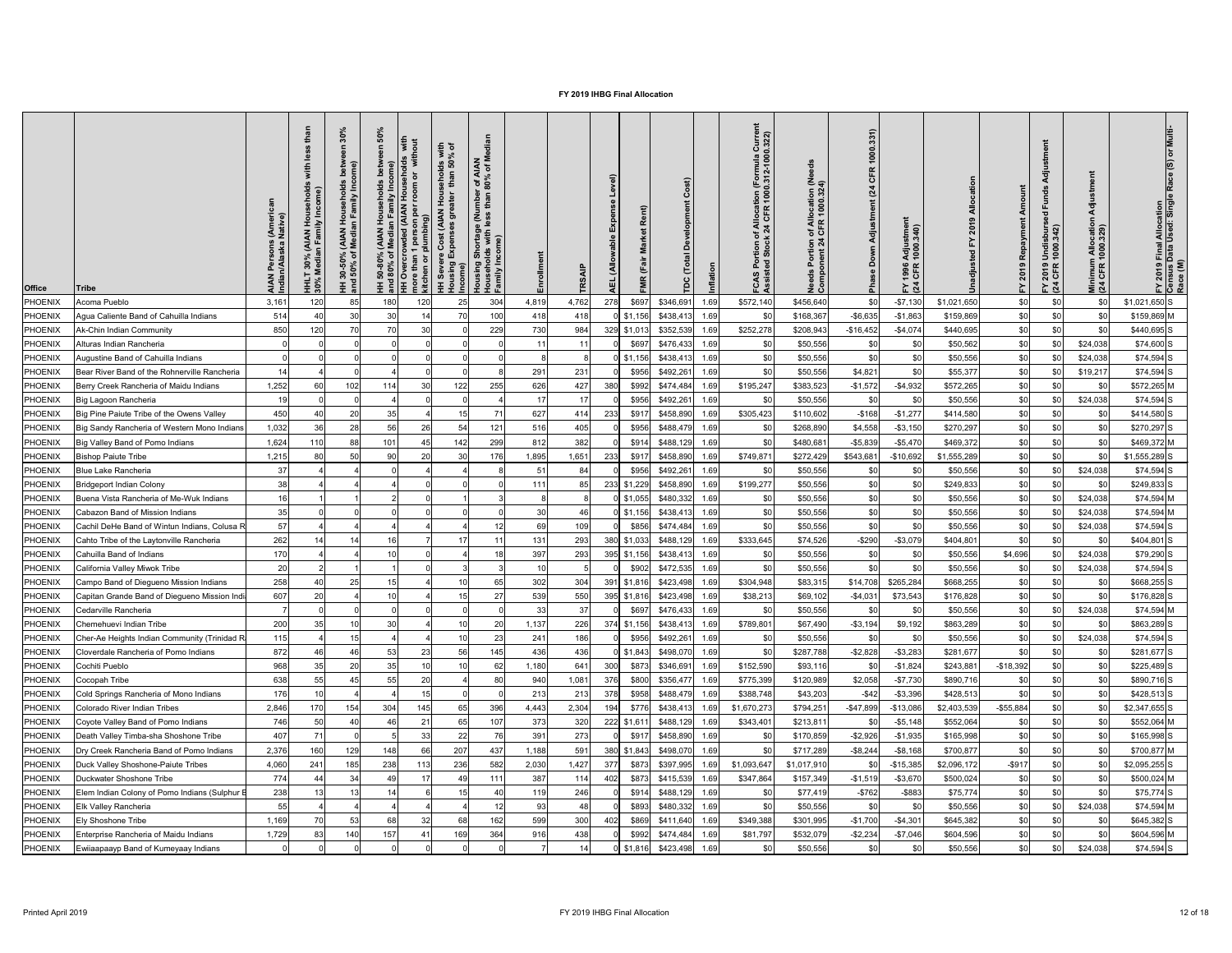| <b>Office</b>  | <b>Tribe</b>                                  | AIAN<br>Indian | È<br>(AIAN)<br>In Fami<br>30%<br>ledia<br>$\overline{\Xi}$ $\frac{8}{5}$ | $\circ$<br>그 ㄷ<br><b>THAN</b><br>Medi<br>ঁ০<br>$30 - 50$<br>$-50\%$<br>Ŧ. | $\sigma$ | with<br>% of<br>with<br><b>8 Sp</b><br>ehol<br>room<br><b>UOH</b><br>per<br><b>AIAN</b><br>person p<br>umbing)<br>mor<br>kitc | r of AIAN<br>80% of M<br>Ĕ<br>e (Nu<br>ັອ<br>Shortage<br>Ids with I<br>sing<br>Income)<br>윤<br>.<br>고 도 |                 | TR <sub>S</sub> | $\widehat{a}$<br>Rent)<br>(Allo |                               | iurre<br>322)<br>rmula<br>2-100<br>of Allo<br>k 24 CF<br>ة ن | beg<br>of Allocation (Ne<br>LCFR 1000.324)<br>$5\frac{4}{10}$<br><b>Ped</b><br>Cor | 1000.331)<br>CFR<br>(24)<br>Adjustment<br>Down<br>$\frac{1}{2}$ | Adjustmer<br>1000.340)<br>1996<br>CFR<br>$F\overline{a}$ |             |              | 'ਰ<br>$\overline{g}$<br>Undisburs<br>1000.342)<br>2019<br>CFR<br>$F \times 3$ | Minimum Allocatio<br>(24 CFR 1000.329) | l Final Allocation<br>Data Used: Singk<br>FY 2019 I<br>Census I<br>Race (M) |
|----------------|-----------------------------------------------|----------------|--------------------------------------------------------------------------|---------------------------------------------------------------------------|----------|-------------------------------------------------------------------------------------------------------------------------------|---------------------------------------------------------------------------------------------------------|-----------------|-----------------|---------------------------------|-------------------------------|--------------------------------------------------------------|------------------------------------------------------------------------------------|-----------------------------------------------------------------|----------------------------------------------------------|-------------|--------------|-------------------------------------------------------------------------------|----------------------------------------|-----------------------------------------------------------------------------|
| PHOENIX        | Acoma Pueblo                                  | 3,161          | 120                                                                      | 85                                                                        | 180      | 120                                                                                                                           | 25<br>304                                                                                               | 4,819           | 4,762           | 278<br>\$697                    | \$346,691<br>1.69             | \$572,140                                                    | \$456,640                                                                          | \$0                                                             | $- $7,130$                                               | \$1,021,650 | \$0          | \$0                                                                           | \$0                                    | $$1,021,650$ S                                                              |
| PHOENIX        | Agua Caliente Band of Cahuilla Indians        | 514            |                                                                          | 30                                                                        | 30       |                                                                                                                               | 70<br>100                                                                                               | 418             | 418             | $0$ \$1,156                     | \$438,413                     | 1.69<br>\$0                                                  | \$168,367                                                                          | $-$ \$6,635                                                     | $-$1,863$                                                | \$159,869   | \$0          | \$0                                                                           | \$0                                    | \$159,869 M                                                                 |
| PHOENIX        | Ak-Chin Indian Community                      | 850            | 120                                                                      | 70                                                                        | 70       | 30                                                                                                                            | 229                                                                                                     | 730             | 984             | 329 \$1,013                     | \$352,539                     | \$252,278<br>1.69                                            | \$208,943                                                                          | $-$16,452$                                                      | $-$4,074$                                                | \$440,695   | \$0          | \$0                                                                           | \$0                                    | \$440,695 S                                                                 |
| PHOENIX        | Alturas Indian Rancheria                      |                |                                                                          |                                                                           |          |                                                                                                                               |                                                                                                         | 11              |                 | \$697                           | \$476,433<br>1.69             | \$0                                                          | \$50,556                                                                           | \$0                                                             |                                                          | \$50,562    | \$0          | \$0                                                                           | \$24,038                               | $$74,600$ S                                                                 |
| PHOENIX        | Augustine Band of Cahuilla Indians            |                |                                                                          |                                                                           |          |                                                                                                                               |                                                                                                         |                 |                 | $0$ \$1,156                     | \$438,413<br>1.69             | <b>SC</b>                                                    | \$50,556                                                                           | \$0                                                             | \$0                                                      | \$50,556    | \$0          | \$0                                                                           | \$24,038                               | $$74,594$ S                                                                 |
| PHOENIX        | Bear River Band of the Rohnerville Rancheria  | 14             |                                                                          |                                                                           |          |                                                                                                                               |                                                                                                         | 291             | 231             | \$956                           | \$492,261<br>1.69             |                                                              | \$50,556                                                                           | \$4,821                                                         |                                                          | \$55,377    | \$0          |                                                                               | \$19,217                               | $$74,594$ S                                                                 |
| <b>PHOENIX</b> | Berry Creek Rancheria of Maidu Indians        | 1,252          |                                                                          | 102                                                                       | 114      | 30                                                                                                                            | 122<br>255                                                                                              | 626             | 427             | \$992<br>380                    | \$474,484                     | \$195,247<br>1.69                                            | \$383,523                                                                          | $-$1,572$                                                       | $-$4,932$                                                | \$572,265   | \$0          | \$0                                                                           | \$0                                    | \$572,265 M                                                                 |
| <b>PHOENIX</b> | Big Lagoon Rancheria                          | 19             |                                                                          |                                                                           |          |                                                                                                                               |                                                                                                         | 17 <sup>1</sup> |                 | \$956                           | \$492,261<br>1.69             |                                                              | \$50,556                                                                           | \$0                                                             |                                                          | \$50,556    | \$0          |                                                                               | \$24,038                               | $$74,594$ S                                                                 |
| <b>PHOENIX</b> | Big Pine Paiute Tribe of the Owens Valley     | 450            |                                                                          | 20                                                                        | 35       |                                                                                                                               | 15                                                                                                      | 627<br>71       | 414             | 233<br>\$917                    | \$458,890                     | \$305,423<br>1.69                                            | \$110,602                                                                          | $-$ \$168                                                       | $-$1,277$                                                | \$414,580   | \$0          | \$0                                                                           | \$0                                    | \$414,580 S                                                                 |
| <b>PHOENIX</b> | Big Sandy Rancheria of Western Mono Indians   | 1,032          | 36                                                                       | 28                                                                        | 56       | 26                                                                                                                            | 54<br>121                                                                                               | 516             | 405             | \$956                           | \$488,479                     | 1.69<br>\$0                                                  | \$268,890                                                                          | \$4,558                                                         | $- $3,150$                                               | \$270,297   | \$0          | <b>\$01</b>                                                                   | \$0                                    | \$270,297 S                                                                 |
| <b>PHOENIX</b> | Big Valley Band of Pomo Indians               | 1,624          | 110                                                                      | 88                                                                        | 101      |                                                                                                                               | 142<br>299                                                                                              | 812             | 382             | \$914                           | \$488,129                     | 1.69                                                         | \$480,68                                                                           | $-$5,839$                                                       | $-$5,470$                                                | \$469,372   | \$0          | \$0                                                                           | \$0                                    | \$469,372 M                                                                 |
| PHOENIX        | <b>Bishop Paiute Tribe</b>                    | 1,215          |                                                                          | 50                                                                        | 90       |                                                                                                                               | 30 <sub>l</sub><br>176                                                                                  | 1,895           | 1,651           | 233<br>\$917                    | \$458,890                     | \$749,87<br>1.69                                             | \$272,429                                                                          | \$543,68                                                        | $-$ \$10,692                                             | \$1,555,289 | \$0          |                                                                               | \$0                                    | $$1,555,289$ S                                                              |
| PHOENIX        | Blue Lake Rancheria                           | 37             |                                                                          |                                                                           |          |                                                                                                                               |                                                                                                         |                 | 84              | \$956                           | \$492,261<br>1.69             |                                                              | \$50,556                                                                           | \$0                                                             |                                                          | \$50,556    | \$0          |                                                                               | \$24,038                               | $$74,594$ S                                                                 |
| <b>PHOENIX</b> | <b>Bridgeport Indian Colony</b>               | 38             |                                                                          |                                                                           |          |                                                                                                                               |                                                                                                         | 111             | 85              | 233<br>\$1,229                  | \$458,890<br>1.69             | \$199,277                                                    | \$50,556                                                                           | \$0                                                             |                                                          | \$249,833   | \$0          |                                                                               | \$0                                    | $$249,833$ S                                                                |
| <b>PHOENIX</b> | Buena Vista Rancheria of Me-Wuk Indians       | 16             |                                                                          |                                                                           |          |                                                                                                                               |                                                                                                         |                 |                 | $\frac{1}{31,055}$              | \$480,332                     | 1.69                                                         | \$50,556                                                                           | \$0                                                             |                                                          | \$50,556    | \$0          |                                                                               | \$24,038                               | \$74,594 M                                                                  |
| <b>PHOENIX</b> | Cabazon Band of Mission Indians               | 35             |                                                                          |                                                                           |          |                                                                                                                               |                                                                                                         | 30              |                 | $\frac{1}{31,156}$              | \$438,41<br>1.69              |                                                              | \$50,556                                                                           | \$0                                                             |                                                          | \$50,556    | \$C          |                                                                               | \$24,038                               | \$74,594 M                                                                  |
| <b>PHOENIX</b> | Cachil DeHe Band of Wintun Indians, Colusa R  | 57             |                                                                          |                                                                           |          |                                                                                                                               |                                                                                                         | 69              | 109             | \$856                           | \$474,484                     | 1.69                                                         | \$50,556                                                                           | \$0                                                             |                                                          | \$50,556    | \$C          |                                                                               | \$24,038                               | $$74,594$ S                                                                 |
| PHOENIX        | Cahto Tribe of the Laytonville Rancheria      | 262            |                                                                          |                                                                           |          |                                                                                                                               |                                                                                                         | 131             | 293             | 380<br>\$1,033                  | \$488,129                     | \$333,645<br>1.69                                            | \$74,526                                                                           | $-$290$                                                         | $-$3,079$                                                | \$404,801   | \$C          |                                                                               | \$ <sub>0</sub>                        | \$404,801 S                                                                 |
| <b>PHOENIX</b> | Cahuilla Band of Indians                      | 170            |                                                                          |                                                                           |          |                                                                                                                               |                                                                                                         | 397             | 293             | 395<br>\$1,156                  | \$438,41<br>1.69              | \$0                                                          | \$50,556                                                                           | \$0                                                             |                                                          | \$50,556    | \$4,696      |                                                                               | \$24,038                               | \$79,290 S                                                                  |
| <b>PHOENIX</b> | California Valley Miwok Tribe                 | 20             |                                                                          |                                                                           |          |                                                                                                                               |                                                                                                         |                 |                 | \$902                           | 1.69<br>\$472,535             | $\Re$                                                        | \$50,556                                                                           | \$0                                                             |                                                          | \$50,556    | \$C          |                                                                               | \$24,038                               | $$74,594$ S                                                                 |
| <b>PHOENIX</b> | Campo Band of Diegueno Mission Indians        | 258            |                                                                          | 25                                                                        |          |                                                                                                                               |                                                                                                         | 302             | 304             | 391<br>\$1,816                  | \$423,498<br>1.69             | \$304,948                                                    | \$83,315                                                                           | \$14,708                                                        | \$265,284                                                | \$668,255   | \$C          |                                                                               | \$0                                    | \$668,255 S                                                                 |
| <b>PHOENIX</b> | Capitan Grande Band of Diegueno Mission Indi  | 607            |                                                                          |                                                                           |          |                                                                                                                               |                                                                                                         | 539             | 550             | 395<br>\$1,816                  | \$423,498<br>1.69             | \$38,213                                                     | \$69,102                                                                           | $-$4,031$                                                       | \$73,543                                                 | \$176,828   | \$C          |                                                                               | \$0                                    | $$176,828$ S                                                                |
| <b>PHOENIX</b> | Cedarville Rancheria                          |                |                                                                          |                                                                           |          |                                                                                                                               |                                                                                                         | 33              | 37              | \$697                           | \$476,433                     | 1.69                                                         | \$50,556                                                                           | \$C                                                             |                                                          | \$50,556    | \$C          |                                                                               | \$24,038                               | \$74,594 M                                                                  |
| <b>PHOENIX</b> | Chemehuevi Indian Tribe                       | 200            |                                                                          |                                                                           | 30       |                                                                                                                               |                                                                                                         | 20<br>1,137     | 226             | 374<br>\$1,156                  | \$438,41<br>1.69              | \$789,80                                                     | \$67,490                                                                           | $- $3,194$                                                      | \$9,192                                                  | \$863,289   | \$C          |                                                                               | \$ <sub>0</sub>                        | \$863,289 S                                                                 |
| <b>PHOENIX</b> | Cher-Ae Heights Indian Community (Trinidad R  | 115            |                                                                          | 15                                                                        |          |                                                                                                                               | 10                                                                                                      | 23<br>241       | 186             | \$956                           | \$492,26<br>1.69              |                                                              | \$50,556                                                                           | \$0                                                             | \$0                                                      | \$50,556    | \$C          |                                                                               | \$24,038                               | $$74,594$ S                                                                 |
| <b>PHOENIX</b> | Cloverdale Rancheria of Pomo Indians          | 872            |                                                                          | 46                                                                        | 53       | 23                                                                                                                            | 145<br>56                                                                                               | 436             | 436             | $0$ \$1,843                     | \$498,07<br>1.69              |                                                              | \$287,788                                                                          | $-$2,828$                                                       | $-$ \$3,283                                              | \$281,677   | \$C          |                                                                               | \$0                                    | \$281,677 S                                                                 |
| <b>PHOENIX</b> | Cochiti Pueblo                                | 968            |                                                                          | 20                                                                        | 35       |                                                                                                                               |                                                                                                         | 1,180<br>62     | 64 <sup>′</sup> | 300<br>\$873                    | \$346,69                      | \$152,590<br>1.69                                            | \$93,116                                                                           | \$C                                                             | $-$1,824$                                                | \$243,881   | $-$18,392$   |                                                                               | \$0                                    | $$225,489$ S                                                                |
| <b>PHOENIX</b> | Cocopah Tribe                                 | 638            |                                                                          |                                                                           | 55       | 20                                                                                                                            |                                                                                                         | 940<br>80       | 1,081           | 376<br>\$800                    | \$356,47<br>1.69              | \$775,399                                                    | \$120,989                                                                          | \$2,058                                                         | $-$7,730$                                                | \$890,716   | \$C          |                                                                               | \$0                                    | \$890,716 S                                                                 |
| <b>PHOENIX</b> | Cold Springs Rancheria of Mono Indians        | 176            |                                                                          |                                                                           |          |                                                                                                                               |                                                                                                         | 213             | 213             | 378<br>\$958                    | \$488,47<br>1.69              | \$388,748                                                    | \$43,203                                                                           | $-$ \$42                                                        | $- $3,396$                                               | \$428,513   | \$C          |                                                                               | \$0                                    | $$428,513$ S                                                                |
| <b>PHOENIX</b> | Colorado River Indian Tribes                  | 2,846          | 170                                                                      | 154                                                                       | 304      | 145                                                                                                                           | 65<br>396                                                                                               | 4,443           | 2,304           | \$776<br>194                    | \$438,41<br>1.69              | \$1,670,273                                                  | \$794,25'                                                                          | $-$47,899$                                                      | $-$13,086$                                               | \$2,403,539 | $-$ \$55,884 |                                                                               | \$0                                    | $$2,347,655$ S                                                              |
| <b>PHOENIX</b> | Coyote Valley Band of Pomo Indians            | 746            |                                                                          |                                                                           | 46       | $2^{\circ}$                                                                                                                   | 65<br>107                                                                                               | 373             | 320             | 222<br>\$1,61                   | \$488,12                      | \$343,40<br>1.69                                             | \$213,81                                                                           | \$C                                                             | $-$ \$5,148                                              | \$552,064   | \$C          |                                                                               | \$0                                    | \$552,064 M                                                                 |
| <b>PHOENIX</b> | Death Valley Timba-sha Shoshone Tribe         | 407            |                                                                          |                                                                           |          | 33                                                                                                                            | 22                                                                                                      | 391             | 273             | \$917                           | \$458,890<br>1.69             |                                                              | \$170,859                                                                          | $-$2,926$                                                       | $-$1,935$                                                | \$165,998   | \$C          |                                                                               | \$0                                    | \$165,998 S                                                                 |
| <b>PHOENIX</b> | Dry Creek Rancheria Band of Pomo Indians      | 2,376          | 160                                                                      | 129                                                                       | 148      | 66                                                                                                                            | 207<br>437                                                                                              | 1,188           | 591             | 380<br>\$1,843                  | \$498,07                      | 1.69                                                         | \$717,289                                                                          | $-$ \$8,244                                                     | $-$ \$8,168                                              | \$700,877   | \$C          |                                                                               | \$0                                    | \$700,877 M                                                                 |
| <b>PHOENIX</b> | Duck Valley Shoshone-Paiute Tribes            | 4,060          | 24 <sup>′</sup>                                                          | 185                                                                       | 238      | 113                                                                                                                           | 236<br>582                                                                                              | 2,030           | 1,427           | 377<br>\$873                    | \$397,995<br>1.69             | \$1,093,64                                                   | \$1,017,910                                                                        | \$0                                                             | $-$15,385$                                               | \$2,096,172 | $-$ \$917    | \$0                                                                           | \$ <sub>0</sub>                        | $$2,095,255$ S                                                              |
| <b>PHOENIX</b> | Duckwater Shoshone Tribe                      | 774            |                                                                          | 34                                                                        | 49       |                                                                                                                               | 111                                                                                                     | 387             | 114             | 402<br>\$873                    | \$415,539                     | \$347,864<br>1.69                                            | \$157,349                                                                          | $-$1,519$                                                       | $-$3,670$                                                | \$500,024   | \$C          |                                                                               | \$0                                    | \$500,024 M                                                                 |
| <b>PHOENIX</b> | Elem Indian Colony of Pomo Indians (Sulphur I | 238            |                                                                          |                                                                           | 14       |                                                                                                                               |                                                                                                         | 119             | 246             | \$914                           | \$488,129<br>1.69             |                                                              | \$77,419                                                                           | $-$ \$762                                                       | $-$ \$883                                                | \$75,774    | \$C          | \$0                                                                           | \$0                                    | $$75,774$ S                                                                 |
| <b>PHOENIX</b> | <b>Elk Valley Rancheria</b>                   | 55             |                                                                          |                                                                           |          |                                                                                                                               |                                                                                                         | 93              |                 | \$893                           | \$480,33<br>1.69              |                                                              | \$50,556                                                                           |                                                                 |                                                          | \$50,556    | \$C          |                                                                               | \$24,038                               | \$74,594 M                                                                  |
| PHOENIX        | Ely Shoshone Tribe                            | 1,169          | ,,,,                                                                     | 53<br>ັບບ                                                                 | 68       | つつ<br>ັບ∠                                                                                                                     | 6 <sub>R</sub><br>162<br>ັບບ<br>∣∪∠                                                                     | 599             | 300<br>ູບບບ     | 102<br>−∪∠∣                     |                               | \$349,388                                                    | \$301,995                                                                          | $-$1,700$                                                       | $-$4,301$                                                | \$645,382   | ፍሰ<br>ΨΨ     | $\mathfrak{c}_0$<br>ັ⊽ບ∣                                                      | ፍሰ<br>ັ⊽ບ∣                             | $$645,382$ S                                                                |
| PHOENIX        | Enterprise Rancheria of Maidu Indians         | 1,729          |                                                                          | 140                                                                       | 157      | 41                                                                                                                            | 169<br>364                                                                                              | 916             | 438             |                                 | $$992$ $$474,484$<br>1.69     | \$81,797                                                     | \$532,079                                                                          | $-$2,234$                                                       | $-$7,046$                                                | \$604,596   | \$0          | \$0                                                                           | \$0                                    | \$604,596 M                                                                 |
| PHOENIX        | Ewiiaapaayp Band of Kumeyaay Indians          |                |                                                                          |                                                                           |          |                                                                                                                               |                                                                                                         |                 |                 |                                 | $0$ \$1,816 \$423,498<br>1.69 | \$0                                                          | \$50,556                                                                           | \$0                                                             | \$0                                                      | \$50,556    | \$0          | \$0                                                                           | \$24,038                               | $$74,594$ S                                                                 |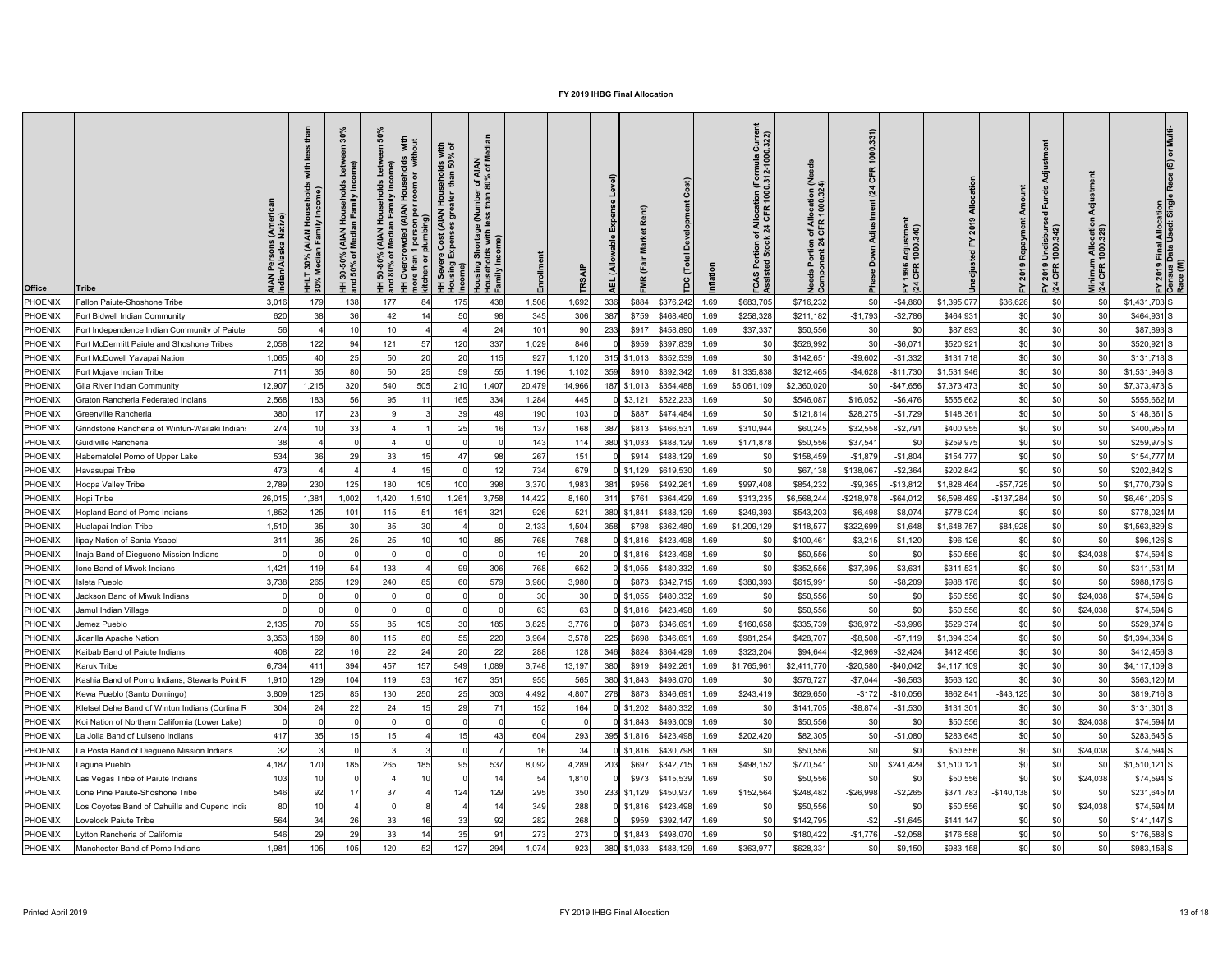| <b>Office</b>  | <b>Tribe</b>                                   | AIAN<br>Indian | 흑<br>(AIAN)<br>In Fami<br>30%<br>ledia<br>$\overline{\Xi}$ $\frac{8}{5}$ | $\circ$<br>그 ㄷ<br>$\vec{A}$ $\vec{B}$<br>₹Σ<br>ঁ০<br>$30 - 8$<br>퓦 | $\frac{1}{\sigma}$ | with<br>room<br>per<br>noi<br>kitc | with<br>% of<br><b>8 Sp</b><br>ehol<br>Ĕ<br>$\epsilon$<br><b>AIAN</b><br>ັອ<br>Income)<br>王 | <b>IAN</b><br>of M<br>$r$ of A<br>$80\%$<br>e (Nu<br><b>prtage</b><br>with<br><b>Sho</b><br>sing<br>로<br>도<br>로 로 |            | <b>TRS</b>     | $\widehat{a}$<br>Rent)<br>$\tilde{a}$ |                            |      | iurre<br>322)<br>rmula<br>2-100<br>Allo<br>CF<br>$\mathbf c$ | of Allocation (Ne<br>  CFR 1000.324)<br><u>ီ</u> ၁၀ | 1000.331)<br>CFR<br>(24)<br>Adjustment<br>å<br><b>Pha</b> | Adjustmer<br>1000.340)<br>1996<br>CFR<br>$E \overline{a}$ |             |              | 'ਰ<br>$\overline{g}$<br>Undisburs<br>1000.342)<br>2019<br>CFR<br>$F \times 4$ | Minimum Allocatio<br>(24 CFR 1000.329) | <b>Il Allocation</b><br>I Used: Singli<br>Final<br>Data l<br>FY 2019 I<br>Census I<br>Race (M) |
|----------------|------------------------------------------------|----------------|--------------------------------------------------------------------------|--------------------------------------------------------------------|--------------------|------------------------------------|---------------------------------------------------------------------------------------------|-------------------------------------------------------------------------------------------------------------------|------------|----------------|---------------------------------------|----------------------------|------|--------------------------------------------------------------|-----------------------------------------------------|-----------------------------------------------------------|-----------------------------------------------------------|-------------|--------------|-------------------------------------------------------------------------------|----------------------------------------|------------------------------------------------------------------------------------------------|
| PHOENIX        | Fallon Paiute-Shoshone Tribe                   | 3,016          | 179                                                                      | 138                                                                | 177                | 84                                 | 175                                                                                         | 438                                                                                                               | 1,508      | 1,692          | 336<br>\$884                          | \$376,242                  | 1.69 | \$683,705                                                    | \$716,232                                           | \$0                                                       | $-$ \$4,860                                               | \$1,395,077 | \$36,626     | \$0                                                                           | \$0                                    | $$1,431,703$ S                                                                                 |
| PHOENIX        | Fort Bidwell Indian Community                  | 620            | 38                                                                       | 36                                                                 | 42                 |                                    | 50                                                                                          |                                                                                                                   | 345        | 306            | 387<br>\$759                          | \$468,480                  | 1.69 | \$258,328                                                    | \$211,182                                           | $-$1,793$                                                 | $-$2,786$                                                 | \$464,931   | \$0          | \$0                                                                           | \$0                                    | $$464,931$ S                                                                                   |
| PHOENIX        | Fort Independence Indian Community of Paiute   | 56             |                                                                          | 10                                                                 |                    |                                    |                                                                                             | 24                                                                                                                | 101        | 90             | 233<br>\$917                          | \$458,890                  | 1.69 | \$37,337                                                     | \$50,556                                            | \$0                                                       | \$0                                                       | \$87,893    | \$0          | \$0                                                                           | \$0                                    | \$87,893 S                                                                                     |
| PHOENIX        | Fort McDermitt Paiute and Shoshone Tribes      | 2,058          | 122                                                                      | -94                                                                | 121                | 57                                 | 120                                                                                         | 337                                                                                                               | 1,029      | 846            | \$959                                 | \$397,839                  | 1.69 | <b>SC</b>                                                    | \$526,992                                           | \$0                                                       | $-$ \$6,071                                               | \$520,921   | \$0          | \$0                                                                           | \$0                                    | $$520,921$ S                                                                                   |
| PHOENIX        | Fort McDowell Yavapai Nation                   | 1,065          |                                                                          | 25                                                                 | 50                 | 20                                 | 20                                                                                          | 115                                                                                                               | 927        | 1,120          | 315 \$1,013                           | \$352,539                  | 1.69 | -\$C                                                         | \$142,651                                           | $-$9,602$                                                 | $-$1,332$                                                 | \$131,718   | \$0          | \$0                                                                           | \$0                                    | $$131,718$ S                                                                                   |
| PHOENIX        | Fort Mojave Indian Tribe                       | 711            |                                                                          | 80                                                                 | 50                 | 25                                 | 59                                                                                          | 55                                                                                                                | 1,196      | 1,102          | 359<br>\$910                          | \$392,342                  | 1.69 | \$1,335,838                                                  | \$212,465                                           | $-$4,628$                                                 | $-$11,730$                                                | \$1,531,946 | \$0          | \$0                                                                           | \$0                                    | $$1,531,946$ S                                                                                 |
| PHOENIX        | Gila River Indian Community                    | 12,907         | 1,215                                                                    | 320                                                                | 540                | 505                                | 210                                                                                         | 1,407                                                                                                             | 20,479     | 14,966         | \$1,013                               | \$354,488                  | 1.69 | \$5,061,109                                                  | \$2,360,020                                         | \$0                                                       | $-$ \$47,656                                              | \$7,373,473 | \$0          | \$0                                                                           | \$0                                    | $$7,373,473$ S                                                                                 |
| <b>PHOENIX</b> | Graton Rancheria Federated Indians             | 2,568          | 183                                                                      | 56                                                                 | 95                 |                                    | 165                                                                                         | 334                                                                                                               | 1,284      | 445            | $0$ \$3,121                           | \$522,233                  | 1.69 |                                                              | \$546,087                                           | \$16,052                                                  | $-$ \$6,476                                               | \$555,662   | \$0          | \$0                                                                           | \$0                                    | \$555,662 M                                                                                    |
| <b>PHOENIX</b> | Greenville Rancheria                           | 380            |                                                                          | 23                                                                 |                    |                                    | 39                                                                                          |                                                                                                                   | 190        | 103            | \$887                                 | \$474,484                  | 1.69 | <b>SC</b>                                                    | \$121,814                                           | \$28,275                                                  | $-$1,729$                                                 | \$148,361   | \$0          | \$0 <sub>l</sub>                                                              | \$0                                    | $$148,361$ S                                                                                   |
| <b>PHOENIX</b> | Grindstone Rancheria of Wintun-Wailaki Indian  | 274            |                                                                          | 33                                                                 |                    |                                    | 25                                                                                          |                                                                                                                   | 137        | 168            | 387<br>\$813                          | \$466,531                  | 1.69 | \$310,944                                                    | \$60,245                                            | \$32,558                                                  | $-$2,791$                                                 | \$400,955   | \$0          | <b>\$01</b>                                                                   | \$0                                    | \$400,955 M                                                                                    |
| <b>PHOENIX</b> | Guidiville Rancheria                           | 38             |                                                                          |                                                                    |                    |                                    |                                                                                             |                                                                                                                   | 143        | 114            | 380<br>\$1,033                        | \$488,129                  | 1.69 | \$171,878                                                    | \$50,556                                            | \$37,541                                                  |                                                           | \$259,975   | \$C          |                                                                               | \$0                                    | $$259,975$ S                                                                                   |
| PHOENIX        | Habematolel Pomo of Upper Lake                 | 534            |                                                                          | 29                                                                 | 33                 |                                    | 47                                                                                          |                                                                                                                   | 267        | 151            | \$914                                 | \$488,129                  | 1.69 |                                                              | \$158,459                                           | $-$1,879$                                                 | $-$1,804$                                                 | \$154,777   | \$0          |                                                                               | \$0                                    | \$154,777 M                                                                                    |
| <b>PHOENIX</b> | Havasupai Tribe                                | 473            |                                                                          |                                                                    |                    |                                    |                                                                                             |                                                                                                                   | 734        | 679            | $0$ \$1,129                           | \$619,530                  | 1.69 | <b>SC</b>                                                    | \$67,138                                            | \$138,067                                                 | $-$2,364$                                                 | \$202,842   | \$C          |                                                                               | \$0                                    | $$202,842$ S                                                                                   |
| <b>PHOENIX</b> | Hoopa Valley Tribe                             | 2,789          | 230                                                                      | 125                                                                | 180                | 105                                | 100                                                                                         | 398                                                                                                               | 3,370      | 1,983          | 38 <sup>2</sup><br>\$956              | \$492,26                   | 1.69 | \$997,408                                                    | \$854,232                                           | $-$9,365$                                                 | $-$13,812$                                                | \$1,828,464 | $-$57,725$   |                                                                               | \$ <sub>0</sub>                        | $$1,770,739$ S                                                                                 |
| <b>PHOENIX</b> | Hopi Tribe                                     | 26,015         | ,38                                                                      | 1,002                                                              | 1,420              | 1,510                              | 1,261                                                                                       | 3,758                                                                                                             | 14,422     | 8,160          | \$761<br>31'                          | \$364,429                  | 1.69 | \$313,23                                                     | \$6,568,244                                         | $-$218,978$                                               | $-$ \$64,012                                              | \$6,598,489 | $-$137,284$  |                                                                               | \$0                                    | \$6,461,205 S                                                                                  |
| <b>PHOENIX</b> | <b>Hopland Band of Pomo Indians</b>            | 1,852          |                                                                          | 101                                                                | 115                |                                    | 161                                                                                         | 321                                                                                                               | 926        | 52'            | 380<br>\$1,841                        | \$488,12                   | 1.69 | \$249,393                                                    | \$543,203                                           | $-$6,498$                                                 | $-$ \$8,074                                               | \$778,024   | \$C          |                                                                               | \$0                                    | \$778,024 M                                                                                    |
| <b>PHOENIX</b> | Hualapai Indian Tribe                          | 1,510          |                                                                          | 30                                                                 | 35                 | 3 <sub>0</sub>                     |                                                                                             |                                                                                                                   | 2,133      | 1,504          | 358<br>\$798                          | \$362,480                  | 1.69 | \$1,209,129                                                  | \$118,57                                            | \$322,699                                                 | $-$1,648$                                                 | \$1,648,757 | $-$ \$84,928 | \$0                                                                           | \$ <sub>0</sub>                        | $$1,563,829$ S                                                                                 |
| <b>PHOENIX</b> | lipay Nation of Santa Ysabel                   | 311            |                                                                          | 25                                                                 | 25                 |                                    |                                                                                             |                                                                                                                   | 768        | 768            | 0 \$1,816                             | \$423,498                  | 1.69 |                                                              | \$100,46                                            | $-$ \$3,215                                               | $-$1,120$                                                 | \$96,126    | \$C          | \$0                                                                           | \$0                                    | $$96,126$ S                                                                                    |
| <b>PHOENIX</b> | Inaja Band of Diegueno Mission Indians         |                |                                                                          |                                                                    |                    |                                    |                                                                                             |                                                                                                                   |            | 20             | 0 \$1,816                             | \$423,498                  | 1.69 | <b>SC</b>                                                    | \$50,556                                            | \$0                                                       | \$0                                                       | \$50,556    | \$C          |                                                                               | \$24,038                               | $$74,594$ S                                                                                    |
| <b>PHOENIX</b> | Ione Band of Miwok Indians                     | 1,421          | 119                                                                      | .54                                                                | 133                |                                    | 99                                                                                          | 306                                                                                                               | 768        | 652            | $0$ \$1,055                           | \$480,33                   | 1.69 | \$0                                                          | \$352,556                                           | $-$37,395$                                                | $- $3,631$                                                | \$311,531   | \$C          |                                                                               | \$0                                    | \$311,531 M                                                                                    |
| <b>PHOENIX</b> | Isleta Pueblo                                  | 3,738          | 265                                                                      | 129                                                                | 240                | 85                                 | 60                                                                                          | 579                                                                                                               | 3,980      | 3,980          | \$873                                 | \$342,71                   | 1.69 | \$380,393                                                    | \$615,99                                            | \$C                                                       | $-$ \$8,209                                               | \$988,176   | \$C          | \$0                                                                           | \$ <sub>0</sub>                        | \$988,176 S                                                                                    |
| PHOENIX        | Jackson Band of Miwuk Indians                  |                |                                                                          |                                                                    |                    |                                    |                                                                                             |                                                                                                                   | ЗC         | 3 <sub>0</sub> | $0$ \$1,055                           | \$480,332                  | 1.69 |                                                              | \$50,556                                            | \$0                                                       |                                                           | \$50,556    | \$C          |                                                                               | \$24,038                               | $$74,594$ S                                                                                    |
| <b>PHOENIX</b> | Jamul Indian Village                           |                |                                                                          |                                                                    |                    |                                    |                                                                                             |                                                                                                                   | 63         | 63             | $0$ \$1,816                           | \$423,498                  | 1.69 |                                                              | \$50,556                                            | \$0                                                       |                                                           | \$50,556    | \$C          |                                                                               | \$24,038                               | $$74,594$ S                                                                                    |
| <b>PHOENIX</b> | Jemez Pueblo                                   | 2,135          |                                                                          | 55                                                                 | 85                 | 105                                | 30                                                                                          | 185                                                                                                               | 3,825      | 3,776          | \$873                                 | \$346,69                   | 1.69 | \$160,658                                                    | \$335,739                                           | \$36,972                                                  | $- $3,996$                                                | \$529,374   | \$C          |                                                                               | \$ <sub>0</sub>                        | $$529,374$ S                                                                                   |
| <b>PHOENIX</b> | Jicarilla Apache Nation                        | 3,353          | 169                                                                      | 80                                                                 | 115                | 80                                 | 55                                                                                          | 220                                                                                                               | 3,964      | 3,578          | 225<br>\$698                          | \$346,69'                  | 1.69 | \$981,254                                                    | \$428,707                                           | $-$ \$8,508                                               | $-$7,119$                                                 | \$1,394,334 | \$C          |                                                                               | \$ <sub>0</sub>                        | $$1,394,334$ S                                                                                 |
| <b>PHOENIX</b> | Kaibab Band of Paiute Indians                  | 408            | 22                                                                       | 16                                                                 | 22                 | 2 <sup>1</sup>                     | 20                                                                                          | 22                                                                                                                | 288        | 128            | \$824<br>346                          | \$364,429                  | 1.69 | \$323,204                                                    | \$94,644                                            | $-$2,969$                                                 | $-$2,424$                                                 | \$412,456   | \$C          | \$0                                                                           | \$0                                    | $$412,456$ S                                                                                   |
| <b>PHOENIX</b> | <b>Karuk Tribe</b>                             | 6,734          | 41                                                                       | 394                                                                | 457                | 157                                | 549                                                                                         | ,089                                                                                                              | 3,748      | 13,197         | 380<br>\$919                          | \$492,26                   | 1.69 | \$1,765,96                                                   | \$2,411,770                                         | $-$20,580$                                                | $-$40,042$                                                | \$4,117,109 | \$C          |                                                                               | \$ <sub>0</sub>                        | $$4,117,109$ S                                                                                 |
| <b>PHOENIX</b> | Kashia Band of Pomo Indians, Stewarts Point    | 1,910          | 129                                                                      | 104                                                                | 119                | 53                                 | 167                                                                                         | 351                                                                                                               | 955        | 565            | 380<br>\$1,843                        | \$498,07                   | 1.69 |                                                              | \$576,727                                           | $-$7,044$                                                 | $-$6,563$                                                 | \$563,120   | \$C          |                                                                               | \$0                                    | \$563,120 M                                                                                    |
| <b>PHOENIX</b> | Kewa Pueblo (Santo Domingo)                    | 3,809          | 125                                                                      | 85                                                                 | 130                | 250                                | 25                                                                                          | 303                                                                                                               | 4,492      | 4,807          | 278<br>\$873                          | \$346,69'                  | 1.69 | \$243,41                                                     | \$629,650                                           | $-$172$                                                   | $-$10,056$                                                | \$862,84    | $-$ \$43,125 |                                                                               | \$0                                    | \$819,716 S                                                                                    |
| <b>PHOENIX</b> | Kletsel Dehe Band of Wintun Indians (Cortina F | 304            |                                                                          | 22                                                                 | 24                 |                                    | 29                                                                                          |                                                                                                                   | 152        | 164            | $0$ \$1,202                           | \$480,332                  | 1.69 |                                                              | \$141,705                                           | $-$ \$8,874                                               | $-$1,530$                                                 | \$131,301   | \$C          | \$0                                                                           | \$ <sub>0</sub>                        | $$131,301$ S                                                                                   |
| <b>PHOENIX</b> | Koi Nation of Northern California (Lower Lake) |                |                                                                          |                                                                    |                    |                                    |                                                                                             |                                                                                                                   |            |                | $\frac{1}{2}$ \$1,843                 | \$493,00                   | 1.69 |                                                              | \$50,556                                            | \$0                                                       |                                                           | \$50,556    | \$C          |                                                                               | \$24,038                               | \$74,594 M                                                                                     |
| <b>PHOENIX</b> | La Jolla Band of Luiseno Indians               | 417            |                                                                          |                                                                    |                    |                                    |                                                                                             |                                                                                                                   | 604        | 293            | 395<br>\$1,816                        | \$423,498                  | 1.69 | \$202,420                                                    | \$82,305                                            | \$0                                                       | $-$1,080$                                                 | \$283,645   | \$C          |                                                                               | \$ <sub>0</sub>                        | \$283,645 S                                                                                    |
| <b>PHOENIX</b> | a Posta Band of Diegueno Mission Indians       | 32             |                                                                          |                                                                    |                    |                                    |                                                                                             |                                                                                                                   |            |                | \$1,816                               | \$430,798                  | 1.69 |                                                              | \$50,556                                            | \$0                                                       |                                                           | \$50,556    | \$C          |                                                                               | \$24,038                               | $$74,594$ S                                                                                    |
| <b>PHOENIX</b> | Laguna Pueblo                                  | 4,187          | 170                                                                      | 185                                                                | 265                | 185                                | 95                                                                                          | 537                                                                                                               | 8,092      | 4,289          | \$697<br>203                          | \$342,715                  | 1.69 | \$498,152                                                    | \$770,54                                            | \$0                                                       | \$241,429                                                 | \$1,510,121 | \$C          |                                                                               | \$ <sub>0</sub>                        | $$1,510,121$ S                                                                                 |
| <b>PHOENIX</b> | Las Vegas Tribe of Paiute Indians              | 103            |                                                                          |                                                                    |                    |                                    |                                                                                             |                                                                                                                   | 54         | 1,810          | \$973                                 | \$415,539                  | 1.69 |                                                              | \$50,556                                            | \$0                                                       |                                                           | \$50,556    | \$C          |                                                                               | \$24,038                               | $$74,594$ S                                                                                    |
| <b>PHOENIX</b> | Lone Pine Paiute-Shoshone Tribe                | 546            |                                                                          |                                                                    | 37                 |                                    | 124                                                                                         | 129                                                                                                               | 295        | 350            | 233 \$1,129                           | \$450,937                  | 1.69 | \$152,564                                                    | \$248,482                                           | $-$26,998$                                                | $-$ \$2,265                                               | \$371,783   | $-$140,138$  |                                                                               | \$ <sub>0</sub>                        | \$231,645 M                                                                                    |
| <b>PHOENIX</b> | Los Coyotes Band of Cahuilla and Cupeno Indi   | 80             |                                                                          |                                                                    |                    |                                    |                                                                                             |                                                                                                                   | 349        | 288            | 0 \$1,816                             | \$423,498                  | 1.69 |                                                              | \$50,556                                            |                                                           |                                                           | \$50,556    | \$C          |                                                                               | \$24,038                               | \$74,594 M                                                                                     |
| PHOENIX        | Lovelock Paiute Tribe                          | 564            | ັ∪−                                                                      | 26                                                                 | 33<br>ັບບ          | 1 <sup>2</sup>                     | ৭৭<br>ັບບ                                                                                   | ◡←                                                                                                                | 282<br>202 | 268            |                                       |                            |      | ΨΨ                                                           | \$142,795                                           | $-$ \$2                                                   | $-$ \$1,645                                               | \$141,147   | ፍር<br>ΨΨ     | ູ∾∨∣                                                                          | ึ๊<br>Ψ∪μ                              | $$141,147$ $S$                                                                                 |
| PHOENIX        | Lytton Rancheria of California                 | 546            | 29                                                                       | 29                                                                 | 33                 |                                    | 35                                                                                          | 91                                                                                                                | 273        | 273            |                                       | $0$ \$1,843 \$498,070 1.69 |      | <b>\$0</b>                                                   | \$180,422                                           | $-$1,776$                                                 | $-$ \$2,058                                               | \$176,588   | \$0          | \$0                                                                           | \$0                                    | $$176,588$ S                                                                                   |
| PHOENIX        | Manchester Band of Pomo Indians                | 1,981          | 105                                                                      | 105                                                                | 120                | 52                                 | 127                                                                                         | 294                                                                                                               | 1,074      | 923            | 380 \$1,033 \$488,129 1.69            |                            |      | \$363,977                                                    | \$628,331                                           | \$0                                                       | $-$ \$9,150                                               | \$983,158   | \$0          | \$0                                                                           | \$0                                    | $$983,158$ S                                                                                   |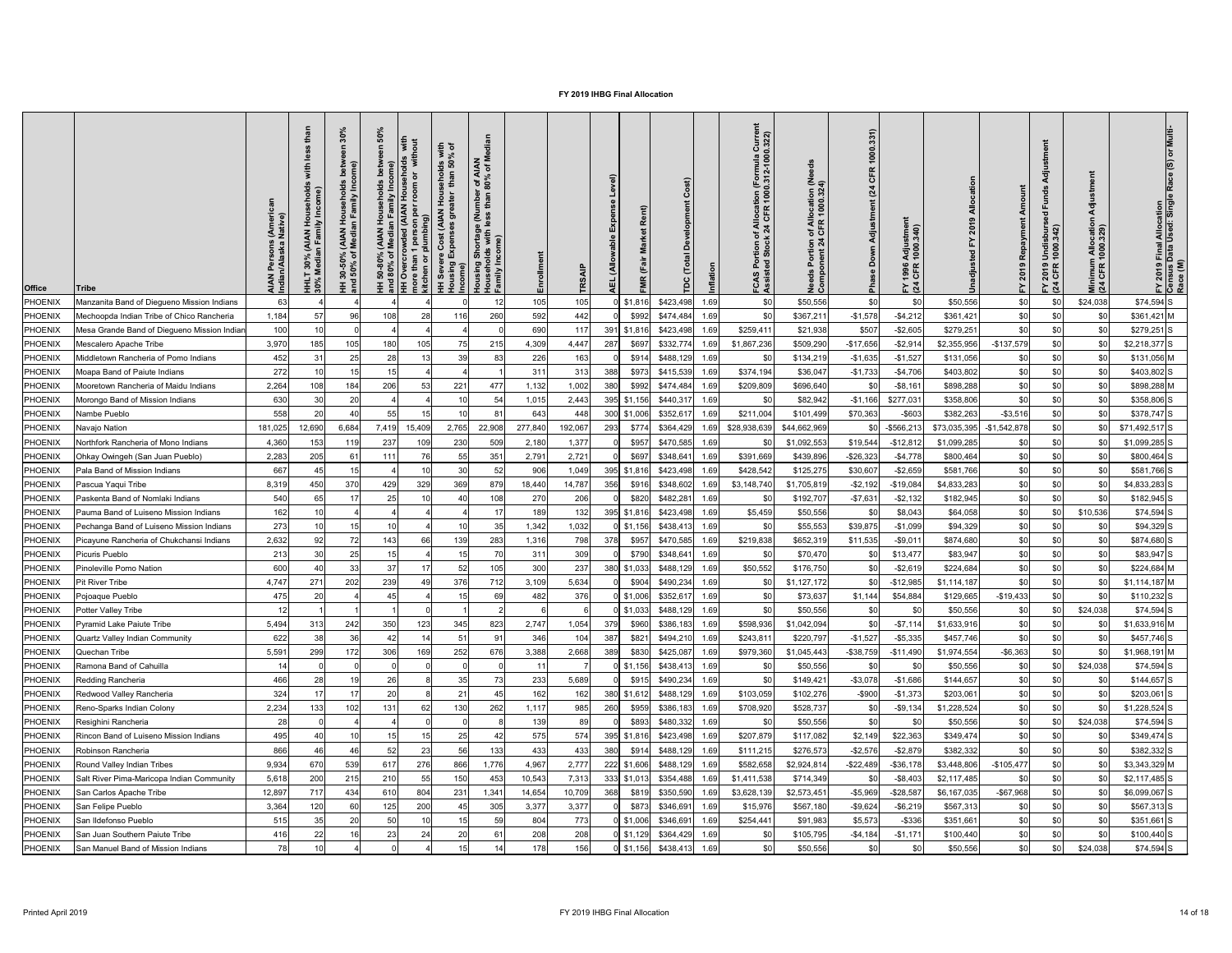| <b>Office</b>  | <b>Tribe</b>                                | AIAN<br>Indian         | 흑<br>(AIAN<br>In Fami<br>30%<br>ledia<br>$\overline{\Xi}$ $\frac{8}{5}$ | $\circ$<br>Ι.<br>⊻ ≥<br>≤ž<br>ঁ০<br>$30 - 50$<br>$-50\%$<br>풒 | $\frac{1}{\sigma}$ | with<br>room<br>$\epsilon$<br>8<br>mor<br>kitcl | with<br>% of<br><b>8 Sp</b><br>ehol<br>៑<br>င်္တ<br>sing<br>Income)<br>王 | <b>IAN</b><br>of M<br>. of A<br>80%<br>e (N.<br><b>rtage</b><br>with<br><u>로</u> |         | TRS.    | $\widehat{a}$<br>Rent)<br>$\tilde{\bar{\mathbf{z}}}$ |                            |      | ະ ລັ<br>rmula<br>2-100<br>Alo<br>4 Ci<br>ပ္ ဖ | of Allocation (Ne<br>  CFR 1000.324)<br>$rac{6}{2}$ $rac{6}{2}$ | 1000.331)<br>CFR<br>(24)<br>Adjustment<br>å<br>$\frac{1}{2}$ | Adjustmeı<br>1000.340)<br>1996<br>CFR<br>$E\overline{a}$ |                            |             | $\overline{g}$<br>Undisburs<br>1000.342)<br>2019<br>CFR<br>$F \times 4$ | Minimum Allocatio<br>(24 CFR 1000.329) | ll Allocation<br>Used: Singli<br>Final<br>Data l<br>FY 2019 I<br>Census I<br>Race (M) |
|----------------|---------------------------------------------|------------------------|-------------------------------------------------------------------------|---------------------------------------------------------------|--------------------|-------------------------------------------------|--------------------------------------------------------------------------|----------------------------------------------------------------------------------|---------|---------|------------------------------------------------------|----------------------------|------|-----------------------------------------------|-----------------------------------------------------------------|--------------------------------------------------------------|----------------------------------------------------------|----------------------------|-------------|-------------------------------------------------------------------------|----------------------------------------|---------------------------------------------------------------------------------------|
| PHOENIX        | Manzanita Band of Diegueno Mission Indians  | 63                     |                                                                         |                                                               |                    |                                                 |                                                                          |                                                                                  | 105     | 105     | $0$ \$1,816                                          | \$423,498                  | 1.69 | \$0                                           | \$50,556                                                        | \$0                                                          | \$0                                                      | \$50,556                   | \$0         | \$0                                                                     | \$24,038                               | $$74,594$ S                                                                           |
| <b>PHOENIX</b> | Mechoopda Indian Tribe of Chico Rancheria   | 1,184                  |                                                                         | 96                                                            | 108                | 28                                              | 116                                                                      | 260                                                                              | 592     | 442     | \$992                                                | \$474,484                  | 1.69 | \$0                                           | \$367,211                                                       | $-$1,578$                                                    | $-$4,212$                                                | \$361,421                  | \$0         |                                                                         | \$0                                    | $$361,421$ M                                                                          |
| PHOENIX        | Mesa Grande Band of Diegueno Mission Indian | 100                    |                                                                         |                                                               |                    |                                                 |                                                                          |                                                                                  | 690     | 117     | 391<br>\$1,816                                       | \$423,498                  | 1.69 | \$259,411                                     | \$21,938                                                        | \$507                                                        | $-$2,605$                                                | \$279,251                  | \$C         | \$0                                                                     | \$0                                    | $$279,251$ S                                                                          |
| PHOENIX        | Mescalero Apache Tribe                      | 3,970                  | 185                                                                     | 105                                                           | 180                | 105                                             | 75                                                                       | 215                                                                              | 4,309   | 4,447   | 287<br>\$697                                         | \$332,774                  | 1.69 | \$1,867,236                                   | \$509,290                                                       | $-$17,656$                                                   | $-$2,914$                                                | \$2,355,956                | $-$137,579$ | \$0                                                                     | \$0                                    | $$2,218,377$ S                                                                        |
| PHOENIX        | Middletown Rancheria of Pomo Indians        | 452                    |                                                                         | 25                                                            | 28                 |                                                 | 39                                                                       | 83                                                                               | 226     | 163     | \$914                                                | \$488,129                  | 1.69 | -\$0                                          | \$134,219                                                       | $-$1,635$                                                    | $-$1,527$                                                | \$131,056                  | \$0         | \$0                                                                     | \$0                                    | $$131,056$ M                                                                          |
| PHOENIX        | Moapa Band of Paiute Indians                | 272                    |                                                                         | 15                                                            |                    |                                                 |                                                                          |                                                                                  | 311     | 313     | \$973<br>388                                         | \$415,539                  | 1.69 | \$374,194                                     | \$36,047                                                        | $-$1,733$                                                    | $-$4,706$                                                | \$403,802                  | \$0         | \$0                                                                     | \$0                                    | $$403,802$ S                                                                          |
| <b>PHOENIX</b> | Mooretown Rancheria of Maidu Indians        | 2,264                  | 108                                                                     | 184                                                           | 206                | 53                                              | 221                                                                      | 477                                                                              | 1,132   | 1,002   | 380<br>\$992                                         | \$474,484                  | 1.69 | \$209,809                                     | \$696,640                                                       | \$0                                                          | $- $8,161$                                               | \$898,288                  | \$C         |                                                                         | \$0                                    | \$898,288 M                                                                           |
| <b>PHOENIX</b> | Morongo Band of Mission Indians             | 630                    | 30                                                                      | 20                                                            |                    |                                                 | 10                                                                       | 54                                                                               | 1,015   | 2,443   | 395<br>\$1,156                                       | \$440,317                  | 1.69 |                                               | \$82,942                                                        | $-$1,166$                                                    | \$277,031                                                | \$358,806                  | \$C         |                                                                         | \$0                                    | \$358,806 S                                                                           |
| <b>PHOENIX</b> | Nambe Pueblo                                | 558                    | 20                                                                      | 40                                                            | 55                 | 15                                              | 10                                                                       | 81                                                                               | 643     | 448     | 300 \$1,006                                          | \$352,61                   | 1.69 | \$211,004                                     | \$101,499                                                       | \$70,363                                                     | $-$ \$603                                                | \$382,263                  | $- $3,516$  | \$0                                                                     | \$0                                    | $$378,747$ S                                                                          |
| <b>PHOENIX</b> | Navajo Nation                               | 181,025                | 12,690                                                                  | 6,684                                                         | 7,419              | 15,409                                          | 2,765                                                                    | 22,908                                                                           | 277,840 | 192,067 | 293<br>\$774                                         | \$364,429                  | 1.69 | \$28,938,63                                   | \$44,662,969                                                    | \$0 <sub>1</sub>                                             | -\$566,213                                               | \$73,035,395 - \$1,542,878 |             | \$0                                                                     | \$0                                    | $$71,492,517$ S                                                                       |
| PHOENIX        | Northfork Rancheria of Mono Indians         | 4,360                  | 153                                                                     | 119                                                           | 237                | 109                                             | 230                                                                      | 509                                                                              | 2,180   | 1,377   | \$957                                                | \$470,585                  | 1.69 |                                               | \$1,092,553                                                     | \$19,544                                                     | $-$ \$12,812                                             | \$1,099,285                | \$0         | \$0                                                                     | \$0                                    | $$1,099,285$ S                                                                        |
| PHOENIX        | Ohkay Owingeh (San Juan Pueblo)             | 2,283                  | 205                                                                     |                                                               | 111                |                                                 | 55                                                                       | 351                                                                              | 2,791   | 2,721   | \$697                                                | \$348,641                  | 1.69 | \$391,669                                     | \$439,896                                                       | $-$26,323$                                                   | $-$4,778$                                                | \$800,464                  | \$0         |                                                                         | \$0                                    | \$800,464 S                                                                           |
| <b>PHOENIX</b> | Pala Band of Mission Indians                | 667                    |                                                                         |                                                               |                    |                                                 | 30                                                                       | 52                                                                               | 906     | 1,049   | 395<br>\$1,816                                       | \$423,498                  | 1.69 | \$428,542                                     | \$125,275                                                       | \$30,607                                                     | $-$2,659$                                                | \$581,766                  | \$0         |                                                                         | \$0                                    | \$581,766 S                                                                           |
| <b>PHOENIX</b> | Pascua Yaqui Tribe                          | 8,319                  | 450                                                                     | 370                                                           | 429                | 329                                             | 369                                                                      | 879                                                                              | 18,440  | 14,787  | 356<br>\$916                                         | \$348,602                  | 1.69 | \$3,148,74                                    | \$1,705,819                                                     | $-$2,192$                                                    | $-$19,084$                                               | \$4,833,283                | \$C         |                                                                         | \$ <sub>0</sub>                        | \$4,833,283 S                                                                         |
| <b>PHOENIX</b> | Paskenta Band of Nomlaki Indians            | 540                    |                                                                         |                                                               | 25                 |                                                 |                                                                          | 108                                                                              | 270     | 206     | \$820                                                | \$482,28'                  | 1.69 |                                               | \$192,707                                                       | $-$7,631$                                                    | $-$2,132$                                                | \$182,945                  | \$C         |                                                                         | \$0                                    | $$182,945$ S                                                                          |
| <b>PHOENIX</b> | Pauma Band of Luiseno Mission Indians       | 162                    |                                                                         |                                                               |                    |                                                 |                                                                          |                                                                                  | 189     | 132     | 395<br>\$1,816                                       | \$423,49                   | 1.69 | \$5,45                                        | \$50,556                                                        | \$C                                                          | \$8,043                                                  | \$64,058                   | \$C         |                                                                         | \$10,536                               | $$74,594$ S                                                                           |
| PHOENIX        | Pechanga Band of Luiseno Mission Indians    | 273                    |                                                                         | 15                                                            | 10                 |                                                 |                                                                          | 35                                                                               | 1,342   | 1,032   | $0$ \$1,156                                          | \$438,41                   | 1.69 | \$ <sub>6</sub>                               | \$55,553                                                        | \$39,875                                                     | $-$1,099$                                                | \$94,329                   | \$C         | \$0                                                                     | \$ <sub>0</sub>                        | \$94,329 S                                                                            |
| PHOENIX        | Picayune Rancheria of Chukchansi Indians    | 2,632                  |                                                                         | 72                                                            | 143                |                                                 | 139                                                                      | 283                                                                              | 1,316   | 798     | 378<br>\$957                                         | \$470,585                  | 1.69 | \$219,838                                     | \$652,319                                                       | \$11,535                                                     | $-$9,01$                                                 | \$874,680                  | \$C         |                                                                         | \$0                                    | \$874,680 S                                                                           |
| <b>PHOENIX</b> | Picuris Pueblo                              | 213                    | 30                                                                      | 25                                                            | 15                 |                                                 |                                                                          |                                                                                  | 311     | 309     | \$790                                                | \$348,64                   | 1.69 | \$0                                           | \$70,470                                                        | \$0                                                          | \$13,47                                                  | \$83,947                   | \$C         |                                                                         | \$0                                    | \$83,947 S                                                                            |
| <b>PHOENIX</b> | <b>Pinoleville Pomo Nation</b>              | 600                    |                                                                         | 33                                                            | 37                 |                                                 | 52                                                                       | 105                                                                              | 300     | 237     | \$1,033<br>380                                       | \$488,129                  | 1.69 | \$50,552                                      | \$176,750                                                       | \$0                                                          | $-$2,619$                                                | \$224,684                  | \$C         |                                                                         | \$0                                    | \$224,684 M                                                                           |
| <b>PHOENIX</b> | Pit River Tribe                             | 4,747                  | 27 <sup>5</sup>                                                         | 202                                                           | 239                |                                                 | 376                                                                      | 712                                                                              | 3,109   | 5,634   | \$904                                                | \$490,234                  | 1.69 |                                               | \$1,127,172                                                     | \$C                                                          | $-$12,985$                                               | \$1,114,187                | \$C         |                                                                         | \$ <sub>0</sub>                        | $$1,114,187$ M                                                                        |
| <b>PHOENIX</b> | Pojoaque Pueblo                             | 475                    |                                                                         |                                                               | 45                 |                                                 |                                                                          |                                                                                  | 482     | 376     | $0$ \$1,006                                          | \$352,61                   | 1.69 |                                               | \$73,637                                                        | \$1,144                                                      | \$54,884                                                 | \$129,665                  | $-$19,433$  |                                                                         | \$0                                    | $$110,232$ S                                                                          |
| <b>PHOENIX</b> | Potter Valley Tribe                         | 12                     |                                                                         |                                                               |                    |                                                 |                                                                          |                                                                                  |         |         | $\frac{1}{2}$ \$1,033                                | \$488,129                  | 1.69 |                                               | \$50,556                                                        | \$0                                                          |                                                          | \$50,556                   | \$C         |                                                                         | \$24,038                               | $$74,594$ S                                                                           |
| <b>PHOENIX</b> | <b>Pyramid Lake Paiute Tribe</b>            | 5,494                  | 313                                                                     | 242                                                           | 350                | 123                                             | 345                                                                      | 823                                                                              | 2,747   | 1,054   | 379<br>\$960                                         | \$386,18                   | 1.69 | \$598,936                                     | \$1,042,094                                                     | \$0                                                          | $-$7,114$                                                | \$1,633,916                | \$C         |                                                                         | \$ <sub>0</sub>                        | $$1,633,916$ M                                                                        |
| <b>PHOENIX</b> | Quartz Valley Indian Community              | 622                    | 38                                                                      | 36                                                            | 42                 |                                                 | 51                                                                       | 91                                                                               | 346     | 104     | 387<br>\$821                                         | \$494,21                   | 1.69 | \$243,81                                      | \$220,797                                                       | $-$1,527$                                                    | $-$5,335$                                                | \$457,746                  | \$C         | \$0                                                                     | \$0                                    | $$457,746$ S                                                                          |
| <b>PHOENIX</b> | Quechan Tribe                               | 5,591                  | 299                                                                     | 172                                                           | 306                | 169                                             | 252                                                                      | 676                                                                              | 3,388   | 2,668   | 389<br>\$830                                         | \$425,087                  | 1.69 | \$979,36                                      | \$1,045,443                                                     | $-$ \$38,759                                                 | $-$11,490$                                               | \$1,974,554                | $-$ \$6,363 | \$0                                                                     | \$ <sub>6</sub>                        | $$1,968,191$ M                                                                        |
| <b>PHOENIX</b> | Ramona Band of Cahuilla                     | 14                     |                                                                         |                                                               |                    |                                                 |                                                                          |                                                                                  | 11      |         | $0$ \$1,156                                          | \$438,41                   | 1.69 |                                               | \$50,556                                                        | \$0                                                          |                                                          | \$50,556                   | \$C         |                                                                         | \$24,038                               | $$74,594$ S                                                                           |
| <b>PHOENIX</b> | Redding Rancheria                           | 466                    | 28                                                                      |                                                               | 26                 |                                                 | 35 <sup>5</sup>                                                          |                                                                                  | 233     | 5,689   | \$915                                                | \$490,234                  | 1.69 | \$C                                           | \$149,42                                                        | $-$3,078$                                                    | $-$1,686$                                                | \$144,657                  | \$C         |                                                                         | \$0                                    | $$144,657$ S                                                                          |
| <b>PHOENIX</b> | Redwood Valley Rancheria                    | 324                    |                                                                         | 17                                                            | 20                 |                                                 | 21                                                                       |                                                                                  | 162     | 162     | 380<br>\$1,612                                       | \$488,129                  | 1.69 | \$103,059                                     | \$102,276                                                       | $-$ \$900                                                    | $-$1,373$                                                | \$203,061                  | \$C         |                                                                         | \$0                                    | \$203,061 S                                                                           |
| <b>PHOENIX</b> | Reno-Sparks Indian Colony                   | 2,234                  | 133                                                                     | 102                                                           | 131                |                                                 | 130                                                                      | 262                                                                              | 1,117   | 985     | 260<br>\$959                                         | \$386,183                  | 1.69 | \$708,920                                     | \$528,737                                                       | \$0                                                          | $-$ \$9,134                                              | \$1,228,524                | \$C         | \$0                                                                     | \$ <sub>6</sub>                        | $$1,228,524$ S                                                                        |
| <b>PHOENIX</b> | Resighini Rancheria                         | 28                     |                                                                         |                                                               |                    |                                                 |                                                                          |                                                                                  | 139     | 89      | \$893                                                | \$480,33                   | 1.69 |                                               | \$50,556                                                        | \$C                                                          |                                                          | \$50,556                   | \$C         |                                                                         | \$24,038                               | $$74,594$ S                                                                           |
| <b>PHOENIX</b> | Rincon Band of Luiseno Mission Indians      | 495                    |                                                                         |                                                               |                    |                                                 | 25                                                                       |                                                                                  | 575     | 574     | 395<br>\$1,816                                       | \$423,498                  | 1.69 | \$207,879                                     | \$117,082                                                       | \$2,149                                                      | \$22,363                                                 | \$349,474                  | \$C         |                                                                         | \$0                                    | \$349,474 S                                                                           |
| <b>PHOENIX</b> | Robinson Rancheria                          | 866                    |                                                                         | 46                                                            | 52                 | 23                                              | 56                                                                       | 133                                                                              | 433     | 433     | 380<br>\$914                                         | \$488,                     | 1.69 | \$111,215                                     | \$276,573                                                       | $-$2,576$                                                    | $-$2,879$                                                | \$382,332                  | \$C         |                                                                         | \$0                                    | \$382,332 S                                                                           |
| <b>PHOENIX</b> | Round Valley Indian Tribes                  | 9,934                  | 670                                                                     | 539                                                           | 617                | 276                                             | 866                                                                      | 1,776                                                                            | 4,967   | 2,777   | 222<br>\$1,606                                       | \$488,129                  | 1.69 | \$582,65                                      | \$2,924,814                                                     | $-$ \$22,489                                                 | $-$36,178$                                               | \$3,448,806                | $-$105,477$ | \$0                                                                     | \$ <sub>0</sub>                        | \$3,343,329 M                                                                         |
| <b>PHOENIX</b> | Salt River Pima-Maricopa Indian Community   | 5,618                  | 200                                                                     | 215                                                           | 210                | 55                                              | 150                                                                      | 453                                                                              | 10,543  | 7,313   | 333<br>\$1,01                                        | \$354,48                   | 1.69 | \$1,411,538                                   | \$714,349                                                       | \$C                                                          | $-$ \$8,403                                              | \$2,117,485                | \$C         |                                                                         | \$0                                    | $$2,117,485$ S                                                                        |
| <b>PHOENIX</b> | San Carlos Apache Tribe                     | 12,897                 | 717                                                                     | 434                                                           | 610                | 804                                             | 231                                                                      | 1,341                                                                            | 14,654  | 10,709  | 368<br>\$819                                         | \$350,590                  | 1.69 | \$3,628,13                                    | \$2,573,45                                                      | $-$5,969$                                                    | $-$28,58$                                                | \$6,167,035                | $-$67,968$  | \$0                                                                     | \$ <sub>0</sub>                        | \$6,099,067 S                                                                         |
| <b>PHOENIX</b> | San Felipe Pueblo                           | 3,364                  | 120                                                                     |                                                               | 125                | 200                                             |                                                                          | 305                                                                              | 3,377   | 3,377   | \$873                                                | \$346,69                   | 1.69 | \$15,97                                       | \$567,180                                                       | $-$9,624$                                                    | $-$ \$6,219                                              | \$567,313                  | \$0         |                                                                         |                                        | \$567,313 S                                                                           |
| PHOENIX        | San Ildefonso Pueblo                        | 515<br>$\cup$ 1 $\cup$ | ັບບ                                                                     | 20                                                            | 50<br>ັບບ          | $\overline{10}$                                 | 15<br>. . J                                                              | ັບປ                                                                              | 804     | 773     |                                                      | $0$ \$1,006 \$346,691 1.69 |      | \$254,441                                     | \$91,983                                                        | <b>S5573</b><br>40,010                                       | $-$ \$336                                                | \$351,661                  | ፍሰ<br>ΨΨ    | $\mathfrak{c}_0$<br>ັ⊽ບ∣                                                | ፍሰ<br>ΨΨΙ                              | $$351,661$ S                                                                          |
| PHOENIX        | San Juan Southern Paiute Tribe              | 416                    | 22                                                                      |                                                               | 23                 | 24                                              | 20 <sup>1</sup>                                                          | $6^{\circ}$                                                                      | 208     | 208     |                                                      | $0$ \$1,129 \$364,429 1.69 |      | \$0                                           | \$105,795                                                       | $-$ \$4,184                                                  | $-$1,171$                                                | \$100,440                  | \$0         | \$0                                                                     | \$0                                    | $$100,440$ S                                                                          |
| PHOENIX        | San Manuel Band of Mission Indians          | 78                     |                                                                         |                                                               |                    |                                                 | 15                                                                       |                                                                                  | 178     | 156     |                                                      | $0$ \$1,156 \$438,413 1.69 |      | \$0                                           | \$50,556                                                        | \$0                                                          | \$0                                                      | \$50,556                   | \$0         | \$0                                                                     | \$24,038                               | $$74,594$ S                                                                           |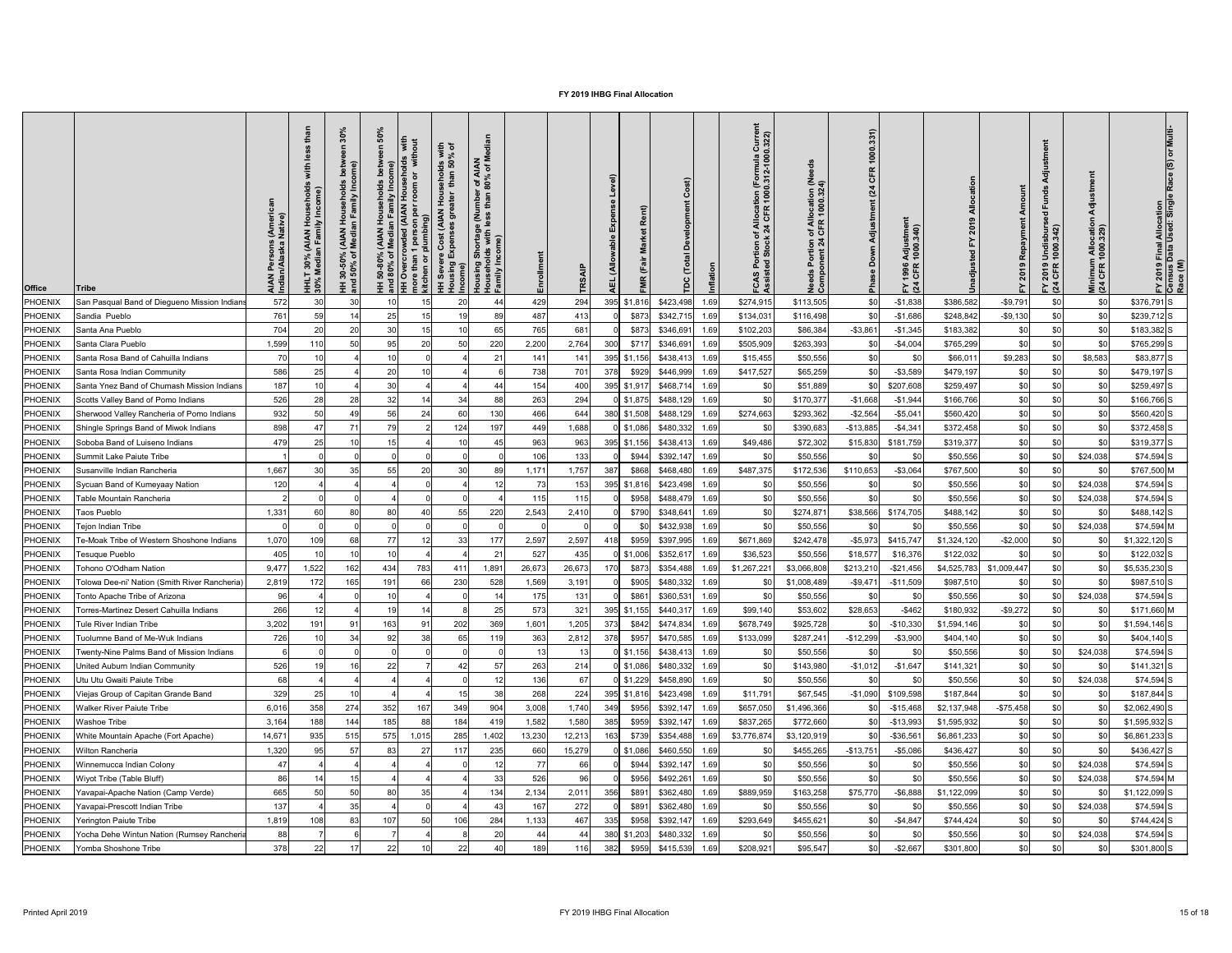| 572<br>$-$1,838$<br>$-$9,791$<br>\$0<br>30<br>294<br>\$274,915<br>\$113,505<br>\$0<br>\$0<br>\$376,791 S<br>PHOENIX<br>San Pasqual Band of Diegueno Mission Indians<br>30<br>15<br>20<br>429<br>\$423,498<br>\$386,582<br>10<br>44<br>395 \$1,816<br>1.69<br>761<br>$-$9,130$<br>25<br>\$342,715<br>$-$1,686$<br>\$248,842<br>\$0<br>89<br>487<br>413<br>\$873<br>\$134,031<br>\$0<br>$$239,712$ S<br>PHOENIX<br>Sandia Pueblo<br>59<br>15<br>1.69<br>\$116,498<br>\$0<br>14<br>704<br>20<br>30<br>65<br>765<br>681<br>\$873<br>\$102,203<br>$-$1,345$<br>\$183,382<br>\$0<br>\$0<br>$$183,382$ S<br>\$346,691<br>\$86,384<br>$- $3,861$<br>\$0<br>PHOENIX<br>Santa Ana Pueblo<br>15<br>1.69<br>220<br>2,764<br>\$0<br>\$0<br>1,599<br>50<br>20<br>300<br>$-$4,004$<br>$$765,299$ S<br>PHOENIX<br>Santa Clara Pueblo<br>95<br>2,200<br>\$717<br>\$346,691<br>\$505,909<br>\$263,393<br>\$765,299<br>\$0<br>11 <sub>0</sub><br>50<br>\$0<br>1.69<br>\$9,283<br>Santa Rosa Band of Cahuilla Indians<br>70<br>21<br>\$438,413<br>\$0<br>\$8,583<br>\$83,877 S<br>PHOENIX<br>10<br>141<br>395 \$1,156<br>\$15,455<br>\$50,556<br>\$66,011<br>\$0<br>141<br>1.69<br>\$0<br>\$0<br>586<br>25<br>20<br>738<br>701<br>\$929<br>\$446,999<br>\$417,527<br>\$0<br>$- $3,589$<br>\$479,197<br>\$0<br>$$479,197$ S<br>PHOENIX<br>Santa Rosa Indian Community<br>378<br>\$65,259<br>\$0<br>1.69<br>187<br>\$0<br>\$0<br>30<br>400<br>395 \$1,917<br>\$468,714<br>\$207,608<br>\$259,497<br>$$259,497$ S<br>Santa Ynez Band of Chumash Mission Indians<br>44<br>154<br>\$0<br>\$0<br>PHOENIX<br>\$51,889<br>1.69<br>\$0<br>526<br>294<br>\$0<br>\$0<br>32<br>88<br>263<br>$0$ \$1,875<br>\$488,129<br>\$170,377<br>$-$1,668$<br>\$166,766<br>$$166,766$ S<br>PHOENIX<br>Scotts Valley Band of Pomo Indians<br>28<br>28<br>34<br>$-$1,944$<br>\$0<br>14<br>1.69<br>932<br>130<br>\$560,420<br>\$0<br>\$0<br>$$560,420$ S<br>PHOENIX<br>56<br>644<br>380 \$1,508<br>\$488,129<br>\$274,663<br>\$293,362<br>$-$2,564$<br>$-$ \$5,04 $\cdot$<br>\$0<br>Sherwood Valley Rancheria of Pomo Indians<br>50<br>49<br>24<br>60<br>466<br>1.69<br>79<br>\$0<br>\$0<br>898<br>71<br>197<br>1,688<br>$-$13,885$<br>$-$ \$4,34 $\cdot$<br>PHOENIX<br>Shingle Springs Band of Miwok Indians<br>124<br>449<br>0 \$1,086<br>\$480,332<br>\$390,683<br>\$372,458<br>\$0<br>$$372,458$ S<br>1.69<br>\$0<br>\$0<br>479<br>\$0<br>1 <sup>1</sup><br>45<br>963<br>963<br>\$49,486<br>\$181,759<br>$$319,377$ S<br>PHOENIX<br>Soboba Band of Luiseno Indians<br>25<br>15<br>395 \$1,156<br>\$438,413<br>\$72,302<br>\$15,830<br>\$319,377<br>1.69<br>\$0<br>133<br>\$24,038<br>PHOENIX<br>\$50,556<br>\$50,556<br>$$74,594$ S<br>Summit Lake Paiute Tribe<br>106<br>\$944<br>\$392,147<br>\$0<br>1.69<br>1,667<br>\$172,536<br>$- $3,064$<br>\$767,500<br>\$0<br>\$0<br>\$767,500 M<br>PHOENIX<br>35<br>55<br>30<br>1,757<br>387<br>\$868<br>\$487,375<br>\$110,653<br>Susanville Indian Rancheria<br>20<br>89<br>1,171<br>\$468,480<br>1.69<br>\$0<br>120<br>153<br>\$24,038<br>$$74,594$ S<br>Sycuan Band of Kumeyaay Nation<br>\$423,498<br>\$50,556<br>\$50,556<br>PHOENIX<br>73<br>395<br>\$1,816<br>1.69<br>\$0<br>\$0<br>\$24,038<br>115<br>\$0<br>\$50,556<br>$$74,594$ S<br>PHOENIX<br>\$958<br>\$488,479<br>\$50,556<br>Table Mountain Rancheria<br>1.6<br>\$0<br>1,331<br>220<br>2,410<br>\$38,566<br>\$174,705<br>\$488,142<br>$$488,142$ S<br>PHOENIX<br>80<br>80<br>55<br>2,543<br>\$790<br>\$348,641<br>\$274,87<br>\$ <sub>0</sub><br><b>Taos Pueblo</b><br>1.6<br>\$0<br>\$24,038<br><b>PHOENIX</b><br>\$432,938<br>\$50,556<br>\$50,556<br>\$74,594 M<br>Tejon Indian Tribe<br>\$C<br>1.69<br>\$0<br>\$0<br>$-$2,000$<br>1,070<br>177<br>2,597<br>\$397,995<br>\$671,869<br>$$1,322,120$ S<br>PHOENIX<br><b>Te-Moak Tribe of Western Shoshone Indians</b><br>10 <sub>S</sub><br>68<br>77<br>33<br>2,597<br>418<br>\$959<br>\$242,478<br>$-$5,973$<br>\$415,74<br>\$1,324,120<br>\$ <sub>0</sub><br>1.69<br>405<br>527<br>435<br>\$36,523<br>\$50,556<br>\$16,376<br>\$122,032<br>\$0<br>$$122,032$ S<br>PHOENIX<br>Tesuque Pueblo<br>10<br>21<br>$0$ \$1,006<br>\$352,617<br>\$18,577<br>\$0<br>10<br>1.69<br>783<br>9,477<br>162<br>434<br>1,891<br>26,673<br>1,522<br>26,673<br>170<br>\$873<br>\$1,267,22'<br>\$3,066,808<br>\$213,210<br>$-$ \$21,456<br>\$4,525,783<br>\$1,009,447<br>\$ <sub>0</sub><br>$$5,535,230$ S<br>PHOENIX<br>Tohono O'Odham Nation<br>\$354,488<br>1.69<br>-411<br>528<br>\$0<br>2,819<br>165<br>191<br>66<br>230<br>1,569<br>3,191<br>\$905<br>\$1,008,489<br>$-$11,509$<br>\$987,510<br>\$C<br>\$0<br>\$987,510 S<br><b>PHOENIX</b><br>Tolowa Dee-ni' Nation (Smith River Rancheria)<br>\$480,332<br>$-$9,471$<br>1.69<br>\$0<br>\$24,038<br>$$74,594$ S<br>PHOENIX<br>96<br>131<br>\$861<br>\$360,531<br>\$50,556<br>\$50,556<br>Tonto Apache Tribe of Arizona<br>1.69<br>\$0<br>25<br>$-$ \$462<br>$-$9,272$<br>266<br>573<br>32 <sup>1</sup><br>\$28,653<br>\$180,932<br>\$0<br>395 \$1,155<br>\$440,317<br>\$99,140<br>\$53,602<br>\$0<br>\$171,660 M<br>PHOENIX<br>Torres-Martinez Desert Cahuilla Indians<br>19<br>1.69<br>3,202<br>163<br>202<br>369<br>1,205<br>\$678,749<br>$-$10,330$<br>19<br>9 <sup>′</sup><br>1,601<br>\$925,728<br>\$1,594,146<br>\$C<br>\$0<br>\$ <sub>0</sub><br>$$1,594,146$ S<br>91<br>373<br>\$842<br>\$474,834<br>PHOENIX<br>Tule River Indian Tribe<br>\$0<br>1.69<br>726<br>363<br>2,812<br>378<br>$-$12,299$<br>$- $3,900$<br>\$404,140<br>\$C<br>\$0<br>92<br>38<br>\$957<br>\$470,585<br>\$133,099<br>\$287,24<br>\$ <sub>6</sub><br>$$404,140$ S<br>PHOENIX<br><b>Tuolumne Band of Me-Wuk Indians</b><br>34<br>119<br>1.6<br>\$0<br>\$50,556<br>\$24,038<br>$$74,594$ S<br>PHOENIX<br>-13<br>\$438,413<br>\$50,556<br>Twenty-Nine Palms Band of Mission Indians<br>$0$ \$1,156<br>1.69<br>\$0<br>\$0<br>\$0<br>526<br>22<br>263<br>214<br>\$ <sub>0</sub><br>57<br>$0$ \$1,086<br>\$480,332<br>\$0<br>\$143,980<br>$-$1,012$<br>$-$1,647$<br>\$141,321<br>$$141,321$ S<br>PHOENIX<br>United Auburn Indian Community<br>1.69<br>42<br>\$0<br>12<br>68<br>136<br>\$24,038<br>67<br>$0$ \$1,229<br>\$458,890<br>\$ſ<br>\$50,556<br>\$50,556<br>$$74,594$ S<br>PHOENIX<br>Jtu Utu Gwaiti Paiute Tribe<br>1.69<br>\$0<br>224<br>\$C<br>329<br>38<br>268<br>\$187,844<br>\$11,791<br>\$0<br>$$187,844$ S<br><b>PHOENIX</b><br>\$67,545<br>$-$1,090$<br>\$109,598<br>Viejas Group of Capitan Grande Band<br>395 \$1,816<br>\$423,498<br>1.69<br>$-$75,458$<br>6,016<br>358<br>274<br>352<br>904<br>3,008<br>\$2,137,948<br>\$ <sub>0</sub><br>167<br>349<br>1,740<br>\$657,050<br>\$1,496,366<br>\$2,062,490 S<br>PHOENIX<br><b>Nalker River Paiute Tribe</b><br>349<br>\$956<br>\$392,147<br>$-$15,468$<br>\$0<br>1.69<br>185<br>419<br>1,580<br>\$1,595,932<br>\$C<br><b>PHOENIX</b><br>3,164<br>188<br>144<br>88<br>184<br>1,582<br>385<br>\$959<br>\$392,147<br>\$837,265<br>\$772,660<br>$-$13,993$<br>\$0<br>$$1,595,932$ S<br>Nashoe Tribe<br>\$0<br>1.6<br>575<br>285<br>\$0<br>14,67'<br>93<br>515<br>1,015<br>13,230<br>12,213<br>\$3,120,919<br>\$6,861,233<br>PHOENIX<br>,402<br>163<br>\$739<br>\$354,488<br>\$3,776,874<br>$-$36,56$<br>\$ <sub>0</sub><br>\$6,861,233 S<br>White Mountain Apache (Fort Apache)<br>235<br>15,279<br>$-$13,751$<br>\$0<br>1,320<br>83<br>$2^{\frac{1}{2}}$<br>\$460,550<br>\$455,265<br>$-$5,086$<br>\$436,427<br>\$0<br>\$436,427 S<br><b>PHOENIX</b><br>660<br>$0$ \$1,086<br>57<br><b>Nilton Rancheria</b><br>117<br>∣.6<br>\$0<br>\$24,038<br><b>PHOENIX</b><br>66<br>\$392,147<br>\$50,556<br>$$74,594$ S<br>47<br>77<br>\$944<br>1.69<br>\$50,556<br>Winnemucca Indian Colony<br>\$0<br>526<br>96<br>\$492,26<br>\$0<br>\$24,038<br>\$74,594 M<br><b>PHOENIX</b><br>Wiyot Tribe (Table Bluff)<br>86<br>33<br>\$956<br>1.69<br>\$50,556<br>\$0<br>\$50,556<br>\$0<br>\$0<br>665<br>50<br>134<br>2,011<br>356<br>\$889,959<br>\$163,258<br>$-$ \$6,888<br>\$1,122,099<br>$$1,122,099$ S<br>PHOENIX<br>80<br>35<br>2,134<br>\$891<br>\$362,480<br>\$75,770<br>Yavapai-Apache Nation (Camp Verde)<br>1.69<br>\$0<br>137<br>35<br>272<br>\$0<br>\$24,038<br>\$891<br>\$362,480<br>\$50,556<br>\$50,556<br>$$74,594$ S<br>PHOENIX<br>Yavapai-Prescott Indian Tribe<br>1.69<br>284<br>ፍሰ<br>PHOENIX<br>1,819<br>107I<br>50<br>467<br>335 \$958 \$392,147 1.69<br>\$293,649<br>\$455,621<br>\$0<br>$-$4,847$<br>\$744,424<br>$\mathfrak{c}_0$<br>ፍሰ<br>\$744,424 <b>S</b><br>108<br>83<br>106<br>1133<br>Yerington Paiute Tribe<br>ט ט<br>1 V I<br>ັບບ∣<br>1 U U<br>טטו, ו<br>Ψ⊻∣<br>ູບ<br>ູ∾ບ∣<br>20<br>380 \$1,203 \$480,332 1.69<br>\$0<br>88<br>\$0<br>\$24,038<br>$$74,594$ S<br>PHOENIX<br>\$0<br>\$50,556<br>\$0<br>\$50,556<br>\$0<br>Yocha Dehe Wintun Nation (Rumsey Rancheria<br>44<br>-44<br>22<br>40<br>$$959$ $$415,539$ 1.69<br>\$0<br>378<br>22<br>189<br>116<br>382<br>\$208,921<br>\$0<br>$-$2,667$<br>\$301,800<br>\$0<br>$$301,800$ S<br>PHOENIX<br>Yomba Shoshone Tribe<br>17<br>\$95,547 | <b>Office</b> | <b>Tribe</b> | AIAN Persons (Ameri<br>Indian/Alaska Native) | ehold:<br>come;<br>nl vii<br>iiv In<br>AIAN)<br>an Fami<br>30%<br><b>Media</b><br>HHLT<br>30% N | 30%<br>ome)<br><b>nily</b> In<br>$rac{5}{2}$ $rac{1}{2}$<br>(AIAN<br>Media<br>ని స<br>$150\%$ | <u>ငွ</u><br>ঁ০ | room | with<br>% of<br><b>9 8</b><br>ehol<br>than<br>Tour<br>That<br>Š | <b>IAN</b><br>of M.<br>r of A<br>80%<br>mbei<br>than<br>rtage (Nu<br>with less 1<br>စ်<br>guis | TR <sub>S</sub> | evel)<br>able<br>(Allo<br>파 | ent)<br>œ | $\ddot{t}$ | Currel<br>0.322)<br>ation (Formula<br>! 1000.312-1000<br>of Allocat<br>:k 24 CFR<br>ုပ် ပွဲ | eed<br>of Allocation (Ne<br>1 CFR 1000.324)<br>$5\frac{4}{3}$<br>မွီ ပိ | 1000.331)<br><b>CFR</b><br>(24)<br>$\overline{\mathbf{r}}$<br>Adjustme<br>Down<br>Pha | ゠<br>Adjustmer<br>1000.340)<br>1996<br>CFR<br>$\Sigma_{\alpha}$ | Amount | 'ਰ<br>$\overline{e}$<br>′ 2019 Undisburs<br>1 CFR 1000.342)<br>$E \tilde{q}$ | ᇹ<br>Minimum Allocatio<br>(24 CFR 1000.329) | Multi<br>) Final Allocation<br>Data Used: Single<br>FY 2019 F<br>Census D<br>Race (M) |
|-----------------------------------------------------------------------------------------------------------------------------------------------------------------------------------------------------------------------------------------------------------------------------------------------------------------------------------------------------------------------------------------------------------------------------------------------------------------------------------------------------------------------------------------------------------------------------------------------------------------------------------------------------------------------------------------------------------------------------------------------------------------------------------------------------------------------------------------------------------------------------------------------------------------------------------------------------------------------------------------------------------------------------------------------------------------------------------------------------------------------------------------------------------------------------------------------------------------------------------------------------------------------------------------------------------------------------------------------------------------------------------------------------------------------------------------------------------------------------------------------------------------------------------------------------------------------------------------------------------------------------------------------------------------------------------------------------------------------------------------------------------------------------------------------------------------------------------------------------------------------------------------------------------------------------------------------------------------------------------------------------------------------------------------------------------------------------------------------------------------------------------------------------------------------------------------------------------------------------------------------------------------------------------------------------------------------------------------------------------------------------------------------------------------------------------------------------------------------------------------------------------------------------------------------------------------------------------------------------------------------------------------------------------------------------------------------------------------------------------------------------------------------------------------------------------------------------------------------------------------------------------------------------------------------------------------------------------------------------------------------------------------------------------------------------------------------------------------------------------------------------------------------------------------------------------------------------------------------------------------------------------------------------------------------------------------------------------------------------------------------------------------------------------------------------------------------------------------------------------------------------------------------------------------------------------------------------------------------------------------------------------------------------------------------------------------------------------------------------------------------------------------------------------------------------------------------------------------------------------------------------------------------------------------------------------------------------------------------------------------------------------------------------------------------------------------------------------------------------------------------------------------------------------------------------------------------------------------------------------------------------------------------------------------------------------------------------------------------------------------------------------------------------------------------------------------------------------------------------------------------------------------------------------------------------------------------------------------------------------------------------------------------------------------------------------------------------------------------------------------------------------------------------------------------------------------------------------------------------------------------------------------------------------------------------------------------------------------------------------------------------------------------------------------------------------------------------------------------------------------------------------------------------------------------------------------------------------------------------------------------------------------------------------------------------------------------------------------------------------------------------------------------------------------------------------------------------------------------------------------------------------------------------------------------------------------------------------------------------------------------------------------------------------------------------------------------------------------------------------------------------------------------------------------------------------------------------------------------------------------------------------------------------------------------------------------------------------------------------------------------------------------------------------------------------------------------------------------------------------------------------------------------------------------------------------------------------------------------------------------------------------------------------------------------------------------------------------------------------------------------------------------------------------------------------------------------------------------------------------------------------------------------------------------------------------------------------------------------------------------------------------------------------------------------------------------------------------------------------------------------------------------------------------------------------------------------------------------------------------------------------------------------------------------------------------------------------------------------------------------------------------------------------------------------------------------------------------------------------------------------------------------------------------------------------------------------------------------------------------------------------------------------------------------------------------------------------------------------------------------------------------------------------------------------------------------------------------------------------------------------------------------------------------------------------------------------------------------------------------------------------------------------------------------------------------------------------------------------------------------------------------------------------------------------------------------------------------------------------------------------------------------------------------------------------------------------------------------------------------------------------------------------------------------------------------------------------------------------------------------------------------------------------------------------------------------------------------------------------------------------------------------------------------------------------------------------------------------------------------------------------------------------------------------------------------------------------------------------------------------------------------------------------------------------------------------------------------------------------------------------------------------------------------------------------------------------------------------------------------------------------------------------------------------------------------------------------------------------------------------------------------------------------------------------------------------------------------------------------------------------------------|---------------|--------------|----------------------------------------------|-------------------------------------------------------------------------------------------------|-----------------------------------------------------------------------------------------------|-----------------|------|-----------------------------------------------------------------|------------------------------------------------------------------------------------------------|-----------------|-----------------------------|-----------|------------|---------------------------------------------------------------------------------------------|-------------------------------------------------------------------------|---------------------------------------------------------------------------------------|-----------------------------------------------------------------|--------|------------------------------------------------------------------------------|---------------------------------------------|---------------------------------------------------------------------------------------|
|                                                                                                                                                                                                                                                                                                                                                                                                                                                                                                                                                                                                                                                                                                                                                                                                                                                                                                                                                                                                                                                                                                                                                                                                                                                                                                                                                                                                                                                                                                                                                                                                                                                                                                                                                                                                                                                                                                                                                                                                                                                                                                                                                                                                                                                                                                                                                                                                                                                                                                                                                                                                                                                                                                                                                                                                                                                                                                                                                                                                                                                                                                                                                                                                                                                                                                                                                                                                                                                                                                                                                                                                                                                                                                                                                                                                                                                                                                                                                                                                                                                                                                                                                                                                                                                                                                                                                                                                                                                                                                                                                                                                                                                                                                                                                                                                                                                                                                                                                                                                                                                                                                                                                                                                                                                                                                                                                                                                                                                                                                                                                                                                                                                                                                                                                                                                                                                                                                                                                                                                                                                                                                                                                                                                                                                                                                                                                                                                                                                                                                                                                                                                                                                                                                                                                                                                                                                                                                                                                                                                                                                                                                                                                                                                                                                                                                                                                                                                                                                                                                                                                                                                                                                                                                                                                                                                                                                                                                                                                                                                                                                                                                                                                                                                                                                                                                                                                                                                                                                                                                                                                                                                                                                                                                                                                                                                                                                                                                                                                                                                           |               |              |                                              |                                                                                                 |                                                                                               |                 |      |                                                                 |                                                                                                |                 |                             |           |            |                                                                                             |                                                                         |                                                                                       |                                                                 |        |                                                                              |                                             |                                                                                       |
|                                                                                                                                                                                                                                                                                                                                                                                                                                                                                                                                                                                                                                                                                                                                                                                                                                                                                                                                                                                                                                                                                                                                                                                                                                                                                                                                                                                                                                                                                                                                                                                                                                                                                                                                                                                                                                                                                                                                                                                                                                                                                                                                                                                                                                                                                                                                                                                                                                                                                                                                                                                                                                                                                                                                                                                                                                                                                                                                                                                                                                                                                                                                                                                                                                                                                                                                                                                                                                                                                                                                                                                                                                                                                                                                                                                                                                                                                                                                                                                                                                                                                                                                                                                                                                                                                                                                                                                                                                                                                                                                                                                                                                                                                                                                                                                                                                                                                                                                                                                                                                                                                                                                                                                                                                                                                                                                                                                                                                                                                                                                                                                                                                                                                                                                                                                                                                                                                                                                                                                                                                                                                                                                                                                                                                                                                                                                                                                                                                                                                                                                                                                                                                                                                                                                                                                                                                                                                                                                                                                                                                                                                                                                                                                                                                                                                                                                                                                                                                                                                                                                                                                                                                                                                                                                                                                                                                                                                                                                                                                                                                                                                                                                                                                                                                                                                                                                                                                                                                                                                                                                                                                                                                                                                                                                                                                                                                                                                                                                                                                                           |               |              |                                              |                                                                                                 |                                                                                               |                 |      |                                                                 |                                                                                                |                 |                             |           |            |                                                                                             |                                                                         |                                                                                       |                                                                 |        |                                                                              |                                             |                                                                                       |
|                                                                                                                                                                                                                                                                                                                                                                                                                                                                                                                                                                                                                                                                                                                                                                                                                                                                                                                                                                                                                                                                                                                                                                                                                                                                                                                                                                                                                                                                                                                                                                                                                                                                                                                                                                                                                                                                                                                                                                                                                                                                                                                                                                                                                                                                                                                                                                                                                                                                                                                                                                                                                                                                                                                                                                                                                                                                                                                                                                                                                                                                                                                                                                                                                                                                                                                                                                                                                                                                                                                                                                                                                                                                                                                                                                                                                                                                                                                                                                                                                                                                                                                                                                                                                                                                                                                                                                                                                                                                                                                                                                                                                                                                                                                                                                                                                                                                                                                                                                                                                                                                                                                                                                                                                                                                                                                                                                                                                                                                                                                                                                                                                                                                                                                                                                                                                                                                                                                                                                                                                                                                                                                                                                                                                                                                                                                                                                                                                                                                                                                                                                                                                                                                                                                                                                                                                                                                                                                                                                                                                                                                                                                                                                                                                                                                                                                                                                                                                                                                                                                                                                                                                                                                                                                                                                                                                                                                                                                                                                                                                                                                                                                                                                                                                                                                                                                                                                                                                                                                                                                                                                                                                                                                                                                                                                                                                                                                                                                                                                                                           |               |              |                                              |                                                                                                 |                                                                                               |                 |      |                                                                 |                                                                                                |                 |                             |           |            |                                                                                             |                                                                         |                                                                                       |                                                                 |        |                                                                              |                                             |                                                                                       |
|                                                                                                                                                                                                                                                                                                                                                                                                                                                                                                                                                                                                                                                                                                                                                                                                                                                                                                                                                                                                                                                                                                                                                                                                                                                                                                                                                                                                                                                                                                                                                                                                                                                                                                                                                                                                                                                                                                                                                                                                                                                                                                                                                                                                                                                                                                                                                                                                                                                                                                                                                                                                                                                                                                                                                                                                                                                                                                                                                                                                                                                                                                                                                                                                                                                                                                                                                                                                                                                                                                                                                                                                                                                                                                                                                                                                                                                                                                                                                                                                                                                                                                                                                                                                                                                                                                                                                                                                                                                                                                                                                                                                                                                                                                                                                                                                                                                                                                                                                                                                                                                                                                                                                                                                                                                                                                                                                                                                                                                                                                                                                                                                                                                                                                                                                                                                                                                                                                                                                                                                                                                                                                                                                                                                                                                                                                                                                                                                                                                                                                                                                                                                                                                                                                                                                                                                                                                                                                                                                                                                                                                                                                                                                                                                                                                                                                                                                                                                                                                                                                                                                                                                                                                                                                                                                                                                                                                                                                                                                                                                                                                                                                                                                                                                                                                                                                                                                                                                                                                                                                                                                                                                                                                                                                                                                                                                                                                                                                                                                                                                           |               |              |                                              |                                                                                                 |                                                                                               |                 |      |                                                                 |                                                                                                |                 |                             |           |            |                                                                                             |                                                                         |                                                                                       |                                                                 |        |                                                                              |                                             |                                                                                       |
|                                                                                                                                                                                                                                                                                                                                                                                                                                                                                                                                                                                                                                                                                                                                                                                                                                                                                                                                                                                                                                                                                                                                                                                                                                                                                                                                                                                                                                                                                                                                                                                                                                                                                                                                                                                                                                                                                                                                                                                                                                                                                                                                                                                                                                                                                                                                                                                                                                                                                                                                                                                                                                                                                                                                                                                                                                                                                                                                                                                                                                                                                                                                                                                                                                                                                                                                                                                                                                                                                                                                                                                                                                                                                                                                                                                                                                                                                                                                                                                                                                                                                                                                                                                                                                                                                                                                                                                                                                                                                                                                                                                                                                                                                                                                                                                                                                                                                                                                                                                                                                                                                                                                                                                                                                                                                                                                                                                                                                                                                                                                                                                                                                                                                                                                                                                                                                                                                                                                                                                                                                                                                                                                                                                                                                                                                                                                                                                                                                                                                                                                                                                                                                                                                                                                                                                                                                                                                                                                                                                                                                                                                                                                                                                                                                                                                                                                                                                                                                                                                                                                                                                                                                                                                                                                                                                                                                                                                                                                                                                                                                                                                                                                                                                                                                                                                                                                                                                                                                                                                                                                                                                                                                                                                                                                                                                                                                                                                                                                                                                                           |               |              |                                              |                                                                                                 |                                                                                               |                 |      |                                                                 |                                                                                                |                 |                             |           |            |                                                                                             |                                                                         |                                                                                       |                                                                 |        |                                                                              |                                             |                                                                                       |
|                                                                                                                                                                                                                                                                                                                                                                                                                                                                                                                                                                                                                                                                                                                                                                                                                                                                                                                                                                                                                                                                                                                                                                                                                                                                                                                                                                                                                                                                                                                                                                                                                                                                                                                                                                                                                                                                                                                                                                                                                                                                                                                                                                                                                                                                                                                                                                                                                                                                                                                                                                                                                                                                                                                                                                                                                                                                                                                                                                                                                                                                                                                                                                                                                                                                                                                                                                                                                                                                                                                                                                                                                                                                                                                                                                                                                                                                                                                                                                                                                                                                                                                                                                                                                                                                                                                                                                                                                                                                                                                                                                                                                                                                                                                                                                                                                                                                                                                                                                                                                                                                                                                                                                                                                                                                                                                                                                                                                                                                                                                                                                                                                                                                                                                                                                                                                                                                                                                                                                                                                                                                                                                                                                                                                                                                                                                                                                                                                                                                                                                                                                                                                                                                                                                                                                                                                                                                                                                                                                                                                                                                                                                                                                                                                                                                                                                                                                                                                                                                                                                                                                                                                                                                                                                                                                                                                                                                                                                                                                                                                                                                                                                                                                                                                                                                                                                                                                                                                                                                                                                                                                                                                                                                                                                                                                                                                                                                                                                                                                                                           |               |              |                                              |                                                                                                 |                                                                                               |                 |      |                                                                 |                                                                                                |                 |                             |           |            |                                                                                             |                                                                         |                                                                                       |                                                                 |        |                                                                              |                                             |                                                                                       |
|                                                                                                                                                                                                                                                                                                                                                                                                                                                                                                                                                                                                                                                                                                                                                                                                                                                                                                                                                                                                                                                                                                                                                                                                                                                                                                                                                                                                                                                                                                                                                                                                                                                                                                                                                                                                                                                                                                                                                                                                                                                                                                                                                                                                                                                                                                                                                                                                                                                                                                                                                                                                                                                                                                                                                                                                                                                                                                                                                                                                                                                                                                                                                                                                                                                                                                                                                                                                                                                                                                                                                                                                                                                                                                                                                                                                                                                                                                                                                                                                                                                                                                                                                                                                                                                                                                                                                                                                                                                                                                                                                                                                                                                                                                                                                                                                                                                                                                                                                                                                                                                                                                                                                                                                                                                                                                                                                                                                                                                                                                                                                                                                                                                                                                                                                                                                                                                                                                                                                                                                                                                                                                                                                                                                                                                                                                                                                                                                                                                                                                                                                                                                                                                                                                                                                                                                                                                                                                                                                                                                                                                                                                                                                                                                                                                                                                                                                                                                                                                                                                                                                                                                                                                                                                                                                                                                                                                                                                                                                                                                                                                                                                                                                                                                                                                                                                                                                                                                                                                                                                                                                                                                                                                                                                                                                                                                                                                                                                                                                                                                           |               |              |                                              |                                                                                                 |                                                                                               |                 |      |                                                                 |                                                                                                |                 |                             |           |            |                                                                                             |                                                                         |                                                                                       |                                                                 |        |                                                                              |                                             |                                                                                       |
|                                                                                                                                                                                                                                                                                                                                                                                                                                                                                                                                                                                                                                                                                                                                                                                                                                                                                                                                                                                                                                                                                                                                                                                                                                                                                                                                                                                                                                                                                                                                                                                                                                                                                                                                                                                                                                                                                                                                                                                                                                                                                                                                                                                                                                                                                                                                                                                                                                                                                                                                                                                                                                                                                                                                                                                                                                                                                                                                                                                                                                                                                                                                                                                                                                                                                                                                                                                                                                                                                                                                                                                                                                                                                                                                                                                                                                                                                                                                                                                                                                                                                                                                                                                                                                                                                                                                                                                                                                                                                                                                                                                                                                                                                                                                                                                                                                                                                                                                                                                                                                                                                                                                                                                                                                                                                                                                                                                                                                                                                                                                                                                                                                                                                                                                                                                                                                                                                                                                                                                                                                                                                                                                                                                                                                                                                                                                                                                                                                                                                                                                                                                                                                                                                                                                                                                                                                                                                                                                                                                                                                                                                                                                                                                                                                                                                                                                                                                                                                                                                                                                                                                                                                                                                                                                                                                                                                                                                                                                                                                                                                                                                                                                                                                                                                                                                                                                                                                                                                                                                                                                                                                                                                                                                                                                                                                                                                                                                                                                                                                                           |               |              |                                              |                                                                                                 |                                                                                               |                 |      |                                                                 |                                                                                                |                 |                             |           |            |                                                                                             |                                                                         |                                                                                       |                                                                 |        |                                                                              |                                             |                                                                                       |
|                                                                                                                                                                                                                                                                                                                                                                                                                                                                                                                                                                                                                                                                                                                                                                                                                                                                                                                                                                                                                                                                                                                                                                                                                                                                                                                                                                                                                                                                                                                                                                                                                                                                                                                                                                                                                                                                                                                                                                                                                                                                                                                                                                                                                                                                                                                                                                                                                                                                                                                                                                                                                                                                                                                                                                                                                                                                                                                                                                                                                                                                                                                                                                                                                                                                                                                                                                                                                                                                                                                                                                                                                                                                                                                                                                                                                                                                                                                                                                                                                                                                                                                                                                                                                                                                                                                                                                                                                                                                                                                                                                                                                                                                                                                                                                                                                                                                                                                                                                                                                                                                                                                                                                                                                                                                                                                                                                                                                                                                                                                                                                                                                                                                                                                                                                                                                                                                                                                                                                                                                                                                                                                                                                                                                                                                                                                                                                                                                                                                                                                                                                                                                                                                                                                                                                                                                                                                                                                                                                                                                                                                                                                                                                                                                                                                                                                                                                                                                                                                                                                                                                                                                                                                                                                                                                                                                                                                                                                                                                                                                                                                                                                                                                                                                                                                                                                                                                                                                                                                                                                                                                                                                                                                                                                                                                                                                                                                                                                                                                                                           |               |              |                                              |                                                                                                 |                                                                                               |                 |      |                                                                 |                                                                                                |                 |                             |           |            |                                                                                             |                                                                         |                                                                                       |                                                                 |        |                                                                              |                                             |                                                                                       |
|                                                                                                                                                                                                                                                                                                                                                                                                                                                                                                                                                                                                                                                                                                                                                                                                                                                                                                                                                                                                                                                                                                                                                                                                                                                                                                                                                                                                                                                                                                                                                                                                                                                                                                                                                                                                                                                                                                                                                                                                                                                                                                                                                                                                                                                                                                                                                                                                                                                                                                                                                                                                                                                                                                                                                                                                                                                                                                                                                                                                                                                                                                                                                                                                                                                                                                                                                                                                                                                                                                                                                                                                                                                                                                                                                                                                                                                                                                                                                                                                                                                                                                                                                                                                                                                                                                                                                                                                                                                                                                                                                                                                                                                                                                                                                                                                                                                                                                                                                                                                                                                                                                                                                                                                                                                                                                                                                                                                                                                                                                                                                                                                                                                                                                                                                                                                                                                                                                                                                                                                                                                                                                                                                                                                                                                                                                                                                                                                                                                                                                                                                                                                                                                                                                                                                                                                                                                                                                                                                                                                                                                                                                                                                                                                                                                                                                                                                                                                                                                                                                                                                                                                                                                                                                                                                                                                                                                                                                                                                                                                                                                                                                                                                                                                                                                                                                                                                                                                                                                                                                                                                                                                                                                                                                                                                                                                                                                                                                                                                                                                           |               |              |                                              |                                                                                                 |                                                                                               |                 |      |                                                                 |                                                                                                |                 |                             |           |            |                                                                                             |                                                                         |                                                                                       |                                                                 |        |                                                                              |                                             |                                                                                       |
|                                                                                                                                                                                                                                                                                                                                                                                                                                                                                                                                                                                                                                                                                                                                                                                                                                                                                                                                                                                                                                                                                                                                                                                                                                                                                                                                                                                                                                                                                                                                                                                                                                                                                                                                                                                                                                                                                                                                                                                                                                                                                                                                                                                                                                                                                                                                                                                                                                                                                                                                                                                                                                                                                                                                                                                                                                                                                                                                                                                                                                                                                                                                                                                                                                                                                                                                                                                                                                                                                                                                                                                                                                                                                                                                                                                                                                                                                                                                                                                                                                                                                                                                                                                                                                                                                                                                                                                                                                                                                                                                                                                                                                                                                                                                                                                                                                                                                                                                                                                                                                                                                                                                                                                                                                                                                                                                                                                                                                                                                                                                                                                                                                                                                                                                                                                                                                                                                                                                                                                                                                                                                                                                                                                                                                                                                                                                                                                                                                                                                                                                                                                                                                                                                                                                                                                                                                                                                                                                                                                                                                                                                                                                                                                                                                                                                                                                                                                                                                                                                                                                                                                                                                                                                                                                                                                                                                                                                                                                                                                                                                                                                                                                                                                                                                                                                                                                                                                                                                                                                                                                                                                                                                                                                                                                                                                                                                                                                                                                                                                                           |               |              |                                              |                                                                                                 |                                                                                               |                 |      |                                                                 |                                                                                                |                 |                             |           |            |                                                                                             |                                                                         |                                                                                       |                                                                 |        |                                                                              |                                             |                                                                                       |
|                                                                                                                                                                                                                                                                                                                                                                                                                                                                                                                                                                                                                                                                                                                                                                                                                                                                                                                                                                                                                                                                                                                                                                                                                                                                                                                                                                                                                                                                                                                                                                                                                                                                                                                                                                                                                                                                                                                                                                                                                                                                                                                                                                                                                                                                                                                                                                                                                                                                                                                                                                                                                                                                                                                                                                                                                                                                                                                                                                                                                                                                                                                                                                                                                                                                                                                                                                                                                                                                                                                                                                                                                                                                                                                                                                                                                                                                                                                                                                                                                                                                                                                                                                                                                                                                                                                                                                                                                                                                                                                                                                                                                                                                                                                                                                                                                                                                                                                                                                                                                                                                                                                                                                                                                                                                                                                                                                                                                                                                                                                                                                                                                                                                                                                                                                                                                                                                                                                                                                                                                                                                                                                                                                                                                                                                                                                                                                                                                                                                                                                                                                                                                                                                                                                                                                                                                                                                                                                                                                                                                                                                                                                                                                                                                                                                                                                                                                                                                                                                                                                                                                                                                                                                                                                                                                                                                                                                                                                                                                                                                                                                                                                                                                                                                                                                                                                                                                                                                                                                                                                                                                                                                                                                                                                                                                                                                                                                                                                                                                                                           |               |              |                                              |                                                                                                 |                                                                                               |                 |      |                                                                 |                                                                                                |                 |                             |           |            |                                                                                             |                                                                         |                                                                                       |                                                                 |        |                                                                              |                                             |                                                                                       |
|                                                                                                                                                                                                                                                                                                                                                                                                                                                                                                                                                                                                                                                                                                                                                                                                                                                                                                                                                                                                                                                                                                                                                                                                                                                                                                                                                                                                                                                                                                                                                                                                                                                                                                                                                                                                                                                                                                                                                                                                                                                                                                                                                                                                                                                                                                                                                                                                                                                                                                                                                                                                                                                                                                                                                                                                                                                                                                                                                                                                                                                                                                                                                                                                                                                                                                                                                                                                                                                                                                                                                                                                                                                                                                                                                                                                                                                                                                                                                                                                                                                                                                                                                                                                                                                                                                                                                                                                                                                                                                                                                                                                                                                                                                                                                                                                                                                                                                                                                                                                                                                                                                                                                                                                                                                                                                                                                                                                                                                                                                                                                                                                                                                                                                                                                                                                                                                                                                                                                                                                                                                                                                                                                                                                                                                                                                                                                                                                                                                                                                                                                                                                                                                                                                                                                                                                                                                                                                                                                                                                                                                                                                                                                                                                                                                                                                                                                                                                                                                                                                                                                                                                                                                                                                                                                                                                                                                                                                                                                                                                                                                                                                                                                                                                                                                                                                                                                                                                                                                                                                                                                                                                                                                                                                                                                                                                                                                                                                                                                                                                           |               |              |                                              |                                                                                                 |                                                                                               |                 |      |                                                                 |                                                                                                |                 |                             |           |            |                                                                                             |                                                                         |                                                                                       |                                                                 |        |                                                                              |                                             |                                                                                       |
|                                                                                                                                                                                                                                                                                                                                                                                                                                                                                                                                                                                                                                                                                                                                                                                                                                                                                                                                                                                                                                                                                                                                                                                                                                                                                                                                                                                                                                                                                                                                                                                                                                                                                                                                                                                                                                                                                                                                                                                                                                                                                                                                                                                                                                                                                                                                                                                                                                                                                                                                                                                                                                                                                                                                                                                                                                                                                                                                                                                                                                                                                                                                                                                                                                                                                                                                                                                                                                                                                                                                                                                                                                                                                                                                                                                                                                                                                                                                                                                                                                                                                                                                                                                                                                                                                                                                                                                                                                                                                                                                                                                                                                                                                                                                                                                                                                                                                                                                                                                                                                                                                                                                                                                                                                                                                                                                                                                                                                                                                                                                                                                                                                                                                                                                                                                                                                                                                                                                                                                                                                                                                                                                                                                                                                                                                                                                                                                                                                                                                                                                                                                                                                                                                                                                                                                                                                                                                                                                                                                                                                                                                                                                                                                                                                                                                                                                                                                                                                                                                                                                                                                                                                                                                                                                                                                                                                                                                                                                                                                                                                                                                                                                                                                                                                                                                                                                                                                                                                                                                                                                                                                                                                                                                                                                                                                                                                                                                                                                                                                                           |               |              |                                              |                                                                                                 |                                                                                               |                 |      |                                                                 |                                                                                                |                 |                             |           |            |                                                                                             |                                                                         |                                                                                       |                                                                 |        |                                                                              |                                             |                                                                                       |
|                                                                                                                                                                                                                                                                                                                                                                                                                                                                                                                                                                                                                                                                                                                                                                                                                                                                                                                                                                                                                                                                                                                                                                                                                                                                                                                                                                                                                                                                                                                                                                                                                                                                                                                                                                                                                                                                                                                                                                                                                                                                                                                                                                                                                                                                                                                                                                                                                                                                                                                                                                                                                                                                                                                                                                                                                                                                                                                                                                                                                                                                                                                                                                                                                                                                                                                                                                                                                                                                                                                                                                                                                                                                                                                                                                                                                                                                                                                                                                                                                                                                                                                                                                                                                                                                                                                                                                                                                                                                                                                                                                                                                                                                                                                                                                                                                                                                                                                                                                                                                                                                                                                                                                                                                                                                                                                                                                                                                                                                                                                                                                                                                                                                                                                                                                                                                                                                                                                                                                                                                                                                                                                                                                                                                                                                                                                                                                                                                                                                                                                                                                                                                                                                                                                                                                                                                                                                                                                                                                                                                                                                                                                                                                                                                                                                                                                                                                                                                                                                                                                                                                                                                                                                                                                                                                                                                                                                                                                                                                                                                                                                                                                                                                                                                                                                                                                                                                                                                                                                                                                                                                                                                                                                                                                                                                                                                                                                                                                                                                                                           |               |              |                                              |                                                                                                 |                                                                                               |                 |      |                                                                 |                                                                                                |                 |                             |           |            |                                                                                             |                                                                         |                                                                                       |                                                                 |        |                                                                              |                                             |                                                                                       |
|                                                                                                                                                                                                                                                                                                                                                                                                                                                                                                                                                                                                                                                                                                                                                                                                                                                                                                                                                                                                                                                                                                                                                                                                                                                                                                                                                                                                                                                                                                                                                                                                                                                                                                                                                                                                                                                                                                                                                                                                                                                                                                                                                                                                                                                                                                                                                                                                                                                                                                                                                                                                                                                                                                                                                                                                                                                                                                                                                                                                                                                                                                                                                                                                                                                                                                                                                                                                                                                                                                                                                                                                                                                                                                                                                                                                                                                                                                                                                                                                                                                                                                                                                                                                                                                                                                                                                                                                                                                                                                                                                                                                                                                                                                                                                                                                                                                                                                                                                                                                                                                                                                                                                                                                                                                                                                                                                                                                                                                                                                                                                                                                                                                                                                                                                                                                                                                                                                                                                                                                                                                                                                                                                                                                                                                                                                                                                                                                                                                                                                                                                                                                                                                                                                                                                                                                                                                                                                                                                                                                                                                                                                                                                                                                                                                                                                                                                                                                                                                                                                                                                                                                                                                                                                                                                                                                                                                                                                                                                                                                                                                                                                                                                                                                                                                                                                                                                                                                                                                                                                                                                                                                                                                                                                                                                                                                                                                                                                                                                                                                           |               |              |                                              |                                                                                                 |                                                                                               |                 |      |                                                                 |                                                                                                |                 |                             |           |            |                                                                                             |                                                                         |                                                                                       |                                                                 |        |                                                                              |                                             |                                                                                       |
|                                                                                                                                                                                                                                                                                                                                                                                                                                                                                                                                                                                                                                                                                                                                                                                                                                                                                                                                                                                                                                                                                                                                                                                                                                                                                                                                                                                                                                                                                                                                                                                                                                                                                                                                                                                                                                                                                                                                                                                                                                                                                                                                                                                                                                                                                                                                                                                                                                                                                                                                                                                                                                                                                                                                                                                                                                                                                                                                                                                                                                                                                                                                                                                                                                                                                                                                                                                                                                                                                                                                                                                                                                                                                                                                                                                                                                                                                                                                                                                                                                                                                                                                                                                                                                                                                                                                                                                                                                                                                                                                                                                                                                                                                                                                                                                                                                                                                                                                                                                                                                                                                                                                                                                                                                                                                                                                                                                                                                                                                                                                                                                                                                                                                                                                                                                                                                                                                                                                                                                                                                                                                                                                                                                                                                                                                                                                                                                                                                                                                                                                                                                                                                                                                                                                                                                                                                                                                                                                                                                                                                                                                                                                                                                                                                                                                                                                                                                                                                                                                                                                                                                                                                                                                                                                                                                                                                                                                                                                                                                                                                                                                                                                                                                                                                                                                                                                                                                                                                                                                                                                                                                                                                                                                                                                                                                                                                                                                                                                                                                                           |               |              |                                              |                                                                                                 |                                                                                               |                 |      |                                                                 |                                                                                                |                 |                             |           |            |                                                                                             |                                                                         |                                                                                       |                                                                 |        |                                                                              |                                             |                                                                                       |
|                                                                                                                                                                                                                                                                                                                                                                                                                                                                                                                                                                                                                                                                                                                                                                                                                                                                                                                                                                                                                                                                                                                                                                                                                                                                                                                                                                                                                                                                                                                                                                                                                                                                                                                                                                                                                                                                                                                                                                                                                                                                                                                                                                                                                                                                                                                                                                                                                                                                                                                                                                                                                                                                                                                                                                                                                                                                                                                                                                                                                                                                                                                                                                                                                                                                                                                                                                                                                                                                                                                                                                                                                                                                                                                                                                                                                                                                                                                                                                                                                                                                                                                                                                                                                                                                                                                                                                                                                                                                                                                                                                                                                                                                                                                                                                                                                                                                                                                                                                                                                                                                                                                                                                                                                                                                                                                                                                                                                                                                                                                                                                                                                                                                                                                                                                                                                                                                                                                                                                                                                                                                                                                                                                                                                                                                                                                                                                                                                                                                                                                                                                                                                                                                                                                                                                                                                                                                                                                                                                                                                                                                                                                                                                                                                                                                                                                                                                                                                                                                                                                                                                                                                                                                                                                                                                                                                                                                                                                                                                                                                                                                                                                                                                                                                                                                                                                                                                                                                                                                                                                                                                                                                                                                                                                                                                                                                                                                                                                                                                                                           |               |              |                                              |                                                                                                 |                                                                                               |                 |      |                                                                 |                                                                                                |                 |                             |           |            |                                                                                             |                                                                         |                                                                                       |                                                                 |        |                                                                              |                                             |                                                                                       |
|                                                                                                                                                                                                                                                                                                                                                                                                                                                                                                                                                                                                                                                                                                                                                                                                                                                                                                                                                                                                                                                                                                                                                                                                                                                                                                                                                                                                                                                                                                                                                                                                                                                                                                                                                                                                                                                                                                                                                                                                                                                                                                                                                                                                                                                                                                                                                                                                                                                                                                                                                                                                                                                                                                                                                                                                                                                                                                                                                                                                                                                                                                                                                                                                                                                                                                                                                                                                                                                                                                                                                                                                                                                                                                                                                                                                                                                                                                                                                                                                                                                                                                                                                                                                                                                                                                                                                                                                                                                                                                                                                                                                                                                                                                                                                                                                                                                                                                                                                                                                                                                                                                                                                                                                                                                                                                                                                                                                                                                                                                                                                                                                                                                                                                                                                                                                                                                                                                                                                                                                                                                                                                                                                                                                                                                                                                                                                                                                                                                                                                                                                                                                                                                                                                                                                                                                                                                                                                                                                                                                                                                                                                                                                                                                                                                                                                                                                                                                                                                                                                                                                                                                                                                                                                                                                                                                                                                                                                                                                                                                                                                                                                                                                                                                                                                                                                                                                                                                                                                                                                                                                                                                                                                                                                                                                                                                                                                                                                                                                                                                           |               |              |                                              |                                                                                                 |                                                                                               |                 |      |                                                                 |                                                                                                |                 |                             |           |            |                                                                                             |                                                                         |                                                                                       |                                                                 |        |                                                                              |                                             |                                                                                       |
|                                                                                                                                                                                                                                                                                                                                                                                                                                                                                                                                                                                                                                                                                                                                                                                                                                                                                                                                                                                                                                                                                                                                                                                                                                                                                                                                                                                                                                                                                                                                                                                                                                                                                                                                                                                                                                                                                                                                                                                                                                                                                                                                                                                                                                                                                                                                                                                                                                                                                                                                                                                                                                                                                                                                                                                                                                                                                                                                                                                                                                                                                                                                                                                                                                                                                                                                                                                                                                                                                                                                                                                                                                                                                                                                                                                                                                                                                                                                                                                                                                                                                                                                                                                                                                                                                                                                                                                                                                                                                                                                                                                                                                                                                                                                                                                                                                                                                                                                                                                                                                                                                                                                                                                                                                                                                                                                                                                                                                                                                                                                                                                                                                                                                                                                                                                                                                                                                                                                                                                                                                                                                                                                                                                                                                                                                                                                                                                                                                                                                                                                                                                                                                                                                                                                                                                                                                                                                                                                                                                                                                                                                                                                                                                                                                                                                                                                                                                                                                                                                                                                                                                                                                                                                                                                                                                                                                                                                                                                                                                                                                                                                                                                                                                                                                                                                                                                                                                                                                                                                                                                                                                                                                                                                                                                                                                                                                                                                                                                                                                                           |               |              |                                              |                                                                                                 |                                                                                               |                 |      |                                                                 |                                                                                                |                 |                             |           |            |                                                                                             |                                                                         |                                                                                       |                                                                 |        |                                                                              |                                             |                                                                                       |
|                                                                                                                                                                                                                                                                                                                                                                                                                                                                                                                                                                                                                                                                                                                                                                                                                                                                                                                                                                                                                                                                                                                                                                                                                                                                                                                                                                                                                                                                                                                                                                                                                                                                                                                                                                                                                                                                                                                                                                                                                                                                                                                                                                                                                                                                                                                                                                                                                                                                                                                                                                                                                                                                                                                                                                                                                                                                                                                                                                                                                                                                                                                                                                                                                                                                                                                                                                                                                                                                                                                                                                                                                                                                                                                                                                                                                                                                                                                                                                                                                                                                                                                                                                                                                                                                                                                                                                                                                                                                                                                                                                                                                                                                                                                                                                                                                                                                                                                                                                                                                                                                                                                                                                                                                                                                                                                                                                                                                                                                                                                                                                                                                                                                                                                                                                                                                                                                                                                                                                                                                                                                                                                                                                                                                                                                                                                                                                                                                                                                                                                                                                                                                                                                                                                                                                                                                                                                                                                                                                                                                                                                                                                                                                                                                                                                                                                                                                                                                                                                                                                                                                                                                                                                                                                                                                                                                                                                                                                                                                                                                                                                                                                                                                                                                                                                                                                                                                                                                                                                                                                                                                                                                                                                                                                                                                                                                                                                                                                                                                                                           |               |              |                                              |                                                                                                 |                                                                                               |                 |      |                                                                 |                                                                                                |                 |                             |           |            |                                                                                             |                                                                         |                                                                                       |                                                                 |        |                                                                              |                                             |                                                                                       |
|                                                                                                                                                                                                                                                                                                                                                                                                                                                                                                                                                                                                                                                                                                                                                                                                                                                                                                                                                                                                                                                                                                                                                                                                                                                                                                                                                                                                                                                                                                                                                                                                                                                                                                                                                                                                                                                                                                                                                                                                                                                                                                                                                                                                                                                                                                                                                                                                                                                                                                                                                                                                                                                                                                                                                                                                                                                                                                                                                                                                                                                                                                                                                                                                                                                                                                                                                                                                                                                                                                                                                                                                                                                                                                                                                                                                                                                                                                                                                                                                                                                                                                                                                                                                                                                                                                                                                                                                                                                                                                                                                                                                                                                                                                                                                                                                                                                                                                                                                                                                                                                                                                                                                                                                                                                                                                                                                                                                                                                                                                                                                                                                                                                                                                                                                                                                                                                                                                                                                                                                                                                                                                                                                                                                                                                                                                                                                                                                                                                                                                                                                                                                                                                                                                                                                                                                                                                                                                                                                                                                                                                                                                                                                                                                                                                                                                                                                                                                                                                                                                                                                                                                                                                                                                                                                                                                                                                                                                                                                                                                                                                                                                                                                                                                                                                                                                                                                                                                                                                                                                                                                                                                                                                                                                                                                                                                                                                                                                                                                                                                           |               |              |                                              |                                                                                                 |                                                                                               |                 |      |                                                                 |                                                                                                |                 |                             |           |            |                                                                                             |                                                                         |                                                                                       |                                                                 |        |                                                                              |                                             |                                                                                       |
|                                                                                                                                                                                                                                                                                                                                                                                                                                                                                                                                                                                                                                                                                                                                                                                                                                                                                                                                                                                                                                                                                                                                                                                                                                                                                                                                                                                                                                                                                                                                                                                                                                                                                                                                                                                                                                                                                                                                                                                                                                                                                                                                                                                                                                                                                                                                                                                                                                                                                                                                                                                                                                                                                                                                                                                                                                                                                                                                                                                                                                                                                                                                                                                                                                                                                                                                                                                                                                                                                                                                                                                                                                                                                                                                                                                                                                                                                                                                                                                                                                                                                                                                                                                                                                                                                                                                                                                                                                                                                                                                                                                                                                                                                                                                                                                                                                                                                                                                                                                                                                                                                                                                                                                                                                                                                                                                                                                                                                                                                                                                                                                                                                                                                                                                                                                                                                                                                                                                                                                                                                                                                                                                                                                                                                                                                                                                                                                                                                                                                                                                                                                                                                                                                                                                                                                                                                                                                                                                                                                                                                                                                                                                                                                                                                                                                                                                                                                                                                                                                                                                                                                                                                                                                                                                                                                                                                                                                                                                                                                                                                                                                                                                                                                                                                                                                                                                                                                                                                                                                                                                                                                                                                                                                                                                                                                                                                                                                                                                                                                                           |               |              |                                              |                                                                                                 |                                                                                               |                 |      |                                                                 |                                                                                                |                 |                             |           |            |                                                                                             |                                                                         |                                                                                       |                                                                 |        |                                                                              |                                             |                                                                                       |
|                                                                                                                                                                                                                                                                                                                                                                                                                                                                                                                                                                                                                                                                                                                                                                                                                                                                                                                                                                                                                                                                                                                                                                                                                                                                                                                                                                                                                                                                                                                                                                                                                                                                                                                                                                                                                                                                                                                                                                                                                                                                                                                                                                                                                                                                                                                                                                                                                                                                                                                                                                                                                                                                                                                                                                                                                                                                                                                                                                                                                                                                                                                                                                                                                                                                                                                                                                                                                                                                                                                                                                                                                                                                                                                                                                                                                                                                                                                                                                                                                                                                                                                                                                                                                                                                                                                                                                                                                                                                                                                                                                                                                                                                                                                                                                                                                                                                                                                                                                                                                                                                                                                                                                                                                                                                                                                                                                                                                                                                                                                                                                                                                                                                                                                                                                                                                                                                                                                                                                                                                                                                                                                                                                                                                                                                                                                                                                                                                                                                                                                                                                                                                                                                                                                                                                                                                                                                                                                                                                                                                                                                                                                                                                                                                                                                                                                                                                                                                                                                                                                                                                                                                                                                                                                                                                                                                                                                                                                                                                                                                                                                                                                                                                                                                                                                                                                                                                                                                                                                                                                                                                                                                                                                                                                                                                                                                                                                                                                                                                                                           |               |              |                                              |                                                                                                 |                                                                                               |                 |      |                                                                 |                                                                                                |                 |                             |           |            |                                                                                             |                                                                         |                                                                                       |                                                                 |        |                                                                              |                                             |                                                                                       |
|                                                                                                                                                                                                                                                                                                                                                                                                                                                                                                                                                                                                                                                                                                                                                                                                                                                                                                                                                                                                                                                                                                                                                                                                                                                                                                                                                                                                                                                                                                                                                                                                                                                                                                                                                                                                                                                                                                                                                                                                                                                                                                                                                                                                                                                                                                                                                                                                                                                                                                                                                                                                                                                                                                                                                                                                                                                                                                                                                                                                                                                                                                                                                                                                                                                                                                                                                                                                                                                                                                                                                                                                                                                                                                                                                                                                                                                                                                                                                                                                                                                                                                                                                                                                                                                                                                                                                                                                                                                                                                                                                                                                                                                                                                                                                                                                                                                                                                                                                                                                                                                                                                                                                                                                                                                                                                                                                                                                                                                                                                                                                                                                                                                                                                                                                                                                                                                                                                                                                                                                                                                                                                                                                                                                                                                                                                                                                                                                                                                                                                                                                                                                                                                                                                                                                                                                                                                                                                                                                                                                                                                                                                                                                                                                                                                                                                                                                                                                                                                                                                                                                                                                                                                                                                                                                                                                                                                                                                                                                                                                                                                                                                                                                                                                                                                                                                                                                                                                                                                                                                                                                                                                                                                                                                                                                                                                                                                                                                                                                                                                           |               |              |                                              |                                                                                                 |                                                                                               |                 |      |                                                                 |                                                                                                |                 |                             |           |            |                                                                                             |                                                                         |                                                                                       |                                                                 |        |                                                                              |                                             |                                                                                       |
|                                                                                                                                                                                                                                                                                                                                                                                                                                                                                                                                                                                                                                                                                                                                                                                                                                                                                                                                                                                                                                                                                                                                                                                                                                                                                                                                                                                                                                                                                                                                                                                                                                                                                                                                                                                                                                                                                                                                                                                                                                                                                                                                                                                                                                                                                                                                                                                                                                                                                                                                                                                                                                                                                                                                                                                                                                                                                                                                                                                                                                                                                                                                                                                                                                                                                                                                                                                                                                                                                                                                                                                                                                                                                                                                                                                                                                                                                                                                                                                                                                                                                                                                                                                                                                                                                                                                                                                                                                                                                                                                                                                                                                                                                                                                                                                                                                                                                                                                                                                                                                                                                                                                                                                                                                                                                                                                                                                                                                                                                                                                                                                                                                                                                                                                                                                                                                                                                                                                                                                                                                                                                                                                                                                                                                                                                                                                                                                                                                                                                                                                                                                                                                                                                                                                                                                                                                                                                                                                                                                                                                                                                                                                                                                                                                                                                                                                                                                                                                                                                                                                                                                                                                                                                                                                                                                                                                                                                                                                                                                                                                                                                                                                                                                                                                                                                                                                                                                                                                                                                                                                                                                                                                                                                                                                                                                                                                                                                                                                                                                                           |               |              |                                              |                                                                                                 |                                                                                               |                 |      |                                                                 |                                                                                                |                 |                             |           |            |                                                                                             |                                                                         |                                                                                       |                                                                 |        |                                                                              |                                             |                                                                                       |
|                                                                                                                                                                                                                                                                                                                                                                                                                                                                                                                                                                                                                                                                                                                                                                                                                                                                                                                                                                                                                                                                                                                                                                                                                                                                                                                                                                                                                                                                                                                                                                                                                                                                                                                                                                                                                                                                                                                                                                                                                                                                                                                                                                                                                                                                                                                                                                                                                                                                                                                                                                                                                                                                                                                                                                                                                                                                                                                                                                                                                                                                                                                                                                                                                                                                                                                                                                                                                                                                                                                                                                                                                                                                                                                                                                                                                                                                                                                                                                                                                                                                                                                                                                                                                                                                                                                                                                                                                                                                                                                                                                                                                                                                                                                                                                                                                                                                                                                                                                                                                                                                                                                                                                                                                                                                                                                                                                                                                                                                                                                                                                                                                                                                                                                                                                                                                                                                                                                                                                                                                                                                                                                                                                                                                                                                                                                                                                                                                                                                                                                                                                                                                                                                                                                                                                                                                                                                                                                                                                                                                                                                                                                                                                                                                                                                                                                                                                                                                                                                                                                                                                                                                                                                                                                                                                                                                                                                                                                                                                                                                                                                                                                                                                                                                                                                                                                                                                                                                                                                                                                                                                                                                                                                                                                                                                                                                                                                                                                                                                                                           |               |              |                                              |                                                                                                 |                                                                                               |                 |      |                                                                 |                                                                                                |                 |                             |           |            |                                                                                             |                                                                         |                                                                                       |                                                                 |        |                                                                              |                                             |                                                                                       |
|                                                                                                                                                                                                                                                                                                                                                                                                                                                                                                                                                                                                                                                                                                                                                                                                                                                                                                                                                                                                                                                                                                                                                                                                                                                                                                                                                                                                                                                                                                                                                                                                                                                                                                                                                                                                                                                                                                                                                                                                                                                                                                                                                                                                                                                                                                                                                                                                                                                                                                                                                                                                                                                                                                                                                                                                                                                                                                                                                                                                                                                                                                                                                                                                                                                                                                                                                                                                                                                                                                                                                                                                                                                                                                                                                                                                                                                                                                                                                                                                                                                                                                                                                                                                                                                                                                                                                                                                                                                                                                                                                                                                                                                                                                                                                                                                                                                                                                                                                                                                                                                                                                                                                                                                                                                                                                                                                                                                                                                                                                                                                                                                                                                                                                                                                                                                                                                                                                                                                                                                                                                                                                                                                                                                                                                                                                                                                                                                                                                                                                                                                                                                                                                                                                                                                                                                                                                                                                                                                                                                                                                                                                                                                                                                                                                                                                                                                                                                                                                                                                                                                                                                                                                                                                                                                                                                                                                                                                                                                                                                                                                                                                                                                                                                                                                                                                                                                                                                                                                                                                                                                                                                                                                                                                                                                                                                                                                                                                                                                                                                           |               |              |                                              |                                                                                                 |                                                                                               |                 |      |                                                                 |                                                                                                |                 |                             |           |            |                                                                                             |                                                                         |                                                                                       |                                                                 |        |                                                                              |                                             |                                                                                       |
|                                                                                                                                                                                                                                                                                                                                                                                                                                                                                                                                                                                                                                                                                                                                                                                                                                                                                                                                                                                                                                                                                                                                                                                                                                                                                                                                                                                                                                                                                                                                                                                                                                                                                                                                                                                                                                                                                                                                                                                                                                                                                                                                                                                                                                                                                                                                                                                                                                                                                                                                                                                                                                                                                                                                                                                                                                                                                                                                                                                                                                                                                                                                                                                                                                                                                                                                                                                                                                                                                                                                                                                                                                                                                                                                                                                                                                                                                                                                                                                                                                                                                                                                                                                                                                                                                                                                                                                                                                                                                                                                                                                                                                                                                                                                                                                                                                                                                                                                                                                                                                                                                                                                                                                                                                                                                                                                                                                                                                                                                                                                                                                                                                                                                                                                                                                                                                                                                                                                                                                                                                                                                                                                                                                                                                                                                                                                                                                                                                                                                                                                                                                                                                                                                                                                                                                                                                                                                                                                                                                                                                                                                                                                                                                                                                                                                                                                                                                                                                                                                                                                                                                                                                                                                                                                                                                                                                                                                                                                                                                                                                                                                                                                                                                                                                                                                                                                                                                                                                                                                                                                                                                                                                                                                                                                                                                                                                                                                                                                                                                                           |               |              |                                              |                                                                                                 |                                                                                               |                 |      |                                                                 |                                                                                                |                 |                             |           |            |                                                                                             |                                                                         |                                                                                       |                                                                 |        |                                                                              |                                             |                                                                                       |
|                                                                                                                                                                                                                                                                                                                                                                                                                                                                                                                                                                                                                                                                                                                                                                                                                                                                                                                                                                                                                                                                                                                                                                                                                                                                                                                                                                                                                                                                                                                                                                                                                                                                                                                                                                                                                                                                                                                                                                                                                                                                                                                                                                                                                                                                                                                                                                                                                                                                                                                                                                                                                                                                                                                                                                                                                                                                                                                                                                                                                                                                                                                                                                                                                                                                                                                                                                                                                                                                                                                                                                                                                                                                                                                                                                                                                                                                                                                                                                                                                                                                                                                                                                                                                                                                                                                                                                                                                                                                                                                                                                                                                                                                                                                                                                                                                                                                                                                                                                                                                                                                                                                                                                                                                                                                                                                                                                                                                                                                                                                                                                                                                                                                                                                                                                                                                                                                                                                                                                                                                                                                                                                                                                                                                                                                                                                                                                                                                                                                                                                                                                                                                                                                                                                                                                                                                                                                                                                                                                                                                                                                                                                                                                                                                                                                                                                                                                                                                                                                                                                                                                                                                                                                                                                                                                                                                                                                                                                                                                                                                                                                                                                                                                                                                                                                                                                                                                                                                                                                                                                                                                                                                                                                                                                                                                                                                                                                                                                                                                                                           |               |              |                                              |                                                                                                 |                                                                                               |                 |      |                                                                 |                                                                                                |                 |                             |           |            |                                                                                             |                                                                         |                                                                                       |                                                                 |        |                                                                              |                                             |                                                                                       |
|                                                                                                                                                                                                                                                                                                                                                                                                                                                                                                                                                                                                                                                                                                                                                                                                                                                                                                                                                                                                                                                                                                                                                                                                                                                                                                                                                                                                                                                                                                                                                                                                                                                                                                                                                                                                                                                                                                                                                                                                                                                                                                                                                                                                                                                                                                                                                                                                                                                                                                                                                                                                                                                                                                                                                                                                                                                                                                                                                                                                                                                                                                                                                                                                                                                                                                                                                                                                                                                                                                                                                                                                                                                                                                                                                                                                                                                                                                                                                                                                                                                                                                                                                                                                                                                                                                                                                                                                                                                                                                                                                                                                                                                                                                                                                                                                                                                                                                                                                                                                                                                                                                                                                                                                                                                                                                                                                                                                                                                                                                                                                                                                                                                                                                                                                                                                                                                                                                                                                                                                                                                                                                                                                                                                                                                                                                                                                                                                                                                                                                                                                                                                                                                                                                                                                                                                                                                                                                                                                                                                                                                                                                                                                                                                                                                                                                                                                                                                                                                                                                                                                                                                                                                                                                                                                                                                                                                                                                                                                                                                                                                                                                                                                                                                                                                                                                                                                                                                                                                                                                                                                                                                                                                                                                                                                                                                                                                                                                                                                                                                           |               |              |                                              |                                                                                                 |                                                                                               |                 |      |                                                                 |                                                                                                |                 |                             |           |            |                                                                                             |                                                                         |                                                                                       |                                                                 |        |                                                                              |                                             |                                                                                       |
|                                                                                                                                                                                                                                                                                                                                                                                                                                                                                                                                                                                                                                                                                                                                                                                                                                                                                                                                                                                                                                                                                                                                                                                                                                                                                                                                                                                                                                                                                                                                                                                                                                                                                                                                                                                                                                                                                                                                                                                                                                                                                                                                                                                                                                                                                                                                                                                                                                                                                                                                                                                                                                                                                                                                                                                                                                                                                                                                                                                                                                                                                                                                                                                                                                                                                                                                                                                                                                                                                                                                                                                                                                                                                                                                                                                                                                                                                                                                                                                                                                                                                                                                                                                                                                                                                                                                                                                                                                                                                                                                                                                                                                                                                                                                                                                                                                                                                                                                                                                                                                                                                                                                                                                                                                                                                                                                                                                                                                                                                                                                                                                                                                                                                                                                                                                                                                                                                                                                                                                                                                                                                                                                                                                                                                                                                                                                                                                                                                                                                                                                                                                                                                                                                                                                                                                                                                                                                                                                                                                                                                                                                                                                                                                                                                                                                                                                                                                                                                                                                                                                                                                                                                                                                                                                                                                                                                                                                                                                                                                                                                                                                                                                                                                                                                                                                                                                                                                                                                                                                                                                                                                                                                                                                                                                                                                                                                                                                                                                                                                                           |               |              |                                              |                                                                                                 |                                                                                               |                 |      |                                                                 |                                                                                                |                 |                             |           |            |                                                                                             |                                                                         |                                                                                       |                                                                 |        |                                                                              |                                             |                                                                                       |
|                                                                                                                                                                                                                                                                                                                                                                                                                                                                                                                                                                                                                                                                                                                                                                                                                                                                                                                                                                                                                                                                                                                                                                                                                                                                                                                                                                                                                                                                                                                                                                                                                                                                                                                                                                                                                                                                                                                                                                                                                                                                                                                                                                                                                                                                                                                                                                                                                                                                                                                                                                                                                                                                                                                                                                                                                                                                                                                                                                                                                                                                                                                                                                                                                                                                                                                                                                                                                                                                                                                                                                                                                                                                                                                                                                                                                                                                                                                                                                                                                                                                                                                                                                                                                                                                                                                                                                                                                                                                                                                                                                                                                                                                                                                                                                                                                                                                                                                                                                                                                                                                                                                                                                                                                                                                                                                                                                                                                                                                                                                                                                                                                                                                                                                                                                                                                                                                                                                                                                                                                                                                                                                                                                                                                                                                                                                                                                                                                                                                                                                                                                                                                                                                                                                                                                                                                                                                                                                                                                                                                                                                                                                                                                                                                                                                                                                                                                                                                                                                                                                                                                                                                                                                                                                                                                                                                                                                                                                                                                                                                                                                                                                                                                                                                                                                                                                                                                                                                                                                                                                                                                                                                                                                                                                                                                                                                                                                                                                                                                                                           |               |              |                                              |                                                                                                 |                                                                                               |                 |      |                                                                 |                                                                                                |                 |                             |           |            |                                                                                             |                                                                         |                                                                                       |                                                                 |        |                                                                              |                                             |                                                                                       |
|                                                                                                                                                                                                                                                                                                                                                                                                                                                                                                                                                                                                                                                                                                                                                                                                                                                                                                                                                                                                                                                                                                                                                                                                                                                                                                                                                                                                                                                                                                                                                                                                                                                                                                                                                                                                                                                                                                                                                                                                                                                                                                                                                                                                                                                                                                                                                                                                                                                                                                                                                                                                                                                                                                                                                                                                                                                                                                                                                                                                                                                                                                                                                                                                                                                                                                                                                                                                                                                                                                                                                                                                                                                                                                                                                                                                                                                                                                                                                                                                                                                                                                                                                                                                                                                                                                                                                                                                                                                                                                                                                                                                                                                                                                                                                                                                                                                                                                                                                                                                                                                                                                                                                                                                                                                                                                                                                                                                                                                                                                                                                                                                                                                                                                                                                                                                                                                                                                                                                                                                                                                                                                                                                                                                                                                                                                                                                                                                                                                                                                                                                                                                                                                                                                                                                                                                                                                                                                                                                                                                                                                                                                                                                                                                                                                                                                                                                                                                                                                                                                                                                                                                                                                                                                                                                                                                                                                                                                                                                                                                                                                                                                                                                                                                                                                                                                                                                                                                                                                                                                                                                                                                                                                                                                                                                                                                                                                                                                                                                                                                           |               |              |                                              |                                                                                                 |                                                                                               |                 |      |                                                                 |                                                                                                |                 |                             |           |            |                                                                                             |                                                                         |                                                                                       |                                                                 |        |                                                                              |                                             |                                                                                       |
|                                                                                                                                                                                                                                                                                                                                                                                                                                                                                                                                                                                                                                                                                                                                                                                                                                                                                                                                                                                                                                                                                                                                                                                                                                                                                                                                                                                                                                                                                                                                                                                                                                                                                                                                                                                                                                                                                                                                                                                                                                                                                                                                                                                                                                                                                                                                                                                                                                                                                                                                                                                                                                                                                                                                                                                                                                                                                                                                                                                                                                                                                                                                                                                                                                                                                                                                                                                                                                                                                                                                                                                                                                                                                                                                                                                                                                                                                                                                                                                                                                                                                                                                                                                                                                                                                                                                                                                                                                                                                                                                                                                                                                                                                                                                                                                                                                                                                                                                                                                                                                                                                                                                                                                                                                                                                                                                                                                                                                                                                                                                                                                                                                                                                                                                                                                                                                                                                                                                                                                                                                                                                                                                                                                                                                                                                                                                                                                                                                                                                                                                                                                                                                                                                                                                                                                                                                                                                                                                                                                                                                                                                                                                                                                                                                                                                                                                                                                                                                                                                                                                                                                                                                                                                                                                                                                                                                                                                                                                                                                                                                                                                                                                                                                                                                                                                                                                                                                                                                                                                                                                                                                                                                                                                                                                                                                                                                                                                                                                                                                                           |               |              |                                              |                                                                                                 |                                                                                               |                 |      |                                                                 |                                                                                                |                 |                             |           |            |                                                                                             |                                                                         |                                                                                       |                                                                 |        |                                                                              |                                             |                                                                                       |
|                                                                                                                                                                                                                                                                                                                                                                                                                                                                                                                                                                                                                                                                                                                                                                                                                                                                                                                                                                                                                                                                                                                                                                                                                                                                                                                                                                                                                                                                                                                                                                                                                                                                                                                                                                                                                                                                                                                                                                                                                                                                                                                                                                                                                                                                                                                                                                                                                                                                                                                                                                                                                                                                                                                                                                                                                                                                                                                                                                                                                                                                                                                                                                                                                                                                                                                                                                                                                                                                                                                                                                                                                                                                                                                                                                                                                                                                                                                                                                                                                                                                                                                                                                                                                                                                                                                                                                                                                                                                                                                                                                                                                                                                                                                                                                                                                                                                                                                                                                                                                                                                                                                                                                                                                                                                                                                                                                                                                                                                                                                                                                                                                                                                                                                                                                                                                                                                                                                                                                                                                                                                                                                                                                                                                                                                                                                                                                                                                                                                                                                                                                                                                                                                                                                                                                                                                                                                                                                                                                                                                                                                                                                                                                                                                                                                                                                                                                                                                                                                                                                                                                                                                                                                                                                                                                                                                                                                                                                                                                                                                                                                                                                                                                                                                                                                                                                                                                                                                                                                                                                                                                                                                                                                                                                                                                                                                                                                                                                                                                                                           |               |              |                                              |                                                                                                 |                                                                                               |                 |      |                                                                 |                                                                                                |                 |                             |           |            |                                                                                             |                                                                         |                                                                                       |                                                                 |        |                                                                              |                                             |                                                                                       |
|                                                                                                                                                                                                                                                                                                                                                                                                                                                                                                                                                                                                                                                                                                                                                                                                                                                                                                                                                                                                                                                                                                                                                                                                                                                                                                                                                                                                                                                                                                                                                                                                                                                                                                                                                                                                                                                                                                                                                                                                                                                                                                                                                                                                                                                                                                                                                                                                                                                                                                                                                                                                                                                                                                                                                                                                                                                                                                                                                                                                                                                                                                                                                                                                                                                                                                                                                                                                                                                                                                                                                                                                                                                                                                                                                                                                                                                                                                                                                                                                                                                                                                                                                                                                                                                                                                                                                                                                                                                                                                                                                                                                                                                                                                                                                                                                                                                                                                                                                                                                                                                                                                                                                                                                                                                                                                                                                                                                                                                                                                                                                                                                                                                                                                                                                                                                                                                                                                                                                                                                                                                                                                                                                                                                                                                                                                                                                                                                                                                                                                                                                                                                                                                                                                                                                                                                                                                                                                                                                                                                                                                                                                                                                                                                                                                                                                                                                                                                                                                                                                                                                                                                                                                                                                                                                                                                                                                                                                                                                                                                                                                                                                                                                                                                                                                                                                                                                                                                                                                                                                                                                                                                                                                                                                                                                                                                                                                                                                                                                                                                           |               |              |                                              |                                                                                                 |                                                                                               |                 |      |                                                                 |                                                                                                |                 |                             |           |            |                                                                                             |                                                                         |                                                                                       |                                                                 |        |                                                                              |                                             |                                                                                       |
|                                                                                                                                                                                                                                                                                                                                                                                                                                                                                                                                                                                                                                                                                                                                                                                                                                                                                                                                                                                                                                                                                                                                                                                                                                                                                                                                                                                                                                                                                                                                                                                                                                                                                                                                                                                                                                                                                                                                                                                                                                                                                                                                                                                                                                                                                                                                                                                                                                                                                                                                                                                                                                                                                                                                                                                                                                                                                                                                                                                                                                                                                                                                                                                                                                                                                                                                                                                                                                                                                                                                                                                                                                                                                                                                                                                                                                                                                                                                                                                                                                                                                                                                                                                                                                                                                                                                                                                                                                                                                                                                                                                                                                                                                                                                                                                                                                                                                                                                                                                                                                                                                                                                                                                                                                                                                                                                                                                                                                                                                                                                                                                                                                                                                                                                                                                                                                                                                                                                                                                                                                                                                                                                                                                                                                                                                                                                                                                                                                                                                                                                                                                                                                                                                                                                                                                                                                                                                                                                                                                                                                                                                                                                                                                                                                                                                                                                                                                                                                                                                                                                                                                                                                                                                                                                                                                                                                                                                                                                                                                                                                                                                                                                                                                                                                                                                                                                                                                                                                                                                                                                                                                                                                                                                                                                                                                                                                                                                                                                                                                                           |               |              |                                              |                                                                                                 |                                                                                               |                 |      |                                                                 |                                                                                                |                 |                             |           |            |                                                                                             |                                                                         |                                                                                       |                                                                 |        |                                                                              |                                             |                                                                                       |
|                                                                                                                                                                                                                                                                                                                                                                                                                                                                                                                                                                                                                                                                                                                                                                                                                                                                                                                                                                                                                                                                                                                                                                                                                                                                                                                                                                                                                                                                                                                                                                                                                                                                                                                                                                                                                                                                                                                                                                                                                                                                                                                                                                                                                                                                                                                                                                                                                                                                                                                                                                                                                                                                                                                                                                                                                                                                                                                                                                                                                                                                                                                                                                                                                                                                                                                                                                                                                                                                                                                                                                                                                                                                                                                                                                                                                                                                                                                                                                                                                                                                                                                                                                                                                                                                                                                                                                                                                                                                                                                                                                                                                                                                                                                                                                                                                                                                                                                                                                                                                                                                                                                                                                                                                                                                                                                                                                                                                                                                                                                                                                                                                                                                                                                                                                                                                                                                                                                                                                                                                                                                                                                                                                                                                                                                                                                                                                                                                                                                                                                                                                                                                                                                                                                                                                                                                                                                                                                                                                                                                                                                                                                                                                                                                                                                                                                                                                                                                                                                                                                                                                                                                                                                                                                                                                                                                                                                                                                                                                                                                                                                                                                                                                                                                                                                                                                                                                                                                                                                                                                                                                                                                                                                                                                                                                                                                                                                                                                                                                                                           |               |              |                                              |                                                                                                 |                                                                                               |                 |      |                                                                 |                                                                                                |                 |                             |           |            |                                                                                             |                                                                         |                                                                                       |                                                                 |        |                                                                              |                                             |                                                                                       |
|                                                                                                                                                                                                                                                                                                                                                                                                                                                                                                                                                                                                                                                                                                                                                                                                                                                                                                                                                                                                                                                                                                                                                                                                                                                                                                                                                                                                                                                                                                                                                                                                                                                                                                                                                                                                                                                                                                                                                                                                                                                                                                                                                                                                                                                                                                                                                                                                                                                                                                                                                                                                                                                                                                                                                                                                                                                                                                                                                                                                                                                                                                                                                                                                                                                                                                                                                                                                                                                                                                                                                                                                                                                                                                                                                                                                                                                                                                                                                                                                                                                                                                                                                                                                                                                                                                                                                                                                                                                                                                                                                                                                                                                                                                                                                                                                                                                                                                                                                                                                                                                                                                                                                                                                                                                                                                                                                                                                                                                                                                                                                                                                                                                                                                                                                                                                                                                                                                                                                                                                                                                                                                                                                                                                                                                                                                                                                                                                                                                                                                                                                                                                                                                                                                                                                                                                                                                                                                                                                                                                                                                                                                                                                                                                                                                                                                                                                                                                                                                                                                                                                                                                                                                                                                                                                                                                                                                                                                                                                                                                                                                                                                                                                                                                                                                                                                                                                                                                                                                                                                                                                                                                                                                                                                                                                                                                                                                                                                                                                                                                           |               |              |                                              |                                                                                                 |                                                                                               |                 |      |                                                                 |                                                                                                |                 |                             |           |            |                                                                                             |                                                                         |                                                                                       |                                                                 |        |                                                                              |                                             |                                                                                       |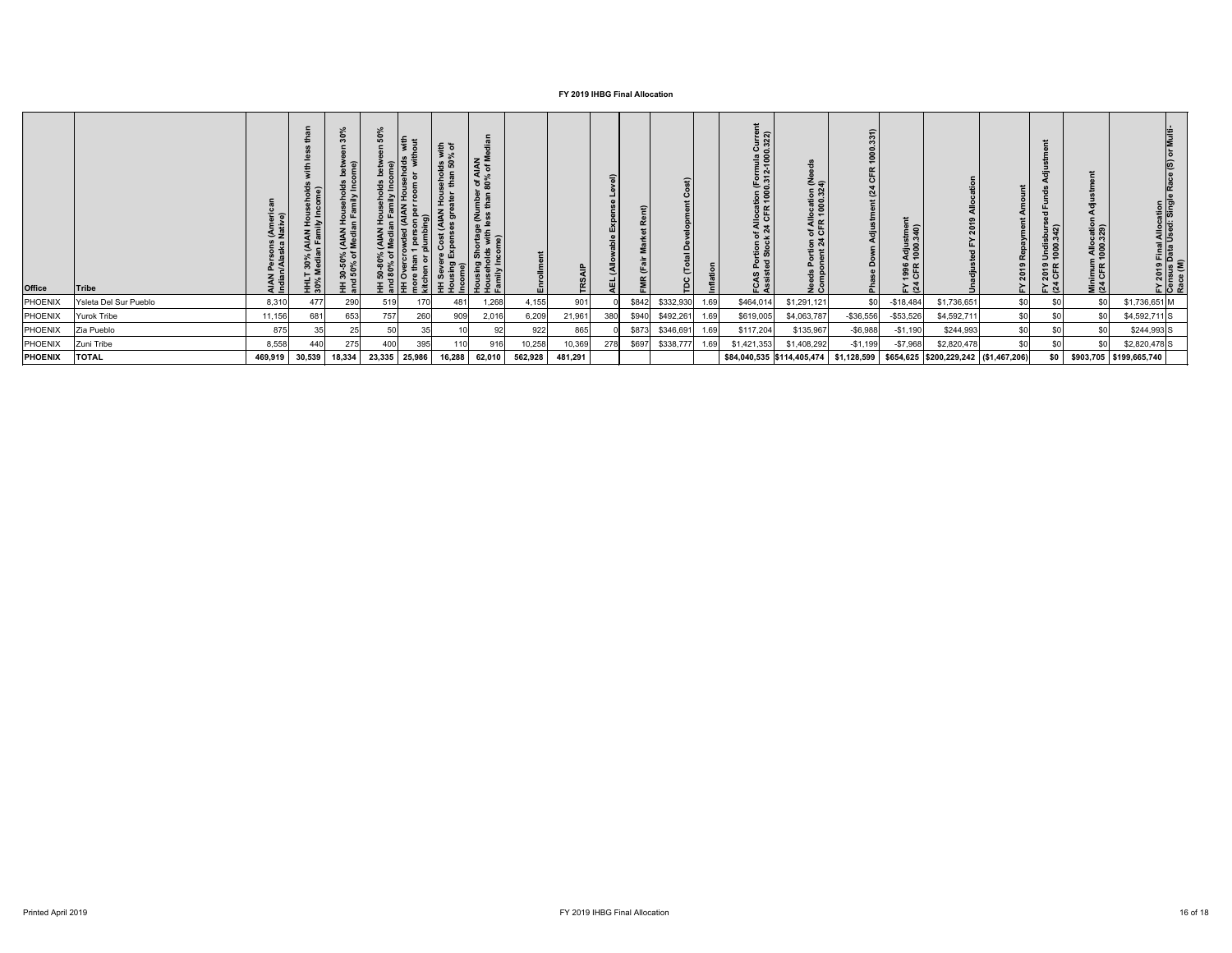| Office         | <b>Tribe</b>          | AIAN Persons (Ameri<br>Indian/Alaska Native) | hold<br>ime)<br>HHLT 30% (AIAN Ho<br>30% Median Family I | Households betw<br>n Family Income)<br>HH 30-50% (AIAN I<br>and 50% of Mediar | 50<br>ξĒ.<br>ទ<br>ក្នុង<br>$rac{5}{6}$ $\equiv$ | $\mathbf{E}$ $\mathbf{c}$<br><b>a</b><br>50<br>$\frac{1}{2}$<br>the set of $\frac{1}{2}$<br>$\frac{1}{2}$<br>' 王 호 | sing Shortage (Number of AIAN<br>seholds with less than 80% of M<br>illy Income)<br>화 호 호 |         | TRSAIP  | $\widehat{\mathsf{a}}$ |       | 슸<br>$\Omega$<br>TDC |      | Current<br>0.322)<br>Portion of Allocation (Formula<br>ed Stock 24 CFR 1000.312-100<br>ပ္ ဖွံ | Needs Portion of Allocation (N<br>Component 24 CFR 1000.324) | ≘<br>$\alpha$<br>ō<br>(24)<br>å<br>ᇵ | Adjustment<br>1000.340)<br>1996<br>CFR<br>$E \times 4$ |                                        | 2019<br>노 | FY 2019 Undisburs<br>(24 CFR 1000.342) | Minimum Allocation<br>(24 CFR 1000.329) | FY 2019 Final Allocation<br>Census Data Used: Single<br>Race (M) |
|----------------|-----------------------|----------------------------------------------|----------------------------------------------------------|-------------------------------------------------------------------------------|-------------------------------------------------|--------------------------------------------------------------------------------------------------------------------|-------------------------------------------------------------------------------------------|---------|---------|------------------------|-------|----------------------|------|-----------------------------------------------------------------------------------------------|--------------------------------------------------------------|--------------------------------------|--------------------------------------------------------|----------------------------------------|-----------|----------------------------------------|-----------------------------------------|------------------------------------------------------------------|
| PHOENIX        | Ysleta Del Sur Pueblo | 8,310                                        | 477                                                      | 290                                                                           | 170<br>519                                      | 481                                                                                                                | 1,268                                                                                     | 4,155   | 901     |                        | \$842 | \$332,930            | 1.69 | \$464,014                                                                                     | \$1,291,121                                                  | \$0                                  | $-$ \$18,484                                           | \$1,736,651                            | \$0       | \$ <sub>0</sub>                        | \$0                                     | \$1,736,651 M                                                    |
| PHOENIX        | <b>Yurok Tribe</b>    | 11,156                                       | 681                                                      | 653                                                                           | 260<br>757                                      | 909                                                                                                                | 2,016                                                                                     | 6,209   | 21,961  | 380                    | \$940 | \$492,261            | 1.69 | \$619,005                                                                                     | \$4,063,787                                                  | $-$ \$36,556                         | $-$ \$53,526                                           | \$4,592,711                            | \$0       |                                        | \$0                                     | $$4,592,711$ S                                                   |
| PHOENIX        | Zia Pueblo            | 875                                          |                                                          | 25                                                                            | 35<br>50                                        |                                                                                                                    | 92                                                                                        | 922     | 865     |                        | \$873 | \$346,691            | 1.69 | \$117,204                                                                                     | \$135,967                                                    | $-$ \$6,988                          | $-$1,190$                                              | \$244,993                              | \$0       |                                        | \$0                                     | $$244,993$ S                                                     |
| PHOENIX        | Zuni Tribe            | 8,558                                        | 440                                                      | 275                                                                           | 395<br>400                                      |                                                                                                                    | 916                                                                                       | 10,258  | 10,369  | 278                    | \$697 | \$338,777            | 1.69 | \$1,421,353                                                                                   | \$1,408,292                                                  | $-$1,199$                            | $-$7,968$                                              | \$2,820,478                            | \$0       |                                        | \$0                                     | $$2,820,478$ S                                                   |
| <b>PHOENIX</b> | <b>TOTAL</b>          | 469,919                                      | 30,539                                                   | 18,334                                                                        | 25,986<br>23,335                                | 16,288                                                                                                             | 62,010                                                                                    | 562,928 | 481,291 |                        |       |                      |      |                                                                                               | \$84,040,535 \$114,405,474                                   | \$1,128,599                          |                                                        | $$654,625$ $$200,229,242$ $$1,467,206$ |           | \$0                                    |                                         | $$903,705$ $$199,665,740$                                        |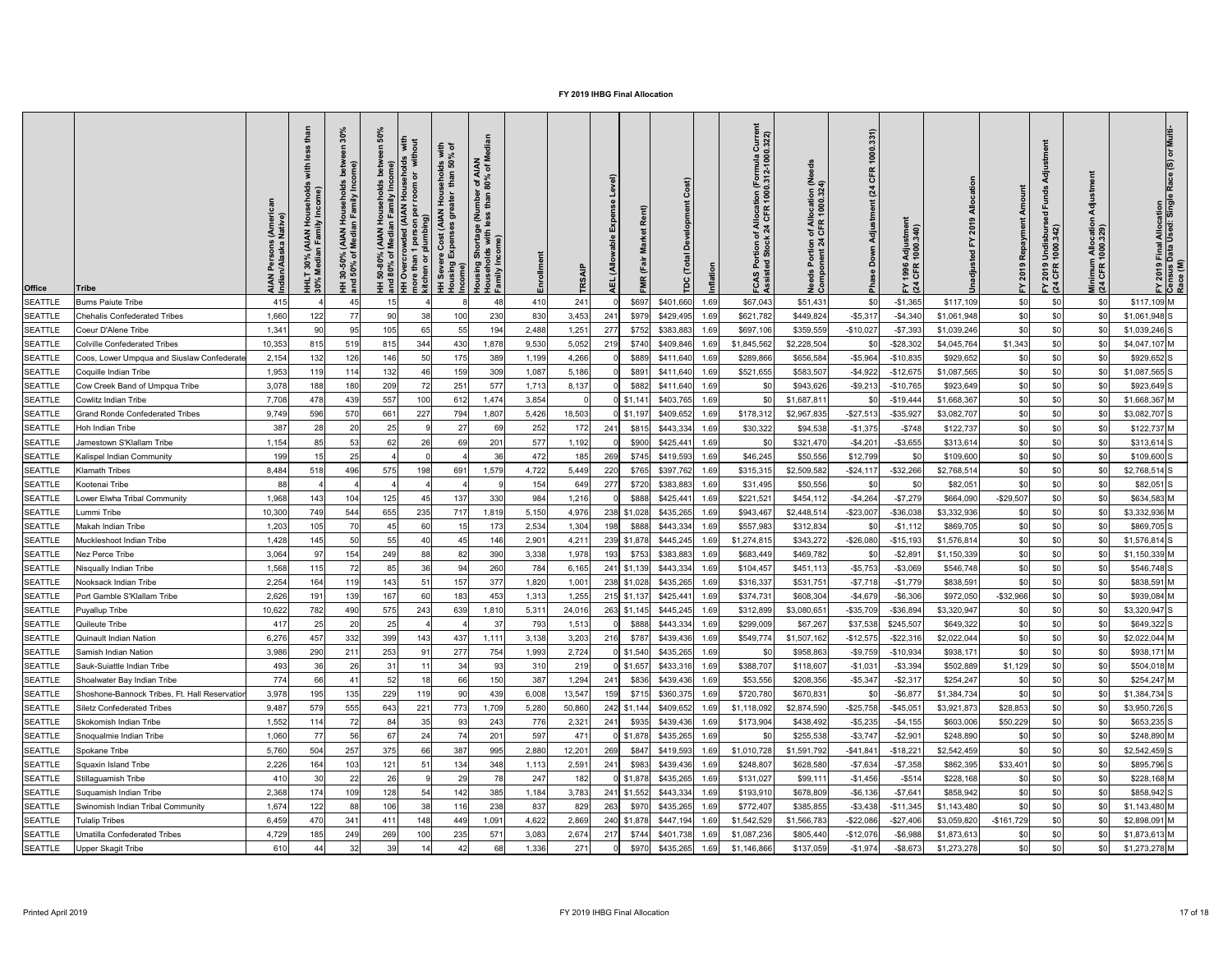| 1000.331)<br>with<br>% of<br>ation (Formula<br>१ 1000.312-1000<br><b>IAN</b><br>of M<br><b>9 8</b><br>ome)<br>eed<br>CFR<br>iohol<br>than<br>r of A<br>80%<br>evel)<br>n of Allocation (Ne<br>1 CFR 1000.324)<br>room<br><b>nily</b> In<br>(24)<br>Amount<br>iehold<br>Como<br>Houser<br>mbei<br>than<br>$\vec{E}$<br>ent)<br>of Allocat<br>:k 24 CFR<br>Adjustme<br><b>AIAN</b><br>prtage (Nu<br>with less 1<br>nl vii<br>iiv In<br>AIAN Persons (Ameri<br>Indian/Alaska Native)<br>$rac{5}{2}$ $rac{1}{2}$<br>plumbing)<br>゠<br>œ<br>Adjustmeı<br>1000.340)<br>(AIAN<br>Media<br>AIAN)<br>an Fami<br>$\overline{\phantom{a}}$<br>ntion<br>nt 24<br>Down<br>ຣ໌້<br>ని స<br>$\sigma$<br>30%<br>Media<br><b>Allo</b><br>$150\%$<br>sing<br>ome)<br>1996<br>CFR<br>Needs<br>Compo<br><b>HHLT</b><br>30% M<br>TR <sub>S</sub><br>可<br>mor<br>kitcl<br><b>Pha</b><br>$\tilde{a}$<br>ပိုး ဒီ<br>$\sum_{i=1}^{n}$<br>띧<br><b>Office</b><br><b>Tribe</b> | ) Final Allocation<br>Data Used: Single<br>ᇹ<br>$\overline{6}$<br>Minimum Allocatio<br>(24 CFR 1000.329)<br>′ 2019 Undisburs<br>1 CFR 1000.342)<br>FY 2019 F<br>Census D<br>Race (M)<br>$E \tilde{q}$ |
|---------------------------------------------------------------------------------------------------------------------------------------------------------------------------------------------------------------------------------------------------------------------------------------------------------------------------------------------------------------------------------------------------------------------------------------------------------------------------------------------------------------------------------------------------------------------------------------------------------------------------------------------------------------------------------------------------------------------------------------------------------------------------------------------------------------------------------------------------------------------------------------------------------------------------------------------------|-------------------------------------------------------------------------------------------------------------------------------------------------------------------------------------------------------|
| 415<br>\$0<br>$-$1,365$<br>\$0<br><b>SEATTLE</b><br><b>Burns Paiute Tribe</b><br>45<br>241<br>\$697<br>\$401,660<br>\$67,043<br>\$51,431<br>\$117,109<br>410<br>1.69<br>15                                                                                                                                                                                                                                                                                                                                                                                                                                                                                                                                                                                                                                                                                                                                                                        | \$0<br>$$117,109$ M<br>\$0                                                                                                                                                                            |
| Chehalis Confederated Tribes                                                                                                                                                                                                                                                                                                                                                                                                                                                                                                                                                                                                                                                                                                                                                                                                                                                                                                                      |                                                                                                                                                                                                       |
| 1,660<br>230<br>3,453<br>$-$4,340$<br>\$0<br>122<br>\$429,495<br>\$621,782<br>\$449,824<br>$-$5,317$<br>\$1,061,948<br><b>SEATTLE</b><br>77<br>90<br>38<br>100<br>830<br>241<br>\$979<br>1.69                                                                                                                                                                                                                                                                                                                                                                                                                                                                                                                                                                                                                                                                                                                                                     | \$0<br>$$1,061,948$ S                                                                                                                                                                                 |
| 95<br>1,251<br>$-$7,393$<br>\$0<br><b>SEATTLE</b><br>1,341<br>105<br>65<br>55<br>194<br>277<br>\$752<br>\$383,883<br>\$697,106<br>\$359,559<br>$-$10,027$<br>\$1,039,246<br>Coeur D'Alene Tribe<br>90<br>2,488<br>1.69                                                                                                                                                                                                                                                                                                                                                                                                                                                                                                                                                                                                                                                                                                                            | $$1,039,246$ S<br>\$0<br>\$0                                                                                                                                                                          |
| 10,353<br>1,878<br>5,052<br>\$1,343<br><b>SEATTLE</b><br><b>Colville Confederated Tribes</b><br>815<br>519<br>344<br>219<br>\$740<br>\$409,846<br>\$2,228,504<br>$-$ \$28,302<br>\$4,045,764<br>815<br>430<br>9,530<br>\$1,845,562<br>\$0<br>1.6                                                                                                                                                                                                                                                                                                                                                                                                                                                                                                                                                                                                                                                                                                  | \$4,047,107 M<br>\$0<br>\$0                                                                                                                                                                           |
| 389<br>4,266<br>$-$5,964$<br>\$0<br><b>SEATTLE</b><br>Coos, Lower Umpqua and Siuslaw Confederate<br>2,154<br>132<br>126<br>146<br>50<br>\$889<br>\$411,640<br>\$289,866<br>\$656,584<br>$-$10,835$<br>\$929,652<br>1,199<br>175<br>1.69                                                                                                                                                                                                                                                                                                                                                                                                                                                                                                                                                                                                                                                                                                           | \$0<br>\$929,652S<br>\$0                                                                                                                                                                              |
| \$0<br>309<br>\$1,087,565<br><b>SEATTLE</b><br>1,953<br>114<br>132<br>1,087<br>5,186<br>\$891<br>\$411,640<br>\$521,655<br>\$583,507<br>$-$4,922$<br>$-$12,675$<br>Coquille Indian Tribe<br>11S<br>159<br>1.69                                                                                                                                                                                                                                                                                                                                                                                                                                                                                                                                                                                                                                                                                                                                    | \$0<br>$$1,087,565$ S<br>\$0                                                                                                                                                                          |
| 188<br>209<br>72<br>577<br>\$0<br>3,078<br>180<br>251<br>8,137<br>\$882<br>$-$9,213$<br>$-$ \$10,765<br>\$923,649<br><b>SEATTLE</b><br>Cow Creek Band of Umpqua Tribe<br>1,713<br>\$411,640<br>\$943,626<br>\$0<br>1.69                                                                                                                                                                                                                                                                                                                                                                                                                                                                                                                                                                                                                                                                                                                           | \$0<br>\$0<br>\$923,649 S                                                                                                                                                                             |
| 100<br>\$403,765<br>\$1,668,367<br>\$0<br><b>SEATTLE</b><br>7,708<br>478<br>439<br>557<br>1,474<br>3,854<br>$0$ \$1,141<br>\$1,687,81<br>612<br>$-$19,444$<br>Cowlitz Indian Tribe<br>1.69<br>\$0                                                                                                                                                                                                                                                                                                                                                                                                                                                                                                                                                                                                                                                                                                                                                 | \$0<br>\$1,668,367 M                                                                                                                                                                                  |
| 227<br>\$0<br>596<br>570<br>1,807<br>18,503<br>\$409,652<br>\$178,312<br>$-$27,513$<br>\$3,082,707<br><b>SEATTLE</b><br><b>Grand Ronde Confederated Tribes</b><br>9,749<br>661<br>794<br>$0$ \$1,197<br>\$2,967,835<br>$-$ \$35,927<br>5,426<br>1.69                                                                                                                                                                                                                                                                                                                                                                                                                                                                                                                                                                                                                                                                                              | \$0<br>\$3,082,707 S<br>\$0                                                                                                                                                                           |
| 25<br>$-$ \$748<br>\$0<br><b>SEATTLE</b><br>387<br>20<br>27<br>69<br>252<br>172<br>\$443,334<br>\$30,322<br>\$94,538<br>$-$1,375$<br>\$122,737<br>Hoh Indian Tribe<br>28<br>241<br>\$815<br>1.69                                                                                                                                                                                                                                                                                                                                                                                                                                                                                                                                                                                                                                                                                                                                                  | \$0<br>\$122,737 M<br>\$0                                                                                                                                                                             |
| \$0<br>1,154<br>53<br>201<br>1,192<br>$-$ \$3,655<br><b>SEATTLE</b><br>Jamestown S'Klallam Tribe<br>85<br>62<br>26<br>577<br>\$900<br>\$425,441<br>\$321,470<br>$-$4,201$<br>\$313,614<br>69<br>1.69                                                                                                                                                                                                                                                                                                                                                                                                                                                                                                                                                                                                                                                                                                                                              | \$0<br>$$313,614$ S                                                                                                                                                                                   |
| 25<br>36<br>\$0<br><b>SEATTLE</b><br>199<br>185<br>269<br>\$50,556<br>\$12,799<br>\$745<br>\$46,245<br>\$109,600<br>Kalispel Indian Community<br>472<br>\$419,593<br>1.69                                                                                                                                                                                                                                                                                                                                                                                                                                                                                                                                                                                                                                                                                                                                                                         | \$0<br>\$109,600 S                                                                                                                                                                                    |
| <b>SEATTLE</b><br>\$2,768,514<br>8,484<br>496<br>575<br>198<br>691<br>1,579<br>4,722<br>220<br>\$765<br>\$397,762<br>\$315,315<br>\$2,509,582<br>$-$24,117$<br>$-$ \$32,266<br>\$0<br><b>Klamath Tribes</b><br>518<br>5,449<br>1.69                                                                                                                                                                                                                                                                                                                                                                                                                                                                                                                                                                                                                                                                                                               | $$2,768,514$ S<br>\$0                                                                                                                                                                                 |
| \$C<br>88<br>154<br>649<br>277<br>\$720<br>\$383,883<br>\$31,495<br>\$50,556<br>\$82,051<br><b>SEATTLE</b><br><b>Kootenai Tribe</b><br>1.69<br>\$0                                                                                                                                                                                                                                                                                                                                                                                                                                                                                                                                                                                                                                                                                                                                                                                                | \$0<br>$$82,051$ S                                                                                                                                                                                    |
| 330<br>$-$29,507$<br>1,968<br>104<br>125<br>984<br>1,216<br>$-$7,279$<br><b>SEATTLE</b><br>137<br>\$888<br>\$425,441<br>\$221,521<br>\$454,112<br>$-$4,264$<br>\$664,090<br>Lower Elwha Tribal Community<br>$14^{\circ}$<br>1.69                                                                                                                                                                                                                                                                                                                                                                                                                                                                                                                                                                                                                                                                                                                  | \$0<br>\$634,583 M                                                                                                                                                                                    |
| 655<br>235<br>4,976<br>10,300<br>749<br>544<br>1,819<br>$-$ \$23,00<br>\$3,332,936<br><b>SEATTLE</b><br>ummi Tribe<br>717<br>5,150<br>\$435,265<br>\$943,46<br>\$2,448,51<br>$-$36,038$<br>\$C<br>238 \$1,028                                                                                                                                                                                                                                                                                                                                                                                                                                                                                                                                                                                                                                                                                                                                     | \$3,332,936 M<br>\$ <sub>0</sub>                                                                                                                                                                      |
| \$C<br>Makah Indian Tribe<br>1,203<br>105<br>60<br>173<br>2,534<br>1,304<br>\$557,983<br>\$312,834<br>$-$1,112$<br>\$869,705<br><b>SEATTLE</b><br>70<br>\$888<br>\$443,334<br>45<br>198<br>\$0<br>1.69                                                                                                                                                                                                                                                                                                                                                                                                                                                                                                                                                                                                                                                                                                                                            | \$0<br>\$869,705 S                                                                                                                                                                                    |
| 1,428<br>55<br>4,21<br>\$343,272<br>\$1,576,814<br>\$C<br>145<br>50<br>146<br>2,901<br>\$445,245<br>\$1,274,815<br>$-$26,080$<br>$-$15,193$<br><b>SEATTLE</b><br>Muckleshoot Indian Tribe<br>239 \$1,878<br>1.6                                                                                                                                                                                                                                                                                                                                                                                                                                                                                                                                                                                                                                                                                                                                   | $$1,576,814$ S<br>\$0                                                                                                                                                                                 |
| 390<br>3,064<br>154<br>249<br>1,978<br>\$469,782<br>\$1,150,339<br>\$C<br><b>SEATTLE</b><br>Nez Perce Tribe<br>88<br>82<br>3,338<br>193<br>\$383,883<br>\$683,449<br>$-$2,89$<br>\$753<br>1.69<br>\$0                                                                                                                                                                                                                                                                                                                                                                                                                                                                                                                                                                                                                                                                                                                                             | $$1,150,339$ M<br>\$ <sub>0</sub>                                                                                                                                                                     |
| 260<br>85<br>36<br>\$C<br>1,568<br>784<br>6,165<br>$-$5,753$<br>$-$3,069$<br>\$546,748<br><b>SEATTLE</b><br>\$1,139<br>\$443,334<br>\$104,45<br>\$451,113<br>Nisqually Indian Tribe<br>115<br>94<br>241<br>1.69                                                                                                                                                                                                                                                                                                                                                                                                                                                                                                                                                                                                                                                                                                                                   | \$0<br>$$546,748$ S                                                                                                                                                                                   |
| 377<br>\$C<br>2,254<br>$-$1,779$<br>143<br>1,820<br>238 \$1,028<br>\$316,337<br>\$531,75<br>$-$7,718$<br>\$838,591<br><b>SEATTLE</b><br>164<br>119<br>$5^{\circ}$<br>1,001<br>\$435,265<br>Nooksack Indian Tribe<br>157<br>1.69                                                                                                                                                                                                                                                                                                                                                                                                                                                                                                                                                                                                                                                                                                                   | \$0<br>\$838,591 M                                                                                                                                                                                    |
| 2,626<br>$-$ \$32,966<br>Port Gamble S'Klallam Tribe<br>139<br>167<br>60<br>453<br>1,255<br>215 \$1,137<br>\$425,441<br>\$374,731<br>\$608,304<br>$-$4,679$<br>$-$6,306$<br>\$972,050<br><b>SEATTLE</b><br>19<br>183<br>1,313<br>1.69                                                                                                                                                                                                                                                                                                                                                                                                                                                                                                                                                                                                                                                                                                             | \$0<br>\$939,084 M                                                                                                                                                                                    |
| 782<br>575<br>$-$ \$36,894<br>\$3,320,947<br>10,622<br>490<br>243<br>1,810<br>5,311<br>24,016<br>263 \$1,145<br>\$445,245<br>\$312,899<br>\$3,080,65<br>$-$35,709$<br>\$C<br><b>SEATTLE</b><br>Puyallup Tribe<br>639<br>1.69                                                                                                                                                                                                                                                                                                                                                                                                                                                                                                                                                                                                                                                                                                                      | \$ <sub>0</sub><br>$$3,320,947$ S<br>\$0                                                                                                                                                              |
| 25<br>37<br>1,513<br>\$C<br>417<br>20<br>793<br>\$299,009<br>\$67,267<br>\$37,538<br>\$245,507<br>\$649,322<br>\$888<br>\$443,334<br><b>SEATTLE</b><br>Quileute Tribe<br>1.69                                                                                                                                                                                                                                                                                                                                                                                                                                                                                                                                                                                                                                                                                                                                                                     | \$0<br>\$0<br>\$649,322 S                                                                                                                                                                             |
| 6,276<br>332<br>399<br>3,203<br>$-$12,575$<br>\$2,022,044<br>\$C<br>143<br>1,111<br>3,138<br>216<br>\$787<br>\$439,436<br>\$549,774<br>\$1,507,162<br>$-$ \$22,316<br><b>SEATTLE</b><br>Quinault Indian Nation<br>45<br>437<br>1.6                                                                                                                                                                                                                                                                                                                                                                                                                                                                                                                                                                                                                                                                                                                | \$ <sub>0</sub><br>\$2,022,044 M                                                                                                                                                                      |
| \$C<br>290<br>253<br>754<br>1,993<br>2,724<br>$-$9,759$<br>\$938,171<br>3,986<br>211<br>$9^{\circ}$<br>277<br>\$435,265<br>\$958,863<br>$-$10,934$<br><b>SEATTLE</b><br>$0$ \$1,540<br>Samish Indian Nation<br>1.69                                                                                                                                                                                                                                                                                                                                                                                                                                                                                                                                                                                                                                                                                                                               | \$0<br>$$938,171$ M<br>\$0                                                                                                                                                                            |
| \$1,129<br>493<br>26<br>31<br>93<br>310<br>219<br>0 \$1,657<br>\$433,316<br>\$388,707<br>\$118,607<br>$-$1,031$<br>$- $3,394$<br>\$502,889<br><b>SEATTLE</b><br>Sauk-Suiattle Indian Tribe<br>34<br>1.69                                                                                                                                                                                                                                                                                                                                                                                                                                                                                                                                                                                                                                                                                                                                          | \$0<br>\$504,018 M                                                                                                                                                                                    |
| 774<br>150<br>52<br>387<br>1,294<br>\$C<br>41<br>\$439,436<br>\$53,556<br>\$208,356<br>$-$5,347$<br>$-$2,317$<br>\$254,247<br><b>SEATTLE</b><br>Shoalwater Bay Indian Tribe<br>66<br>241<br>\$836<br>1.69                                                                                                                                                                                                                                                                                                                                                                                                                                                                                                                                                                                                                                                                                                                                         | \$0<br>\$254,247 M                                                                                                                                                                                    |
| 3,978<br>135<br>229<br>439<br>\$C<br>195<br>6,008<br>\$720,780<br>\$670,83<br>$-$ \$6,87<br>\$1,384,734<br>Shoshone-Bannock Tribes, Ft. Hall Reservatio<br>119<br>90<br>13,547<br>159<br><b>SEATTLE</b><br>\$715<br>\$360,375<br>\$0<br>1.6:                                                                                                                                                                                                                                                                                                                                                                                                                                                                                                                                                                                                                                                                                                      | \$ <sub>0</sub><br>$$1,384,734$ S                                                                                                                                                                     |
| 9,487<br>555<br>221<br>\$28,853<br>579<br>643<br>773<br>1,709<br>5,280<br>50,860<br>\$2,874,590<br>$-$25,758$<br>$-$45,05$<br>\$3,921,873<br><b>SEATTLE</b><br><b>Siletz Confederated Tribes</b><br>\$409,652<br>\$1,118,092<br>242 \ \ \$1,144<br>1.6                                                                                                                                                                                                                                                                                                                                                                                                                                                                                                                                                                                                                                                                                            | \$ <sub>0</sub><br>$$3,950,726$ S                                                                                                                                                                     |
| 243<br>$-$4,155$<br>\$50,229<br>1,552<br>72<br>84<br>35<br>776<br>2,321<br>\$439,436<br>\$173,904<br>\$438,492<br>$-$5,235$<br>\$603,006<br><b>SEATTLE</b><br>Skokomish Indian Tribe<br>93<br>241<br>\$935<br>114<br>1.6                                                                                                                                                                                                                                                                                                                                                                                                                                                                                                                                                                                                                                                                                                                          | \$0<br>\$653,235 S                                                                                                                                                                                    |
| 201<br>47 <sup>′</sup><br>1,060<br>56<br>67<br>597<br>$-$3,747$<br>$-$2,90$<br>\$248,890<br>\$C<br>24<br>$0$ \$1,878<br>\$435,265<br>\$255,538<br><b>SEATTLE</b><br>Snoqualmie Indian Tribe<br>1.69                                                                                                                                                                                                                                                                                                                                                                                                                                                                                                                                                                                                                                                                                                                                               | \$0<br>\$248,890 M                                                                                                                                                                                    |
| 257<br>375<br>995<br>5,760<br>50 <sub>4</sub><br>66<br>387<br>2,880<br>12,201<br>\$1,591,792<br>$-$18,22$<br>\$2,542,459<br>\$C<br><b>SEATTLE</b><br>269<br>\$847<br>\$419,593<br>\$1,010,728<br>$-$41,84$<br>Spokane Tribe                                                                                                                                                                                                                                                                                                                                                                                                                                                                                                                                                                                                                                                                                                                       | \$ <sub>0</sub><br>\$2,542,459 S                                                                                                                                                                      |
| \$33,401<br>2,226<br>121<br>348<br>2,591<br>\$439,436<br>\$628,580<br>$-$7,634$<br>$-$7,358$<br>\$862,395<br><b>SEATTLE</b><br>Squaxin Island Tribe<br>164<br>103<br>5 <sup>′</sup><br>134<br>\$983<br>\$248,807<br>1,113<br>241<br>1.69                                                                                                                                                                                                                                                                                                                                                                                                                                                                                                                                                                                                                                                                                                          | \$0<br>\$895,796 S                                                                                                                                                                                    |
| 26<br>182<br>$-$ \$514<br>\$228,168<br>410<br>22<br>29<br>247<br>$0$ \$1,878<br>\$435,265<br>\$131,027<br>\$99,11<br>$-$1,456$<br>\$C<br><b>SEATTLE</b><br>Stillaguamish Tribe<br>1.69                                                                                                                                                                                                                                                                                                                                                                                                                                                                                                                                                                                                                                                                                                                                                            | \$0<br>\$228,168 M                                                                                                                                                                                    |
| 109<br>385<br>2,368<br>128<br>3,783<br>$-$7,64$<br>\$858,942<br>\$C<br><b>SEATTLE</b><br>Suquamish Indian Tribe<br>174<br>54<br>241 \$1,552<br>\$443,334<br>\$193,91<br>\$678,809<br>$-$6,136$<br>142<br>1,184<br>1.69                                                                                                                                                                                                                                                                                                                                                                                                                                                                                                                                                                                                                                                                                                                            | \$0<br>\$858,942 S                                                                                                                                                                                    |
| 1,674<br>106<br>238<br>\$0<br>38<br>829<br>263<br>\$970<br>\$772,407<br>\$385,855<br>$-$11,345$<br>\$1,143,480<br><b>SEATTLE</b><br>Swinomish Indian Tribal Community<br>122<br>837<br>\$435,265<br>$- $3,438$<br>1.69                                                                                                                                                                                                                                                                                                                                                                                                                                                                                                                                                                                                                                                                                                                            | $$1,143,480$ M                                                                                                                                                                                        |
| $-$ \$27,406 \$3,059,820 $-$ \$161,729<br>2,869<br>240 \$1,878 \$447,194 1.69 \$1,542,529<br>SEATTLE   Tulalip Tribes<br>6,459<br>341<br>148<br>1,091<br>4,622<br>\$1,566,783<br>$-$ \$22,086<br>470<br>411<br>449<br>- <del>7</del> 1 1                                                                                                                                                                                                                                                                                                                                                                                                                                                                                                                                                                                                                                                                                                          | $$0$ $$2,898,091$ M<br>ູ∾∨∣                                                                                                                                                                           |
| 4,729<br>185<br>269<br>100<br>235<br>571<br>\$0<br>SEATTLE<br>249<br>3,083<br>2,674<br>217<br>\$1,087,236<br>$-$ \$12,076<br>$-$ \$6,988<br>\$1,873,613<br>Umatilla Confederated Tribes<br>\$805,440                                                                                                                                                                                                                                                                                                                                                                                                                                                                                                                                                                                                                                                                                                                                              | \$0<br>\$0<br>\$1,873,613 M                                                                                                                                                                           |
| \$0<br>32<br>39<br>68<br>271<br>$$970$ $$435,265$ 1.69<br>\$1,146,866<br>\$1,273,278<br>SEATTLE<br>Upper Skagit Tribe<br>610<br>14<br>1,336<br>\$137,059<br>$-$1,974$<br>$-$ \$8,673<br>42                                                                                                                                                                                                                                                                                                                                                                                                                                                                                                                                                                                                                                                                                                                                                        | $$0$ $$1,273,278$ M<br>\$0                                                                                                                                                                            |